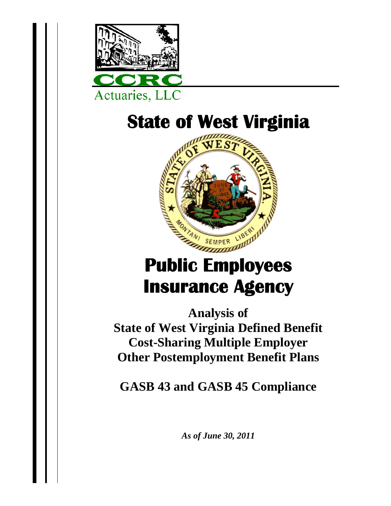

## **State of West Virginia**



# **Public Employees Insurance Agency**

**Analysis of State of West Virginia Defined Benefit Cost-Sharing Multiple Employer Other Postemployment Benefit Plans** 

**GASB 43 and GASB 45 Compliance** 

*As of June 30, 2011*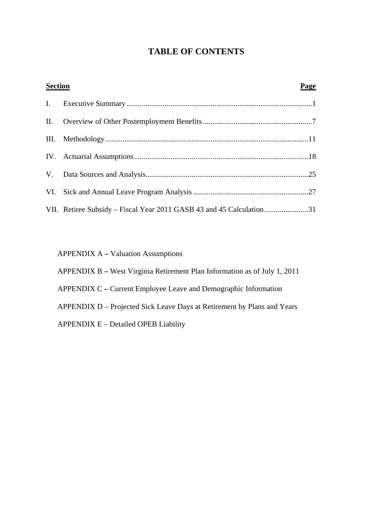### **TABLE OF CONTENTS**

| <b>Section</b> |                                                                      | Page |
|----------------|----------------------------------------------------------------------|------|
|                |                                                                      |      |
|                |                                                                      |      |
|                |                                                                      |      |
|                |                                                                      |      |
|                |                                                                      |      |
|                |                                                                      |      |
|                | VII. Retiree Subsidy – Fiscal Year 2011 GASB 43 and 45 Calculation31 |      |

APPENDIX A **–** Valuation Assumptions

APPENDIX B **–** West Virginia Retirement Plan Information as of July 1, 2011

APPENDIX C **–** Current Employee Leave and Demographic Information

APPENDIX D – Projected Sick Leave Days at Retirement by Plans and Years

APPENDIX E – Detailed OPEB Liability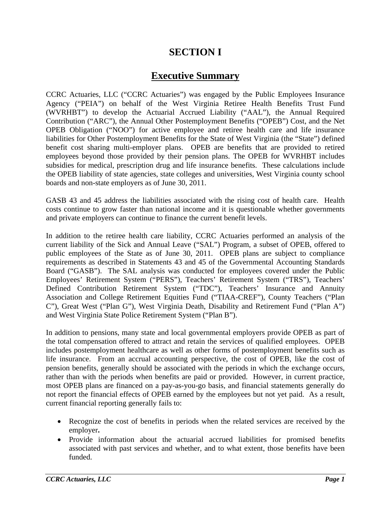## **SECTION I**

### **Executive Summary**

CCRC Actuaries, LLC ("CCRC Actuaries") was engaged by the Public Employees Insurance Agency ("PEIA") on behalf of the West Virginia Retiree Health Benefits Trust Fund (WVRHBT") to develop the Actuarial Accrued Liability ("AAL"), the Annual Required Contribution ("ARC"), the Annual Other Postemployment Benefits ("OPEB") Cost, and the Net OPEB Obligation ("NOO") for active employee and retiree health care and life insurance liabilities for Other Postemployment Benefits for the State of West Virginia (the "State") defined benefit cost sharing multi-employer plans. OPEB are benefits that are provided to retired employees beyond those provided by their pension plans. The OPEB for WVRHBT includes subsidies for medical, prescription drug and life insurance benefits. These calculations include the OPEB liability of state agencies, state colleges and universities, West Virginia county school boards and non-state employers as of June 30, 2011.

GASB 43 and 45 address the liabilities associated with the rising cost of health care. Health costs continue to grow faster than national income and it is questionable whether governments and private employers can continue to finance the current benefit levels.

In addition to the retiree health care liability, CCRC Actuaries performed an analysis of the current liability of the Sick and Annual Leave ("SAL") Program, a subset of OPEB, offered to public employees of the State as of June 30, 2011. OPEB plans are subject to compliance requirements as described in Statements 43 and 45 of the Governmental Accounting Standards Board ("GASB"). The SAL analysis was conducted for employees covered under the Public Employees' Retirement System ("PERS"), Teachers' Retirement System ("TRS"), Teachers' Defined Contribution Retirement System ("TDC"), Teachers' Insurance and Annuity Association and College Retirement Equities Fund ("TIAA-CREF"), County Teachers ("Plan C"), Great West ("Plan G"), West Virginia Death, Disability and Retirement Fund ("Plan A") and West Virginia State Police Retirement System ("Plan B").

In addition to pensions, many state and local governmental employers provide OPEB as part of the total compensation offered to attract and retain the services of qualified employees. OPEB includes postemployment healthcare as well as other forms of postemployment benefits such as life insurance. From an accrual accounting perspective, the cost of OPEB, like the cost of pension benefits, generally should be associated with the periods in which the exchange occurs, rather than with the periods when benefits are paid or provided. However, in current practice, most OPEB plans are financed on a pay-as-you-go basis, and financial statements generally do not report the financial effects of OPEB earned by the employees but not yet paid. As a result, current financial reporting generally fails to:

- Recognize the cost of benefits in periods when the related services are received by the employer**.**
- Provide information about the actuarial accrued liabilities for promised benefits associated with past services and whether, and to what extent, those benefits have been funded.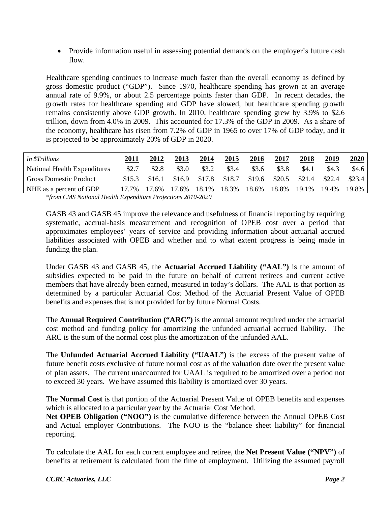• Provide information useful in assessing potential demands on the employer's future cash flow.

Healthcare spending continues to increase much faster than the overall economy as defined by gross domestic product ("GDP"). Since 1970, healthcare spending has grown at an average annual rate of 9.9%, or about 2.5 percentage points faster than GDP. In recent decades, the growth rates for healthcare spending and GDP have slowed, but healthcare spending growth remains consistently above GDP growth. In 2010, healthcare spending grew by 3.9% to \$2.6 trillion, down from 4.0% in 2009. This accounted for 17.3% of the GDP in 2009. As a share of the economy, healthcare has risen from 7.2% of GDP in 1965 to over 17% of GDP today, and it is projected to be approximately 20% of GDP in 2020.

| In \$Trillions                | <b>2011</b> | 2012   | 2013   | 2014   | 2015   | 2016   | 2017   | 2018   | 2019   | 2020   |
|-------------------------------|-------------|--------|--------|--------|--------|--------|--------|--------|--------|--------|
| National Health Expenditures  | \$2.7       | \$2.8  | \$3.0  | \$3.2  | \$3.4  | \$3.6  | \$3.8  | \$4.1  | \$4.3  | \$4.6  |
| <b>Gross Domestic Product</b> | \$15.3      | \$16.1 | \$16.9 | \$17.8 | \$18.7 | \$19.6 | \$20.5 | \$21.4 | \$22.4 | \$23.4 |
| NHE as a percent of GDP       | 17.7%       | 17.6%  | 17.6%  | 18.1%  | 18.3%  | 18.6%  | 18.8%  | 19.1%  | 19.4%  | 19.8%  |

*\*from CMS National Health Expenditure Projections 2010-2020* 

GASB 43 and GASB 45 improve the relevance and usefulness of financial reporting by requiring systematic, accrual-basis measurement and recognition of OPEB cost over a period that approximates employees' years of service and providing information about actuarial accrued liabilities associated with OPEB and whether and to what extent progress is being made in funding the plan.

Under GASB 43 and GASB 45, the **Actuarial Accrued Liability ("AAL")** is the amount of subsidies expected to be paid in the future on behalf of current retirees and current active members that have already been earned, measured in today's dollars. The AAL is that portion as determined by a particular Actuarial Cost Method of the Actuarial Present Value of OPEB benefits and expenses that is not provided for by future Normal Costs.

The **Annual Required Contribution ("ARC")** is the annual amount required under the actuarial cost method and funding policy for amortizing the unfunded actuarial accrued liability. The ARC is the sum of the normal cost plus the amortization of the unfunded AAL.

The **Unfunded Actuarial Accrued Liability ("UAAL")** is the excess of the present value of future benefit costs exclusive of future normal cost as of the valuation date over the present value of plan assets. The current unaccounted for UAAL is required to be amortized over a period not to exceed 30 years. We have assumed this liability is amortized over 30 years.

The **Normal Cost** is that portion of the Actuarial Present Value of OPEB benefits and expenses which is allocated to a particular year by the Actuarial Cost Method.

**Net OPEB Obligation ("NOO")** is the cumulative difference between the Annual OPEB Cost and Actual employer Contributions. The NOO is the "balance sheet liability" for financial reporting.

To calculate the AAL for each current employee and retiree, the **Net Present Value ("NPV")** of benefits at retirement is calculated from the time of employment. Utilizing the assumed payroll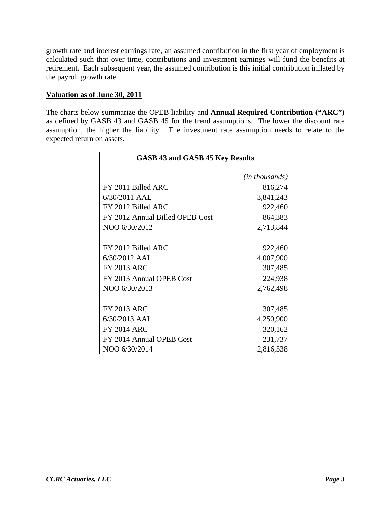growth rate and interest earnings rate, an assumed contribution in the first year of employment is calculated such that over time, contributions and investment earnings will fund the benefits at retirement. Each subsequent year, the assumed contribution is this initial contribution inflated by the payroll growth rate.

#### **Valuation as of June 30, 2011**

The charts below summarize the OPEB liability and **Annual Required Contribution ("ARC")**  as defined by GASB 43 and GASB 45 for the trend assumptions. The lower the discount rate assumption, the higher the liability. The investment rate assumption needs to relate to the expected return on assets.

| <b>GASB 43 and GASB 45 Key Results</b> |                |  |  |  |  |
|----------------------------------------|----------------|--|--|--|--|
|                                        | (in thousands) |  |  |  |  |
| FY 2011 Billed ARC                     | 816,274        |  |  |  |  |
| 6/30/2011 AAL                          | 3,841,243      |  |  |  |  |
| FY 2012 Billed ARC                     | 922,460        |  |  |  |  |
| FY 2012 Annual Billed OPEB Cost        | 864,383        |  |  |  |  |
| NOO 6/30/2012                          | 2,713,844      |  |  |  |  |
|                                        |                |  |  |  |  |
| FY 2012 Billed ARC                     | 922,460        |  |  |  |  |
| 6/30/2012 AAL                          | 4,007,900      |  |  |  |  |
| <b>FY 2013 ARC</b>                     | 307,485        |  |  |  |  |
| FY 2013 Annual OPEB Cost               | 224,938        |  |  |  |  |
| NOO 6/30/2013                          | 2,762,498      |  |  |  |  |
|                                        |                |  |  |  |  |
| <b>FY 2013 ARC</b>                     | 307,485        |  |  |  |  |
| 6/30/2013 AAL                          | 4,250,900      |  |  |  |  |
| <b>FY 2014 ARC</b>                     | 320,162        |  |  |  |  |
| FY 2014 Annual OPEB Cost               | 231,737        |  |  |  |  |
| NOO 6/30/2014                          | 2,816,538      |  |  |  |  |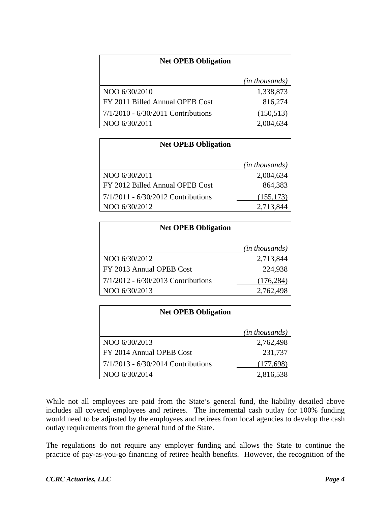| <b>Net OPEB Obligation</b>         |                |
|------------------------------------|----------------|
|                                    | (in thousands) |
| NOO 6/30/2010                      | 1,338,873      |
| FY 2011 Billed Annual OPEB Cost    | 816,274        |
| 7/1/2010 - 6/30/2011 Contributions | (150, 513)     |
| NOO 6/30/2011                      | 2,004,634      |

| <b>Net OPEB Obligation</b>           |                         |
|--------------------------------------|-------------------------|
|                                      | ( <i>in thousands</i> ) |
| NOO 6/30/2011                        | 2,004,634               |
| FY 2012 Billed Annual OPEB Cost      | 864,383                 |
| $7/1/2011 - 6/30/2012$ Contributions | (155, 173)              |
| NOO 6/30/2012                        | 2,713,844               |

| <b>Net OPEB Obligation</b>           |                |
|--------------------------------------|----------------|
|                                      | (in thousands) |
| NOO 6/30/2012                        | 2,713,844      |
| FY 2013 Annual OPEB Cost             | 224,938        |
| $7/1/2012 - 6/30/2013$ Contributions | (176, 284)     |
| NOO 6/30/2013                        | 2,762,498      |

| <b>Net OPEB Obligation</b>           |                |
|--------------------------------------|----------------|
|                                      | (in thousands) |
| NOO 6/30/2013                        | 2,762,498      |
| FY 2014 Annual OPEB Cost             | 231,737        |
| $7/1/2013 - 6/30/2014$ Contributions | (177,698)      |
| NOO 6/30/2014                        | 2,816,538      |

While not all employees are paid from the State's general fund, the liability detailed above includes all covered employees and retirees. The incremental cash outlay for 100% funding would need to be adjusted by the employees and retirees from local agencies to develop the cash outlay requirements from the general fund of the State.

The regulations do not require any employer funding and allows the State to continue the practice of pay-as-you-go financing of retiree health benefits. However, the recognition of the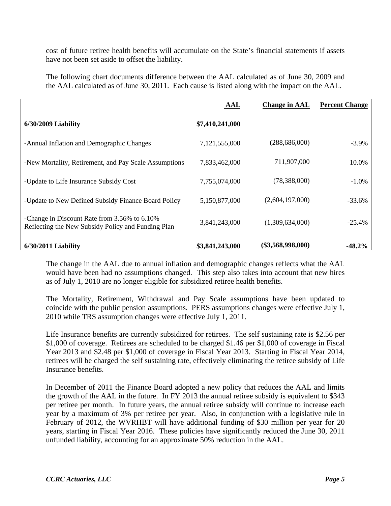cost of future retiree health benefits will accumulate on the State's financial statements if assets have not been set aside to offset the liability.

The following chart documents difference between the AAL calculated as of June 30, 2009 and the AAL calculated as of June 30, 2011. Each cause is listed along with the impact on the AAL.

|                                                                                                    | AAL             | <b>Change in AAL</b> | <b>Percent Change</b> |
|----------------------------------------------------------------------------------------------------|-----------------|----------------------|-----------------------|
| $6/30/2009$ Liability                                                                              | \$7,410,241,000 |                      |                       |
| -Annual Inflation and Demographic Changes                                                          | 7,121,555,000   | (288, 686, 000)      | $-3.9\%$              |
| -New Mortality, Retirement, and Pay Scale Assumptions                                              | 7,833,462,000   | 711,907,000          | 10.0%                 |
| -Update to Life Insurance Subsidy Cost                                                             | 7,755,074,000   | (78, 388, 000)       | $-1.0\%$              |
| -Update to New Defined Subsidy Finance Board Policy                                                | 5,150,877,000   | (2,604,197,000)      | $-33.6%$              |
| -Change in Discount Rate from 3.56% to 6.10%<br>Reflecting the New Subsidy Policy and Funding Plan | 3,841,243,000   | (1,309,634,000)      | $-25.4%$              |
| $6/30/2011$ Liability                                                                              | \$3,841,243,000 | $(\$3,568,998,000)$  | $-48.2\%$             |

The change in the AAL due to annual inflation and demographic changes reflects what the AAL would have been had no assumptions changed. This step also takes into account that new hires as of July 1, 2010 are no longer eligible for subsidized retiree health benefits.

The Mortality, Retirement, Withdrawal and Pay Scale assumptions have been updated to coincide with the public pension assumptions. PERS assumptions changes were effective July 1, 2010 while TRS assumption changes were effective July 1, 2011.

Life Insurance benefits are currently subsidized for retirees. The self sustaining rate is \$2.56 per \$1,000 of coverage. Retirees are scheduled to be charged \$1.46 per \$1,000 of coverage in Fiscal Year 2013 and \$2.48 per \$1,000 of coverage in Fiscal Year 2013. Starting in Fiscal Year 2014, retirees will be charged the self sustaining rate, effectively eliminating the retiree subsidy of Life Insurance benefits.

In December of 2011 the Finance Board adopted a new policy that reduces the AAL and limits the growth of the AAL in the future. In FY 2013 the annual retiree subsidy is equivalent to \$343 per retiree per month. In future years, the annual retiree subsidy will continue to increase each year by a maximum of 3% per retiree per year. Also, in conjunction with a legislative rule in February of 2012, the WVRHBT will have additional funding of \$30 million per year for 20 years, starting in Fiscal Year 2016. These policies have significantly reduced the June 30, 2011 unfunded liability, accounting for an approximate 50% reduction in the AAL.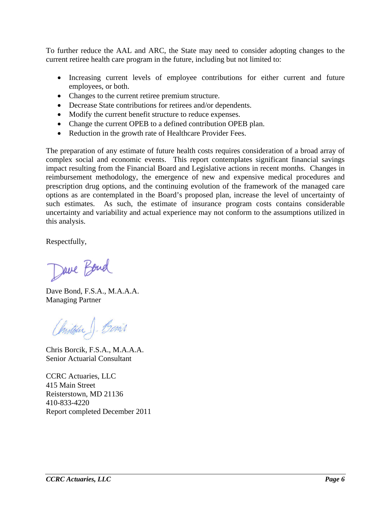To further reduce the AAL and ARC, the State may need to consider adopting changes to the current retiree health care program in the future, including but not limited to:

- Increasing current levels of employee contributions for either current and future employees, or both.
- Changes to the current retiree premium structure.
- Decrease State contributions for retirees and/or dependents.
- Modify the current benefit structure to reduce expenses.
- Change the current OPEB to a defined contribution OPEB plan.
- Reduction in the growth rate of Healthcare Provider Fees.

The preparation of any estimate of future health costs requires consideration of a broad array of complex social and economic events. This report contemplates significant financial savings impact resulting from the Financial Board and Legislative actions in recent months. Changes in reimbursement methodology, the emergence of new and expensive medical procedures and prescription drug options, and the continuing evolution of the framework of the managed care options as are contemplated in the Board's proposed plan, increase the level of uncertainty of such estimates. As such, the estimate of insurance program costs contains considerable uncertainty and variability and actual experience may not conform to the assumptions utilized in this analysis.

Respectfully,

Dave Bond

Dave Bond, F.S.A., M.A.A.A. Managing Partner

Onstigue J. Benit

Chris Borcik, F.S.A., M.A.A.A. Senior Actuarial Consultant

CCRC Actuaries, LLC 415 Main Street Reisterstown, MD 21136 410-833-4220 Report completed December 2011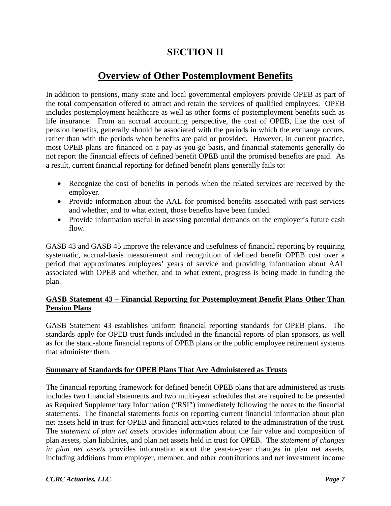## **SECTION II**

## **Overview of Other Postemployment Benefits**

In addition to pensions, many state and local governmental employers provide OPEB as part of the total compensation offered to attract and retain the services of qualified employees. OPEB includes postemployment healthcare as well as other forms of postemployment benefits such as life insurance. From an accrual accounting perspective, the cost of OPEB, like the cost of pension benefits, generally should be associated with the periods in which the exchange occurs, rather than with the periods when benefits are paid or provided. However, in current practice, most OPEB plans are financed on a pay-as-you-go basis, and financial statements generally do not report the financial effects of defined benefit OPEB until the promised benefits are paid. As a result, current financial reporting for defined benefit plans generally fails to:

- Recognize the cost of benefits in periods when the related services are received by the employer.
- Provide information about the AAL for promised benefits associated with past services and whether, and to what extent, those benefits have been funded.
- Provide information useful in assessing potential demands on the employer's future cash flow.

GASB 43 and GASB 45 improve the relevance and usefulness of financial reporting by requiring systematic, accrual-basis measurement and recognition of defined benefit OPEB cost over a period that approximates employees' years of service and providing information about AAL associated with OPEB and whether, and to what extent, progress is being made in funding the plan.

#### **GASB Statement 43 – Financial Reporting for Postemployment Benefit Plans Other Than Pension Plans**

GASB Statement 43 establishes uniform financial reporting standards for OPEB plans. The standards apply for OPEB trust funds included in the financial reports of plan sponsors, as well as for the stand-alone financial reports of OPEB plans or the public employee retirement systems that administer them.

#### **Summary of Standards for OPEB Plans That Are Administered as Trusts**

The financial reporting framework for defined benefit OPEB plans that are administered as trusts includes two financial statements and two multi-year schedules that are required to be presented as Required Supplementary Information ("RSI") immediately following the notes to the financial statements. The financial statements focus on reporting current financial information about plan net assets held in trust for OPEB and financial activities related to the administration of the trust. The *statement of plan net assets* provides information about the fair value and composition of plan assets, plan liabilities, and plan net assets held in trust for OPEB. The *statement of changes in plan net assets* provides information about the year-to-year changes in plan net assets, including additions from employer, member, and other contributions and net investment income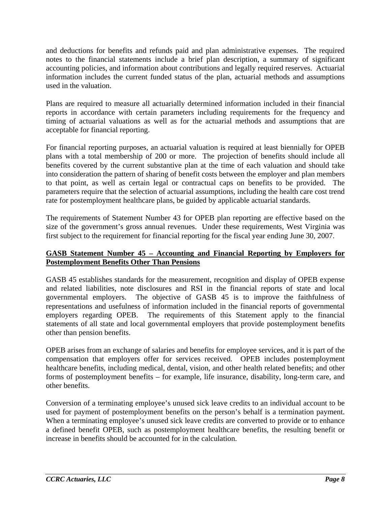and deductions for benefits and refunds paid and plan administrative expenses. The required notes to the financial statements include a brief plan description, a summary of significant accounting policies, and information about contributions and legally required reserves. Actuarial information includes the current funded status of the plan, actuarial methods and assumptions used in the valuation.

Plans are required to measure all actuarially determined information included in their financial reports in accordance with certain parameters including requirements for the frequency and timing of actuarial valuations as well as for the actuarial methods and assumptions that are acceptable for financial reporting.

For financial reporting purposes, an actuarial valuation is required at least biennially for OPEB plans with a total membership of 200 or more. The projection of benefits should include all benefits covered by the current substantive plan at the time of each valuation and should take into consideration the pattern of sharing of benefit costs between the employer and plan members to that point, as well as certain legal or contractual caps on benefits to be provided. The parameters require that the selection of actuarial assumptions, including the health care cost trend rate for postemployment healthcare plans, be guided by applicable actuarial standards.

The requirements of Statement Number 43 for OPEB plan reporting are effective based on the size of the government's gross annual revenues. Under these requirements, West Virginia was first subject to the requirement for financial reporting for the fiscal year ending June 30, 2007.

#### **GASB Statement Number 45 – Accounting and Financial Reporting by Employers for Postemployment Benefits Other Than Pensions**

GASB 45 establishes standards for the measurement, recognition and display of OPEB expense and related liabilities, note disclosures and RSI in the financial reports of state and local governmental employers. The objective of GASB 45 is to improve the faithfulness of representations and usefulness of information included in the financial reports of governmental employers regarding OPEB. The requirements of this Statement apply to the financial statements of all state and local governmental employers that provide postemployment benefits other than pension benefits.

OPEB arises from an exchange of salaries and benefits for employee services, and it is part of the compensation that employers offer for services received. OPEB includes postemployment healthcare benefits, including medical, dental, vision, and other health related benefits; and other forms of postemployment benefits – for example, life insurance, disability, long-term care, and other benefits.

Conversion of a terminating employee's unused sick leave credits to an individual account to be used for payment of postemployment benefits on the person's behalf is a termination payment. When a terminating employee's unused sick leave credits are converted to provide or to enhance a defined benefit OPEB, such as postemployment healthcare benefits, the resulting benefit or increase in benefits should be accounted for in the calculation.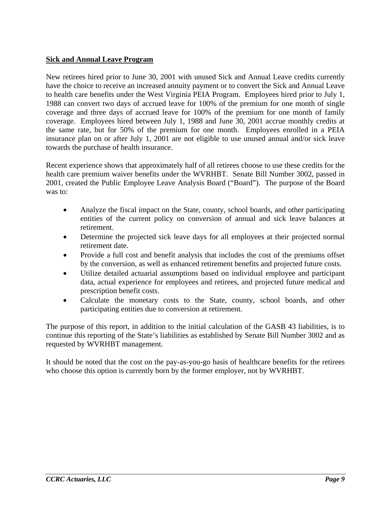#### **Sick and Annual Leave Program**

New retirees hired prior to June 30, 2001 with unused Sick and Annual Leave credits currently have the choice to receive an increased annuity payment or to convert the Sick and Annual Leave to health care benefits under the West Virginia PEIA Program. Employees hired prior to July 1, 1988 can convert two days of accrued leave for 100% of the premium for one month of single coverage and three days of accrued leave for 100% of the premium for one month of family coverage. Employees hired between July 1, 1988 and June 30, 2001 accrue monthly credits at the same rate, but for 50% of the premium for one month. Employees enrolled in a PEIA insurance plan on or after July 1, 2001 are not eligible to use unused annual and/or sick leave towards the purchase of health insurance.

Recent experience shows that approximately half of all retirees choose to use these credits for the health care premium waiver benefits under the WVRHBT. Senate Bill Number 3002, passed in 2001, created the Public Employee Leave Analysis Board ("Board"). The purpose of the Board was to:

- Analyze the fiscal impact on the State, county, school boards, and other participating entities of the current policy on conversion of annual and sick leave balances at retirement.
- Determine the projected sick leave days for all employees at their projected normal retirement date.
- Provide a full cost and benefit analysis that includes the cost of the premiums offset by the conversion, as well as enhanced retirement benefits and projected future costs.
- Utilize detailed actuarial assumptions based on individual employee and participant data, actual experience for employees and retirees, and projected future medical and prescription benefit costs.
- Calculate the monetary costs to the State, county, school boards, and other participating entities due to conversion at retirement.

The purpose of this report, in addition to the initial calculation of the GASB 43 liabilities, is to continue this reporting of the State's liabilities as established by Senate Bill Number 3002 and as requested by WVRHBT management.

It should be noted that the cost on the pay-as-you-go basis of healthcare benefits for the retirees who choose this option is currently born by the former employer, not by WVRHBT.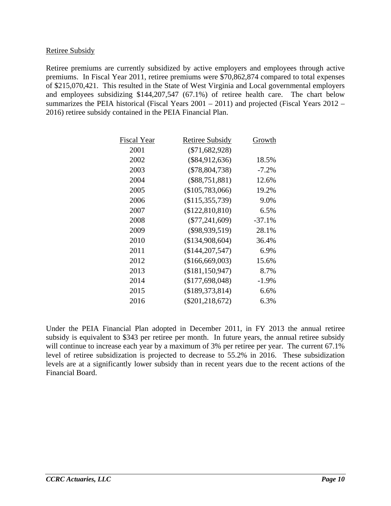#### Retiree Subsidy

Retiree premiums are currently subsidized by active employers and employees through active premiums. In Fiscal Year 2011, retiree premiums were \$70,862,874 compared to total expenses of \$215,070,421. This resulted in the State of West Virginia and Local governmental employers and employees subsidizing \$144,207,547 (67.1%) of retiree health care. The chart below summarizes the PEIA historical (Fiscal Years 2001 – 2011) and projected (Fiscal Years 2012 – 2016) retiree subsidy contained in the PEIA Financial Plan.

| Fiscal Year | Retiree Subsidy     | Growth    |
|-------------|---------------------|-----------|
| 2001        | $(\$71,682,928)$    |           |
| 2002        | $(\$84,912,636)$    | 18.5%     |
| 2003        | $(\$78,804,738)$    | $-7.2\%$  |
| 2004        | $(\$88,751,881)$    | 12.6%     |
| 2005        | $(\$105,783,066)$   | 19.2%     |
| 2006        | $(\$115,355,739)$   | 9.0%      |
| 2007        | (\$122,810,810)     | $6.5\%$   |
| 2008        | $(\$77,241,609)$    | $-37.1\%$ |
| 2009        | $(\$98,939,519)$    | 28.1%     |
| 2010        | (\$134,908,604)     | 36.4%     |
| 2011        | $(\$144, 207, 547)$ | 6.9%      |
| 2012        | (\$166,669,003)     | 15.6%     |
| 2013        | $(\$181,150,947)$   | 8.7%      |
| 2014        | $(\$177,698,048)$   | $-1.9\%$  |
| 2015        | (\$189,373,814)     | 6.6%      |
| 2016        | $(\$201,218,672)$   | 6.3%      |
|             |                     |           |

Under the PEIA Financial Plan adopted in December 2011, in FY 2013 the annual retiree subsidy is equivalent to \$343 per retiree per month. In future years, the annual retiree subsidy will continue to increase each year by a maximum of 3% per retiree per year. The current 67.1% level of retiree subsidization is projected to decrease to 55.2% in 2016. These subsidization levels are at a significantly lower subsidy than in recent years due to the recent actions of the Financial Board.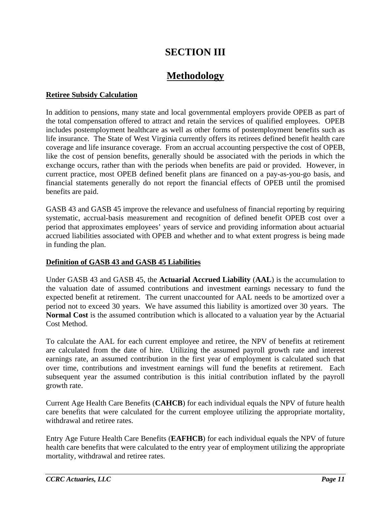## **SECTION III**

## **Methodology**

#### **Retiree Subsidy Calculation**

In addition to pensions, many state and local governmental employers provide OPEB as part of the total compensation offered to attract and retain the services of qualified employees. OPEB includes postemployment healthcare as well as other forms of postemployment benefits such as life insurance. The State of West Virginia currently offers its retirees defined benefit health care coverage and life insurance coverage. From an accrual accounting perspective the cost of OPEB, like the cost of pension benefits, generally should be associated with the periods in which the exchange occurs, rather than with the periods when benefits are paid or provided. However, in current practice, most OPEB defined benefit plans are financed on a pay-as-you-go basis, and financial statements generally do not report the financial effects of OPEB until the promised benefits are paid.

GASB 43 and GASB 45 improve the relevance and usefulness of financial reporting by requiring systematic, accrual-basis measurement and recognition of defined benefit OPEB cost over a period that approximates employees' years of service and providing information about actuarial accrued liabilities associated with OPEB and whether and to what extent progress is being made in funding the plan.

#### **Definition of GASB 43 and GASB 45 Liabilities**

Under GASB 43 and GASB 45, the **Actuarial Accrued Liability** (**AAL**) is the accumulation to the valuation date of assumed contributions and investment earnings necessary to fund the expected benefit at retirement. The current unaccounted for AAL needs to be amortized over a period not to exceed 30 years. We have assumed this liability is amortized over 30 years. The **Normal Cost** is the assumed contribution which is allocated to a valuation year by the Actuarial Cost Method.

To calculate the AAL for each current employee and retiree, the NPV of benefits at retirement are calculated from the date of hire. Utilizing the assumed payroll growth rate and interest earnings rate, an assumed contribution in the first year of employment is calculated such that over time, contributions and investment earnings will fund the benefits at retirement. Each subsequent year the assumed contribution is this initial contribution inflated by the payroll growth rate.

Current Age Health Care Benefits (**CAHCB**) for each individual equals the NPV of future health care benefits that were calculated for the current employee utilizing the appropriate mortality, withdrawal and retiree rates.

Entry Age Future Health Care Benefits (**EAFHCB**) for each individual equals the NPV of future health care benefits that were calculated to the entry year of employment utilizing the appropriate mortality, withdrawal and retiree rates.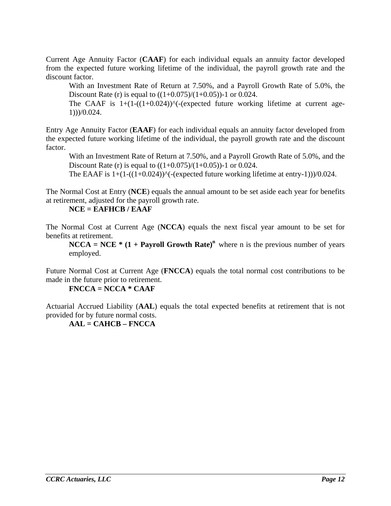Current Age Annuity Factor (**CAAF**) for each individual equals an annuity factor developed from the expected future working lifetime of the individual, the payroll growth rate and the discount factor.

With an Investment Rate of Return at 7.50%, and a Payroll Growth Rate of 5.0%, the Discount Rate (r) is equal to  $((1+0.075)/(1+0.05))$ -1 or 0.024.

The CAAF is  $1+(1-((1+0.024))<sup>0</sup>$  (expected future working lifetime at current age-1)))/0.024.

Entry Age Annuity Factor (**EAAF**) for each individual equals an annuity factor developed from the expected future working lifetime of the individual, the payroll growth rate and the discount factor.

With an Investment Rate of Return at 7.50%, and a Payroll Growth Rate of 5.0%, and the Discount Rate (r) is equal to  $((1+0.075)/(1+0.05))$ -1 or 0.024.

The EAAF is  $1+(1-((1+0.024))<sup>0</sup>$  (expected future working lifetime at entry-1)))/0.024.

The Normal Cost at Entry (**NCE**) equals the annual amount to be set aside each year for benefits at retirement, adjusted for the payroll growth rate.

**NCE = EAFHCB / EAAF**

The Normal Cost at Current Age (**NCCA**) equals the next fiscal year amount to be set for benefits at retirement.

**NCCA** = NCE  $*$  (1 + Payroll Growth Rate)<sup>n</sup> where n is the previous number of years employed.

Future Normal Cost at Current Age (**FNCCA**) equals the total normal cost contributions to be made in the future prior to retirement.

 **FNCCA = NCCA \* CAAF** 

Actuarial Accrued Liability (**AAL**) equals the total expected benefits at retirement that is not provided for by future normal costs.

**AAL = CAHCB – FNCCA**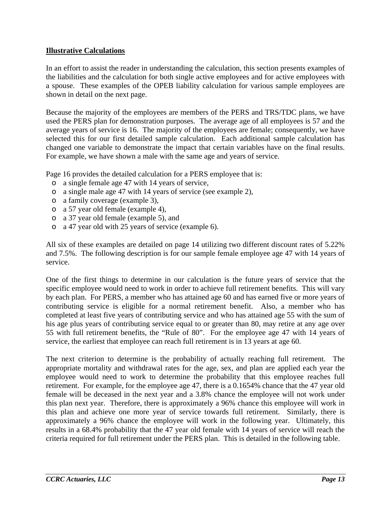#### **Illustrative Calculations**

In an effort to assist the reader in understanding the calculation, this section presents examples of the liabilities and the calculation for both single active employees and for active employees with a spouse. These examples of the OPEB liability calculation for various sample employees are shown in detail on the next page.

Because the majority of the employees are members of the PERS and TRS/TDC plans, we have used the PERS plan for demonstration purposes. The average age of all employees is 57 and the average years of service is 16. The majority of the employees are female; consequently, we have selected this for our first detailed sample calculation. Each additional sample calculation has changed one variable to demonstrate the impact that certain variables have on the final results. For example, we have shown a male with the same age and years of service.

Page 16 provides the detailed calculation for a PERS employee that is:

- o a single female age 47 with 14 years of service,
- o a single male age 47 with 14 years of service (see example 2),
- o a family coverage (example 3),
- o a 57 year old female (example 4),
- o a 37 year old female (example 5), and
- o a 47 year old with 25 years of service (example 6).

All six of these examples are detailed on page 14 utilizing two different discount rates of 5.22% and 7.5%. The following description is for our sample female employee age 47 with 14 years of service.

One of the first things to determine in our calculation is the future years of service that the specific employee would need to work in order to achieve full retirement benefits. This will vary by each plan. For PERS, a member who has attained age 60 and has earned five or more years of contributing service is eligible for a normal retirement benefit. Also, a member who has completed at least five years of contributing service and who has attained age 55 with the sum of his age plus years of contributing service equal to or greater than 80, may retire at any age over 55 with full retirement benefits, the "Rule of 80". For the employee age 47 with 14 years of service, the earliest that employee can reach full retirement is in 13 years at age 60.

The next criterion to determine is the probability of actually reaching full retirement. The appropriate mortality and withdrawal rates for the age, sex, and plan are applied each year the employee would need to work to determine the probability that this employee reaches full retirement. For example, for the employee age 47, there is a 0.1654% chance that the 47 year old female will be deceased in the next year and a 3.8% chance the employee will not work under this plan next year. Therefore, there is approximately a 96% chance this employee will work in this plan and achieve one more year of service towards full retirement. Similarly, there is approximately a 96% chance the employee will work in the following year. Ultimately, this results in a 68.4% probability that the 47 year old female with 14 years of service will reach the criteria required for full retirement under the PERS plan. This is detailed in the following table.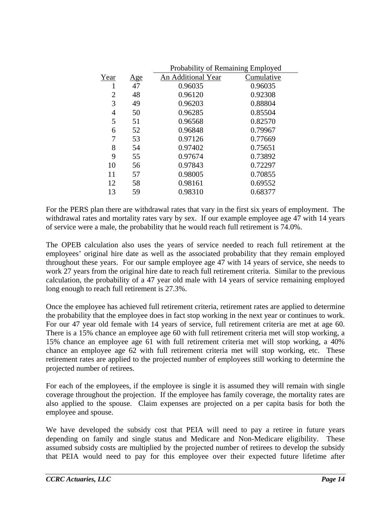|      |     | Probability of Remaining Employed |            |  |  |  |
|------|-----|-----------------------------------|------------|--|--|--|
| Year | Age | An Additional Year                | Cumulative |  |  |  |
| 1    | 47  | 0.96035                           | 0.96035    |  |  |  |
| 2    | 48  | 0.96120                           | 0.92308    |  |  |  |
| 3    | 49  | 0.96203                           | 0.88804    |  |  |  |
| 4    | 50  | 0.96285                           | 0.85504    |  |  |  |
| 5    | 51  | 0.96568                           | 0.82570    |  |  |  |
| 6    | 52  | 0.96848                           | 0.79967    |  |  |  |
| 7    | 53  | 0.97126                           | 0.77669    |  |  |  |
| 8    | 54  | 0.97402                           | 0.75651    |  |  |  |
| 9    | 55  | 0.97674                           | 0.73892    |  |  |  |
| 10   | 56  | 0.97843                           | 0.72297    |  |  |  |
| 11   | 57  | 0.98005                           | 0.70855    |  |  |  |
| 12   | 58  | 0.98161                           | 0.69552    |  |  |  |
| 13   | 59  | 0.98310                           | 0.68377    |  |  |  |

For the PERS plan there are withdrawal rates that vary in the first six years of employment. The withdrawal rates and mortality rates vary by sex. If our example employee age 47 with 14 years of service were a male, the probability that he would reach full retirement is 74.0%.

The OPEB calculation also uses the years of service needed to reach full retirement at the employees' original hire date as well as the associated probability that they remain employed throughout these years. For our sample employee age 47 with 14 years of service, she needs to work 27 years from the original hire date to reach full retirement criteria. Similar to the previous calculation, the probability of a 47 year old male with 14 years of service remaining employed long enough to reach full retirement is 27.3%.

Once the employee has achieved full retirement criteria, retirement rates are applied to determine the probability that the employee does in fact stop working in the next year or continues to work. For our 47 year old female with 14 years of service, full retirement criteria are met at age 60. There is a 15% chance an employee age 60 with full retirement criteria met will stop working, a 15% chance an employee age 61 with full retirement criteria met will stop working, a 40% chance an employee age 62 with full retirement criteria met will stop working, etc. These retirement rates are applied to the projected number of employees still working to determine the projected number of retirees.

For each of the employees, if the employee is single it is assumed they will remain with single coverage throughout the projection. If the employee has family coverage, the mortality rates are also applied to the spouse. Claim expenses are projected on a per capita basis for both the employee and spouse.

We have developed the subsidy cost that PEIA will need to pay a retiree in future years depending on family and single status and Medicare and Non-Medicare eligibility. These assumed subsidy costs are multiplied by the projected number of retirees to develop the subsidy that PEIA would need to pay for this employee over their expected future lifetime after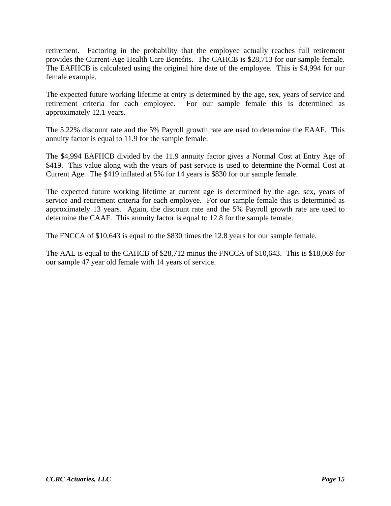retirement. Factoring in the probability that the employee actually reaches full retirement provides the Current-Age Health Care Benefits. The CAHCB is \$28,713 for our sample female. The EAFHCB is calculated using the original hire date of the employee. This is \$4,994 for our female example.

The expected future working lifetime at entry is determined by the age, sex, years of service and retirement criteria for each employee. For our sample female this is determined as approximately 12.1 years.

The 5.22% discount rate and the 5% Payroll growth rate are used to determine the EAAF. This annuity factor is equal to 11.9 for the sample female.

The \$4,994 EAFHCB divided by the 11.9 annuity factor gives a Normal Cost at Entry Age of \$419. This value along with the years of past service is used to determine the Normal Cost at Current Age. The \$419 inflated at 5% for 14 years is \$830 for our sample female.

The expected future working lifetime at current age is determined by the age, sex, years of service and retirement criteria for each employee. For our sample female this is determined as approximately 13 years. Again, the discount rate and the 5% Payroll growth rate are used to determine the CAAF. This annuity factor is equal to 12.8 for the sample female.

The FNCCA of \$10,643 is equal to the \$830 times the 12.8 years for our sample female.

The AAL is equal to the CAHCB of \$28,712 minus the FNCCA of \$10,643. This is \$18,069 for our sample 47 year old female with 14 years of service.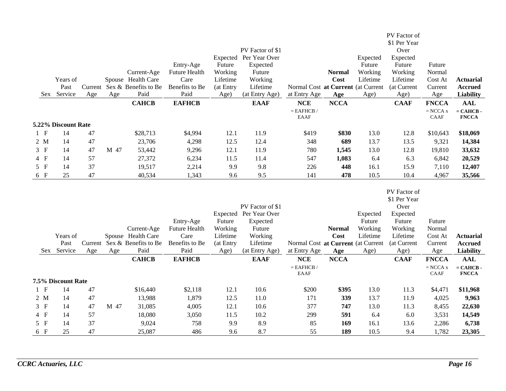|                |                     |     |      |                                      |                        |                   |                            |                                                    |               |          | PV Factor of         |                       |                                    |
|----------------|---------------------|-----|------|--------------------------------------|------------------------|-------------------|----------------------------|----------------------------------------------------|---------------|----------|----------------------|-----------------------|------------------------------------|
|                |                     |     |      |                                      |                        |                   | PV Factor of \$1           |                                                    |               |          | \$1 Per Year         |                       |                                    |
|                |                     |     |      |                                      |                        | Expected          | Per Year Over              |                                                    |               | Expected | Over<br>Expected     |                       |                                    |
|                |                     |     |      |                                      | Entry-Age              | Future            | Expected                   |                                                    |               | Future   | Future               | Future                |                                    |
|                |                     |     |      | Current-Age                          | <b>Future Health</b>   | Working           | Future                     |                                                    | <b>Normal</b> | Working  | Working              | Normal                |                                    |
|                | Years of            |     |      | Spouse Health Care                   | Care                   | Lifetime          | Working                    |                                                    | Cost          | Lifetime | Lifetime             | Cost At               | <b>Actuarial</b>                   |
|                | Past                |     |      | Current Sex & Benefits to Be         | Benefits to Be         | (at Entry         | Lifetime                   | Normal Cost at Current (at Current                 |               |          | (at Current          | Current               | <b>Accrued</b>                     |
|                | Sex Service         | Age | Age  | Paid                                 | Paid                   | Age)              | (at Entry Age)             | at Entry Age                                       | Age           | Age)     | Age)                 | Age                   | <b>Liability</b>                   |
|                |                     |     |      | <b>CAHCB</b>                         | <b>EAFHCB</b>          |                   | <b>EAAF</b>                | <b>NCE</b>                                         | <b>NCCA</b>   |          | <b>CAAF</b>          | <b>FNCCA</b>          | <b>AAL</b>                         |
|                |                     |     |      |                                      |                        |                   |                            | $=$ EAFHCB $/$                                     |               |          |                      | $=$ NCCA $\mathbf{x}$ | $= CAHCB$                          |
|                |                     |     |      |                                      |                        |                   |                            | <b>EAAF</b>                                        |               |          |                      | <b>CAAF</b>           | <b>FNCCA</b>                       |
|                | 5.22% Discount Rate |     |      |                                      |                        |                   |                            |                                                    |               |          |                      |                       |                                    |
| 1 F            | 14                  | 47  |      | \$28,713                             | \$4,994                | 12.1              | 11.9                       | \$419                                              | \$830         | 13.0     | 12.8                 | \$10,643              | \$18,069                           |
| $2 \mathbf{M}$ | 14                  | 47  |      | 23,706                               | 4,298                  | 12.5              | 12.4                       | 348                                                | 689           | 13.7     | 13.5                 | 9,321                 | 14,384                             |
| 3 F            | 14                  | 47  | M 47 | 53,442                               | 9,296                  | 12.1              | 11.9                       | 780                                                | 1,545         | 13.0     | 12.8                 | 19,810                | 33,632                             |
| $4$ F          | 14                  | 57  |      | 27,372                               | 6,234                  | 11.5              | 11.4                       | 547                                                | 1,083         | 6.4      | 6.3                  | 6,842                 | 20,529                             |
| 5 F            | 14                  | 37  |      | 19,517                               | 2,214                  | 9.9               | 9.8                        | 226                                                | 448           | 16.1     | 15.9                 | 7,110                 | 12,407                             |
| 6 F            | 25                  | 47  |      | 40,534                               | 1,343                  | 9.6               | 9.5                        | 141                                                | 478           | 10.5     | 10.4                 | 4,967                 | 35,566                             |
|                |                     |     |      |                                      |                        |                   |                            |                                                    |               |          |                      |                       |                                    |
|                |                     |     |      |                                      |                        |                   |                            |                                                    |               |          | PV Factor of         |                       |                                    |
|                |                     |     |      |                                      |                        |                   | PV Factor of \$1           |                                                    |               |          | \$1 Per Year<br>Over |                       |                                    |
|                |                     |     |      |                                      |                        |                   |                            |                                                    |               |          |                      |                       |                                    |
|                |                     |     |      |                                      |                        |                   |                            |                                                    |               |          |                      |                       |                                    |
|                |                     |     |      |                                      |                        |                   | Expected Per Year Over     |                                                    |               | Expected | Expected             |                       |                                    |
|                |                     |     |      |                                      | Entry-Age              | Future            | Expected                   |                                                    |               | Future   | Future               | Future                |                                    |
|                |                     |     |      | Current-Age                          | <b>Future Health</b>   | Working           | Future                     |                                                    | <b>Normal</b> | Working  | Working              | Normal                |                                    |
|                | Years of<br>Past    |     |      | Spouse Health Care                   | Care                   | Lifetime          | Working                    |                                                    | Cost          | Lifetime | Lifetime             | Cost At               | <b>Actuarial</b>                   |
|                | Sex Service         | Age | Age  | Current Sex & Benefits to Be<br>Paid | Benefits to Be<br>Paid | (at Entry<br>Age) | Lifetime<br>(at Entry Age) | Normal Cost at Current (at Current<br>at Entry Age | Age           | Age)     | (at Current<br>Age)  | Current<br>Age        | <b>Accrued</b><br><b>Liability</b> |
|                |                     |     |      | <b>CAHCB</b>                         | <b>EAFHCB</b>          |                   | <b>EAAF</b>                | <b>NCE</b>                                         | <b>NCCA</b>   |          | <b>CAAF</b>          | <b>FNCCA</b>          | <b>AAL</b>                         |
|                |                     |     |      |                                      |                        |                   |                            | $=$ EAFHCB $/$                                     |               |          |                      | $=$ NCCA $\mathbf{x}$ | $=$ CAHCB $\cdot$                  |
|                |                     |     |      |                                      |                        |                   |                            | <b>EAAF</b>                                        |               |          |                      | CAAF                  | <b>FNCCA</b>                       |
|                | 7.5% Discount Rate  |     |      |                                      |                        |                   |                            |                                                    |               |          |                      |                       |                                    |
| 1 F            | 14                  | 47  |      | \$16,440                             | \$2,118                | 12.1              | 10.6                       | \$200                                              | \$395         | 13.0     | 11.3                 | \$4,471               | \$11,968                           |
| $2 \mathbf{M}$ | 14                  | 47  |      | 13,988                               | 1,879                  | 12.5              | 11.0                       | 171                                                | 339           | 13.7     | 11.9                 | 4,025                 | 9,963                              |
| 3 F            | 14                  | 47  | M 47 | 31,085                               | 4,005                  | 12.1              | 10.6                       | 377                                                | 747           | 13.0     | 11.3                 | 8,455                 | 22,630                             |
| $4$ F          | 14                  | 57  |      | 18,080                               | 3,050                  | 11.5              | 10.2                       | 299                                                | 591           | 6.4      | 6.0                  | 3,531                 | 14,549                             |
| $5$ F<br>6 F   | 14                  | 37  |      | 9,024                                | 758                    | 9.9               | 8.9                        | 85                                                 | 169           | 16.1     | 13.6                 | 2,286                 | 6,738                              |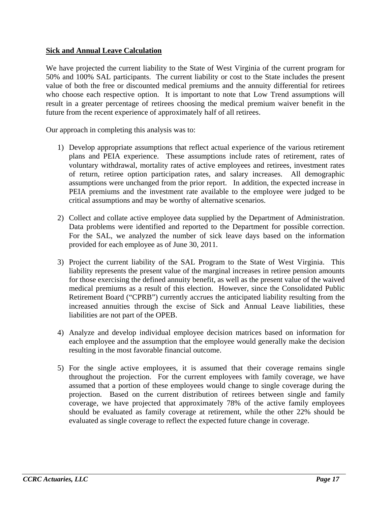#### **Sick and Annual Leave Calculation**

We have projected the current liability to the State of West Virginia of the current program for 50% and 100% SAL participants. The current liability or cost to the State includes the present value of both the free or discounted medical premiums and the annuity differential for retirees who choose each respective option. It is important to note that Low Trend assumptions will result in a greater percentage of retirees choosing the medical premium waiver benefit in the future from the recent experience of approximately half of all retirees.

Our approach in completing this analysis was to:

- 1) Develop appropriate assumptions that reflect actual experience of the various retirement plans and PEIA experience. These assumptions include rates of retirement, rates of voluntary withdrawal, mortality rates of active employees and retirees, investment rates of return, retiree option participation rates, and salary increases. All demographic assumptions were unchanged from the prior report. In addition, the expected increase in PEIA premiums and the investment rate available to the employee were judged to be critical assumptions and may be worthy of alternative scenarios.
- 2) Collect and collate active employee data supplied by the Department of Administration. Data problems were identified and reported to the Department for possible correction. For the SAL, we analyzed the number of sick leave days based on the information provided for each employee as of June 30, 2011.
- 3) Project the current liability of the SAL Program to the State of West Virginia. This liability represents the present value of the marginal increases in retiree pension amounts for those exercising the defined annuity benefit, as well as the present value of the waived medical premiums as a result of this election. However, since the Consolidated Public Retirement Board ("CPRB") currently accrues the anticipated liability resulting from the increased annuities through the excise of Sick and Annual Leave liabilities, these liabilities are not part of the OPEB.
- 4) Analyze and develop individual employee decision matrices based on information for each employee and the assumption that the employee would generally make the decision resulting in the most favorable financial outcome.
- 5) For the single active employees, it is assumed that their coverage remains single throughout the projection. For the current employees with family coverage, we have assumed that a portion of these employees would change to single coverage during the projection. Based on the current distribution of retirees between single and family coverage, we have projected that approximately 78% of the active family employees should be evaluated as family coverage at retirement, while the other 22% should be evaluated as single coverage to reflect the expected future change in coverage.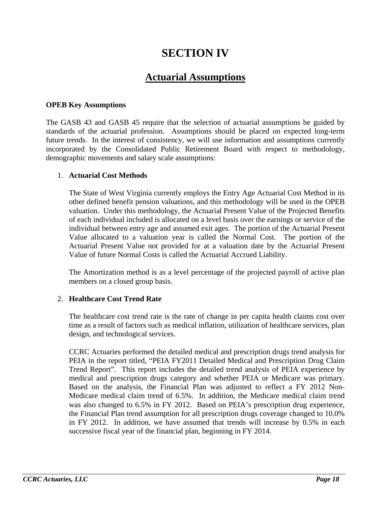## **SECTION IV**

## **Actuarial Assumptions**

#### **OPEB Key Assumptions**

The GASB 43 and GASB 45 require that the selection of actuarial assumptions be guided by standards of the actuarial profession. Assumptions should be placed on expected long-term future trends. In the interest of consistency, we will use information and assumptions currently incorporated by the Consolidated Public Retirement Board with respect to methodology, demographic movements and salary scale assumptions:

#### 1. **Actuarial Cost Methods**

The State of West Virginia currently employs the Entry Age Actuarial Cost Method in its other defined benefit pension valuations, and this methodology will be used in the OPEB valuation. Under this methodology, the Actuarial Present Value of the Projected Benefits of each individual included is allocated on a level basis over the earnings or service of the individual between entry age and assumed exit ages. The portion of the Actuarial Present Value allocated to a valuation year is called the Normal Cost. The portion of the Actuarial Present Value not provided for at a valuation date by the Actuarial Present Value of future Normal Costs is called the Actuarial Accrued Liability.

The Amortization method is as a level percentage of the projected payroll of active plan members on a closed group basis.

#### 2. **Healthcare Cost Trend Rate**

The healthcare cost trend rate is the rate of change in per capita health claims cost over time as a result of factors such as medical inflation, utilization of healthcare services, plan design, and technological services.

CCRC Actuaries performed the detailed medical and prescription drugs trend analysis for PEIA in the report titled, "PEIA FY2011 Detailed Medical and Prescription Drug Claim Trend Report". This report includes the detailed trend analysis of PEIA experience by medical and prescription drugs category and whether PEIA or Medicare was primary. Based on the analysis, the Financial Plan was adjusted to reflect a FY 2012 Non-Medicare medical claim trend of 6.5%. In addition, the Medicare medical claim trend was also changed to 6.5% in FY 2012. Based on PEIA's prescription drug experience, the Financial Plan trend assumption for all prescription drugs coverage changed to 10.0% in FY 2012. In addition, we have assumed that trends will increase by 0.5% in each successive fiscal year of the financial plan, beginning in FY 2014.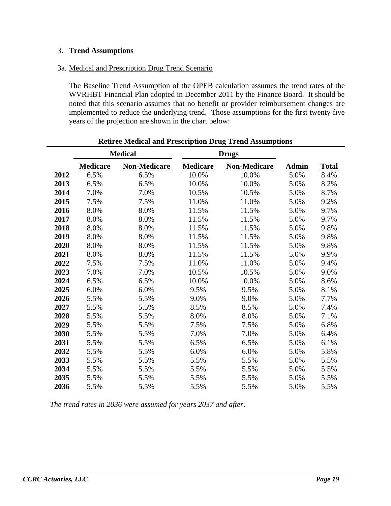#### 3. **Trend Assumptions**

#### 3a. Medical and Prescription Drug Trend Scenario

The Baseline Trend Assumption of the OPEB calculation assumes the trend rates of the WVRHBT Financial Plan adopted in December 2011 by the Finance Board. It should be noted that this scenario assumes that no benefit or provider reimbursement changes are implemented to reduce the underlying trend. Those assumptions for the first twenty five years of the projection are shown in the chart below:

|      |                 | <b>Medical</b>      |                 | <b>Drugs</b>        |              |              |
|------|-----------------|---------------------|-----------------|---------------------|--------------|--------------|
|      | <u>Medicare</u> | <b>Non-Medicare</b> | <b>Medicare</b> | <b>Non-Medicare</b> | <b>Admin</b> | <b>Total</b> |
| 2012 | 6.5%            | 6.5%                | 10.0%           | 10.0%               | 5.0%         | 8.4%         |
| 2013 | 6.5%            | 6.5%                | 10.0%           | 10.0%               | 5.0%         | 8.2%         |
| 2014 | 7.0%            | 7.0%                | 10.5%           | 10.5%               | 5.0%         | 8.7%         |
| 2015 | 7.5%            | 7.5%                | 11.0%           | 11.0%               | 5.0%         | 9.2%         |
| 2016 | 8.0%            | 8.0%                | 11.5%           | 11.5%               | 5.0%         | 9.7%         |
| 2017 | 8.0%            | 8.0%                | 11.5%           | 11.5%               | 5.0%         | 9.7%         |
| 2018 | 8.0%            | 8.0%                | 11.5%           | 11.5%               | 5.0%         | 9.8%         |
| 2019 | 8.0%            | 8.0%                | 11.5%           | 11.5%               | 5.0%         | 9.8%         |
| 2020 | 8.0%            | 8.0%                | 11.5%           | 11.5%               | 5.0%         | 9.8%         |
| 2021 | 8.0%            | 8.0%                | 11.5%           | 11.5%               | 5.0%         | 9.9%         |
| 2022 | 7.5%            | 7.5%                | 11.0%           | 11.0%               | 5.0%         | 9.4%         |
| 2023 | 7.0%            | 7.0%                | 10.5%           | 10.5%               | 5.0%         | 9.0%         |
| 2024 | 6.5%            | 6.5%                | 10.0%           | 10.0%               | 5.0%         | 8.6%         |
| 2025 | 6.0%            | 6.0%                | 9.5%            | 9.5%                | 5.0%         | 8.1%         |
| 2026 | 5.5%            | 5.5%                | 9.0%            | 9.0%                | 5.0%         | 7.7%         |
| 2027 | 5.5%            | 5.5%                | 8.5%            | 8.5%                | 5.0%         | 7.4%         |
| 2028 | 5.5%            | 5.5%                | 8.0%            | 8.0%                | 5.0%         | 7.1%         |
| 2029 | 5.5%            | 5.5%                | 7.5%            | 7.5%                | 5.0%         | 6.8%         |
| 2030 | 5.5%            | 5.5%                | 7.0%            | 7.0%                | 5.0%         | 6.4%         |
| 2031 | 5.5%            | 5.5%                | 6.5%            | 6.5%                | 5.0%         | 6.1%         |
| 2032 | 5.5%            | 5.5%                | 6.0%            | 6.0%                | 5.0%         | 5.8%         |
| 2033 | 5.5%            | 5.5%                | 5.5%            | 5.5%                | 5.0%         | 5.5%         |
| 2034 | 5.5%            | 5.5%                | 5.5%            | 5.5%                | 5.0%         | 5.5%         |
| 2035 | 5.5%            | 5.5%                | 5.5%            | 5.5%                | 5.0%         | 5.5%         |
| 2036 | 5.5%            | 5.5%                | 5.5%            | 5.5%                | 5.0%         | 5.5%         |

#### **Retiree Medical and Prescription Drug Trend Assumptions**

*The trend rates in 2036 were assumed for years 2037 and after*.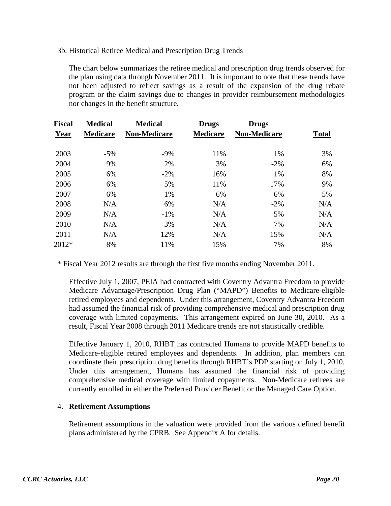#### 3b. Historical Retiree Medical and Prescription Drug Trends

The chart below summarizes the retiree medical and prescription drug trends observed for the plan using data through November 2011. It is important to note that these trends have not been adjusted to reflect savings as a result of the expansion of the drug rebate program or the claim savings due to changes in provider reimbursement methodologies nor changes in the benefit structure.

| <b>Fiscal</b> | <b>Medical</b>  | <b>Medical</b>      | <b>Drugs</b>    | <b>Drugs</b>        |              |
|---------------|-----------------|---------------------|-----------------|---------------------|--------------|
| Year          | <b>Medicare</b> | <b>Non-Medicare</b> | <b>Medicare</b> | <b>Non-Medicare</b> | <b>Total</b> |
| 2003          | $-5%$           | $-9%$               | 11%             | 1%                  | 3%           |
| 2004          | 9%              | 2%                  | 3%              | $-2\%$              | 6%           |
| 2005          | 6%              | $-2\%$              | 16%             | 1%                  | 8%           |
| 2006          | 6%              | 5%                  | 11%             | 17%                 | 9%           |
| 2007          | 6%              | 1%                  | 6%              | 6%                  | 5%           |
| 2008          | N/A             | 6%                  | N/A             | $-2\%$              | N/A          |
| 2009          | N/A             | $-1\%$              | N/A             | 5%                  | N/A          |
| 2010          | N/A             | 3%                  | N/A             | 7%                  | N/A          |
| 2011          | N/A             | 12%                 | N/A             | 15%                 | N/A          |
| 2012*         | 8%              | 11%                 | 15%             | 7%                  | 8%           |

\* Fiscal Year 2012 results are through the first five months ending November 2011.

Effective July 1, 2007, PEIA had contracted with Coventry Advantra Freedom to provide Medicare Advantage/Prescription Drug Plan ("MAPD") Benefits to Medicare-eligible retired employees and dependents. Under this arrangement, Coventry Advantra Freedom had assumed the financial risk of providing comprehensive medical and prescription drug coverage with limited copayments. This arrangement expired on June 30, 2010. As a result, Fiscal Year 2008 through 2011 Medicare trends are not statistically credible.

Effective January 1, 2010, RHBT has contracted Humana to provide MAPD benefits to Medicare-eligible retired employees and dependents. In addition, plan members can coordinate their prescription drug benefits through RHBT's PDP starting on July 1, 2010. Under this arrangement, Humana has assumed the financial risk of providing comprehensive medical coverage with limited copayments. Non-Medicare retirees are currently enrolled in either the Preferred Provider Benefit or the Managed Care Option.

#### 4. **Retirement Assumptions**

Retirement assumptions in the valuation were provided from the various defined benefit plans administered by the CPRB. See Appendix A for details.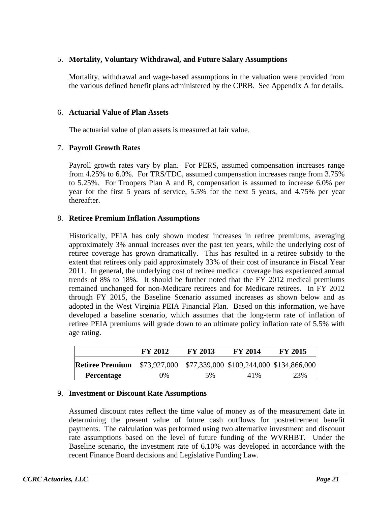#### 5. **Mortality, Voluntary Withdrawal, and Future Salary Assumptions**

Mortality, withdrawal and wage-based assumptions in the valuation were provided from the various defined benefit plans administered by the CPRB. See Appendix A for details.

#### 6. **Actuarial Value of Plan Assets**

The actuarial value of plan assets is measured at fair value.

#### 7. **Payroll Growth Rates**

Payroll growth rates vary by plan. For PERS, assumed compensation increases range from 4.25% to 6.0%. For TRS/TDC, assumed compensation increases range from 3.75% to 5.25%. For Troopers Plan A and B, compensation is assumed to increase 6.0% per year for the first 5 years of service, 5.5% for the next 5 years, and 4.75% per year thereafter.

#### 8. **Retiree Premium Inflation Assumptions**

Historically, PEIA has only shown modest increases in retiree premiums, averaging approximately 3% annual increases over the past ten years, while the underlying cost of retiree coverage has grown dramatically. This has resulted in a retiree subsidy to the extent that retirees only paid approximately 33% of their cost of insurance in Fiscal Year 2011. In general, the underlying cost of retiree medical coverage has experienced annual trends of 8% to 18%. It should be further noted that the FY 2012 medical premiums remained unchanged for non-Medicare retirees and for Medicare retirees. In FY 2012 through FY 2015, the Baseline Scenario assumed increases as shown below and as adopted in the West Virginia PEIA Financial Plan. Based on this information, we have developed a baseline scenario, which assumes that the long-term rate of inflation of retiree PEIA premiums will grade down to an ultimate policy inflation rate of 5.5% with age rating.

|                        | FY 2012                                               | <b>FY 2013</b> | <b>FY 2014</b> | <b>FY 2015</b> |
|------------------------|-------------------------------------------------------|----------------|----------------|----------------|
| <b>Retiree Premium</b> | \$73,927,000 \$77,339,000 \$109,244,000 \$134,866,000 |                |                |                |
| <b>Percentage</b>      | 0%                                                    | 5%             | 41%            | 23%            |

#### 9. **Investment or Discount Rate Assumptions**

Assumed discount rates reflect the time value of money as of the measurement date in determining the present value of future cash outflows for postretirement benefit payments. The calculation was performed using two alternative investment and discount rate assumptions based on the level of future funding of the WVRHBT. Under the Baseline scenario, the investment rate of 6.10% was developed in accordance with the recent Finance Board decisions and Legislative Funding Law.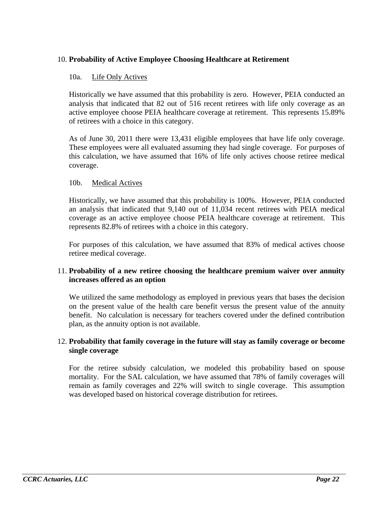#### 10. **Probability of Active Employee Choosing Healthcare at Retirement**

#### 10a. Life Only Actives

Historically we have assumed that this probability is zero. However, PEIA conducted an analysis that indicated that 82 out of 516 recent retirees with life only coverage as an active employee choose PEIA healthcare coverage at retirement. This represents 15.89% of retirees with a choice in this category.

As of June 30, 2011 there were 13,431 eligible employees that have life only coverage. These employees were all evaluated assuming they had single coverage. For purposes of this calculation, we have assumed that 16% of life only actives choose retiree medical coverage.

#### 10b. Medical Actives

Historically, we have assumed that this probability is 100%. However, PEIA conducted an analysis that indicated that 9,140 out of 11,034 recent retirees with PEIA medical coverage as an active employee choose PEIA healthcare coverage at retirement. This represents 82.8% of retirees with a choice in this category.

For purposes of this calculation, we have assumed that 83% of medical actives choose retiree medical coverage.

#### 11. **Probability of a new retiree choosing the healthcare premium waiver over annuity increases offered as an option**

We utilized the same methodology as employed in previous years that bases the decision on the present value of the health care benefit versus the present value of the annuity benefit. No calculation is necessary for teachers covered under the defined contribution plan, as the annuity option is not available.

#### 12. **Probability that family coverage in the future will stay as family coverage or become single coverage**

For the retiree subsidy calculation, we modeled this probability based on spouse mortality. For the SAL calculation, we have assumed that 78% of family coverages will remain as family coverages and 22% will switch to single coverage. This assumption was developed based on historical coverage distribution for retirees.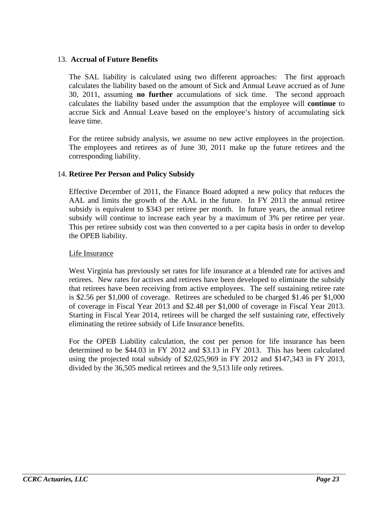#### 13. **Accrual of Future Benefits**

The SAL liability is calculated using two different approaches: The first approach calculates the liability based on the amount of Sick and Annual Leave accrued as of June 30, 2011, assuming **no further** accumulations of sick time. The second approach calculates the liability based under the assumption that the employee will **continue** to accrue Sick and Annual Leave based on the employee's history of accumulating sick leave time.

For the retiree subsidy analysis, we assume no new active employees in the projection. The employees and retirees as of June 30, 2011 make up the future retirees and the corresponding liability.

#### 14. **Retiree Per Person and Policy Subsidy**

Effective December of 2011, the Finance Board adopted a new policy that reduces the AAL and limits the growth of the AAL in the future. In FY 2013 the annual retiree subsidy is equivalent to \$343 per retiree per month. In future years, the annual retiree subsidy will continue to increase each year by a maximum of 3% per retiree per year. This per retiree subsidy cost was then converted to a per capita basis in order to develop the OPEB liability.

#### Life Insurance

West Virginia has previously set rates for life insurance at a blended rate for actives and retirees. New rates for actives and retirees have been developed to eliminate the subsidy that retirees have been receiving from active employees. The self sustaining retiree rate is \$2.56 per \$1,000 of coverage. Retirees are scheduled to be charged \$1.46 per \$1,000 of coverage in Fiscal Year 2013 and \$2.48 per \$1,000 of coverage in Fiscal Year 2013. Starting in Fiscal Year 2014, retirees will be charged the self sustaining rate, effectively eliminating the retiree subsidy of Life Insurance benefits.

For the OPEB Liability calculation, the cost per person for life insurance has been determined to be \$44.03 in FY 2012 and \$3.13 in FY 2013. This has been calculated using the projected total subsidy of \$2,025,969 in FY 2012 and \$147,343 in FY 2013, divided by the 36,505 medical retirees and the 9,513 life only retirees.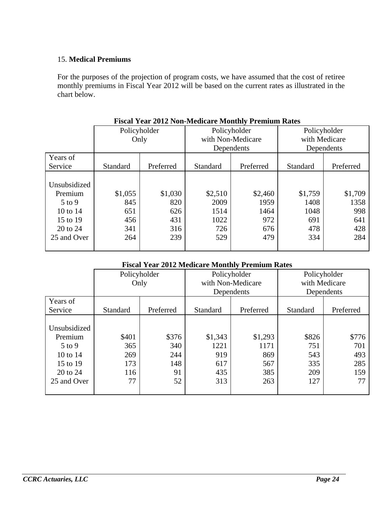#### 15. **Medical Premiums**

For the purposes of the projection of program costs, we have assumed that the cost of retiree monthly premiums in Fiscal Year 2012 will be based on the current rates as illustrated in the chart below.

| T iscar Tear 2012 Four-biculeare biblioni et confunt Kates |                 |           |          |                   |              |               |  |
|------------------------------------------------------------|-----------------|-----------|----------|-------------------|--------------|---------------|--|
|                                                            | Policyholder    |           |          | Policyholder      | Policyholder |               |  |
|                                                            | Only            |           |          | with Non-Medicare |              | with Medicare |  |
|                                                            |                 |           |          | Dependents        | Dependents   |               |  |
| Years of                                                   |                 |           |          |                   |              |               |  |
| Service                                                    | <b>Standard</b> | Preferred | Standard | Preferred         | Standard     | Preferred     |  |
|                                                            |                 |           |          |                   |              |               |  |
| Unsubsidized                                               |                 |           |          |                   |              |               |  |
| Premium                                                    | \$1,055         | \$1,030   | \$2,510  | \$2,460           | \$1,759      | \$1,709       |  |
| $5$ to 9                                                   | 845             | 820       | 2009     | 1959              | 1408         | 1358          |  |
| 10 to 14                                                   | 651             | 626       | 1514     | 1464              | 1048         | 998           |  |
| 15 to 19                                                   | 456             | 431       | 1022     | 972               | 691          | 641           |  |
| 20 to 24                                                   | 341             | 316       | 726      | 676               | 478          | 428           |  |
| 25 and Over                                                | 264             | 239       | 529      | 479               | 334          | 284           |  |
|                                                            |                 |           |          |                   |              |               |  |

**Fiscal Year 2012 Non-Medicare Monthly Premium Rates**

#### **Fiscal Year 2012 Medicare Monthly Premium Rates**

|                                                                                        | Policyholder<br>Only                    |                                        |                                             | Policyholder<br>with Non-Medicare<br>Dependents | Policyholder<br>with Medicare<br>Dependents |                                         |  |
|----------------------------------------------------------------------------------------|-----------------------------------------|----------------------------------------|---------------------------------------------|-------------------------------------------------|---------------------------------------------|-----------------------------------------|--|
| Years of<br>Service                                                                    | Standard                                | Preferred                              | Standard                                    | Preferred                                       | Standard                                    | Preferred                               |  |
| Unsubsidized<br>Premium<br>$5$ to 9<br>10 to 14<br>15 to 19<br>20 to 24<br>25 and Over | \$401<br>365<br>269<br>173<br>116<br>77 | \$376<br>340<br>244<br>148<br>91<br>52 | \$1,343<br>1221<br>919<br>617<br>435<br>313 | \$1,293<br>1171<br>869<br>567<br>385<br>263     | \$826<br>751<br>543<br>335<br>209<br>127    | \$776<br>701<br>493<br>285<br>159<br>77 |  |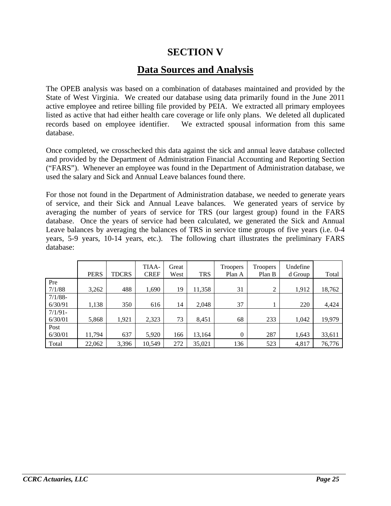## **SECTION V**

## **Data Sources and Analysis**

The OPEB analysis was based on a combination of databases maintained and provided by the State of West Virginia. We created our database using data primarily found in the June 2011 active employee and retiree billing file provided by PEIA. We extracted all primary employees listed as active that had either health care coverage or life only plans. We deleted all duplicated records based on employee identifier. We extracted spousal information from this same database.

Once completed, we crosschecked this data against the sick and annual leave database collected and provided by the Department of Administration Financial Accounting and Reporting Section ("FARS"). Whenever an employee was found in the Department of Administration database, we used the salary and Sick and Annual Leave balances found there.

For those not found in the Department of Administration database, we needed to generate years of service, and their Sick and Annual Leave balances. We generated years of service by averaging the number of years of service for TRS (our largest group) found in the FARS database. Once the years of service had been calculated, we generated the Sick and Annual Leave balances by averaging the balances of TRS in service time groups of five years (i.e. 0-4 years, 5-9 years, 10-14 years, etc.). The following chart illustrates the preliminary FARS database:

|            | <b>PERS</b> | <b>TDCRS</b> | TIAA-<br><b>CREF</b> | Great<br>West | <b>TRS</b> | <b>Troopers</b><br>Plan A | <b>Troopers</b><br>Plan B | Undefine<br>d Group | Total  |
|------------|-------------|--------------|----------------------|---------------|------------|---------------------------|---------------------------|---------------------|--------|
| Pre        |             |              |                      |               |            |                           |                           |                     |        |
| 7/1/88     | 3,262       | 488          | 1,690                | 19            | 11,358     | 31                        | 2                         | 1,912               | 18,762 |
| $7/1/88 -$ |             |              |                      |               |            |                           |                           |                     |        |
| 6/30/91    | 1,138       | 350          | 616                  | 14            | 2,048      | 37                        |                           | 220                 | 4,424  |
| $7/1/91$ - |             |              |                      |               |            |                           |                           |                     |        |
| 6/30/01    | 5,868       | 1,921        | 2,323                | 73            | 8,451      | 68                        | 233                       | 1,042               | 19,979 |
| Post       |             |              |                      |               |            |                           |                           |                     |        |
| 6/30/01    | 11,794      | 637          | 5,920                | 166           | 13,164     | 0                         | 287                       | 1,643               | 33,611 |
| Total      | 22,062      | 3,396        | 10,549               | 272           | 35,021     | 136                       | 523                       | 4,817               | 76,776 |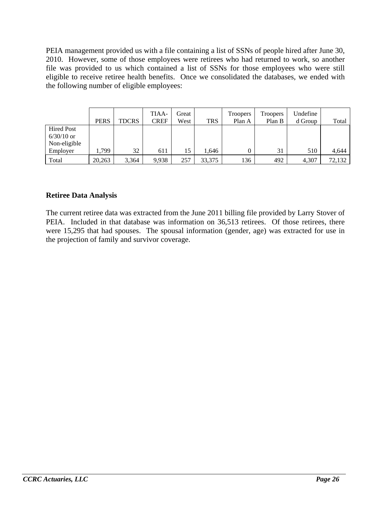PEIA management provided us with a file containing a list of SSNs of people hired after June 30, 2010. However, some of those employees were retirees who had returned to work, so another file was provided to us which contained a list of SSNs for those employees who were still eligible to receive retiree health benefits. Once we consolidated the databases, we ended with the following number of eligible employees:

|                                                   | <b>PERS</b> | <b>TDCRS</b> | TIAA-<br>CREF | Great<br>West | <b>TRS</b> | <b>Troopers</b><br>Plan A | <b>Troopers</b><br>Plan B | Undefine<br>d Group | Total  |
|---------------------------------------------------|-------------|--------------|---------------|---------------|------------|---------------------------|---------------------------|---------------------|--------|
| <b>Hired Post</b><br>$6/30/10$ or<br>Non-eligible |             |              |               |               |            |                           |                           |                     |        |
| Employer                                          | 1.799       | 32           | 611           | 15            | .646       | 0                         | 31                        | 510                 | 4,644  |
| Total                                             | 20,263      | 3,364        | 9,938         | 257           | 33,375     | 136                       | 492                       | 4,307               | 72,132 |

#### **Retiree Data Analysis**

The current retiree data was extracted from the June 2011 billing file provided by Larry Stover of PEIA. Included in that database was information on 36,513 retirees. Of those retirees, there were 15,295 that had spouses. The spousal information (gender, age) was extracted for use in the projection of family and survivor coverage.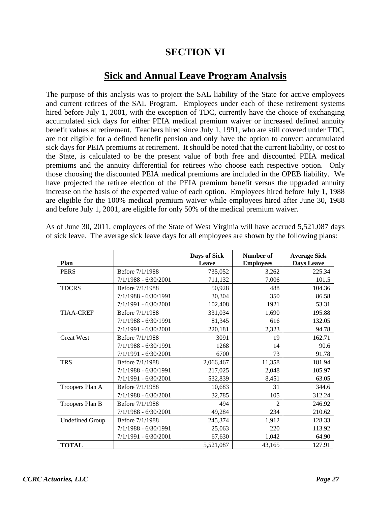## **SECTION VI**

## **Sick and Annual Leave Program Analysis**

The purpose of this analysis was to project the SAL liability of the State for active employees and current retirees of the SAL Program. Employees under each of these retirement systems hired before July 1, 2001, with the exception of TDC, currently have the choice of exchanging accumulated sick days for either PEIA medical premium waiver or increased defined annuity benefit values at retirement. Teachers hired since July 1, 1991, who are still covered under TDC, are not eligible for a defined benefit pension and only have the option to convert accumulated sick days for PEIA premiums at retirement. It should be noted that the current liability, or cost to the State, is calculated to be the present value of both free and discounted PEIA medical premiums and the annuity differential for retirees who choose each respective option. Only those choosing the discounted PEIA medical premiums are included in the OPEB liability. We have projected the retiree election of the PEIA premium benefit versus the upgraded annuity increase on the basis of the expected value of each option. Employees hired before July 1, 1988 are eligible for the 100% medical premium waiver while employees hired after June 30, 1988 and before July 1, 2001, are eligible for only 50% of the medical premium waiver.

|                        |                        | Days of Sick | Number of        | <b>Average Sick</b> |
|------------------------|------------------------|--------------|------------------|---------------------|
| <b>Plan</b>            |                        | Leave        | <b>Employees</b> | Days Leave          |
| <b>PERS</b>            | Before 7/1/1988        | 735,052      | 3,262            | 225.34              |
|                        | 7/1/1988 - 6/30/2001   | 711,132      | 7,006            | 101.5               |
| <b>TDCRS</b>           | Before 7/1/1988        | 50,928       | 488              | 104.36              |
|                        | 7/1/1988 - 6/30/1991   | 30,304       | 350              | 86.58               |
|                        | 7/1/1991 - 6/30/2001   | 102,408      | 1921             | 53.31               |
| <b>TIAA-CREF</b>       | Before 7/1/1988        | 331,034      | 1,690            | 195.88              |
|                        | 7/1/1988 - 6/30/1991   | 81,345       | 616              | 132.05              |
|                        | 7/1/1991 - 6/30/2001   | 220,181      | 2,323            | 94.78               |
| <b>Great West</b>      | Before 7/1/1988        | 3091         | 19               | 162.71              |
|                        | $7/1/1988 - 6/30/1991$ | 1268         | 14               | 90.6                |
|                        | 7/1/1991 - 6/30/2001   | 6700         | 73               | 91.78               |
| <b>TRS</b>             | Before 7/1/1988        | 2,066,467    | 11,358           | 181.94              |
|                        | $7/1/1988 - 6/30/1991$ | 217,025      | 2,048            | 105.97              |
|                        | $7/1/1991 - 6/30/2001$ | 532,839      | 8,451            | 63.05               |
| Troopers Plan A        | Before 7/1/1988        | 10,683       | 31               | 344.6               |
|                        | 7/1/1988 - 6/30/2001   | 32,785       | 105              | 312.24              |
| Troopers Plan B        | Before 7/1/1988        | 494          | $\mathfrak{D}$   | 246.92              |
|                        | $7/1/1988 - 6/30/2001$ | 49,284       | 234              | 210.62              |
| <b>Undefined Group</b> | Before 7/1/1988        | 245,374      | 1,912            | 128.33              |
|                        | 7/1/1988 - 6/30/1991   | 25,063       | 220              | 113.92              |
|                        | 7/1/1991 - 6/30/2001   | 67,630       | 1,042            | 64.90               |
| <b>TOTAL</b>           |                        | 5,521,087    | 43,165           | 127.91              |

As of June 30, 2011, employees of the State of West Virginia will have accrued 5,521,087 days of sick leave. The average sick leave days for all employees are shown by the following plans: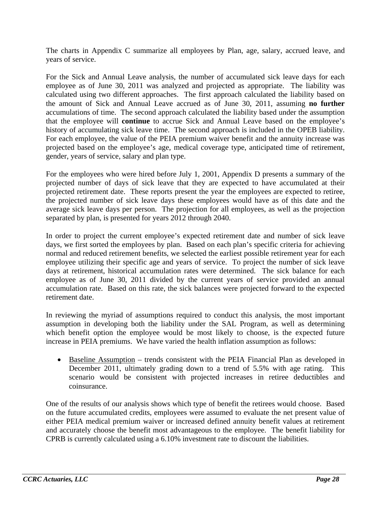The charts in Appendix C summarize all employees by Plan, age, salary, accrued leave, and years of service.

For the Sick and Annual Leave analysis, the number of accumulated sick leave days for each employee as of June 30, 2011 was analyzed and projected as appropriate. The liability was calculated using two different approaches. The first approach calculated the liability based on the amount of Sick and Annual Leave accrued as of June 30, 2011, assuming **no further**  accumulations of time. The second approach calculated the liability based under the assumption that the employee will **continue** to accrue Sick and Annual Leave based on the employee's history of accumulating sick leave time. The second approach is included in the OPEB liability. For each employee, the value of the PEIA premium waiver benefit and the annuity increase was projected based on the employee's age, medical coverage type, anticipated time of retirement, gender, years of service, salary and plan type.

For the employees who were hired before July 1, 2001, Appendix D presents a summary of the projected number of days of sick leave that they are expected to have accumulated at their projected retirement date. These reports present the year the employees are expected to retiree, the projected number of sick leave days these employees would have as of this date and the average sick leave days per person. The projection for all employees, as well as the projection separated by plan, is presented for years 2012 through 2040.

In order to project the current employee's expected retirement date and number of sick leave days, we first sorted the employees by plan. Based on each plan's specific criteria for achieving normal and reduced retirement benefits, we selected the earliest possible retirement year for each employee utilizing their specific age and years of service. To project the number of sick leave days at retirement, historical accumulation rates were determined. The sick balance for each employee as of June 30, 2011 divided by the current years of service provided an annual accumulation rate. Based on this rate, the sick balances were projected forward to the expected retirement date.

In reviewing the myriad of assumptions required to conduct this analysis, the most important assumption in developing both the liability under the SAL Program, as well as determining which benefit option the employee would be most likely to choose, is the expected future increase in PEIA premiums. We have varied the health inflation assumption as follows:

• Baseline Assumption – trends consistent with the PEIA Financial Plan as developed in December 2011, ultimately grading down to a trend of 5.5% with age rating. This scenario would be consistent with projected increases in retiree deductibles and coinsurance.

One of the results of our analysis shows which type of benefit the retirees would choose. Based on the future accumulated credits, employees were assumed to evaluate the net present value of either PEIA medical premium waiver or increased defined annuity benefit values at retirement and accurately choose the benefit most advantageous to the employee. The benefit liability for CPRB is currently calculated using a 6.10% investment rate to discount the liabilities.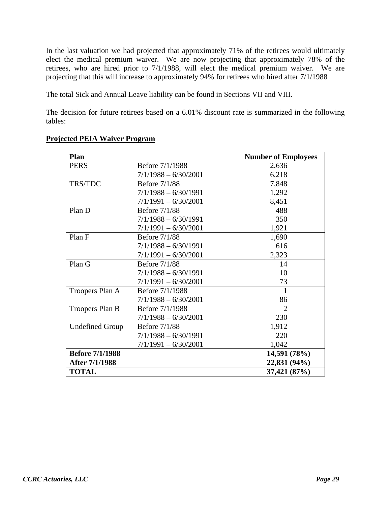In the last valuation we had projected that approximately 71% of the retirees would ultimately elect the medical premium waiver. We are now projecting that approximately 78% of the retirees, who are hired prior to 7/1/1988, will elect the medical premium waiver. We are projecting that this will increase to approximately 94% for retirees who hired after 7/1/1988

The total Sick and Annual Leave liability can be found in Sections VII and VIII.

The decision for future retirees based on a 6.01% discount rate is summarized in the following tables:

| Plan                   |                        | <b>Number of Employees</b> |
|------------------------|------------------------|----------------------------|
| <b>PERS</b>            | Before 7/1/1988        | 2,636                      |
|                        | $7/1/1988 - 6/30/2001$ | 6,218                      |
| TRS/TDC                | <b>Before 7/1/88</b>   | 7,848                      |
|                        | $7/1/1988 - 6/30/1991$ | 1,292                      |
|                        | $7/1/1991 - 6/30/2001$ | 8,451                      |
| Plan D                 | <b>Before 7/1/88</b>   | 488                        |
|                        | $7/1/1988 - 6/30/1991$ | 350                        |
|                        | $7/1/1991 - 6/30/2001$ | 1,921                      |
| Plan F                 | <b>Before 7/1/88</b>   | 1,690                      |
|                        | $7/1/1988 - 6/30/1991$ | 616                        |
|                        | $7/1/1991 - 6/30/2001$ | 2,323                      |
| Plan G                 | <b>Before 7/1/88</b>   | 14                         |
|                        | $7/1/1988 - 6/30/1991$ | 10                         |
|                        | $7/1/1991 - 6/30/2001$ | 73                         |
| Troopers Plan A        | Before 7/1/1988        | 1                          |
|                        | $7/1/1988 - 6/30/2001$ | 86                         |
| Troopers Plan B        | Before 7/1/1988        | $\overline{2}$             |
|                        | $7/1/1988 - 6/30/2001$ | 230                        |
| <b>Undefined Group</b> | <b>Before 7/1/88</b>   | 1,912                      |
|                        | $7/1/1988 - 6/30/1991$ | 220                        |
|                        | $7/1/1991 - 6/30/2001$ | 1,042                      |
| <b>Before 7/1/1988</b> |                        | 14,591 (78%)               |
| After 7/1/1988         |                        | 22,831 (94%)               |
| <b>TOTAL</b>           |                        | 37,421 (87%)               |

#### **Projected PEIA Waiver Program**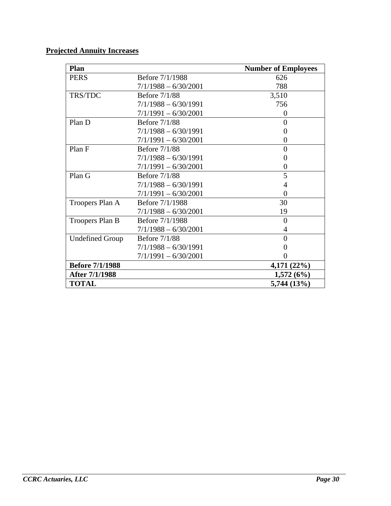#### **Projected Annuity Increases**

| Plan                   |                        | <b>Number of Employees</b> |
|------------------------|------------------------|----------------------------|
| <b>PERS</b>            | Before 7/1/1988        | 626                        |
|                        | $7/1/1988 - 6/30/2001$ | 788                        |
| TRS/TDC                | <b>Before 7/1/88</b>   | 3,510                      |
|                        | $7/1/1988 - 6/30/1991$ | 756                        |
|                        | $7/1/1991 - 6/30/2001$ | $\overline{0}$             |
| Plan D                 | <b>Before 7/1/88</b>   | $\theta$                   |
|                        | $7/1/1988 - 6/30/1991$ | $\Omega$                   |
|                        | $7/1/1991 - 6/30/2001$ | 0                          |
| Plan F                 | <b>Before 7/1/88</b>   | $\theta$                   |
|                        | $7/1/1988 - 6/30/1991$ | 0                          |
|                        | $7/1/1991 - 6/30/2001$ | 0                          |
| Plan G                 | <b>Before 7/1/88</b>   | 5                          |
|                        | $7/1/1988 - 6/30/1991$ | 4                          |
|                        | $7/1/1991 - 6/30/2001$ | 0                          |
| Troopers Plan A        | Before 7/1/1988        | 30                         |
|                        | $7/1/1988 - 6/30/2001$ | 19                         |
| Troopers Plan B        | Before 7/1/1988        | $\overline{0}$             |
|                        | $7/1/1988 - 6/30/2001$ | 4                          |
| <b>Undefined Group</b> | <b>Before 7/1/88</b>   | $\theta$                   |
|                        | $7/1/1988 - 6/30/1991$ | 0                          |
|                        | $7/1/1991 - 6/30/2001$ |                            |
| <b>Before 7/1/1988</b> |                        | 4,171 (22%)                |
| After 7/1/1988         |                        | 1,572(6%)                  |
| <b>TOTAL</b>           |                        | 5,744 (13%)                |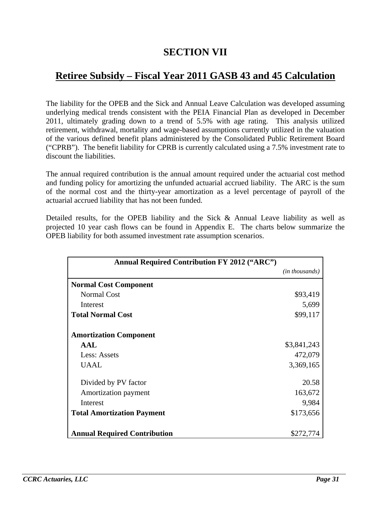## **SECTION VII**

## **Retiree Subsidy – Fiscal Year 2011 GASB 43 and 45 Calculation**

The liability for the OPEB and the Sick and Annual Leave Calculation was developed assuming underlying medical trends consistent with the PEIA Financial Plan as developed in December 2011, ultimately grading down to a trend of 5.5% with age rating. This analysis utilized retirement, withdrawal, mortality and wage-based assumptions currently utilized in the valuation of the various defined benefit plans administered by the Consolidated Public Retirement Board ("CPRB"). The benefit liability for CPRB is currently calculated using a 7.5% investment rate to discount the liabilities.

The annual required contribution is the annual amount required under the actuarial cost method and funding policy for amortizing the unfunded actuarial accrued liability. The ARC is the sum of the normal cost and the thirty-year amortization as a level percentage of payroll of the actuarial accrued liability that has not been funded.

Detailed results, for the OPEB liability and the Sick & Annual Leave liability as well as projected 10 year cash flows can be found in Appendix E. The charts below summarize the OPEB liability for both assumed investment rate assumption scenarios.

| <b>Annual Required Contribution FY 2012 ("ARC")</b> |                         |
|-----------------------------------------------------|-------------------------|
|                                                     | ( <i>in thousands</i> ) |
| <b>Normal Cost Component</b>                        |                         |
| <b>Normal Cost</b>                                  | \$93,419                |
| Interest                                            | 5,699                   |
| <b>Total Normal Cost</b>                            | \$99,117                |
| <b>Amortization Component</b>                       |                         |
| <b>AAL</b>                                          | \$3,841,243             |
| Less: Assets                                        | 472,079                 |
| <b>UAAL</b>                                         | 3,369,165               |
| Divided by PV factor                                | 20.58                   |
| Amortization payment                                | 163,672                 |
| Interest                                            | 9,984                   |
| <b>Total Amortization Payment</b>                   | \$173,656               |
| <b>Annual Required Contribution</b>                 | \$272,774               |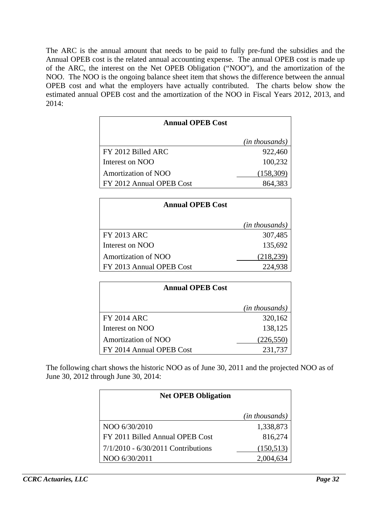The ARC is the annual amount that needs to be paid to fully pre-fund the subsidies and the Annual OPEB cost is the related annual accounting expense. The annual OPEB cost is made up of the ARC, the interest on the Net OPEB Obligation ("NOO"), and the amortization of the NOO. The NOO is the ongoing balance sheet item that shows the difference between the annual OPEB cost and what the employers have actually contributed. The charts below show the estimated annual OPEB cost and the amortization of the NOO in Fiscal Years 2012, 2013, and 2014:

| <b>Annual OPEB Cost</b>    |                |
|----------------------------|----------------|
|                            | (in thousands) |
| FY 2012 Billed ARC         | 922,460        |
| Interest on NOO            | 100,232        |
| <b>Amortization of NOO</b> | (158, 309)     |
| FY 2012 Annual OPEB Cost   | 864.383        |

| <b>Annual OPEB Cost</b>    |                |  |  |  |
|----------------------------|----------------|--|--|--|
|                            | (in thousands) |  |  |  |
| <b>FY 2013 ARC</b>         | 307,485        |  |  |  |
| Interest on NOO            | 135,692        |  |  |  |
| <b>Amortization of NOO</b> | (218, 239)     |  |  |  |
| FY 2013 Annual OPEB Cost   | 224,938        |  |  |  |

| <b>Annual OPEB Cost</b>  |                |
|--------------------------|----------------|
|                          | (in thousands) |
| <b>FY 2014 ARC</b>       | 320,162        |
| Interest on NOO          | 138,125        |
| Amortization of NOO      | (226, 550)     |
| FY 2014 Annual OPEB Cost | 231,737        |

The following chart shows the historic NOO as of June 30, 2011 and the projected NOO as of June 30, 2012 through June 30, 2014:

| <b>Net OPEB Obligation</b>           |                |
|--------------------------------------|----------------|
|                                      | (in thousands) |
| NOO 6/30/2010                        | 1,338,873      |
| FY 2011 Billed Annual OPEB Cost      | 816,274        |
| $7/1/2010 - 6/30/2011$ Contributions | (150, 513)     |
| NOO 6/30/2011                        | 2,004.         |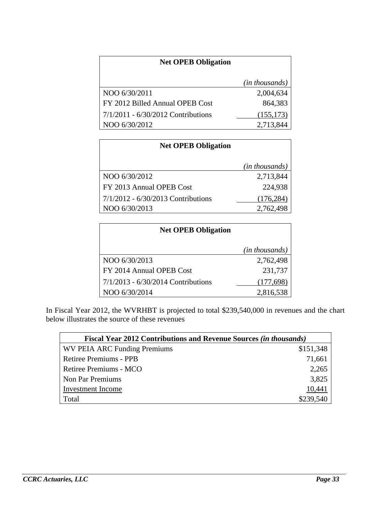| <b>Net OPEB Obligation</b>           |                |
|--------------------------------------|----------------|
|                                      | (in thousands) |
| NOO 6/30/2011                        | 2,004,634      |
| FY 2012 Billed Annual OPEB Cost      | 864,383        |
| $7/1/2011 - 6/30/2012$ Contributions | (155, 173)     |
| NOO 6/30/2012                        | 2,713,844      |

| <b>Net OPEB Obligation</b>         |                |
|------------------------------------|----------------|
|                                    | (in thousands) |
| NOO 6/30/2012                      | 2,713,844      |
| FY 2013 Annual OPEB Cost           | 224,938        |
| 7/1/2012 - 6/30/2013 Contributions | (176, 284)     |
| NOO 6/30/2013                      | 2,762,498      |

| <b>Net OPEB Obligation</b>           |                         |
|--------------------------------------|-------------------------|
|                                      | ( <i>in thousands</i> ) |
| NOO 6/30/2013                        | 2,762,498               |
| FY 2014 Annual OPEB Cost             | 231,737                 |
| $7/1/2013 - 6/30/2014$ Contributions | (177, 698)              |
| NOO 6/30/2014                        | 2,816,538               |

In Fiscal Year 2012, the WVRHBT is projected to total \$239,540,000 in revenues and the chart below illustrates the source of these revenues

| <b>Fiscal Year 2012 Contributions and Revenue Sources (in thousands)</b> |           |
|--------------------------------------------------------------------------|-----------|
| WV PEIA ARC Funding Premiums                                             | \$151,348 |
| Retiree Premiums - PPB                                                   | 71,661    |
| Retiree Premiums - MCO                                                   | 2,265     |
| Non Par Premiums                                                         | 3,825     |
| Investment Income                                                        | 10,441    |
| Total                                                                    | \$239,540 |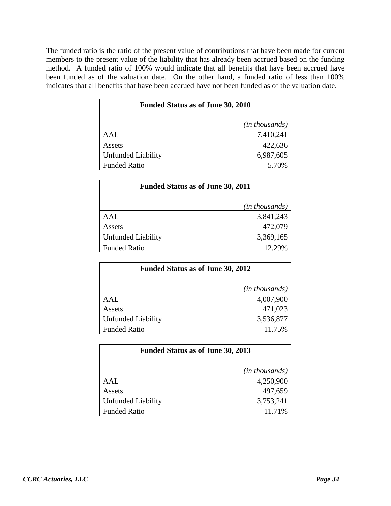The funded ratio is the ratio of the present value of contributions that have been made for current members to the present value of the liability that has already been accrued based on the funding method. A funded ratio of 100% would indicate that all benefits that have been accrued have been funded as of the valuation date. On the other hand, a funded ratio of less than 100% indicates that all benefits that have been accrued have not been funded as of the valuation date.

| <b>Funded Status as of June 30, 2010</b> |                |
|------------------------------------------|----------------|
|                                          | (in thousands) |
| AAL                                      | 7,410,241      |
| Assets                                   | 422,636        |
| <b>Unfunded Liability</b>                | 6,987,605      |
| <b>Funded Ratio</b>                      | 5.70%          |

| <b>Funded Status as of June 30, 2011</b> |                         |
|------------------------------------------|-------------------------|
|                                          | ( <i>in thousands</i> ) |
| AAI.                                     | 3,841,243               |
| Assets                                   | 472,079                 |
| Unfunded Liability                       | 3,369,165               |
| <b>Funded Ratio</b>                      | 12.29%                  |

| <b>Funded Status as of June 30, 2012</b> |                         |
|------------------------------------------|-------------------------|
|                                          | ( <i>in thousands</i> ) |
| AAL                                      | 4,007,900               |
| Assets                                   | 471,023                 |
| <b>Unfunded Liability</b>                | 3,536,877               |
| <b>Funded Ratio</b>                      | 11.75%                  |

| <b>Funded Status as of June 30, 2013</b> |                         |
|------------------------------------------|-------------------------|
|                                          | ( <i>in thousands</i> ) |
| AAI.                                     | 4,250,900               |
| Assets                                   | 497,659                 |
| <b>Unfunded Liability</b>                | 3,753,241               |
| <b>Funded Ratio</b>                      | 11.71%                  |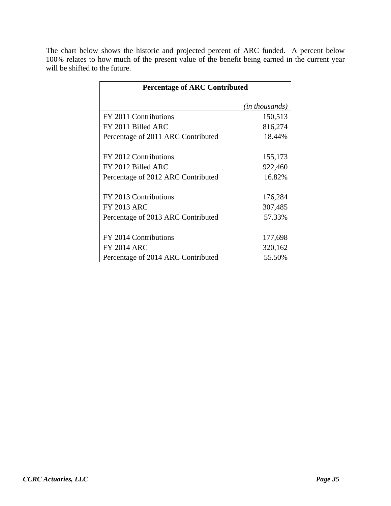The chart below shows the historic and projected percent of ARC funded. A percent below 100% relates to how much of the present value of the benefit being earned in the current year will be shifted to the future.

| <b>Percentage of ARC Contributed</b> |                |  |  |  |  |  |  |  |  |  |
|--------------------------------------|----------------|--|--|--|--|--|--|--|--|--|
|                                      | (in thousands) |  |  |  |  |  |  |  |  |  |
| FY 2011 Contributions                | 150,513        |  |  |  |  |  |  |  |  |  |
| FY 2011 Billed ARC                   | 816,274        |  |  |  |  |  |  |  |  |  |
| Percentage of 2011 ARC Contributed   | 18.44%         |  |  |  |  |  |  |  |  |  |
|                                      |                |  |  |  |  |  |  |  |  |  |
| FY 2012 Contributions                | 155,173        |  |  |  |  |  |  |  |  |  |
| FY 2012 Billed ARC                   | 922,460        |  |  |  |  |  |  |  |  |  |
| Percentage of 2012 ARC Contributed   | 16.82%         |  |  |  |  |  |  |  |  |  |
|                                      |                |  |  |  |  |  |  |  |  |  |
| FY 2013 Contributions                | 176,284        |  |  |  |  |  |  |  |  |  |
| <b>FY 2013 ARC</b>                   | 307,485        |  |  |  |  |  |  |  |  |  |
| Percentage of 2013 ARC Contributed   | 57.33%         |  |  |  |  |  |  |  |  |  |
|                                      |                |  |  |  |  |  |  |  |  |  |
| FY 2014 Contributions                | 177,698        |  |  |  |  |  |  |  |  |  |
| <b>FY 2014 ARC</b>                   | 320,162        |  |  |  |  |  |  |  |  |  |
| Percentage of 2014 ARC Contributed   | 55.50%         |  |  |  |  |  |  |  |  |  |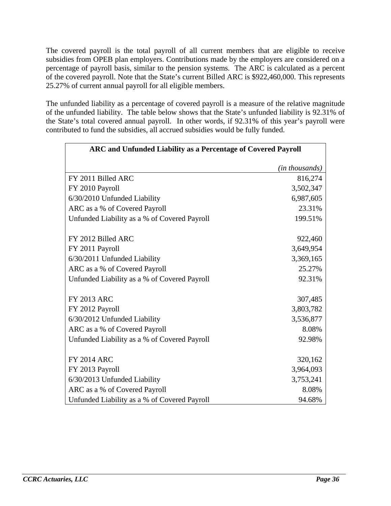The covered payroll is the total payroll of all current members that are eligible to receive subsidies from OPEB plan employers. Contributions made by the employers are considered on a percentage of payroll basis, similar to the pension systems. The ARC is calculated as a percent of the covered payroll. Note that the State's current Billed ARC is \$922,460,000. This represents 25.27% of current annual payroll for all eligible members.

The unfunded liability as a percentage of covered payroll is a measure of the relative magnitude of the unfunded liability. The table below shows that the State's unfunded liability is 92.31% of the State's total covered annual payroll. In other words, if 92.31% of this year's payroll were contributed to fund the subsidies, all accrued subsidies would be fully funded.

| ARC and Unfunded Liability as a Percentage of Covered Payroll |                         |
|---------------------------------------------------------------|-------------------------|
|                                                               | ( <i>in thousands</i> ) |
| FY 2011 Billed ARC                                            | 816,274                 |
| FY 2010 Payroll                                               | 3,502,347               |
| 6/30/2010 Unfunded Liability                                  | 6,987,605               |
| ARC as a % of Covered Payroll                                 | 23.31%                  |
| Unfunded Liability as a % of Covered Payroll                  | 199.51%                 |
| FY 2012 Billed ARC                                            | 922,460                 |
| FY 2011 Payroll                                               | 3,649,954               |
| 6/30/2011 Unfunded Liability                                  | 3,369,165               |
| ARC as a % of Covered Payroll                                 | 25.27%                  |
| Unfunded Liability as a % of Covered Payroll                  | 92.31%                  |
| <b>FY 2013 ARC</b>                                            | 307,485                 |
| FY 2012 Payroll                                               | 3,803,782               |
| 6/30/2012 Unfunded Liability                                  | 3,536,877               |
| ARC as a % of Covered Payroll                                 | 8.08%                   |
| Unfunded Liability as a % of Covered Payroll                  | 92.98%                  |
| <b>FY 2014 ARC</b>                                            | 320,162                 |
| FY 2013 Payroll                                               | 3,964,093               |
| 6/30/2013 Unfunded Liability                                  | 3,753,241               |
| ARC as a % of Covered Payroll                                 | 8.08%                   |
| Unfunded Liability as a % of Covered Payroll                  | 94.68%                  |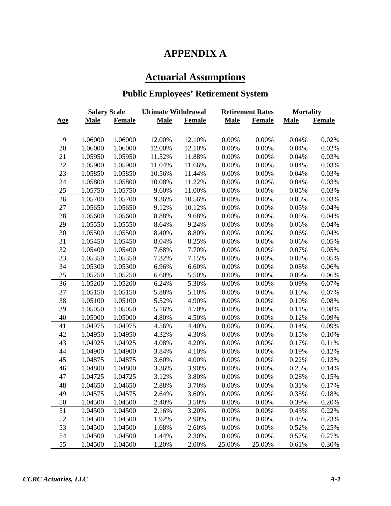# **APPENDIX A**

# **Actuarial Assumptions**

# **Public Employees' Retirement System**

| <b>Salary Scale</b> |             |               | <b>Ultimate Withdrawal</b> |               |             | <b>Retirement Rates</b> | <b>Mortality</b> |               |  |
|---------------------|-------------|---------------|----------------------------|---------------|-------------|-------------------------|------------------|---------------|--|
| <u>Age</u>          | <b>Male</b> | <b>Female</b> | <b>Male</b>                | <b>Female</b> | <b>Male</b> | <b>Female</b>           | <b>Male</b>      | <b>Female</b> |  |
|                     |             |               |                            |               |             |                         |                  |               |  |
| 19                  | 1.06000     | 1.06000       | 12.00%                     | 12.10%        | 0.00%       | 0.00%                   | 0.04%            | 0.02%         |  |
| 20                  | 1.06000     | 1.06000       | 12.00%                     | 12.10%        | 0.00%       | 0.00%                   | 0.04%            | 0.02%         |  |
| 21                  | 1.05950     | 1.05950       | 11.52%                     | 11.88%        | 0.00%       | 0.00%                   | 0.04%            | 0.03%         |  |
| 22                  | 1.05900     | 1.05900       | 11.04%                     | 11.66%        | 0.00%       | 0.00%                   | 0.04%            | 0.03%         |  |
| 23                  | 1.05850     | 1.05850       | 10.56%                     | 11.44%        | 0.00%       | 0.00%                   | 0.04%            | 0.03%         |  |
| 24                  | 1.05800     | 1.05800       | 10.08%                     | 11.22%        | 0.00%       | 0.00%                   | 0.04%            | 0.03%         |  |
| 25                  | 1.05750     | 1.05750       | 9.60%                      | 11.00%        | 0.00%       | 0.00%                   | 0.05%            | 0.03%         |  |
| 26                  | 1.05700     | 1.05700       | 9.36%                      | 10.56%        | 0.00%       | 0.00%                   | 0.05%            | 0.03%         |  |
| 27                  | 1.05650     | 1.05650       | 9.12%                      | 10.12%        | 0.00%       | 0.00%                   | 0.05%            | 0.04%         |  |
| 28                  | 1.05600     | 1.05600       | 8.88%                      | 9.68%         | 0.00%       | 0.00%                   | 0.05%            | 0.04%         |  |
| 29                  | 1.05550     | 1.05550       | 8.64%                      | 9.24%         | 0.00%       | 0.00%                   | 0.06%            | 0.04%         |  |
| 30                  | 1.05500     | 1.05500       | 8.40%                      | 8.80%         | 0.00%       | 0.00%                   | 0.06%            | 0.04%         |  |
| $31\,$              | 1.05450     | 1.05450       | 8.04%                      | 8.25%         | 0.00%       | 0.00%                   | 0.06%            | 0.05%         |  |
| 32                  | 1.05400     | 1.05400       | 7.68%                      | 7.70%         | 0.00%       | 0.00%                   | 0.07%            | 0.05%         |  |
| 33                  | 1.05350     | 1.05350       | 7.32%                      | 7.15%         | 0.00%       | 0.00%                   | 0.07%            | 0.05%         |  |
| 34                  | 1.05300     | 1.05300       | 6.96%                      | 6.60%         | 0.00%       | 0.00%                   | 0.08%            | 0.06%         |  |
| 35                  | 1.05250     | 1.05250       | 6.60%                      | 5.50%         | 0.00%       | 0.00%                   | 0.09%            | 0.06%         |  |
| 36                  | 1.05200     | 1.05200       | 6.24%                      | 5.30%         | 0.00%       | 0.00%                   | 0.09%            | 0.07%         |  |
| 37                  | 1.05150     | 1.05150       | 5.88%                      | 5.10%         | 0.00%       | 0.00%                   | 0.10%            | 0.07%         |  |
| 38                  | 1.05100     | 1.05100       | 5.52%                      | 4.90%         | 0.00%       | 0.00%                   | 0.10%            | 0.08%         |  |
| 39                  | 1.05050     | 1.05050       | 5.16%                      | 4.70%         | 0.00%       | 0.00%                   | 0.11%            | 0.08%         |  |
| 40                  | 1.05000     | 1.05000       | 4.80%                      | 4.50%         | 0.00%       | 0.00%                   | 0.12%            | 0.09%         |  |
| 41                  | 1.04975     | 1.04975       | 4.56%                      | 4.40%         | 0.00%       | 0.00%                   | 0.14%            | 0.09%         |  |
| 42                  | 1.04950     | 1.04950       | 4.32%                      | 4.30%         | 0.00%       | 0.00%                   | 0.15%            | 0.10%         |  |
| 43                  | 1.04925     | 1.04925       | 4.08%                      | 4.20%         | 0.00%       | 0.00%                   | 0.17%            | 0.11%         |  |
| 44                  | 1.04900     | 1.04900       | 3.84%                      | 4.10%         | 0.00%       | 0.00%                   | 0.19%            | 0.12%         |  |
| 45                  | 1.04875     | 1.04875       | 3.60%                      | 4.00%         | 0.00%       | 0.00%                   | 0.22%            | 0.13%         |  |
| 46                  | 1.04800     | 1.04800       | 3.36%                      | 3.90%         | 0.00%       | 0.00%                   | 0.25%            | 0.14%         |  |
| 47                  | 1.04725     | 1.04725       | 3.12%                      | 3.80%         | 0.00%       | 0.00%                   | 0.28%            | 0.15%         |  |
| 48                  | 1.04650     | 1.04650       | 2.88%                      | 3.70%         | 0.00%       | 0.00%                   | 0.31%            | 0.17%         |  |
| 49                  | 1.04575     | 1.04575       | 2.64%                      | 3.60%         | $0.00\%$    | 0.00%                   | 0.35%            | 0.18%         |  |
| 50                  | 1.04500     | 1.04500       | 2.40%                      | 3.50%         | 0.00%       | 0.00%                   | 0.39%            | 0.20%         |  |
| 51                  | 1.04500     | 1.04500       | 2.16%                      | 3.20%         | 0.00%       | 0.00%                   | 0.43%            | 0.22%         |  |
| 52                  | 1.04500     | 1.04500       | 1.92%                      | 2.90%         | 0.00%       | 0.00%                   | 0.48%            | 0.23%         |  |
| 53                  | 1.04500     | 1.04500       | 1.68%                      | 2.60%         | 0.00%       | 0.00%                   | 0.52%            | 0.25%         |  |
| 54                  | 1.04500     | 1.04500       | 1.44%                      | 2.30%         | 0.00%       | 0.00%                   | 0.57%            | 0.27%         |  |
| 55                  | 1.04500     | 1.04500       | 1.20%                      | 2.00%         | 25.00%      | 25.00%                  | 0.61%            | 0.30%         |  |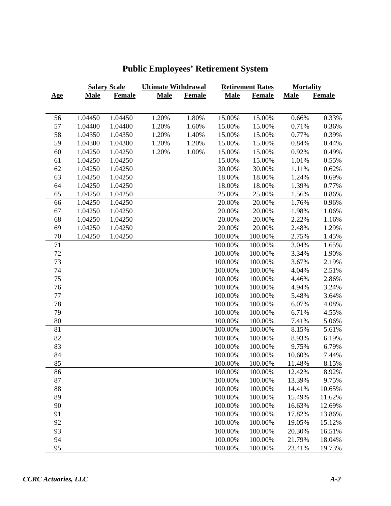|            |             | <b>Salary Scale</b> | <b>Ultimate Withdrawal</b> |               |             | <b>Retirement Rates</b> | <b>Mortality</b> |               |  |
|------------|-------------|---------------------|----------------------------|---------------|-------------|-------------------------|------------------|---------------|--|
| <u>Age</u> | <b>Male</b> | <b>Female</b>       | <b>Male</b>                | <b>Female</b> | <b>Male</b> | <b>Female</b>           | <b>Male</b>      | <b>Female</b> |  |
|            |             |                     |                            |               |             |                         |                  |               |  |
| 56         | 1.04450     | 1.04450             | 1.20%                      | 1.80%         | 15.00%      | 15.00%                  | 0.66%            | 0.33%         |  |
| 57         | 1.04400     | 1.04400             | 1.20%                      | 1.60%         | 15.00%      | 15.00%                  | 0.71%            | 0.36%         |  |
| 58         | 1.04350     | 1.04350             | 1.20%                      | 1.40%         | 15.00%      | 15.00%                  | 0.77%            | 0.39%         |  |
| 59         | 1.04300     | 1.04300             | 1.20%                      | 1.20%         | 15.00%      | 15.00%                  | 0.84%            | 0.44%         |  |
| 60         | 1.04250     | 1.04250             | 1.20%                      | 1.00%         | 15.00%      | 15.00%                  | 0.92%            | 0.49%         |  |
| 61         | 1.04250     | 1.04250             |                            |               | 15.00%      | 15.00%                  | 1.01%            | 0.55%         |  |
| 62         | 1.04250     | 1.04250             |                            |               | 30.00%      | 30.00%                  | 1.11%            | 0.62%         |  |
| 63         | 1.04250     | 1.04250             |                            |               | 18.00%      | 18.00%                  | 1.24%            | 0.69%         |  |
| 64         | 1.04250     | 1.04250             |                            |               | 18.00%      | 18.00%                  | 1.39%            | 0.77%         |  |
| 65         | 1.04250     | 1.04250             |                            |               | 25.00%      | 25.00%                  | 1.56%            | 0.86%         |  |
| 66         | 1.04250     | 1.04250             |                            |               | 20.00%      | 20.00%                  | 1.76%            | 0.96%         |  |
| 67         | 1.04250     | 1.04250             |                            |               | 20.00%      | 20.00%                  | 1.98%            | 1.06%         |  |
| 68         | 1.04250     | 1.04250             |                            |               | 20.00%      | 20.00%                  | 2.22%            | 1.16%         |  |
| 69         | 1.04250     | 1.04250             |                            |               | 20.00%      | 20.00%                  | 2.48%            | 1.29%         |  |
| $70\,$     | 1.04250     | 1.04250             |                            |               | 100.00%     | 100.00%                 | 2.75%            | 1.45%         |  |
| 71         |             |                     |                            |               | 100.00%     | 100.00%                 | 3.04%            | 1.65%         |  |
| 72         |             |                     |                            |               | 100.00%     | 100.00%                 | 3.34%            | 1.90%         |  |
| 73         |             |                     |                            |               | 100.00%     | 100.00%                 | 3.67%            | 2.19%         |  |
| 74         |             |                     |                            |               | 100.00%     | 100.00%                 | 4.04%            | 2.51%         |  |
| 75         |             |                     |                            |               | 100.00%     | 100.00%                 | 4.46%            | 2.86%         |  |
| 76         |             |                     |                            |               | 100.00%     | 100.00%                 | 4.94%            | 3.24%         |  |
| 77         |             |                     |                            |               | 100.00%     | 100.00%                 | 5.48%            | 3.64%         |  |
| 78         |             |                     |                            |               | 100.00%     | 100.00%                 | 6.07%            | 4.08%         |  |
| 79         |             |                     |                            |               | 100.00%     | 100.00%                 | 6.71%            | 4.55%         |  |
| 80         |             |                     |                            |               | 100.00%     | 100.00%                 | 7.41%            | 5.06%         |  |
| 81         |             |                     |                            |               | 100.00%     | 100.00%                 | 8.15%            | 5.61%         |  |
| 82         |             |                     |                            |               | 100.00%     | 100.00%                 | 8.93%            | 6.19%         |  |
| 83         |             |                     |                            |               | 100.00%     | 100.00%                 | 9.75%            | 6.79%         |  |
| 84         |             |                     |                            |               | 100.00%     | 100.00%                 | 10.60%           | 7.44%         |  |
| 85         |             |                     |                            |               | 100.00%     | 100.00%                 | 11.48%           | 8.15%         |  |
| 86         |             |                     |                            |               | 100.00%     | 100.00%                 | 12.42%           | 8.92%         |  |
| 87         |             |                     |                            |               | 100.00%     | 100.00%                 | 13.39%           | 9.75%         |  |
| 88         |             |                     |                            |               | 100.00%     | 100.00%                 | 14.41%           | 10.65%        |  |
| 89         |             |                     |                            |               | 100.00%     | 100.00%                 | 15.49%           | 11.62%        |  |
| 90         |             |                     |                            |               | 100.00%     | 100.00%                 | 16.63%           | 12.69%        |  |
| 91         |             |                     |                            |               | 100.00%     | 100.00%                 | 17.82%           | 13.86%        |  |
| 92         |             |                     |                            |               | 100.00%     | 100.00%                 | 19.05%           | 15.12%        |  |
| 93         |             |                     |                            |               | 100.00%     | 100.00%                 | 20.30%           | 16.51%        |  |
| 94         |             |                     |                            |               | 100.00%     | 100.00%                 | 21.79%           | 18.04%        |  |
| 95         |             |                     |                            |               | 100.00%     | 100.00%                 | 23.41%           | 19.73%        |  |

# **Public Employees' Retirement System**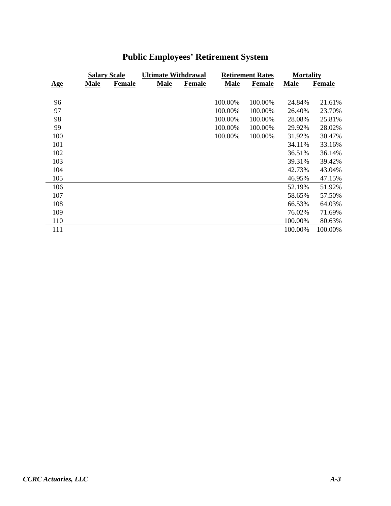|            | <b>Salary Scale</b> |               | <b>Ultimate Withdrawal</b> |               |             | <b>Retirement Rates</b> | <b>Mortality</b> |               |  |
|------------|---------------------|---------------|----------------------------|---------------|-------------|-------------------------|------------------|---------------|--|
| <u>Age</u> | <b>Male</b>         | <b>Female</b> | <b>Male</b>                | <b>Female</b> | <b>Male</b> | <b>Female</b>           | <b>Male</b>      | <b>Female</b> |  |
|            |                     |               |                            |               |             |                         |                  |               |  |
| 96         |                     |               |                            |               | 100.00%     | 100.00%                 | 24.84%           | 21.61%        |  |
| 97         |                     |               |                            |               | 100.00%     | 100.00%                 | 26.40%           | 23.70%        |  |
| 98         |                     |               |                            |               | 100.00%     | 100.00%                 | 28.08%           | 25.81%        |  |
| 99         |                     |               |                            |               | 100.00%     | 100.00%                 | 29.92%           | 28.02%        |  |
| 100        |                     |               |                            |               | 100.00%     | 100.00%                 | 31.92%           | 30.47%        |  |
| 101        |                     |               |                            |               |             |                         | 34.11%           | 33.16%        |  |
| 102        |                     |               |                            |               |             |                         | 36.51%           | 36.14%        |  |
| 103        |                     |               |                            |               |             |                         | 39.31%           | 39.42%        |  |
| 104        |                     |               |                            |               |             |                         | 42.73%           | 43.04%        |  |
| 105        |                     |               |                            |               |             |                         | 46.95%           | 47.15%        |  |
| 106        |                     |               |                            |               |             |                         | 52.19%           | 51.92%        |  |
| 107        |                     |               |                            |               |             |                         | 58.65%           | 57.50%        |  |
| 108        |                     |               |                            |               |             |                         | 66.53%           | 64.03%        |  |
| 109        |                     |               |                            |               |             |                         | 76.02%           | 71.69%        |  |
| 110        |                     |               |                            |               |             |                         | 100.00%          | 80.63%        |  |
| 111        |                     |               |                            |               |             |                         | 100.00%          | 100.00%       |  |

# **Public Employees' Retirement System**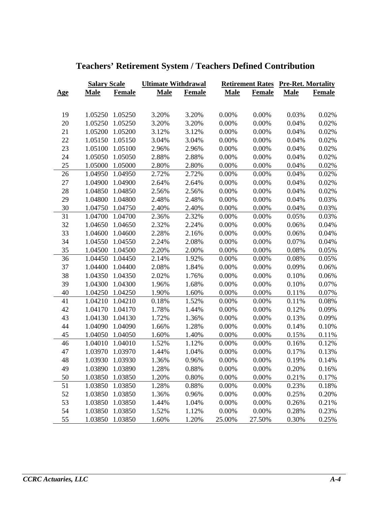|            | <b>Salary Scale</b> |                 | <b>Ultimate Withdrawal</b> |               |             |               | <b>Retirement Rates Pre-Ret. Mortality</b> |        |  |
|------------|---------------------|-----------------|----------------------------|---------------|-------------|---------------|--------------------------------------------|--------|--|
| <u>Age</u> | <b>Male</b>         | Female          | <b>Male</b>                | <b>Female</b> | <b>Male</b> | <b>Female</b> | <b>Male</b>                                | Female |  |
|            |                     |                 |                            |               |             |               |                                            |        |  |
| 19         |                     | 1.05250 1.05250 | 3.20%                      | 3.20%         | 0.00%       | 0.00%         | 0.03%                                      | 0.02%  |  |
| 20         | 1.05250             | 1.05250         | 3.20%                      | 3.20%         | 0.00%       | 0.00%         | 0.04%                                      | 0.02%  |  |
| 21         |                     | 1.05200 1.05200 | 3.12%                      | 3.12%         | 0.00%       | 0.00%         | 0.04%                                      | 0.02%  |  |
| 22         |                     | 1.05150 1.05150 | 3.04%                      | 3.04%         | 0.00%       | 0.00%         | 0.04%                                      | 0.02%  |  |
| 23         |                     | 1.05100 1.05100 | 2.96%                      | 2.96%         | 0.00%       | 0.00%         | 0.04%                                      | 0.02%  |  |
| 24         |                     | 1.05050 1.05050 | 2.88%                      | 2.88%         | 0.00%       | 0.00%         | 0.04%                                      | 0.02%  |  |
| 25         |                     | 1.05000 1.05000 | 2.80%                      | 2.80%         | 0.00%       | 0.00%         | 0.04%                                      | 0.02%  |  |
| 26         |                     | 1.04950 1.04950 | 2.72%                      | 2.72%         | 0.00%       | 0.00%         | 0.04%                                      | 0.02%  |  |
| 27         |                     | 1.04900 1.04900 | 2.64%                      | 2.64%         | 0.00%       | 0.00%         | 0.04%                                      | 0.02%  |  |
| 28         |                     | 1.04850 1.04850 | 2.56%                      | 2.56%         | 0.00%       | 0.00%         | $0.04\%$                                   | 0.02%  |  |
| 29         |                     | 1.04800 1.04800 | 2.48%                      | 2.48%         | 0.00%       | 0.00%         | 0.04%                                      | 0.03%  |  |
| 30         |                     | 1.04750 1.04750 | 2.40%                      | 2.40%         | 0.00%       | 0.00%         | 0.04%                                      | 0.03%  |  |
| 31         |                     | 1.04700 1.04700 | 2.36%                      | 2.32%         | 0.00%       | 0.00%         | 0.05%                                      | 0.03%  |  |
| 32         |                     | 1.04650 1.04650 | 2.32%                      | 2.24%         | $0.00\%$    | 0.00%         | 0.06%                                      | 0.04%  |  |
| 33         |                     | 1.04600 1.04600 | 2.28%                      | 2.16%         | 0.00%       | 0.00%         | 0.06%                                      | 0.04%  |  |
| 34         | 1.04550             | 1.04550         | 2.24%                      | 2.08%         | 0.00%       | 0.00%         | 0.07%                                      | 0.04%  |  |
| 35         |                     | 1.04500 1.04500 | 2.20%                      | 2.00%         | $0.00\%$    | 0.00%         | 0.08%                                      | 0.05%  |  |
| 36         |                     | 1.04450 1.04450 | 2.14%                      | 1.92%         | 0.00%       | 0.00%         | 0.08%                                      | 0.05%  |  |
| 37         |                     | 1.04400 1.04400 | 2.08%                      | 1.84%         | 0.00%       | 0.00%         | 0.09%                                      | 0.06%  |  |
| 38         |                     | 1.04350 1.04350 | 2.02%                      | 1.76%         | 0.00%       | 0.00%         | 0.10%                                      | 0.06%  |  |
| 39         | 1.04300             | 1.04300         | 1.96%                      | 1.68%         | 0.00%       | 0.00%         | 0.10%                                      | 0.07%  |  |
| 40         |                     | 1.04250 1.04250 | 1.90%                      | 1.60%         | $0.00\%$    | 0.00%         | 0.11%                                      | 0.07%  |  |
| 41         |                     | 1.04210 1.04210 | 0.18%                      | 1.52%         | 0.00%       | 0.00%         | 0.11%                                      | 0.08%  |  |
| 42         |                     | 1.04170 1.04170 | 1.78%                      | 1.44%         | 0.00%       | 0.00%         | 0.12%                                      | 0.09%  |  |
| 43         |                     | 1.04130 1.04130 | 1.72%                      | 1.36%         | 0.00%       | 0.00%         | 0.13%                                      | 0.09%  |  |
| 44         | 1.04090             | 1.04090         | 1.66%                      | 1.28%         | 0.00%       | 0.00%         | 0.14%                                      | 0.10%  |  |
| 45         |                     | 1.04050 1.04050 | 1.60%                      | 1.40%         | $0.00\%$    | 0.00%         | 0.15%                                      | 0.11%  |  |
| 46         |                     | 1.04010 1.04010 | 1.52%                      | 1.12%         | 0.00%       | 0.00%         | 0.16%                                      | 0.12%  |  |
| 47         |                     | 1.03970 1.03970 | 1.44%                      | 1.04%         | 0.00%       | 0.00%         | 0.17%                                      | 0.13%  |  |
| 48         |                     | 1.03930 1.03930 | 1.36%                      | 0.96%         | 0.00%       | 0.00%         | 0.19%                                      | 0.14%  |  |
| 49         | 1.03890             | 1.03890         | 1.28%                      | 0.88%         | 0.00%       | 0.00%         | 0.20%                                      | 0.16%  |  |
| 50         | 1.03850             | 1.03850         | 1.20%                      | 0.80%         | 0.00%       | 0.00%         | 0.21%                                      | 0.17%  |  |
| 51         | 1.03850             | 1.03850         | 1.28%                      | 0.88%         | 0.00%       | 0.00%         | 0.23%                                      | 0.18%  |  |
| 52         | 1.03850             | 1.03850         | 1.36%                      | 0.96%         | 0.00%       | 0.00%         | 0.25%                                      | 0.20%  |  |
| 53         | 1.03850             | 1.03850         | 1.44%                      | 1.04%         | 0.00%       | 0.00%         | 0.26%                                      | 0.21%  |  |
| 54         | 1.03850             | 1.03850         | 1.52%                      | 1.12%         | 0.00%       | 0.00%         | 0.28%                                      | 0.23%  |  |
| 55         | 1.03850             | 1.03850         | 1.60%                      | 1.20%         | 25.00%      | 27.50%        | 0.30%                                      | 0.25%  |  |

# **Teachers' Retirement System / Teachers Defined Contribution**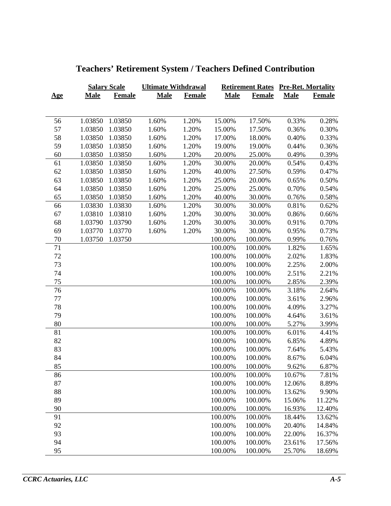|            |             | <b>Salary Scale</b> | <b>Ultimate Withdrawal</b> |               |             |               | <b>Retirement Rates Pre-Ret. Mortality</b> |               |
|------------|-------------|---------------------|----------------------------|---------------|-------------|---------------|--------------------------------------------|---------------|
| <u>Age</u> | <b>Male</b> | <b>Female</b>       | <b>Male</b>                | <b>Female</b> | <b>Male</b> | <b>Female</b> | <b>Male</b>                                | <b>Female</b> |
|            |             |                     |                            |               |             |               |                                            |               |
| 56         | 1.03850     | 1.03850             | 1.60%                      | 1.20%         | 15.00%      | 17.50%        | 0.33%                                      | 0.28%         |
| 57         | 1.03850     | 1.03850             | 1.60%                      | 1.20%         | 15.00%      | 17.50%        | 0.36%                                      | 0.30%         |
| 58         | 1.03850     | 1.03850             | 1.60%                      | 1.20%         | 17.00%      | 18.00%        | 0.40%                                      | 0.33%         |
| 59         | 1.03850     | 1.03850             | 1.60%                      | 1.20%         | 19.00%      | 19.00%        | 0.44%                                      | 0.36%         |
| 60         | 1.03850     | 1.03850             | 1.60%                      | 1.20%         | 20.00%      | 25.00%        | 0.49%                                      | 0.39%         |
| 61         | 1.03850     | 1.03850             | 1.60%                      | 1.20%         | 30.00%      | 20.00%        | 0.54%                                      | 0.43%         |
| 62         | 1.03850     | 1.03850             | 1.60%                      | 1.20%         | 40.00%      | 27.50%        | 0.59%                                      | 0.47%         |
| 63         | 1.03850     | 1.03850             | 1.60%                      | 1.20%         | 25.00%      | 20.00%        | 0.65%                                      | 0.50%         |
| 64         | 1.03850     | 1.03850             | 1.60%                      | 1.20%         | 25.00%      | 25.00%        | 0.70%                                      | 0.54%         |
| 65         | 1.03850     | 1.03850             | 1.60%                      | 1.20%         | 40.00%      | 30.00%        | 0.76%                                      | 0.58%         |
| 66         | 1.03830     | 1.03830             | 1.60%                      | 1.20%         | 30.00%      | 30.00%        | 0.81%                                      | 0.62%         |
| 67         | 1.03810     | 1.03810             | 1.60%                      | 1.20%         | 30.00%      | 30.00%        | 0.86%                                      | 0.66%         |
| 68         | 1.03790     | 1.03790             | 1.60%                      | 1.20%         | 30.00%      | 30.00%        | 0.91%                                      | 0.70%         |
| 69         | 1.03770     | 1.03770             | 1.60%                      | 1.20%         | 30.00%      | 30.00%        | 0.95%                                      | 0.73%         |
| $70\,$     | 1.03750     | 1.03750             |                            |               | 100.00%     | 100.00%       | 0.99%                                      | 0.76%         |
| 71         |             |                     |                            |               | 100.00%     | 100.00%       | 1.82%                                      | 1.65%         |
| 72         |             |                     |                            |               | 100.00%     | 100.00%       | 2.02%                                      | 1.83%         |
| 73         |             |                     |                            |               | 100.00%     | 100.00%       | 2.25%                                      | 2.00%         |
| 74         |             |                     |                            |               | 100.00%     | 100.00%       | 2.51%                                      | 2.21%         |
| 75         |             |                     |                            |               | 100.00%     | 100.00%       | 2.85%                                      | 2.39%         |
| 76         |             |                     |                            |               | 100.00%     | 100.00%       | 3.18%                                      | 2.64%         |
| 77         |             |                     |                            |               | 100.00%     | 100.00%       | 3.61%                                      | 2.96%         |
| 78         |             |                     |                            |               | 100.00%     | 100.00%       | 4.09%                                      | 3.27%         |
| 79         |             |                     |                            |               | 100.00%     | 100.00%       | 4.64%                                      | 3.61%         |
| 80         |             |                     |                            |               | 100.00%     | 100.00%       | 5.27%                                      | 3.99%         |
| 81         |             |                     |                            |               | 100.00%     | 100.00%       | 6.01%                                      | 4.41%         |
| 82         |             |                     |                            |               | 100.00%     | 100.00%       | 6.85%                                      | 4.89%         |
| 83         |             |                     |                            |               | 100.00%     | 100.00%       | 7.64%                                      | 5.43%         |
| 84         |             |                     |                            |               | 100.00%     | 100.00%       | 8.67%                                      | 6.04%         |
| 85         |             |                     |                            |               | 100.00%     | 100.00%       | 9.62%                                      | 6.87%         |
| 86         |             |                     |                            |               | 100.00%     | 100.00%       | 10.67%                                     | 7.81%         |
| 87         |             |                     |                            |               | 100.00%     | 100.00%       | 12.06%                                     | 8.89%         |
| 88         |             |                     |                            |               | 100.00%     | 100.00%       | 13.62%                                     | 9.90%         |
| 89         |             |                     |                            |               | 100.00%     | 100.00%       | 15.06%                                     | 11.22%        |
| 90         |             |                     |                            |               | 100.00%     | 100.00%       | 16.93%                                     | 12.40%        |
| 91         |             |                     |                            |               | 100.00%     | 100.00%       | 18.44%                                     | 13.62%        |
| 92         |             |                     |                            |               | 100.00%     | 100.00%       | 20.40%                                     | 14.84%        |
| 93         |             |                     |                            |               | 100.00%     | 100.00%       | 22.00%                                     | 16.37%        |
| 94         |             |                     |                            |               | 100.00%     | 100.00%       | 23.61%                                     | 17.56%        |
| 95         |             |                     |                            |               | 100.00%     | 100.00%       | 25.70%                                     | 18.69%        |

# **Teachers' Retirement System / Teachers Defined Contribution**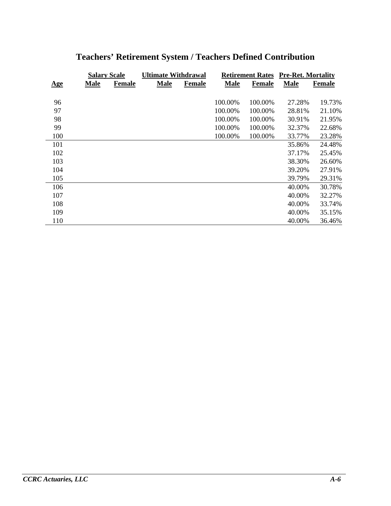|     | <b>Salary Scale</b> |               | <b>Ultimate Withdrawal</b> |               |             | <b>Retirement Rates</b> | <b>Pre-Ret. Mortality</b> |               |  |
|-----|---------------------|---------------|----------------------------|---------------|-------------|-------------------------|---------------------------|---------------|--|
| Age | <b>Male</b>         | <b>Female</b> | <b>Male</b>                | <b>Female</b> | <b>Male</b> | <b>Female</b>           | <b>Male</b>               | <b>Female</b> |  |
|     |                     |               |                            |               |             |                         |                           |               |  |
| 96  |                     |               |                            |               | 100.00%     | 100.00%                 | 27.28%                    | 19.73%        |  |
| 97  |                     |               |                            |               | 100.00%     | 100.00%                 | 28.81%                    | 21.10%        |  |
| 98  |                     |               |                            |               | 100.00%     | 100.00%                 | 30.91%                    | 21.95%        |  |
| 99  |                     |               |                            |               | 100.00%     | 100.00%                 | 32.37%                    | 22.68%        |  |
| 100 |                     |               |                            |               | 100.00%     | 100.00%                 | 33.77%                    | 23.28%        |  |
| 101 |                     |               |                            |               |             |                         | 35.86%                    | 24.48%        |  |
| 102 |                     |               |                            |               |             |                         | 37.17%                    | 25.45%        |  |
| 103 |                     |               |                            |               |             |                         | 38.30%                    | 26.60%        |  |
| 104 |                     |               |                            |               |             |                         | 39.20%                    | 27.91%        |  |
| 105 |                     |               |                            |               |             |                         | 39.79%                    | 29.31%        |  |
| 106 |                     |               |                            |               |             |                         | 40.00%                    | 30.78%        |  |
| 107 |                     |               |                            |               |             |                         | 40.00%                    | 32.27%        |  |
| 108 |                     |               |                            |               |             |                         | 40.00%                    | 33.74%        |  |
| 109 |                     |               |                            |               |             |                         | 40.00%                    | 35.15%        |  |
| 110 |                     |               |                            |               |             |                         | 40.00%                    | 36.46%        |  |

# **Teachers' Retirement System / Teachers Defined Contribution**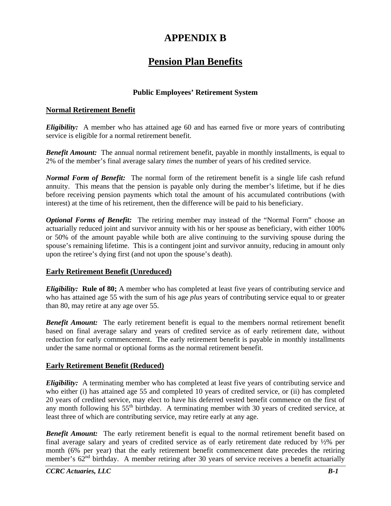# **APPENDIX B**

# **Pension Plan Benefits**

# **Public Employees' Retirement System**

## **Normal Retirement Benefit**

*Eligibility:* A member who has attained age 60 and has earned five or more years of contributing service is eligible for a normal retirement benefit.

*Benefit Amount:* The annual normal retirement benefit, payable in monthly installments, is equal to 2% of the member's final average salary *times* the number of years of his credited service.

*Normal Form of Benefit:* The normal form of the retirement benefit is a single life cash refund annuity. This means that the pension is payable only during the member's lifetime, but if he dies before receiving pension payments which total the amount of his accumulated contributions (with interest) at the time of his retirement, then the difference will be paid to his beneficiary.

*Optional Forms of Benefit:* The retiring member may instead of the "Normal Form" choose an actuarially reduced joint and survivor annuity with his or her spouse as beneficiary, with either 100% or 50% of the amount payable while both are alive continuing to the surviving spouse during the spouse's remaining lifetime. This is a contingent joint and survivor annuity, reducing in amount only upon the retiree's dying first (and not upon the spouse's death).

## **Early Retirement Benefit (Unreduced)**

*Eligibility:* **Rule of 80;** A member who has completed at least five years of contributing service and who has attained age 55 with the sum of his age *plus* years of contributing service equal to or greater than 80, may retire at any age over 55.

**Benefit Amount:** The early retirement benefit is equal to the members normal retirement benefit based on final average salary and years of credited service as of early retirement date, without reduction for early commencement. The early retirement benefit is payable in monthly installments under the same normal or optional forms as the normal retirement benefit.

## **Early Retirement Benefit (Reduced)**

*Eligibility:* A terminating member who has completed at least five years of contributing service and who either (i) has attained age 55 and completed 10 years of credited service, or (ii) has completed 20 years of credited service, may elect to have his deferred vested benefit commence on the first of any month following his  $55<sup>th</sup>$  birthday. A terminating member with 30 years of credited service, at least three of which are contributing service, may retire early at any age.

**Benefit Amount:** The early retirement benefit is equal to the normal retirement benefit based on final average salary and years of credited service as of early retirement date reduced by ½% per month (6% per year) that the early retirement benefit commencement date precedes the retiring member's  $62<sup>nd</sup>$  birthday. A member retiring after 30 years of service receives a benefit actuarially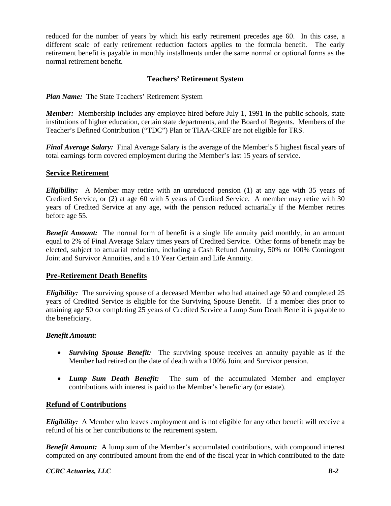reduced for the number of years by which his early retirement precedes age 60. In this case, a different scale of early retirement reduction factors applies to the formula benefit. The early retirement benefit is payable in monthly installments under the same normal or optional forms as the normal retirement benefit.

# **Teachers' Retirement System**

*Plan Name:* The State Teachers' Retirement System

*Member:* Membership includes any employee hired before July 1, 1991 in the public schools, state institutions of higher education, certain state departments, and the Board of Regents. Members of the Teacher's Defined Contribution ("TDC") Plan or TIAA-CREF are not eligible for TRS.

*Final Average Salary:* Final Average Salary is the average of the Member's 5 highest fiscal years of total earnings form covered employment during the Member's last 15 years of service.

## **Service Retirement**

*Eligibility:* A Member may retire with an unreduced pension (1) at any age with 35 years of Credited Service, or (2) at age 60 with 5 years of Credited Service. A member may retire with 30 years of Credited Service at any age, with the pension reduced actuarially if the Member retires before age 55.

**Benefit Amount:** The normal form of benefit is a single life annuity paid monthly, in an amount equal to 2% of Final Average Salary times years of Credited Service. Other forms of benefit may be elected, subject to actuarial reduction, including a Cash Refund Annuity, 50% or 100% Contingent Joint and Survivor Annuities, and a 10 Year Certain and Life Annuity.

## **Pre-Retirement Death Benefits**

*Eligibility:* The surviving spouse of a deceased Member who had attained age 50 and completed 25 years of Credited Service is eligible for the Surviving Spouse Benefit. If a member dies prior to attaining age 50 or completing 25 years of Credited Service a Lump Sum Death Benefit is payable to the beneficiary.

## *Benefit Amount:*

- *Surviving Spouse Benefit:* The surviving spouse receives an annuity payable as if the Member had retired on the date of death with a 100% Joint and Survivor pension.
- *Lump Sum Death Benefit:* The sum of the accumulated Member and employer contributions with interest is paid to the Member's beneficiary (or estate).

## **Refund of Contributions**

*Eligibility:* A Member who leaves employment and is not eligible for any other benefit will receive a refund of his or her contributions to the retirement system.

*Benefit Amount:* A lump sum of the Member's accumulated contributions, with compound interest computed on any contributed amount from the end of the fiscal year in which contributed to the date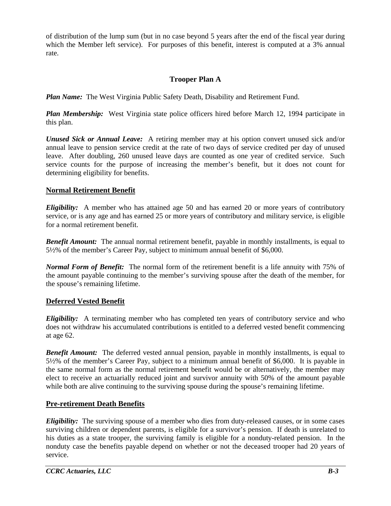of distribution of the lump sum (but in no case beyond 5 years after the end of the fiscal year during which the Member left service). For purposes of this benefit, interest is computed at a 3% annual rate.

# **Trooper Plan A**

*Plan Name:* The West Virginia Public Safety Death, Disability and Retirement Fund.

*Plan Membership:* West Virginia state police officers hired before March 12, 1994 participate in this plan.

*Unused Sick or Annual Leave:* A retiring member may at his option convert unused sick and/or annual leave to pension service credit at the rate of two days of service credited per day of unused leave. After doubling, 260 unused leave days are counted as one year of credited service. Such service counts for the purpose of increasing the member's benefit, but it does not count for determining eligibility for benefits.

# **Normal Retirement Benefit**

*Eligibility:* A member who has attained age 50 and has earned 20 or more years of contributory service, or is any age and has earned 25 or more years of contributory and military service, is eligible for a normal retirement benefit.

*Benefit Amount:* The annual normal retirement benefit, payable in monthly installments, is equal to 5½% of the member's Career Pay, subject to minimum annual benefit of \$6,000.

*Normal Form of Benefit:* The normal form of the retirement benefit is a life annuity with 75% of the amount payable continuing to the member's surviving spouse after the death of the member, for the spouse's remaining lifetime.

## **Deferred Vested Benefit**

*Eligibility:* A terminating member who has completed ten years of contributory service and who does not withdraw his accumulated contributions is entitled to a deferred vested benefit commencing at age 62.

**Benefit Amount:** The deferred vested annual pension, payable in monthly installments, is equal to 5½% of the member's Career Pay, subject to a minimum annual benefit of \$6,000. It is payable in the same normal form as the normal retirement benefit would be or alternatively, the member may elect to receive an actuarially reduced joint and survivor annuity with 50% of the amount payable while both are alive continuing to the surviving spouse during the spouse's remaining lifetime.

# **Pre-retirement Death Benefits**

*Eligibility:* The surviving spouse of a member who dies from duty-released causes, or in some cases surviving children or dependent parents, is eligible for a survivor's pension. If death is unrelated to his duties as a state trooper, the surviving family is eligible for a nonduty-related pension. In the nonduty case the benefits payable depend on whether or not the deceased trooper had 20 years of service.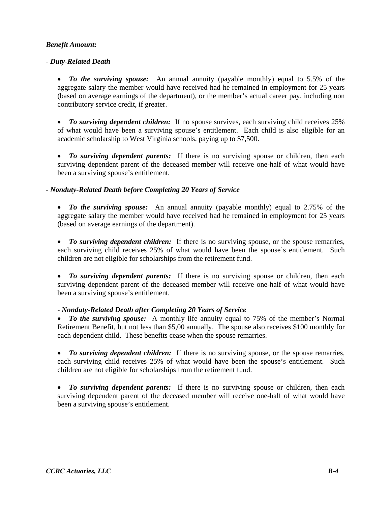## *Benefit Amount:*

## - *Duty-Related Death*

 *To the surviving spouse:* An annual annuity (payable monthly) equal to 5.5% of the aggregate salary the member would have received had he remained in employment for 25 years (based on average earnings of the department), or the member's actual career pay, including non contributory service credit, if greater.

• To surviving dependent children: If no spouse survives, each surviving child receives 25% of what would have been a surviving spouse's entitlement. Each child is also eligible for an academic scholarship to West Virginia schools, paying up to \$7,500.

• *To surviving dependent parents:* If there is no surviving spouse or children, then each surviving dependent parent of the deceased member will receive one-half of what would have been a surviving spouse's entitlement.

## - *Nonduty-Related Death before Completing 20 Years of Service*

• *To the surviving spouse:* An annual annuity (payable monthly) equal to 2.75% of the aggregate salary the member would have received had he remained in employment for 25 years (based on average earnings of the department).

• To surviving dependent children: If there is no surviving spouse, or the spouse remarries, each surviving child receives 25% of what would have been the spouse's entitlement. Such children are not eligible for scholarships from the retirement fund.

• *To surviving dependent parents:* If there is no surviving spouse or children, then each surviving dependent parent of the deceased member will receive one-half of what would have been a surviving spouse's entitlement.

## - *Nonduty-Related Death after Completing 20 Years of Service*

 *To the surviving spouse:* A monthly life annuity equal to 75% of the member's Normal Retirement Benefit, but not less than \$5,00 annually. The spouse also receives \$100 monthly for each dependent child. These benefits cease when the spouse remarries.

 *To surviving dependent children:* If there is no surviving spouse, or the spouse remarries, each surviving child receives 25% of what would have been the spouse's entitlement. Such children are not eligible for scholarships from the retirement fund.

 *To surviving dependent parents:* If there is no surviving spouse or children, then each surviving dependent parent of the deceased member will receive one-half of what would have been a surviving spouse's entitlement.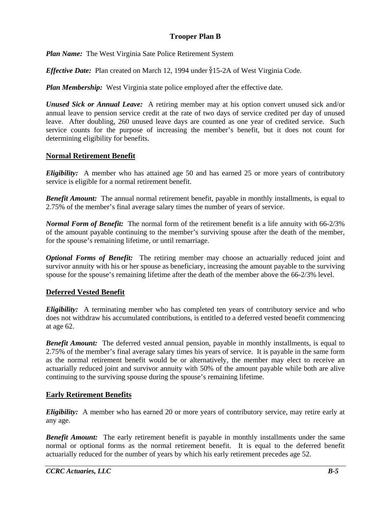# **Trooper Plan B**

*Plan Name:* The West Virginia Sate Police Retirement System

*Effective Date:* Plan created on March 12, 1994 under §15-2A of West Virginia Code.

*Plan Membership:* West Virginia state police employed after the effective date.

*Unused Sick or Annual Leave:* A retiring member may at his option convert unused sick and/or annual leave to pension service credit at the rate of two days of service credited per day of unused leave. After doubling, 260 unused leave days are counted as one year of credited service. Such service counts for the purpose of increasing the member's benefit, but it does not count for determining eligibility for benefits.

## **Normal Retirement Benefit**

*Eligibility:* A member who has attained age 50 and has earned 25 or more years of contributory service is eligible for a normal retirement benefit.

*Benefit Amount:* The annual normal retirement benefit, payable in monthly installments, is equal to 2.75% of the member's final average salary times the number of years of service.

*Normal Form of Benefit:* The normal form of the retirement benefit is a life annuity with 66-2/3% of the amount payable continuing to the member's surviving spouse after the death of the member, for the spouse's remaining lifetime, or until remarriage.

*Optional Forms of Benefit:* The retiring member may choose an actuarially reduced joint and survivor annuity with his or her spouse as beneficiary, increasing the amount payable to the surviving spouse for the spouse's remaining lifetime after the death of the member above the 66-2/3% level.

# **Deferred Vested Benefit**

*Eligibility:* A terminating member who has completed ten years of contributory service and who does not withdraw his accumulated contributions, is entitled to a deferred vested benefit commencing at age 62.

**Benefit Amount:** The deferred vested annual pension, payable in monthly installments, is equal to 2.75% of the member's final average salary times his years of service. It is payable in the same form as the normal retirement benefit would be or alternatively, the member may elect to receive an actuarially reduced joint and survivor annuity with 50% of the amount payable while both are alive continuing to the surviving spouse during the spouse's remaining lifetime.

## **Early Retirement Benefits**

*Eligibility:* A member who has earned 20 or more years of contributory service, may retire early at any age.

*Benefit Amount:* The early retirement benefit is payable in monthly installments under the same normal or optional forms as the normal retirement benefit. It is equal to the deferred benefit actuarially reduced for the number of years by which his early retirement precedes age 52.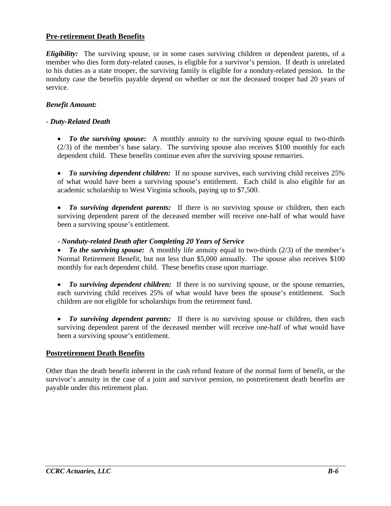## **Pre-retirement Death Benefits**

*Eligibility:* The surviving spouse, or in some cases surviving children or dependent parents, of a member who dies form duty-related causes, is eligible for a survivor's pension. If death is unrelated to his duties as a state trooper, the surviving family is eligible for a nonduty-related pension. In the nonduty case the benefits payable depend on whether or not the deceased trooper had 20 years of service.

## *Benefit Amount:*

## - *Duty-Related Death*

 *To the surviving spouse:* A monthly annuity to the surviving spouse equal to two-thirds (2/3) of the member's base salary. The surviving spouse also receives \$100 monthly for each dependent child. These benefits continue even after the surviving spouse remarries.

• To surviving dependent children: If no spouse survives, each surviving child receives 25% of what would have been a surviving spouse's entitlement. Each child is also eligible for an academic scholarship to West Virginia schools, paying up to \$7,500.

 *To surviving dependent parents:* If there is no surviving spouse or children, then each surviving dependent parent of the deceased member will receive one-half of what would have been a surviving spouse's entitlement.

- *Nonduty-related Death after Completing 20 Years of Service*

• To the surviving spouse: A monthly life annuity equal to two-thirds (2/3) of the member's Normal Retirement Benefit, but not less than \$5,000 annually. The spouse also receives \$100 monthly for each dependent child. These benefits cease upon marriage.

 *To surviving dependent children:* If there is no surviving spouse, or the spouse remarries, each surviving child receives 25% of what would have been the spouse's entitlement. Such children are not eligible for scholarships from the retirement fund.

 *To surviving dependent parents:* If there is no surviving spouse or children, then each surviving dependent parent of the deceased member will receive one-half of what would have been a surviving spouse's entitlement.

## **Postretirement Death Benefits**

Other than the death benefit inherent in the cash refund feature of the normal form of benefit, or the survivor's annuity in the case of a joint and survivor pension, no postretirement death benefits are payable under this retirement plan.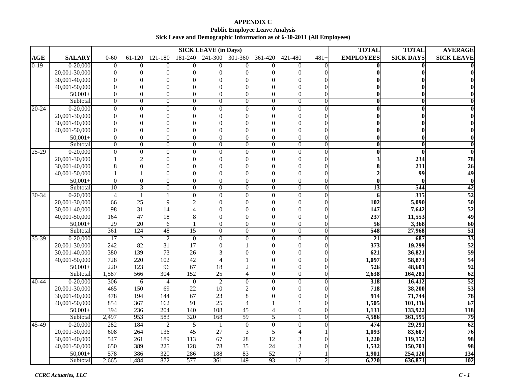**APPENDIX C Public Employee Leave Analysis Sick Leave and Demographic Information as of 6-30-2011 (All Employees)**

|           |                             |                  |                             |                      |                      | <b>SICK LEAVE (in Days)</b> |                          |                |                |                | <b>TOTAL</b>           | <b>TOTAL</b>     | <b>AVERAGE</b>          |
|-----------|-----------------------------|------------------|-----------------------------|----------------------|----------------------|-----------------------------|--------------------------|----------------|----------------|----------------|------------------------|------------------|-------------------------|
| AGE       | <b>SALARY</b>               | $0 - 60$         | 61-120                      | 121-180              | 181-240              | 241-300                     | 301-360                  | 361-420        | 421-480        | $481+$         | <b>EMPLOYEES</b>       | <b>SICK DAYS</b> | <b>SICK LEAVE</b>       |
| $0-19$    | $0 - 20,000$                | $\overline{0}$   | $\overline{0}$              | $\overline{0}$       | $\overline{0}$       | $\overline{0}$              | $\overline{0}$           | $\overline{0}$ | $\overline{0}$ | $\Omega$       |                        |                  | 01                      |
|           | 20,001-30,000               | $\theta$         | $\Omega$                    | $\Omega$             | $\theta$             | $\theta$                    | $\Omega$                 | $\Omega$       | $\Omega$       |                |                        |                  |                         |
|           | 30,001-40,000               | $\Omega$         | $\Omega$                    | $\Omega$             | $\theta$             | $\Omega$                    |                          | $\Omega$       | $\Omega$       |                |                        |                  |                         |
|           | 40,001-50,000               | $\Omega$         | $\Omega$                    | $\Omega$             | 0                    | $\Omega$                    | 0                        | $\Omega$       | $\Omega$       |                |                        |                  |                         |
|           | $50,001+$                   | $\overline{0}$   | $\theta$                    | $\overline{0}$       | $\theta$             | $\theta$                    | $\theta$                 | $\theta$       | $\Omega$       |                |                        |                  | 0                       |
|           | Subtotal                    | $\boldsymbol{0}$ | $\mathbf{0}$                | $\theta$             | $\overline{0}$       | $\boldsymbol{0}$            | $\boldsymbol{0}$         | $\overline{0}$ | $\mathbf{0}$   | $\mathbf{0}$   | $\bf{0}$               | $\bf{0}$         | $\bf{0}$                |
| $20 - 24$ | $0-20,000$                  | $\boldsymbol{0}$ | $\theta$                    | $\Omega$             | $\mathbf{0}$         | $\Omega$                    | $\mathbf{0}$             | $\theta$       | $\theta$       |                |                        |                  | $\bf{0}$                |
|           | 20,001-30,000               | $\theta$         | $\Omega$                    | $\Omega$             | $\Omega$             | $\theta$                    | $\Omega$                 |                | 0              |                |                        |                  | 0l                      |
|           | 30,001-40,000               | $\theta$         | $\Omega$                    | $\Omega$             | $\theta$             | $\Omega$                    | 0                        |                | ∩              |                |                        |                  |                         |
|           | 40,001-50,000               | $\theta$         | $\Omega$                    | $\Omega$             | $\Omega$             | $\Omega$                    |                          |                |                |                |                        |                  |                         |
|           | $50,001+$                   | $\overline{0}$   | $\theta$                    | $\theta$             | $\theta$             | $\mathbf{0}$                | $\theta$                 | $\theta$       | $\theta$       |                |                        |                  | $\bf{0}$                |
|           | Subtotal                    | $\overline{0}$   | $\overline{0}$              | $\overline{0}$       | $\overline{0}$       | $\overline{0}$              | $\overline{0}$           | $\overline{0}$ | $\overline{0}$ | $\overline{0}$ | $\bf{0}$               | $\overline{0}$   | $\overline{\mathbf{0}}$ |
| 25-29     | $0-20,000$                  | $\overline{0}$   | $\overline{0}$              | $\overline{0}$       | $\overline{0}$       | $\overline{0}$              | $\overline{0}$           | $\overline{0}$ | $\overline{0}$ | $\mathbf{0}$   |                        | $\bf{0}$         | $\overline{0}$          |
|           | 20,001-30,000               |                  | $\mathcal{D}_{\mathcal{A}}$ | $\Omega$             | $\theta$             | $\theta$                    | $\theta$                 | $\Omega$       | ∩              |                |                        | 234              | 78                      |
|           | 30,001-40,000               | 8                | $\Omega$                    | $\Omega$             | 0                    | $\Omega$                    | 0                        |                | ∩              |                |                        | 211              | 26                      |
|           | 40,001-50,000               |                  |                             | $\Omega$             | $\theta$             | $\theta$                    | 0                        | $\Omega$       | 0              |                |                        | 99               | 49                      |
|           | $50,001+$                   | $\boldsymbol{0}$ | $\boldsymbol{0}$            | $\overline{0}$       | $\overline{0}$       | $\boldsymbol{0}$            | $\boldsymbol{0}$         | $\theta$       | $\theta$       |                |                        |                  | $\mathbf{0}$            |
|           | Subtotal                    | 10               | $\overline{3}$              | $\Omega$             | $\theta$             | $\Omega$                    | $\boldsymbol{0}$         | $\theta$       | $\theta$       | $\Omega$       | 13                     | 544              | 42                      |
| $30 - 34$ | $0-20,000$                  | $\overline{4}$   | $\mathbf{1}$                |                      | $\overline{0}$       | $\overline{0}$              | $\overline{0}$           | $\Omega$       | $\mathbf{0}$   | $\mathbf{0}$   | 6                      | 315              | 52                      |
|           | 20,001-30,000               | 66               | 25                          | 9                    | $\overline{2}$       | $\theta$                    | $\theta$                 |                | 0              |                | 102                    | 5,090            | 50                      |
|           | 30,001-40,000               | 98               | 31                          | 14                   | 4                    | $\Omega$                    | $\Omega$                 | $\Omega$       | 0              |                | 147                    | 7,642            | 52                      |
|           | 40,001-50,000               | 164              | 47                          | 18                   | 8                    | $\overline{0}$              | $\theta$                 |                | 0              |                | 237                    | 11,553           | 49                      |
|           | $50,001+$                   | 29<br>361        | 20<br>124                   | 6<br>48              | 15                   | $\boldsymbol{0}$            | $\theta$                 | $\overline{0}$ | $\theta$       | $\overline{0}$ | 56<br>548              | 3,368<br>27,968  | 60                      |
|           | Subtotal                    |                  |                             |                      |                      | $\overline{0}$              | $\overline{0}$           | $\overline{0}$ | $\overline{0}$ |                |                        |                  | 51<br>33                |
| 35-39     | $0-20,000$<br>20,001-30,000 | 17<br>242        | $\overline{2}$<br>82        | $\overline{2}$<br>31 | $\overline{0}$<br>17 | $\overline{0}$              | $\overline{0}$           | $\Omega$       | $\overline{0}$ | $\Omega$       | $\overline{21}$<br>373 | 687<br>19,299    | 52                      |
|           | 30,001-40,000               | 380              | 139                         | 73                   | 26                   | $\boldsymbol{0}$<br>3       | 0                        | $\Omega$       | 0<br>0         |                | 621                    | 36,821           | 59                      |
|           | 40,001-50,000               | 728              | 220                         | 102                  | 42                   | $\overline{4}$              |                          | $\Omega$       | $\Omega$       |                | 1,097                  | 58,873           | 54                      |
|           | $50,001+$                   | 220              | 123                         | 96                   | 67                   | 18                          | $\overline{2}$           | $\overline{0}$ | $\mathbf{0}$   |                | 526                    | 48,601           | 92                      |
|           | Subtotal                    | 1,587            | 566                         | 304                  | 152                  | 25                          | $\overline{4}$           | $\Omega$       | $\Omega$       | $\Omega$       | 2,638                  | 164,281          | 62                      |
| 40-44     | $0-20,000$                  | 306              | 6                           | $\overline{4}$       | $\boldsymbol{0}$     | $\overline{2}$              | $\boldsymbol{0}$         | $\Omega$       | $\Omega$       | $\theta$       | 318                    | 16,412           | 52                      |
|           | 20,001-30,000               | 465              | 150                         | 69                   | $22\,$               | 10                          | $\overline{c}$           | $\Omega$       | $\Omega$       | $\Omega$       | 718                    | 38,200           | 53                      |
|           | 30,001-40,000               | 478              | 194                         | 144                  | 67                   | 23                          | 8                        |                | $\Omega$       |                | 914                    | 71,744           | 78                      |
|           | 40,001-50,000               | 854              | 367                         | 162                  | 91                   | 25                          | $\overline{\mathcal{A}}$ |                |                |                | 1,505                  | 101,316          | 67                      |
|           | $50,001+$                   | 394              | 236                         | 204                  | 140                  | 108                         | 45                       |                | $\mathbf{0}$   |                | 1,131                  | 133,922          | 118                     |
|           | Subtotal                    | 2,497            | 953                         | 583                  | 320                  | 168                         | 59                       | 5              |                | $\overline{0}$ | 4,586                  | 361,595          | 79                      |
| 45-49     | $0 - 20,000$                | 282              | 184                         | $\overline{2}$       | $\overline{5}$       |                             | $\overline{0}$           | $\overline{0}$ | $\overline{0}$ | $\Omega$       | 474                    | 29,291           | 62                      |
|           | 20,001-30,000               | 608              | 264                         | 136                  | 45                   | 27                          | 3                        | 5              |                |                | 1,093                  | 83,607           | 76                      |
|           | 30,001-40,000               | 547              | 261                         | 189                  | 113                  | 67                          | 28                       | 12             | 3              |                | 1,220                  | 119,152          | 98                      |
|           | 40,001-50,000               | 650              | 389                         | 225                  | 128                  | 78                          | 35                       | 24             | 3              |                | 1,532                  | 150,701          | 98                      |
|           | $50,001+$                   | 578              | 386                         | 320                  | 286                  | 188                         | 83                       | 52             | 7              |                | 1,901                  | 254,120          | 134                     |
|           | Subtotal                    | 2,665            | 1,484                       | 872                  | 577                  | 361                         | 149                      | 93             | 17             | $\overline{c}$ | 6,220                  | 636,871          | 102                     |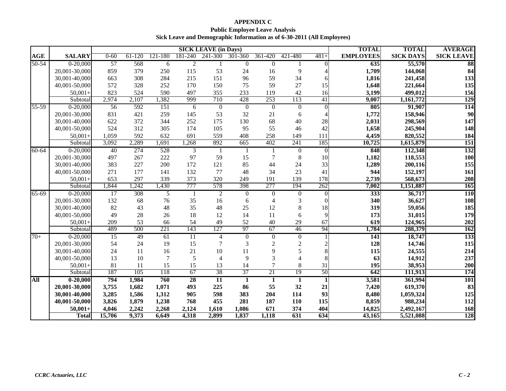# **APPENDIX C Public Employee Leave Analysis Sick Leave and Demographic Information as of 6-30-2011 (All Employees)**

|           |                                |                | <b>SICK LEAVE (in Days)</b> |                |                 |                        |                    |                |                    |                    | <b>TOTAL</b>     | <b>TOTAL</b>         | <b>AVERAGE</b>    |
|-----------|--------------------------------|----------------|-----------------------------|----------------|-----------------|------------------------|--------------------|----------------|--------------------|--------------------|------------------|----------------------|-------------------|
| AGE       | <b>SALARY</b>                  | $0 - 60$       | $61-120$                    | 121-180        | 181-240         | 241-300                | 301-360            | 361-420        | 421-480            | $481+$             | <b>EMPLOYEES</b> | <b>SICK DAYS</b>     | <b>SICK LEAVE</b> |
| $50 - 54$ | $0-20,000$                     | 57             | 568                         | 6              | $\overline{2}$  |                        | $\overline{0}$     | $\theta$       |                    | $\Omega$           | 635              | 55,570               | 88                |
|           | 20,001-30,000                  | 859            | 379                         | 250            | 115             | 53                     | 24                 | 16             | 9                  |                    | 1,709            | 144,068              | 84                |
|           | 30,001-40,000                  | 663            | 308                         | 284            | 215             | 151                    | 96                 | 59             | 34                 | 6                  | 1,816            | 241,458              | 133               |
|           | 40,001-50,000                  | 572            | 328                         | 252            | 170             | 150                    | 75                 | 59             | 27                 | 15                 | 1,648            | 221,664              | 135               |
|           | $50,001+$                      | 823            | 524                         | 590            | 497             | 355                    | 233                | 119            | 42                 | 16                 | 3,199            | 499,012              | 156               |
|           | Subtotal                       | 2,974          | 2,107                       | 1,382          | 999             | 710                    | 428                | 253            | 113                | 41                 | 9,007            | 1,161,772            | 129               |
| $55 - 59$ | $0-20,000$                     | 56             | 592                         | 151            | 6               | $\boldsymbol{0}$       | $\overline{0}$     | $\overline{0}$ | $\mathbf{0}$       | $\theta$           | 805              | 91,907               | 114               |
|           | 20,001-30,000                  | 831            | 421                         | 259            | 145             | 53                     | 32                 | 21             | 6                  |                    | 1,772            | 158,946              | 90                |
|           | 30,001-40,000                  | 622            | 372                         | 344            | 252             | 175                    | 130                | 68             | 40                 | $28\,$             | 2,031            | 298,569              | 147               |
|           | 40,001-50,000                  | 524            | 312                         | 305            | 174             | 105                    | 95                 | 55             | 46                 | 42                 | 1,658            | 245,904              | 148               |
|           | $50,001+$                      | 1,059          | 592                         | 632            | 691             | 559                    | 408                | 258            | 149                | 111                | 4,459            | 820,552              | 184               |
|           | Subtotal                       | 3,092          | 2,289                       | 1,691          | 1,268           | 892                    | 665                | 402            | 241                | 185                | 10,725           | 1,615,879            | 151               |
| $60 - 64$ | $0-20,000$                     | 40             | 274                         | 528            | 3               |                        |                    |                | $\theta$           | $\mathbf{0}$       | 848              | 112,348              | 132               |
|           | 20,001-30,000                  | 497            | 267                         | 222            | 97              | 59                     | 15                 | 7              | 8                  | 10                 | 1,182            | 118,553              | 100               |
|           | 30,001-40,000                  | 383            | 227                         | 200            | 172             | 121                    | 85                 | 44             | 24                 | 33                 | 1,289            | 200,116              | 155               |
|           | 40,001-50,000                  | 271            | 177                         | 141            | 132             | 77                     | 48                 | 34             | 23                 | 41                 | 944              | 152,197              | 161               |
|           | $50,001+$                      | 653            | 297                         | 339            | 373             | 320                    | 249                | 191            | 139                | 178                | 2,739            | 568,673              | 208               |
|           | Subtotal                       | 1,844          | 1,242                       | 1,430          | 777             | 578                    | 398                | 277            | 194                | 262                | 7,002            | 1,151,887            | 165               |
| $65 - 69$ | $0-20,000$                     | 17             | 308                         | $\overline{5}$ | $\mathbf{1}$    | $\overline{2}$         | $\overline{0}$     | $\Omega$       | $\Omega$           | $\Omega$           | 333              | 36,717               | <b>110</b>        |
|           | 20,001-30,000                  | 132            | 68                          | 76             | 35              | 16                     | 6                  | 4              | 3                  | $\Omega$           | 340              | 36,627               | 108               |
|           | 30,001-40,000                  | 82             | 43                          | 48             | 35              | 48                     | 25                 | 12             | 8                  | 18                 | 319              | 59,056               | 185               |
|           | 40,001-50,000                  | 49             | 28                          | 26             | 18              | 12                     | 14                 | 11             | 6                  | 9                  | 173              | 31,015               | 179               |
|           | $50,001+$                      | 209            | 53                          | 66             | 54              | 49                     | 52                 | 40             | 29                 | 67                 | 619              | 124,965              | 202               |
|           | Subtotal                       | 489            | 500                         | 221            | 143             | 127                    | 97                 | 67             | 46                 | 94                 | 1,784            | 288,379              | 162               |
| $70+$     | $0-20,000$                     | 15             | 49                          | 61             | $\overline{11}$ | $\overline{4}$         | $\overline{0}$     | $\theta$       | $\theta$           |                    | 141              | 18,747               | 133               |
|           | 20,001-30,000                  | 54             | 24                          | 19             | 15              | 7                      | $\mathfrak{Z}$     | $\overline{c}$ | $\overline{2}$     | $\overline{c}$     | 128              | 14,746               | 115               |
|           | 30,001-40,000                  | 24             | 11                          | 16             | 21              | 10                     | 11                 | 9              | 5                  | 8                  | 115              | 24,555               | 214               |
|           | 40,001-50,000                  | 13             | 10                          | 7              | 5               | $\overline{4}$         | 9                  | 3              |                    | 8                  | 63               | 14,912               | 237               |
|           | $50,001+$                      | 81<br>187      | 11<br>105                   | 15<br>118      | 15<br>67        | 13<br>38               | 14<br>37           | 21             | 8                  | 31<br>50           | 195<br>642       | 38,953               | 200<br>174        |
|           | Subtotal                       |                |                             |                |                 |                        |                    |                | 19                 |                    |                  | 111,913              |                   |
| All       | $0-20,000$<br>20,001-30,000    | 794<br>3,755   | 1,984<br>1,682              | 760<br>1,071   | 28<br>493       | $\overline{11}$<br>225 | $\mathbf{1}$<br>86 | 1<br>55        | $\mathbf{1}$<br>32 | $\mathbf{1}$<br>21 | 3,581<br>7,420   | 361,994<br>619,370   | 101<br>83         |
|           |                                |                |                             |                | 905             | 598                    | 383                |                | 114                | 93                 |                  |                      |                   |
|           | 30,001-40,000<br>40,001-50,000 | 3,285<br>3,826 | 1,586<br>1,879              | 1,312<br>1,238 | 768             | 455                    | 281                | 204<br>187     | 110                | 115                | 8,480<br>8,859   | 1,059,324<br>988,234 | 125<br>112        |
|           | $50,001 +$                     | 4,046          | 2,242                       | 2,268          | 2,124           | 1,610                  | 1,086              | 671            | 374                | 404                | 14,825           | 2,492,167            | 168               |
|           | Total                          | 15,706         | 9,373                       | 6,649          | 4,318           | 2,899                  | 1,837              | 1,118          | 631                | 634                | 43,165           | 5,521,088            | 128               |
|           |                                |                |                             |                |                 |                        |                    |                |                    |                    |                  |                      |                   |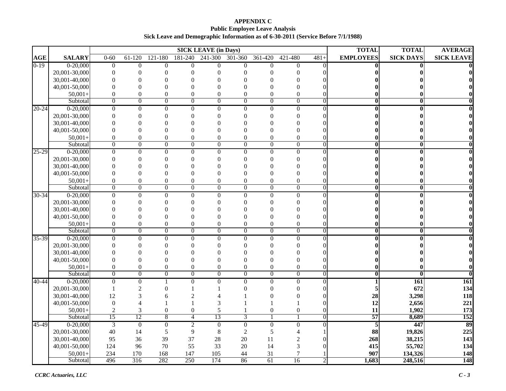#### **APPENDIX C Public Employee Leave Analysis Sick Leave and Demographic Information as of 6-30-2011 (Service Before 7/1/1988)**

|           |               |                  |                  |                  |                  | <b>SICK LEAVE (in Days)</b> |                  |                  |                |                | <b>TOTAL</b>            | <b>TOTAL</b>     | <b>AVERAGE</b>    |
|-----------|---------------|------------------|------------------|------------------|------------------|-----------------------------|------------------|------------------|----------------|----------------|-------------------------|------------------|-------------------|
| AGE       | <b>SALARY</b> | $0 - 60$         | $61-120$         | $121 - 180$      | 181-240          | 241-300                     | 301-360          | 361-420          | 421-480        | $481+$         | <b>EMPLOYEES</b>        | <b>SICK DAYS</b> | <b>SICK LEAVE</b> |
| $0-19$    | $0 - 20,000$  | $\overline{0}$   | $\overline{0}$   | $\overline{0}$   | $\Omega$         | $\theta$                    | $\Omega$         | $\theta$         | $\Omega$       | $\Omega$       |                         |                  |                   |
|           | 20,001-30,000 | $\overline{0}$   | $\theta$         | $\Omega$         | $\Omega$         | $\theta$                    | $\theta$         | $\Omega$         | 0              |                |                         |                  |                   |
|           | 30,001-40,000 | $\theta$         | $\Omega$         | $\Omega$         | $\Omega$         | $\theta$                    | $\theta$         | $\theta$         | $\theta$       |                |                         |                  |                   |
|           | 40,001-50,000 | $\theta$         | $\theta$         | $\Omega$         | $\theta$         | $\theta$                    | $\Omega$         | $\Omega$         | $\theta$       |                |                         |                  |                   |
|           | $50,001+$     | $\overline{0}$   | $\overline{0}$   | $\overline{0}$   | $\overline{0}$   | $\theta$                    | $\mathbf{0}$     | $\overline{0}$   | $\theta$       |                |                         |                  |                   |
|           | Subtotal      | $\overline{0}$   | $\overline{0}$   | $\overline{0}$   | $\overline{0}$   | $\overline{0}$              | $\overline{0}$   | $\overline{0}$   | $\overline{0}$ | $\overline{0}$ | 0                       |                  |                   |
| $20 - 24$ | $0-20,000$    | $\overline{0}$   | $\overline{0}$   | $\theta$         | $\mathbf{0}$     | $\boldsymbol{0}$            | $\overline{0}$   | $\overline{0}$   | $\overline{0}$ | $\Omega$       |                         |                  |                   |
|           | 20,001-30,000 | $\theta$         | $\theta$         | $\Omega$         | $\Omega$         | $\theta$                    | $\theta$         | $\theta$         | $\Omega$       |                |                         |                  |                   |
|           | 30,001-40,000 | $\Omega$         | $\Omega$         | $\Omega$         | $\Omega$         | $\theta$                    | $\theta$         | $\Omega$         | 0              |                |                         |                  |                   |
|           | 40,001-50,000 | $\theta$         | $\overline{0}$   | $\Omega$         | $\theta$         | $\theta$                    | $\theta$         | $\theta$         | $\Omega$       |                |                         |                  |                   |
|           | $50,001+$     | $\boldsymbol{0}$ | $\boldsymbol{0}$ | $\boldsymbol{0}$ | $\boldsymbol{0}$ | $\overline{0}$              | $\boldsymbol{0}$ | $\boldsymbol{0}$ | $\theta$       |                |                         |                  |                   |
|           | Subtotal      | $\overline{0}$   | $\overline{0}$   | $\overline{0}$   | $\overline{0}$   | $\overline{0}$              | $\overline{0}$   | $\overline{0}$   | $\overline{0}$ | $\overline{0}$ | 0                       |                  |                   |
| $25 - 29$ | $0-20,000$    | $\overline{0}$   | $\overline{0}$   | $\overline{0}$   | $\overline{0}$   | $\overline{0}$              | $\overline{0}$   | $\overline{0}$   | $\overline{0}$ | $\Omega$       |                         |                  |                   |
|           | 20,001-30,000 | $\Omega$         | $\Omega$         | $\Omega$         | $\theta$         | $\theta$                    | $\theta$         | $\theta$         | $\Omega$       |                |                         |                  |                   |
|           | 30,001-40,000 | $\Omega$         | $\Omega$         | $\Omega$         | $\Omega$         | $\Omega$                    | $\Omega$         | $\Omega$         | $\Omega$       |                |                         |                  |                   |
|           | 40,001-50,000 | $\Omega$         | $\overline{0}$   | $\Omega$         | $\theta$         | $\theta$                    | $\theta$         | $\theta$         | $\Omega$       |                |                         |                  |                   |
|           | $50,001+$     | $\boldsymbol{0}$ | $\boldsymbol{0}$ | $\boldsymbol{0}$ | $\boldsymbol{0}$ | $\overline{0}$              | $\overline{0}$   | $\boldsymbol{0}$ | $\theta$       |                |                         |                  |                   |
|           | Subtotal      | $\overline{0}$   | $\overline{0}$   | $\overline{0}$   | $\overline{0}$   | $\overline{0}$              | $\overline{0}$   | $\overline{0}$   | $\overline{0}$ | $\Omega$       | $\mathbf{0}$            | $\bf{0}$         |                   |
| $30 - 34$ | $0-20,000$    | $\boldsymbol{0}$ | $\mathbf{0}$     | $\mathbf{0}$     | $\mathbf{0}$     | $\boldsymbol{0}$            | $\mathbf{0}$     | $\mathbf{0}$     | $\Omega$       | $\Omega$       |                         |                  |                   |
|           | 20,001-30,000 | $\Omega$         | $\Omega$         | $\Omega$         | $\Omega$         | $\theta$                    | $\theta$         | $\Omega$         | 0              |                |                         |                  |                   |
|           | 30,001-40,000 | $\theta$         | $\Omega$         | $\Omega$         | $\Omega$         | $\Omega$                    | $\Omega$         | $\Omega$         | 0              |                |                         |                  |                   |
|           | 40,001-50,000 | $\overline{0}$   | $\boldsymbol{0}$ | $\Omega$         | $\theta$         | $\theta$                    | $\mathbf{0}$     | $\overline{0}$   | 0              |                |                         |                  |                   |
|           | $50,001+$     | $\boldsymbol{0}$ | $\boldsymbol{0}$ | $\boldsymbol{0}$ | $\boldsymbol{0}$ | $\boldsymbol{0}$            | $\boldsymbol{0}$ | $\boldsymbol{0}$ | $\overline{0}$ |                |                         |                  |                   |
|           | Subtotal      | $\overline{0}$   | $\overline{0}$   | $\overline{0}$   | $\overline{0}$   | $\overline{0}$              | $\overline{0}$   | $\overline{0}$   | $\overline{0}$ | $\overline{0}$ | $\overline{\mathbf{0}}$ | $\bf{0}$         |                   |
| 35-39     | $0-20,000$    | $\overline{0}$   | $\overline{0}$   | $\overline{0}$   | $\overline{0}$   | $\overline{0}$              | $\overline{0}$   | $\overline{0}$   | $\overline{0}$ | $\Omega$       |                         |                  |                   |
|           | 20,001-30,000 | $\theta$         | $\overline{0}$   | $\Omega$         | $\theta$         | $\theta$                    | $\mathbf{0}$     | $\theta$         | $\theta$       |                |                         |                  |                   |
|           | 30,001-40,000 | $\theta$         | $\Omega$         | $\Omega$         | $\Omega$         | $\theta$                    | $\theta$         | $\theta$         | 0              |                |                         |                  |                   |
|           | 40,001-50,000 | $\Omega$         | $\Omega$         | $\Omega$         | $\Omega$         | $\Omega$                    | $\theta$         | $\theta$         | 0              |                |                         |                  |                   |
|           | $50,001+$     | $\boldsymbol{0}$ | $\boldsymbol{0}$ | $\overline{0}$   | $\boldsymbol{0}$ | $\boldsymbol{0}$            | $\boldsymbol{0}$ | $\boldsymbol{0}$ | $\overline{0}$ |                |                         |                  |                   |
|           | Subtotal      | $\boldsymbol{0}$ | $\overline{0}$   | $\overline{0}$   | $\overline{0}$   | $\overline{0}$              | $\overline{0}$   | $\overline{0}$   | $\overline{0}$ | $\overline{0}$ |                         |                  |                   |
| $40 - 44$ | $0-20,000$    | $\Omega$         | $\boldsymbol{0}$ |                  | $\Omega$         | $\theta$                    | $\Omega$         | $\boldsymbol{0}$ | $\Omega$       | $\Omega$       |                         | 161              | 161               |
|           | 20,001-30,000 | 1                | $\overline{c}$   | $\Omega$         |                  |                             | $\theta$         | $\theta$         | $\theta$       |                |                         | 672              | 134               |
|           | 30,001-40,000 | 12               | 3                | 6                | $\mathcal{D}$    | $\Delta$                    |                  | $\theta$         | 0              |                | 28                      | 3,298            | 118               |
|           | 40,001-50,000 | $\boldsymbol{0}$ |                  |                  |                  | 3                           |                  |                  |                |                | 12                      | 2,656            | 221               |
|           | $50,001+$     | $\overline{2}$   | 3                | $\boldsymbol{0}$ | $\boldsymbol{0}$ | 5                           |                  | 0                | $\overline{0}$ |                | 11                      | 1,902            | 173               |
|           | Subtotal      | 15               | 12               | 8                | $\overline{4}$   | 13                          | 3                | $\mathbf{1}$     |                | 0              | 57                      | 8,689            | 152               |
| 45-49     | $0-20,000$    | $\overline{3}$   | $\overline{0}$   | $\overline{0}$   | $\overline{2}$   | $\overline{0}$              | $\overline{0}$   | $\overline{0}$   | $\overline{0}$ | $\Omega$       | $\overline{5}$          | 447              | 89                |
|           | 20,001-30,000 | 40               | 14               | 5                | $\overline{9}$   | $\,8\,$                     | $\overline{2}$   | 5                | 4              |                | 88                      | 19,826           | 225               |
|           | 30,001-40,000 | 95               | 36               | 39               | 37               | 28                          | 20               | 11               | $\overline{c}$ |                | 268                     | 38,215           | 143               |
|           | 40,001-50,000 | 124              | 96               | 70               | 55               | 33                          | 20               | 14               | 3              | O              | 415                     | 55,702           | 134               |
|           | $50,001+$     | 234              | 170              | 168              | 147              | 105                         | 44               | 31               | 7              |                | 907                     | 134,326          | 148               |
|           | Subtotal      | 496              | 316              | 282              | 250              | 174                         | 86               | 61               | 16             | $\overline{2}$ | 1,683                   | 248,516          | 148               |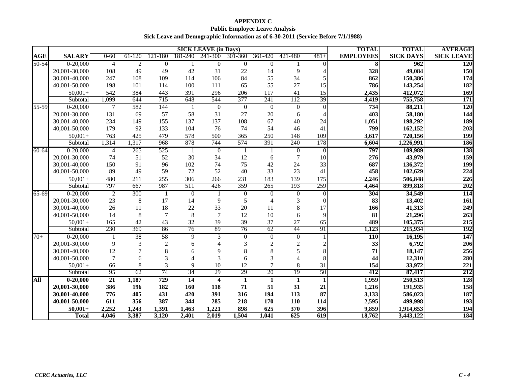#### **APPENDIX C Public Employee Leave Analysis Sick Leave and Demographic Information as of 6-30-2011 (Service Before 7/1/1988)**

|            |               | <b>SICK LEAVE (in Days)</b> |                |                |                |                         |                  | <b>TOTAL</b>     | <b>TOTAL</b>             | <b>AVERAGE</b> |                  |                  |                   |
|------------|---------------|-----------------------------|----------------|----------------|----------------|-------------------------|------------------|------------------|--------------------------|----------------|------------------|------------------|-------------------|
| <b>AGE</b> | <b>SALARY</b> | $0 - 60$                    | $61-120$       | 121-180        | 181-240        | 241-300                 | 301-360          | 361-420          | 421-480                  | $481+$         | <b>EMPLOYEES</b> | <b>SICK DAYS</b> | <b>SICK LEAVE</b> |
| $50 - 54$  | $0-20,000$    | $\overline{4}$              | $\overline{2}$ | $\overline{0}$ | 1              | $\boldsymbol{0}$        | $\boldsymbol{0}$ | $\boldsymbol{0}$ |                          | $\Omega$       | 8                | 962              | <b>120</b>        |
|            | 20,001-30,000 | 108                         | 49             | 49             | 42             | 31                      | 22               | 14               | 9                        |                | 328              | 49,084           | 150               |
|            | 30,001-40,000 | 247                         | 108            | 109            | 114            | 106                     | 84               | 55               | 34                       |                | 862              | 150,386          | 174               |
|            | 40,001-50,000 | 198                         | 101            | 114            | 100            | 111                     | 65               | 55               | 27                       | 15             | 786              | 143,254          | 182               |
|            | $50,001+$     | 542                         | 384            | 443            | 391            | 296                     | 206              | 117              | 41                       | 15             | 2,435            | 412,072          | 169               |
|            | Subtotal      | 1,099                       | 644            | 715            | 648            | 544                     | 377              | 241              | 112                      | 39             | 4,419            | 755,758          | 171               |
| 55-59      | $0-20,000$    | $\overline{7}$              | 582            | 144            | 1              | $\overline{0}$          | $\overline{0}$   | $\overline{0}$   | $\overline{0}$           | $\Omega$       | 734              | 88,211           | 120               |
|            | 20,001-30,000 | 131                         | 69             | 57             | 58             | 31                      | 27               | $20\,$           | 6                        |                | 403              | 58,180           | 144               |
|            | 30,001-40,000 | 234                         | 149            | 155            | 137            | 137                     | 108              | 67               | 40                       | 24             | 1,051            | 198,292          | 189               |
|            | 40,001-50,000 | 179                         | 92             | 133            | 104            | 76                      | 74               | 54               | 46                       | 41             | 799              | 162,152          | 203               |
|            | $50,001+$     | 763                         | 425            | 479            | 578            | 500                     | 365              | 250              | 148                      | 109            | 3,617            | 720,156          | 199               |
|            | Subtotal      | 1,314                       | 1,317          | 968            | 878            | 744                     | 574              | 391              | 240                      | 178            | 6,604            | 1,226,991        | <b>186</b>        |
| $60 - 64$  | $0-20,000$    | $\overline{4}$              | 265            | 525            | 1              | $\mathbf{0}$            | -1               | -1               | $\theta$                 | $\overline{0}$ | 797              | 109,989          | 138               |
|            | 20,001-30,000 | 74                          | 51             | 52             | 30             | 34                      | 12               | 6                | 7                        | 10             | 276              | 43,979           | 159               |
|            | 30,001-40,000 | 150                         | 91             | 96             | 102            | 74                      | 75               | 42               | 24                       | 33             | 687              | 136,372          | 199               |
|            | 40,001-50,000 | 89                          | 49             | 59             | 72             | 52                      | 40               | 33               | 23                       | 41             | 458              | 102,629          | 224               |
|            | $50,001+$     | 480                         | 211            | 255            | 306            | 266                     | 231              | 183              | 139                      | 175            | 2,246            | 506,848          | 226               |
|            | Subtotal      | 797                         | 667            | 987            | 511            | 426                     | 359              | 265              | 193                      | 259            | 4,464            | 899,818          | 202               |
| 65-69      | $0-20,000$    | $\overline{2}$              | 300            | $\mathbf{1}$   | $\overline{0}$ |                         | $\overline{0}$   | $\overline{0}$   | $\overline{0}$           | $\overline{0}$ | 304              | 34,549           | 114               |
|            | 20,001-30,000 | 23                          | 8              | 17             | 14             | 9                       | 5                | $\overline{4}$   | 3                        | 0              | 83               | 13,402           | 161               |
|            | 30,001-40,000 | 26                          | 11             | 18             | 22             | 33                      | 20               | 11               | 8                        | 17             | 166              | 41,313           | 249               |
|            | 40,001-50,000 | 14                          | 8              | $\overline{7}$ | 8              | $\overline{7}$          | 12               | 10               | 6                        | 9              | 81               | 21,296           | 263               |
|            | $50,001+$     | 165                         | 42             | 43             | 32             | 39                      | 39               | 37               | $27\,$                   | 65             | 489              | 105,375          | 215               |
|            | Subtotal      | 230                         | 369            | 86             | 76             | 89                      | 76               | 62               | 44                       | 91             | 1,123            | 215,934          | 192               |
| $70+$      | $0-20,000$    | -1                          | 38             | 58             | 9              | 3                       | $\overline{0}$   | $\overline{0}$   | $\Omega$                 | $\mathbf{1}$   | <b>110</b>       | 16,195           | 147               |
|            | 20,001-30,000 | 9                           | 3              | $\overline{2}$ | 6              | $\Delta$                | 3                | $\overline{c}$   | $\overline{c}$           |                | 33               | 6,792            | 206               |
|            | 30,001-40,000 | 12                          |                | 8              | 6              | 9                       | 8                | 8                | 5                        |                | 71               | 18,147           | 256               |
|            | 40,001-50,000 | $\overline{7}$              | 6              | 3              |                | 3                       | 6                | $\overline{3}$   | $\overline{\mathcal{A}}$ |                | 44               | 12,310           | 280               |
|            | $50,001+$     | 66                          | 8              | 3              | 9              | 10                      | 12               | $\overline{7}$   | 8                        | 31             | 154              | 33,972           | 221               |
|            | Subtotal      | 95                          | 62             | 74             | 34             | 29                      | 29               | 20               | 19                       | 50             | 412              | 87,417           | 212               |
| All        | $0 - 20,000$  | $\overline{21}$             | 1,187          | 729            | 14             | $\overline{\mathbf{4}}$ | $\mathbf{1}$     | 1                | 1                        | 1              | 1,959            | 250,513          | 128               |
|            | 20,001-30,000 | 386                         | 196            | 182            | 160            | 118                     | 71               | 51               | 31                       | 21             | 1,216            | 191,935          | 158               |
|            | 30,001-40,000 | 776                         | 405            | 431            | 420            | 391                     | 316              | 194              | 113                      | 87             | 3,133            | 586,023          | 187               |
|            | 40,001-50,000 | 611                         | 356            | 387            | 344            | 285                     | 218              | 170              | 110                      | 114            | 2,595            | 499,998          | 193               |
|            | $50,001+$     | 2,252                       | 1,243          | 1,391          | 1,463          | 1,221                   | 898              | 625              | 370                      | 396            | 9,859            | 1,914,653        | 194               |
|            | <b>Total</b>  | 4,046                       | 3,387          | 3,120          | 2,401          | 2,019                   | 1,504            | 1,041            | 625                      | 619            | 18,762           | 3,443,122        | 184               |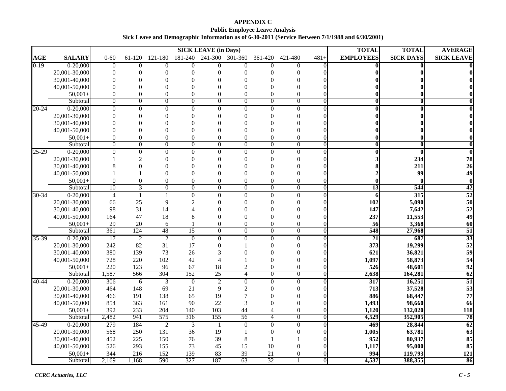### **APPENDIX C Public Employee Leave Analysis Sick Leave and Demographic Information as of 6-30-2011 (Service Between 7/1/1988 and 6/30/2001)**

|                    |                                                                                                                                                                                                                                             |                                                                                                                    |                                                                                                              |                                                                                                                    |                                                                                                                             | <b>SICK LEAVE (in Days)</b>                                                                                                       |                                                                                                                                                                              |                                                                                                                                                                                                                |                                                                                                                                                                                                    |                                             | <b>TOTAL</b>                                                                                                                 | <b>TOTAL</b>                                                                                                                                                      | <b>AVERAGE</b>    |
|--------------------|---------------------------------------------------------------------------------------------------------------------------------------------------------------------------------------------------------------------------------------------|--------------------------------------------------------------------------------------------------------------------|--------------------------------------------------------------------------------------------------------------|--------------------------------------------------------------------------------------------------------------------|-----------------------------------------------------------------------------------------------------------------------------|-----------------------------------------------------------------------------------------------------------------------------------|------------------------------------------------------------------------------------------------------------------------------------------------------------------------------|----------------------------------------------------------------------------------------------------------------------------------------------------------------------------------------------------------------|----------------------------------------------------------------------------------------------------------------------------------------------------------------------------------------------------|---------------------------------------------|------------------------------------------------------------------------------------------------------------------------------|-------------------------------------------------------------------------------------------------------------------------------------------------------------------|-------------------|
| <b>AGE</b>         | <b>SALARY</b>                                                                                                                                                                                                                               | $0 - 60$                                                                                                           | 61-120                                                                                                       | 121-180                                                                                                            | 181-240                                                                                                                     | 241-300                                                                                                                           | 301-360                                                                                                                                                                      | 361-420                                                                                                                                                                                                        | 421-480                                                                                                                                                                                            | $481+$                                      | <b>EMPLOYEES</b>                                                                                                             | <b>SICK DAYS</b>                                                                                                                                                  | <b>SICK LEAVE</b> |
| $0-19$             | $0-20,000$                                                                                                                                                                                                                                  | $\mathbf{0}$                                                                                                       | $\overline{0}$                                                                                               | $\Omega$                                                                                                           | $\overline{0}$                                                                                                              | $\Omega$                                                                                                                          | $\mathbf{0}$                                                                                                                                                                 | $\overline{0}$                                                                                                                                                                                                 | $\Omega$                                                                                                                                                                                           | $\Omega$                                    |                                                                                                                              | 0                                                                                                                                                                 |                   |
|                    | 20,001-30,000                                                                                                                                                                                                                               | $\theta$                                                                                                           | $\Omega$                                                                                                     | $\Omega$                                                                                                           | $\theta$                                                                                                                    | $\Omega$                                                                                                                          | $\theta$                                                                                                                                                                     | $\Omega$                                                                                                                                                                                                       | $\Omega$                                                                                                                                                                                           |                                             |                                                                                                                              |                                                                                                                                                                   |                   |
|                    | 30,001-40,000                                                                                                                                                                                                                               | $\mathbf{0}$                                                                                                       |                                                                                                              | $\Omega$                                                                                                           | $\Omega$                                                                                                                    | $\Omega$                                                                                                                          | $\theta$                                                                                                                                                                     | $\Omega$                                                                                                                                                                                                       | $\Omega$                                                                                                                                                                                           |                                             |                                                                                                                              |                                                                                                                                                                   |                   |
|                    | 40,001-50,000                                                                                                                                                                                                                               | $\theta$                                                                                                           | $\Omega$                                                                                                     | $\Omega$                                                                                                           | $\Omega$                                                                                                                    | $\Omega$                                                                                                                          | $\Omega$                                                                                                                                                                     | $\Omega$                                                                                                                                                                                                       | $\Omega$                                                                                                                                                                                           |                                             |                                                                                                                              |                                                                                                                                                                   |                   |
|                    | $50.001+$                                                                                                                                                                                                                                   | $\mathbf{0}$                                                                                                       | $\Omega$                                                                                                     | $\theta$                                                                                                           | $\theta$                                                                                                                    | $\theta$                                                                                                                          | $\boldsymbol{0}$                                                                                                                                                             | $\theta$                                                                                                                                                                                                       | $\theta$                                                                                                                                                                                           |                                             |                                                                                                                              |                                                                                                                                                                   |                   |
|                    | Subtotal                                                                                                                                                                                                                                    | $\overline{0}$                                                                                                     | $\overline{0}$                                                                                               | $\overline{0}$                                                                                                     | $\overline{0}$                                                                                                              | $\overline{0}$                                                                                                                    | $\overline{0}$                                                                                                                                                               | $\overline{0}$                                                                                                                                                                                                 | $\overline{0}$                                                                                                                                                                                     | $\theta$                                    | 0                                                                                                                            | $\bf{0}$                                                                                                                                                          |                   |
| $20 - 24$          | $0-20,000$                                                                                                                                                                                                                                  | $\mathbf{0}$                                                                                                       | $\overline{0}$                                                                                               | $\Omega$                                                                                                           | $\theta$                                                                                                                    | $\overline{0}$                                                                                                                    | $\mathbf{0}$                                                                                                                                                                 | $\overline{0}$                                                                                                                                                                                                 | $\Omega$                                                                                                                                                                                           |                                             |                                                                                                                              |                                                                                                                                                                   |                   |
|                    | 20,001-30,000                                                                                                                                                                                                                               | 0                                                                                                                  | $\Omega$                                                                                                     | $\Omega$                                                                                                           | 0                                                                                                                           | $\theta$                                                                                                                          | $\theta$                                                                                                                                                                     | $\Omega$                                                                                                                                                                                                       | $\Omega$                                                                                                                                                                                           |                                             |                                                                                                                              |                                                                                                                                                                   |                   |
|                    | 30,001-40,000                                                                                                                                                                                                                               | $\Omega$                                                                                                           | 0                                                                                                            | $\Omega$                                                                                                           | $\Omega$                                                                                                                    | $\Omega$                                                                                                                          | $\Omega$                                                                                                                                                                     | $\Omega$                                                                                                                                                                                                       | $\Omega$                                                                                                                                                                                           |                                             |                                                                                                                              |                                                                                                                                                                   |                   |
|                    | 40,001-50,000                                                                                                                                                                                                                               | $\theta$                                                                                                           | $\Omega$                                                                                                     |                                                                                                                    | $\theta$                                                                                                                    | $\Omega$                                                                                                                          | $\theta$                                                                                                                                                                     | $\Omega$                                                                                                                                                                                                       | $\Omega$                                                                                                                                                                                           |                                             |                                                                                                                              |                                                                                                                                                                   |                   |
|                    | $50.001+$                                                                                                                                                                                                                                   | $\mathbf{0}$                                                                                                       | $\mathbf{0}$                                                                                                 | $\theta$                                                                                                           | $\theta$                                                                                                                    | $\theta$                                                                                                                          | $\mathbf{0}$                                                                                                                                                                 | $\overline{0}$                                                                                                                                                                                                 | $\theta$                                                                                                                                                                                           |                                             |                                                                                                                              |                                                                                                                                                                   |                   |
|                    | Subtotal                                                                                                                                                                                                                                    | $\overline{0}$                                                                                                     | $\overline{0}$                                                                                               | $\overline{0}$                                                                                                     | $\overline{0}$                                                                                                              | $\overline{0}$                                                                                                                    | $\overline{0}$                                                                                                                                                               | $\overline{0}$                                                                                                                                                                                                 | $\overline{0}$                                                                                                                                                                                     | $\overline{0}$                              | $\overline{\mathbf{0}}$                                                                                                      | $\mathbf{0}$                                                                                                                                                      |                   |
| $25 - 29$          | $0-20,000$                                                                                                                                                                                                                                  | $\overline{0}$                                                                                                     | $\overline{0}$                                                                                               | $\mathbf{0}$                                                                                                       | $\mathbf{0}$                                                                                                                | $\overline{0}$                                                                                                                    | $\overline{0}$                                                                                                                                                               | $\boldsymbol{0}$                                                                                                                                                                                               | $\overline{0}$                                                                                                                                                                                     | $\theta$                                    |                                                                                                                              | $\bf{0}$                                                                                                                                                          |                   |
|                    | 20,001-30,000                                                                                                                                                                                                                               |                                                                                                                    | $\overline{2}$                                                                                               | $\Omega$                                                                                                           | $\Omega$                                                                                                                    | $\theta$                                                                                                                          | $\Omega$                                                                                                                                                                     | $\Omega$                                                                                                                                                                                                       | $\Omega$                                                                                                                                                                                           |                                             |                                                                                                                              | 234                                                                                                                                                               | 78                |
|                    | 30,001-40,000                                                                                                                                                                                                                               | 8                                                                                                                  | 0                                                                                                            |                                                                                                                    | $\Omega$                                                                                                                    | $\theta$                                                                                                                          | $\Omega$                                                                                                                                                                     | $\Omega$                                                                                                                                                                                                       | $\Omega$                                                                                                                                                                                           |                                             |                                                                                                                              | 211                                                                                                                                                               | 26                |
|                    | 40,001-50,000                                                                                                                                                                                                                               |                                                                                                                    |                                                                                                              | $\Omega$                                                                                                           | $\Omega$                                                                                                                    | $\theta$                                                                                                                          | $\theta$                                                                                                                                                                     | $\Omega$                                                                                                                                                                                                       | $\Omega$                                                                                                                                                                                           |                                             |                                                                                                                              | 99                                                                                                                                                                | 49                |
|                    | $50.001+$                                                                                                                                                                                                                                   | $\boldsymbol{0}$                                                                                                   | $\boldsymbol{0}$                                                                                             | $\theta$                                                                                                           | $\theta$                                                                                                                    | $\theta$                                                                                                                          | $\mathbf{0}$                                                                                                                                                                 | $\boldsymbol{0}$                                                                                                                                                                                               | $\theta$                                                                                                                                                                                           |                                             |                                                                                                                              |                                                                                                                                                                   | $\bf{0}$          |
|                    | Subtotal                                                                                                                                                                                                                                    | 10                                                                                                                 | 3                                                                                                            | $\Omega$                                                                                                           | $\theta$                                                                                                                    | $\Omega$                                                                                                                          | $\overline{0}$                                                                                                                                                               | $\Omega$                                                                                                                                                                                                       | $\overline{0}$                                                                                                                                                                                     | $\theta$                                    | $\overline{13}$                                                                                                              | 544                                                                                                                                                               | 42                |
| $30 - 34$          | $0-20,000$                                                                                                                                                                                                                                  | $\overline{4}$                                                                                                     | $\mathbf{1}$                                                                                                 |                                                                                                                    | $\mathbf{0}$                                                                                                                | $\mathbf{0}$                                                                                                                      | $\overline{0}$                                                                                                                                                               | $\boldsymbol{0}$                                                                                                                                                                                               | $\Omega$                                                                                                                                                                                           | $\Omega$                                    | 6                                                                                                                            | 315                                                                                                                                                               | 52                |
|                    | 20,001-30,000                                                                                                                                                                                                                               | 66                                                                                                                 | 25                                                                                                           | 9                                                                                                                  | $\overline{2}$                                                                                                              | $\theta$                                                                                                                          | $\Omega$                                                                                                                                                                     | $\Omega$                                                                                                                                                                                                       | $\Omega$                                                                                                                                                                                           |                                             | 102                                                                                                                          | 5,090                                                                                                                                                             | 50                |
|                    | 30,001-40,000                                                                                                                                                                                                                               | 98                                                                                                                 | 31                                                                                                           | 14                                                                                                                 |                                                                                                                             | $\Omega$                                                                                                                          | $\theta$                                                                                                                                                                     | $\Omega$                                                                                                                                                                                                       | $\Omega$                                                                                                                                                                                           |                                             | 147                                                                                                                          | 7,642                                                                                                                                                             | 52                |
|                    | 40,001-50,000                                                                                                                                                                                                                               | 164                                                                                                                | 47                                                                                                           | 18                                                                                                                 | 8                                                                                                                           | $\Omega$                                                                                                                          | $\overline{0}$                                                                                                                                                               | $\Omega$                                                                                                                                                                                                       | $\Omega$                                                                                                                                                                                           |                                             | 237                                                                                                                          | 11,553                                                                                                                                                            | 49                |
|                    | $50.001+$                                                                                                                                                                                                                                   | 29                                                                                                                 | 20                                                                                                           | 6                                                                                                                  | $\mathbf{1}$                                                                                                                | $\boldsymbol{0}$                                                                                                                  | $\boldsymbol{0}$                                                                                                                                                             | $\boldsymbol{0}$                                                                                                                                                                                               | $\theta$                                                                                                                                                                                           |                                             | 56                                                                                                                           | 3,368                                                                                                                                                             | 60                |
|                    | Subtotal                                                                                                                                                                                                                                    | 361                                                                                                                | 124                                                                                                          | 48                                                                                                                 | 15                                                                                                                          | $\overline{0}$                                                                                                                    | $\overline{0}$                                                                                                                                                               | $\overline{0}$                                                                                                                                                                                                 | $\overline{0}$                                                                                                                                                                                     | $\overline{0}$                              | 548                                                                                                                          | 27,968                                                                                                                                                            | 51                |
| 35-39              | $0-20,000$                                                                                                                                                                                                                                  | 17                                                                                                                 | $\overline{2}$                                                                                               | $\overline{c}$                                                                                                     | $\overline{0}$                                                                                                              | $\boldsymbol{0}$                                                                                                                  | $\overline{0}$                                                                                                                                                               | $\mathbf{0}$                                                                                                                                                                                                   | $\overline{0}$                                                                                                                                                                                     | $\theta$                                    | $\overline{21}$                                                                                                              | 687                                                                                                                                                               | 33                |
|                    | 20,001-30,000                                                                                                                                                                                                                               | 242                                                                                                                | 82                                                                                                           | 31                                                                                                                 | 17                                                                                                                          | $\overline{0}$                                                                                                                    |                                                                                                                                                                              | $\Omega$                                                                                                                                                                                                       | $\Omega$                                                                                                                                                                                           |                                             | 373                                                                                                                          | 19,299                                                                                                                                                            | 52                |
|                    |                                                                                                                                                                                                                                             |                                                                                                                    |                                                                                                              |                                                                                                                    |                                                                                                                             |                                                                                                                                   |                                                                                                                                                                              |                                                                                                                                                                                                                |                                                                                                                                                                                                    |                                             |                                                                                                                              |                                                                                                                                                                   | 59                |
|                    |                                                                                                                                                                                                                                             |                                                                                                                    |                                                                                                              |                                                                                                                    |                                                                                                                             |                                                                                                                                   |                                                                                                                                                                              |                                                                                                                                                                                                                |                                                                                                                                                                                                    |                                             |                                                                                                                              |                                                                                                                                                                   | 54<br>92          |
|                    |                                                                                                                                                                                                                                             |                                                                                                                    |                                                                                                              |                                                                                                                    |                                                                                                                             |                                                                                                                                   |                                                                                                                                                                              |                                                                                                                                                                                                                |                                                                                                                                                                                                    |                                             |                                                                                                                              |                                                                                                                                                                   | 62                |
|                    |                                                                                                                                                                                                                                             |                                                                                                                    |                                                                                                              |                                                                                                                    |                                                                                                                             |                                                                                                                                   |                                                                                                                                                                              |                                                                                                                                                                                                                |                                                                                                                                                                                                    |                                             |                                                                                                                              |                                                                                                                                                                   | $\overline{51}$   |
|                    |                                                                                                                                                                                                                                             |                                                                                                                    |                                                                                                              |                                                                                                                    |                                                                                                                             |                                                                                                                                   |                                                                                                                                                                              |                                                                                                                                                                                                                |                                                                                                                                                                                                    |                                             |                                                                                                                              |                                                                                                                                                                   | 53                |
|                    |                                                                                                                                                                                                                                             |                                                                                                                    |                                                                                                              |                                                                                                                    |                                                                                                                             |                                                                                                                                   |                                                                                                                                                                              |                                                                                                                                                                                                                |                                                                                                                                                                                                    |                                             |                                                                                                                              |                                                                                                                                                                   | 77                |
|                    |                                                                                                                                                                                                                                             |                                                                                                                    |                                                                                                              |                                                                                                                    |                                                                                                                             |                                                                                                                                   |                                                                                                                                                                              |                                                                                                                                                                                                                |                                                                                                                                                                                                    |                                             |                                                                                                                              |                                                                                                                                                                   | 66                |
|                    |                                                                                                                                                                                                                                             |                                                                                                                    |                                                                                                              |                                                                                                                    |                                                                                                                             |                                                                                                                                   |                                                                                                                                                                              |                                                                                                                                                                                                                |                                                                                                                                                                                                    |                                             |                                                                                                                              |                                                                                                                                                                   | 118               |
|                    |                                                                                                                                                                                                                                             |                                                                                                                    |                                                                                                              |                                                                                                                    |                                                                                                                             |                                                                                                                                   |                                                                                                                                                                              |                                                                                                                                                                                                                |                                                                                                                                                                                                    |                                             |                                                                                                                              |                                                                                                                                                                   | 78                |
|                    |                                                                                                                                                                                                                                             |                                                                                                                    |                                                                                                              |                                                                                                                    |                                                                                                                             |                                                                                                                                   |                                                                                                                                                                              |                                                                                                                                                                                                                |                                                                                                                                                                                                    |                                             |                                                                                                                              |                                                                                                                                                                   | 62                |
|                    |                                                                                                                                                                                                                                             |                                                                                                                    |                                                                                                              |                                                                                                                    |                                                                                                                             |                                                                                                                                   |                                                                                                                                                                              |                                                                                                                                                                                                                |                                                                                                                                                                                                    |                                             |                                                                                                                              |                                                                                                                                                                   | 63                |
|                    |                                                                                                                                                                                                                                             |                                                                                                                    |                                                                                                              |                                                                                                                    |                                                                                                                             |                                                                                                                                   |                                                                                                                                                                              |                                                                                                                                                                                                                |                                                                                                                                                                                                    |                                             |                                                                                                                              |                                                                                                                                                                   | 85                |
|                    |                                                                                                                                                                                                                                             |                                                                                                                    |                                                                                                              |                                                                                                                    |                                                                                                                             |                                                                                                                                   |                                                                                                                                                                              |                                                                                                                                                                                                                |                                                                                                                                                                                                    |                                             |                                                                                                                              |                                                                                                                                                                   | 85                |
|                    |                                                                                                                                                                                                                                             |                                                                                                                    |                                                                                                              |                                                                                                                    |                                                                                                                             |                                                                                                                                   |                                                                                                                                                                              |                                                                                                                                                                                                                |                                                                                                                                                                                                    |                                             |                                                                                                                              |                                                                                                                                                                   | 121               |
|                    |                                                                                                                                                                                                                                             |                                                                                                                    |                                                                                                              |                                                                                                                    |                                                                                                                             |                                                                                                                                   |                                                                                                                                                                              |                                                                                                                                                                                                                |                                                                                                                                                                                                    | $\Omega$                                    |                                                                                                                              |                                                                                                                                                                   | 86                |
| $40 - 44$<br>45-49 | 30,001-40,000<br>40,001-50,000<br>$50,001+$<br>Subtotal<br>$0-20,000$<br>20,001-30,000<br>30,001-40,000<br>40,001-50,000<br>$50,001+$<br>Subtotal<br>$0-20,000$<br>20,001-30,000<br>30,001-40,000<br>40,001-50,000<br>$50,001+$<br>Subtotal | 380<br>728<br>220<br>1,587<br>306<br>464<br>466<br>854<br>392<br>2,482<br>279<br>568<br>452<br>526<br>344<br>2,169 | 139<br>220<br>123<br>566<br>6<br>148<br>191<br>363<br>233<br>941<br>184<br>250<br>225<br>293<br>216<br>1,168 | 73<br>102<br>96<br>304<br>3<br>69<br>138<br>161<br>204<br>575<br>$\overline{2}$<br>131<br>150<br>155<br>152<br>590 | 26<br>42<br>67<br>152<br>$\boldsymbol{0}$<br>21<br>65<br>90<br>140<br>316<br>$\overline{3}$<br>36<br>76<br>73<br>139<br>327 | 3<br>$\overline{4}$<br>18<br>25<br>$\overline{2}$<br>9<br>19<br>22<br>103<br>155<br>$\overline{1}$<br>19<br>39<br>45<br>83<br>187 | $\theta$<br>$\overline{2}$<br>$\overline{4}$<br>$\overline{0}$<br>$\mathbf{2}$<br>$\overline{7}$<br>3<br>$44$<br>56<br>$\overline{0}$<br>$\mathbf{1}$<br>8<br>15<br>39<br>63 | $\Omega$<br>$\theta$<br>$\boldsymbol{0}$<br>$\overline{0}$<br>$\overline{0}$<br>$\Omega$<br>$\Omega$<br>$\Omega$<br>$\overline{4}$<br>$\overline{4}$<br>$\Omega$<br>$\Omega$<br>$\mathbf{1}$<br>10<br>21<br>32 | $\Omega$<br>$\theta$<br>$\theta$<br>$\overline{0}$<br>$\overline{0}$<br>$\theta$<br>$\Omega$<br>$\Omega$<br>$\theta$<br>$\overline{0}$<br>$\overline{0}$<br>$\Omega$<br>$\Omega$<br>$\overline{0}$ | $\overline{0}$<br>$\theta$<br>0<br>$\Omega$ | 621<br>1,097<br>526<br>2,638<br>317<br>713<br>886<br>1,493<br>1,120<br>4,529<br>469<br>1,005<br>952<br>1,117<br>994<br>4,537 | 36,821<br>58,873<br>48,601<br>164,281<br>16,251<br>37,528<br>68,447<br>98,660<br>132,020<br>352,905<br>28,844<br>63,781<br>80,937<br>95,000<br>119,793<br>388,355 |                   |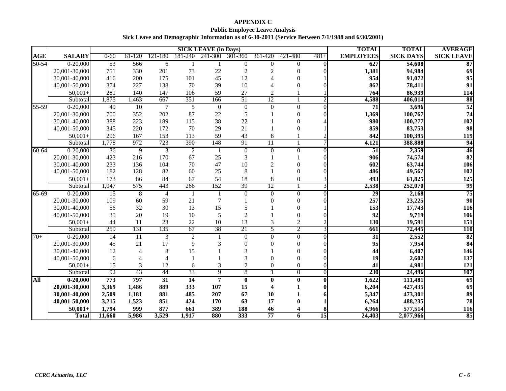**APPENDIX C Public Employee Leave Analysis Sick Leave and Demographic Information as of 6-30-2011 (Service Between 7/1/1988 and 6/30/2001)**

|            |               |          |                 |                |                | <b>SICK LEAVE (in Days)</b> |                         |                 |                |              | <b>TOTAL</b>     | <b>TOTAL</b>     | <b>AVERAGE</b>    |
|------------|---------------|----------|-----------------|----------------|----------------|-----------------------------|-------------------------|-----------------|----------------|--------------|------------------|------------------|-------------------|
| <b>AGE</b> | <b>SALARY</b> | $0 - 60$ | $61 - 120$      | 121-180        | 181-240        | 241-300                     | 301-360                 | 361-420         | 421-480        | $481+$       | <b>EMPLOYEES</b> | <b>SICK DAYS</b> | <b>SICK LEAVE</b> |
| $50 - 54$  | $0 - 20,000$  | 53       | 566             | 6              | 1              | -1                          | $\overline{0}$          | $\mathbf{0}$    | $\overline{0}$ | $\Omega$     | 627              | 54,608           | 87                |
|            | 20,001-30,000 | 751      | 330             | 201            | 73             | 22                          | $\overline{2}$          | 2               | $\Omega$       |              | 1,381            | 94,984           | 69                |
|            | 30,001-40,000 | 416      | 200             | 175            | 101            | 45                          | 12                      |                 | $\Omega$       |              | 954              | 91,072           | 95                |
|            | 40,001-50,000 | 374      | 227             | 138            | 70             | 39                          | 10                      |                 | $\Omega$       |              | 862              | 78,411           | 91                |
|            | $50,001+$     | 281      | 140             | 147            | 106            | 59                          | 27                      | $\overline{c}$  |                |              | 764              | 86,939           | 114               |
|            | Subtotal      | 1,875    | 1,463           | 667            | 351            | 166                         | 51                      | 12              |                |              | 4,588            | 406,014          | 88                |
| 55-59      | $0-20,000$    | 49       | 10              |                | 5              | $\mathbf{0}$                | $\boldsymbol{0}$        | $\theta$        | $\Omega$       | $\Omega$     | 71               | 3,696            | 52                |
|            | 20,001-30,000 | 700      | 352             | 202            | 87             | 22                          | $\sqrt{5}$              |                 | $\Omega$       |              | 1,369            | 100,767          | 74                |
|            | 30,001-40,000 | 388      | 223             | 189            | 115            | 38                          | 22                      |                 |                |              | 980              | 100,277          | 102               |
|            | 40,001-50,000 | 345      | 220             | 172            | 70             | 29                          | 21                      |                 |                |              | 859              | 83,753           | 98                |
|            | $50,001+$     | 296      | 167             | 153            | 113            | 59                          | 43                      | 8               |                |              | 842              | 100,395          | 119               |
|            | Subtotal      | 1,778    | 972             | 723            | 390            | 148                         | 91                      | $\overline{11}$ |                |              | 4,121            | 388,888          | 94                |
| $60 - 64$  | $0 - 20,000$  | 36       | 9               | 3              | $\overline{2}$ | -1                          | $\overline{0}$          | $\Omega$        | $\Omega$       | $\Omega$     | $\overline{51}$  | 2,359            | 46                |
|            | 20,001-30,000 | 423      | 216             | 170            | 67             | 25                          | 3                       |                 |                |              | 906              | 74,574           | 82                |
|            | 30,001-40,000 | 233      | 136             | 104            | 70             | 47                          | $10\,$                  | $\mathcal{D}$   |                |              | 602              | 63,744           | 106               |
|            | 40,001-50,000 | 182      | 128             | 82             | 60             | 25                          | 8                       |                 | $\Omega$       |              | 486              | 49,567           | 102               |
|            | $50,001+$     | 173      | 86              | 84             | 67             | 54                          | 18                      | 8               | $\Omega$       |              | 493              | 61,825           | 125               |
|            | Subtotal      | 1,047    | 575             | 443            | 266            | 152                         | 39                      | 12              |                | 3            | 2,538            | 252,070          | 99                |
| 65-69      | $0-20,000$    | 15       | 8               | $\overline{4}$ | 1              |                             | $\overline{0}$          | $\overline{0}$  | $\Omega$       | $\Omega$     | 29               | 2,168            | 75                |
|            | 20,001-30,000 | 109      | 60              | 59             | 21             | $\tau$                      |                         |                 | ∩              |              | 257              | 23,225           | 90                |
|            | 30,001-40,000 | 56       | 32              | 30             | 13             | 15                          | 5                       |                 | ∩              |              | 153              | 17,743           | <b>116</b>        |
|            | 40,001-50,000 | 35       | 20              | 19             | 10             | 5                           | $\overline{2}$          |                 | $\Omega$       |              | 92               | 9,719            | 106               |
|            | $50,001+$     | 44       | 11              | 23             | 22             | 10                          | 13                      | 3               | $\overline{c}$ |              | 130              | 19,591           | 151               |
|            | Subtotal      | 259      | 131             | 135            | 67             | 38                          | 21                      | 5               | $\overline{2}$ | 3            | 661              | 72,445           | <b>110</b>        |
| $70+$      | $0-20,000$    | 14       | $\overline{11}$ | 3              | 2              | -1                          | $\overline{0}$          | $\Omega$        | $\Omega$       | $\Omega$     | $\overline{31}$  | 2,552            | 82                |
|            | 20,001-30,000 | 45       | 21              | 17             | 9              |                             | $\Omega$                |                 | $\Omega$       |              | 95               | 7,954            | 84                |
|            | 30,001-40,000 | 12       |                 | 8              | 15             |                             | 3                       |                 | $\Omega$       |              | 44               | 6,407            | 146               |
|            | 40,001-50,000 | 6        |                 |                |                |                             | 3                       |                 | $\Omega$       |              | 19               | 2,602            | 137               |
|            | $50,001+$     | 15       | 3               | 12             | 6              |                             | $\overline{c}$          | $\theta$        | $\theta$       |              | 41               | 4,981            | 121               |
|            | Subtotal      | 92       | 43              | 44             | 33             | $\overline{9}$              | $\sqrt{8}$              |                 | $\overline{0}$ | $\mathbf{0}$ | 230              | 24,496           | 107               |
| All        | $0 - 20,000$  | 773      | 797             | 31             | 14             | 7                           | $\overline{\mathbf{0}}$ | $\bf{0}$        | 0              | 0            | 1,622            | 111,481          | 69                |
|            | 20,001-30,000 | 3,369    | 1,486           | 889            | 333            | 107                         | 15                      |                 |                |              | 6,204            | 427,435          | 69                |
|            | 30,001-40,000 | 2,509    | 1,181           | 881            | 485            | 207                         | 67                      | 10              |                |              | 5,347            | 473,301          | 89                |
|            | 40,001-50,000 | 3,215    | 1,523           | 851            | 424            | 170                         | 63                      | 17              |                |              | 6,264            | 488,235          | 78                |
|            | $50,001+$     | 1,794    | 999             | 877            | 661            | 389                         | 188                     | 46              |                |              | 4,966            | 577,514          | <b>116</b>        |
|            | <b>Total</b>  | 11,660   | 5,986           | 3,529          | 1,917          | 880                         | 333                     | 77              | 6              | 15           | 24,403           | 2,077,966        | 85                |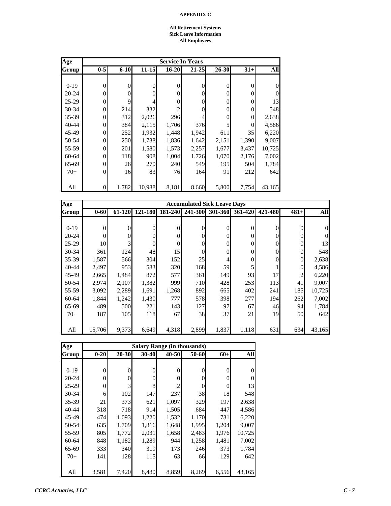#### **All Retirement Systems Sick Leave Information All Employees**

| Age       |          |          |                |           | <b>Service In Years</b> |          |                |          |
|-----------|----------|----------|----------------|-----------|-------------------------|----------|----------------|----------|
| Group     | $0-5$    | $6 - 10$ | $11 - 15$      | $16 - 20$ | $21 - 25$               | 26-30    | $31+$          | All      |
|           |          |          |                |           |                         |          |                |          |
| $0-19$    | 0        | $\theta$ | $\overline{0}$ | $\theta$  | 0                       | $\theta$ | $\overline{0}$ | $\theta$ |
| $20 - 24$ | $\theta$ | $\theta$ | $\Omega$       | $\Omega$  | 0                       | $\theta$ | $\overline{0}$ | $\theta$ |
| $25-29$   | 0        | 9        | 4              | 0         |                         | $\theta$ | 0              | 13       |
| 30-34     | 0        | 214      | 332            |           |                         | $\theta$ | $\overline{0}$ | 548      |
| 35-39     | 0        | 312      | 2,026          | 296       |                         | 0        | $\overline{0}$ | 2,638    |
| 40-44     | 0        | 384      | 2,115          | 1,706     | 376                     | 5        | $\Omega$       | 4,586    |
| 45-49     | 0        | 252      | 1,932          | 1,448     | 1,942                   | 611      | 35             | 6,220    |
| 50-54     | $\Omega$ | 250      | 1,738          | 1,836     | 1,642                   | 2,151    | 1,390          | 9,007    |
| 55-59     | 0        | 201      | 1,580          | 1,573     | 2,257                   | 1,677    | 3,437          | 10,725   |
| 60-64     | 0        | 118      | 908            | 1,004     | 1,726                   | 1,070    | 2,176          | 7,002    |
| 65-69     | 0        | 26       | 270            | 240       | 549                     | 195      | 504            | 1,784    |
| $70+$     | $\theta$ | 16       | 83             | 76        | 164                     | 91       | 212            | 642      |
|           |          |          |                |           |                         |          |                |          |
| All       | 0        | 1,782    | 10,988         | 8,181     | 8,660                   | 5,800    | 7,754          | 43,165   |

| Age       |                |          |                |          | <b>Accumulated Sick Leave Days</b> |                |                 |                  |                |            |
|-----------|----------------|----------|----------------|----------|------------------------------------|----------------|-----------------|------------------|----------------|------------|
| Group     | $0 - 60$       | 61-120   | 121-180        | 181-240  | 241-300                            |                | 301-360 361-420 | 421-480          | $481+$         | <b>All</b> |
|           |                |          |                |          |                                    |                |                 |                  |                |            |
| $0-19$    | $\overline{0}$ | $\theta$ | $\overline{0}$ | $\theta$ | $\Omega$                           | $\overline{0}$ | $\theta$        | $\overline{0}$   | $\Omega$       | 0          |
| $20 - 24$ | $\overline{0}$ | $\theta$ | $\overline{0}$ | 0        | $\Omega$                           | $\overline{0}$ | $\Omega$        | $\boldsymbol{0}$ |                | $\Omega$   |
| $25-29$   | 10             | 3        | $\overline{0}$ | $\theta$ | $\theta$                           | $\mathbf{0}$   | $\theta$        | $\boldsymbol{0}$ | $\overline{0}$ | 13         |
| $30 - 34$ | 361            | 124      | 48             | 15       | $\Omega$                           | $\mathbf{0}$   | $\theta$        | $\boldsymbol{0}$ | $\Omega$       | 548        |
| $35 - 39$ | 1,587          | 566      | 304            | 152      | 25                                 | 4              | $\overline{0}$  | $\overline{0}$   | $\Omega$       | 2,638      |
| 40-44     | 2,497          | 953      | 583            | 320      | 168                                | 59             | 5               |                  | $\overline{0}$ | 4,586      |
| 45-49     | 2,665          | 1,484    | 872            | 577      | 361                                | 149            | 93              | 17               | 2              | 6,220      |
| 50-54     | 2,974          | 2,107    | 1,382          | 999      | 710                                | 428            | 253             | 113              | 41             | 9,007      |
| 55-59     | 3,092          | 2,289    | 1,691          | 1,268    | 892                                | 665            | 402             | 241              | 185            | 10,725     |
| 60-64     | 1,844          | 1,242    | 1,430          | 777      | 578                                | 398            | 277             | 194              | 262            | 7,002      |
| 65-69     | 489            | 500      | 221            | 143      | 127                                | 97             | 67              | 46               | 94             | 1,784      |
| $70+$     | <b>187</b>     | 105      | 118            | 67       | 38                                 | 37             | 21              | 19               | 50             | 642        |
|           |                |          |                |          |                                    |                |                 |                  |                |            |
| All       | 15,706         | 9,373    | 6,649          | 4,318    | 2,899                              | 1,837          | 1,118           | 631              | 634            | 43,165     |

| Age       |                |           |           |                | <b>Salary Range (in thousands)</b> |                |                  |
|-----------|----------------|-----------|-----------|----------------|------------------------------------|----------------|------------------|
| Group     | $0 - 20$       | $20 - 30$ | $30 - 40$ | $40 - 50$      | 50-60                              | $60+$          | <b>All</b>       |
|           |                |           |           |                |                                    |                |                  |
| $0-19$    | $\overline{0}$ | 0         | 0         | 0              | $\theta$                           | $\overline{0}$ | $\boldsymbol{0}$ |
| $20 - 24$ | $\theta$       | 0         | 0         | 0              | $\Omega$                           | $\overline{0}$ | $\overline{0}$   |
| $25-29$   | $\theta$       | 3         | 8         | $\mathfrak{D}$ | 0                                  | $\theta$       | 13               |
| $30 - 34$ | 6              | 102       | 147       | 237            | 38                                 | 18             | 548              |
| 35-39     | 21             | 373       | 621       | 1,097          | 329                                | 197            | 2,638            |
| $40 - 44$ | 318            | 718       | 914       | 1,505          | 684                                | 447            | 4,586            |
| 45-49     | 474            | 1,093     | 1,220     | 1,532          | 1,170                              | 731            | 6,220            |
| 50-54     | 635            | 1,709     | 1,816     | 1,648          | 1,995                              | 1,204          | 9,007            |
| 55-59     | 805            | 1,772     | 2,031     | 1,658          | 2,483                              | 1,976          | 10,725           |
| 60-64     | 848            | 1,182     | 1,289     | 944            | 1,258                              | 1,481          | 7,002            |
| 65-69     | 333            | 340       | 319       | 173            | 246                                | 373            | 1,784            |
| $70+$     | 141            | 128       | 115       | 63             | 66                                 | 129            | 642              |
|           |                |           |           |                |                                    |                |                  |
| All       | 3,581          | 7,420     | 8,480     | 8,859          | 8,269                              | 6,556          | 43,165           |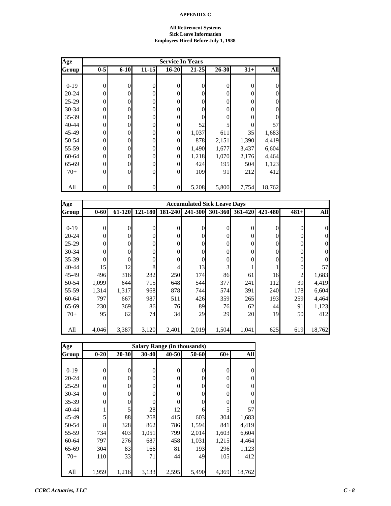#### **All Retirement Systems Sick Leave Information Employees Hired Before July 1, 1988**

| Age       |              | <b>Service In Years</b> |                |                  |           |           |       |                  |  |  |  |  |  |  |
|-----------|--------------|-------------------------|----------------|------------------|-----------|-----------|-------|------------------|--|--|--|--|--|--|
| Group     | $0-5$        | $6 - 10$                | $11 - 15$      | $16 - 20$        | $21 - 25$ | $26 - 30$ | $31+$ | All              |  |  |  |  |  |  |
|           |              |                         |                |                  |           |           |       |                  |  |  |  |  |  |  |
| $0-19$    | $\mathbf{0}$ | $\theta$                | 0              | 0                | $\theta$  | $\theta$  | 0     | $\boldsymbol{0}$ |  |  |  |  |  |  |
| $20 - 24$ | 0            | $\Omega$                | $\overline{0}$ | 0                | $\theta$  | 0         | 0     | $\overline{0}$   |  |  |  |  |  |  |
| $25-29$   | 0            | $\Omega$                | $\Omega$       | $\theta$         | $\Omega$  | 0         | 0     | $\boldsymbol{0}$ |  |  |  |  |  |  |
| 30-34     | 0            | $\theta$                | $\overline{0}$ | 0                | $\Omega$  | 0         | 0     | $\boldsymbol{0}$ |  |  |  |  |  |  |
| 35-39     | 0            | $\theta$                | $\overline{0}$ | 0                | $\theta$  | 0         |       | $\overline{0}$   |  |  |  |  |  |  |
| 40-44     | 0            | $\theta$                | $\overline{0}$ | 0                | 52        | 5         | 0     | 57               |  |  |  |  |  |  |
| 45-49     | 0            | $\overline{0}$          | $\overline{0}$ | $\boldsymbol{0}$ | 1,037     | 611       | 35    | 1,683            |  |  |  |  |  |  |
| 50-54     | 0            | $\Omega$                | $\overline{0}$ | 0                | 878       | 2,151     | 1,390 | 4,419            |  |  |  |  |  |  |
| 55-59     | 0            | $\Omega$                | $\overline{0}$ | $\overline{0}$   | 1,490     | 1,677     | 3,437 | 6,604            |  |  |  |  |  |  |
| 60-64     | 0            | $\theta$                | $\Omega$       | 0                | 1,218     | 1,070     | 2,176 | 4,464            |  |  |  |  |  |  |
| 65-69     | 0            | $\theta$                | $\overline{0}$ | 0                | 424       | 195       | 504   | 1,123            |  |  |  |  |  |  |
| $70+$     | $\Omega$     | $\theta$                | $\theta$       | $\overline{0}$   | 109       | 91        | 212   | 412              |  |  |  |  |  |  |
|           |              |                         |                |                  |           |           |       |                  |  |  |  |  |  |  |
| All       | 0            | $\theta$                | $\theta$       | $\boldsymbol{0}$ | 5,208     | 5,800     | 7,754 | 18,762           |  |  |  |  |  |  |

| Age       |                |        |          |          | <b>Accumulated Sick Leave Days</b> |                |                 |          |          |            |
|-----------|----------------|--------|----------|----------|------------------------------------|----------------|-----------------|----------|----------|------------|
| Group     | $0 - 60$       | 61-120 | 121-180  |          | 181-240 241-300                    |                | 301-360 361-420 | 421-480  | $481+$   | <b>All</b> |
|           |                |        |          |          |                                    |                |                 |          |          |            |
| $0-19$    | $\overline{0}$ | 0      | $\theta$ | $\Omega$ | 0                                  | $\theta$       | $\theta$        | $\theta$ | $\Omega$ |            |
| $20 - 24$ | $\overline{0}$ | 0      | $\theta$ | $\Omega$ | 0                                  | $\theta$       | 0               | $\theta$ |          |            |
| $25-29$   | $\overline{0}$ | 0      | 0        | $\theta$ | 0                                  | $\theta$       | 0               | $\theta$ |          |            |
| $30 - 34$ | $\mathbf{0}$   |        | 0        | $\Omega$ |                                    | $\theta$       | 0               | $\theta$ |          |            |
| $35 - 39$ | $\overline{0}$ |        | 0        | $\Omega$ | 0                                  | $\overline{0}$ | 0               | $\theta$ |          |            |
| $40 - 44$ | 15             | 12     | 8        | 4        | 13                                 | 3              |                 |          | $\Omega$ | 57         |
| 45-49     | 496            | 316    | 282      | 250      | 174                                | 86             | 61              | 16       | 2        | 1,683      |
| 50-54     | 1,099          | 644    | 715      | 648      | 544                                | 377            | 241             | 112      | 39       | 4,419      |
| 55-59     | 1,314          | 1,317  | 968      | 878      | 744                                | 574            | 391             | 240      | 178      | 6,604      |
| 60-64     | 7971           | 667    | 987      | 511      | 426                                | 359            | 265             | 193      | 259      | 4,464      |
| 65-69     | 230            | 369    | 86       | 76       | 89                                 | 76             | 62              | 44       | 91       | 1,123      |
| $70+$     | 95             | 62     | 74       | 34       | 29                                 | 29             | 20              | 19       | 50       | 412        |
|           |                |        |          |          |                                    |                |                 |          |          |            |
| All       | 4,046          | 3,387  | 3,120    | 2,401    | 2,019                              | 1,504          | 1,041           | 625      | 619      | 18,762     |

| Age       | <b>Salary Range (in thousands)</b> |           |           |          |       |       |                  |  |  |  |  |
|-----------|------------------------------------|-----------|-----------|----------|-------|-------|------------------|--|--|--|--|
| Group     | $0 - 20$                           | $20 - 30$ | $30 - 40$ | 40-50    | 50-60 | $60+$ | All              |  |  |  |  |
|           |                                    |           |           |          |       |       |                  |  |  |  |  |
| $0-19$    | 0                                  | 0         | 0         | $\theta$ | 0     | 0     | $\overline{0}$   |  |  |  |  |
| $20 - 24$ | 0                                  | 0         | 0         | 0        | 0     | 0     | $\boldsymbol{0}$ |  |  |  |  |
| $25-29$   | 0                                  | 0         | 0         | 0        | 0     | 0     | $\overline{0}$   |  |  |  |  |
| $30 - 34$ | 0                                  | 0         | 0         | 0        | 0     | 0     | $\theta$         |  |  |  |  |
| 35-39     | 0                                  | 0         | 0         | 0        |       | 0     | $\theta$         |  |  |  |  |
| 40-44     |                                    | 5         | 28        | 12       | 6     | 5     | 57               |  |  |  |  |
| 45-49     | 5                                  | 88        | 268       | 415      | 603   | 304   | 1,683            |  |  |  |  |
| 50-54     | 8                                  | 328       | 862       | 786      | 1,594 | 841   | 4,419            |  |  |  |  |
| 55-59     | 734                                | 403       | 1,051     | 799      | 2,014 | 1,603 | 6,604            |  |  |  |  |
| 60-64     | 797                                | 276       | 687       | 458      | 1,031 | 1,215 | 4,464            |  |  |  |  |
| 65-69     | 304                                | 83        | 166       | 81       | 193   | 296   | 1,123            |  |  |  |  |
| $70+$     | 110                                | 33        | 71        | 44       | 49    | 105   | 412              |  |  |  |  |
|           |                                    |           |           |          |       |       |                  |  |  |  |  |
| All       | 1,959                              | 1,216     | 3,133     | 2,595    | 5,490 | 4,369 | 18,762           |  |  |  |  |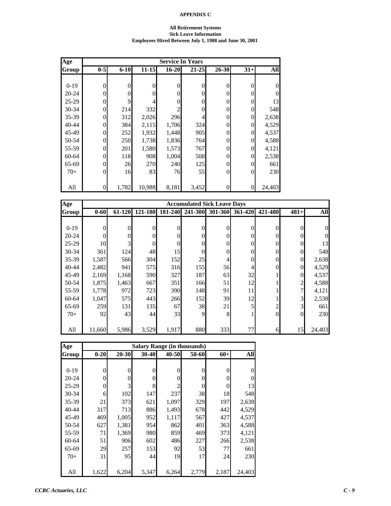#### **All Retirement Systems Sick Leave Information Employees Hired Between July 1, 1988 and June 30, 2001**

| Age       |                |          |           |                  | <b>Service In Years</b> |                |          |                |
|-----------|----------------|----------|-----------|------------------|-------------------------|----------------|----------|----------------|
| Group     | $0-5$          | $6 - 10$ | $11 - 15$ | $16 - 20$        | $21 - 25$               | 26-30          | $31+$    | <b>All</b>     |
|           |                |          |           |                  |                         |                |          |                |
| $0-19$    | $\overline{0}$ | $\theta$ | 0         | $\boldsymbol{0}$ | $\overline{0}$          | $\overline{0}$ | 0        | $\theta$       |
| 20-24     | 0              | $\Omega$ | 0         | $\boldsymbol{0}$ | $\theta$                | $\theta$       | $\Omega$ | $\overline{0}$ |
| $25-29$   | 0              | 9        |           | $\overline{0}$   | $\theta$                | $\theta$       | 0        | 13             |
| 30-34     | 0              | 214      | 332       | 2                | $\theta$                | $\theta$       | $\Omega$ | 548            |
| 35-39     | 0              | 312      | 2,026     | 296              | 4                       | 0              | $\Omega$ | 2,638          |
| 40-44     | 0              | 384      | 2,115     | 1,706            | 324                     | 0              | $\Omega$ | 4,529          |
| 45-49     | 0              | 252      | 1,932     | 1,448            | 905                     | $\theta$       | $\Omega$ | 4,537          |
| 50-54     | 0              | 250      | 1,738     | 1,836            | 764                     | $\theta$       | $\Omega$ | 4,588          |
| 55-59     | 0              | 201      | 1,580     | 1,573            | 767                     | $\theta$       | $\Omega$ | 4,121          |
| $60 - 64$ | $\Omega$       | 118      | 908       | 1,004            | 508                     | $\theta$       | 0        | 2,538          |
| 65-69     | 0              | 26       | 270       | 240              | 125                     | $\theta$       | 0        | 661            |
| $70+$     | $\Omega$       | 16       | 83        | 76               | 55                      | $\theta$       | $\theta$ | 230            |
|           |                |          |           |                  |                         |                |          |                |
| All       | 0              | 1,782    | 10,988    | 8,181            | 3,452                   | 0              | $\Omega$ | 24,403         |

| Age       |          | <b>Accumulated Sick Leave Days</b> |              |          |          |                  |         |                |                |        |  |
|-----------|----------|------------------------------------|--------------|----------|----------|------------------|---------|----------------|----------------|--------|--|
| Group     | $0 - 60$ | 61-120                             | 121-180      | 181-240  | 241-300  | 301-360          | 361-420 | 421-480        | $481+$         | All    |  |
|           |          |                                    |              |          |          |                  |         |                |                |        |  |
| $0-19$    | $\theta$ | 0                                  | $\mathbf{0}$ | $\theta$ | $\theta$ | $\overline{0}$   | 0       | $\theta$       | $\Omega$       |        |  |
| $20 - 24$ | $\theta$ | 0                                  | $\mathbf{0}$ | 0        | $\theta$ | $\overline{0}$   | 0       | $\theta$       | 0              |        |  |
| $25-29$   | 10       | 3                                  | $\mathbf{0}$ | 0        | 0        | $\boldsymbol{0}$ | 0       | $\overline{0}$ | $\Omega$       | 13     |  |
| $30 - 34$ | 361      | 124                                | 48           | 15       | 0        | $\overline{0}$   | 0       | $\overline{0}$ | $\Omega$       | 548    |  |
| $35 - 39$ | 1,587    | 566                                | 304          | 152      | 25       | 4                | 0       | $\theta$       | $\overline{0}$ | 2,638  |  |
| $40 - 44$ | 2,482    | 941                                | 575          | 316      | 155      | 56               | 4       | $\theta$       | $\overline{0}$ | 4,529  |  |
| 45-49     | 2,169    | 1,168                              | 590          | 327      | 187      | 63               | 32      |                | $\Omega$       | 4,537  |  |
| 50-54     | 1,875    | 1,463                              | 667          | 351      | 166      | 51               | 12      |                | 2              | 4,588  |  |
| 55-59     | 1,778    | 972                                | 723          | 390      | 148      | 91               | 11      |                | 7              | 4,121  |  |
| 60-64     | 1,047    | 575                                | 443          | 266      | 152      | 39               | 12      |                | 3              | 2,538  |  |
| 65-69     | 259      | 131                                | 135          | 67       | 38       | 21               | 5       | $\overline{2}$ | 3              | 661    |  |
| $70+$     | 92       | 43                                 | 44           | 33       | 9        | 8                |         | $\Omega$       | $\Omega$       | 230    |  |
|           |          |                                    |              |          |          |                  |         |                |                |        |  |
| All       | 11,660   | 5,986                              | 3,529        | 1,917    | 880      | 333              | 77      | 6              | 15             | 24,403 |  |

| Age       |          |           |                | <b>Salary Range (in thousands)</b> |          |       |            |
|-----------|----------|-----------|----------------|------------------------------------|----------|-------|------------|
| Group     | $0 - 20$ | $20 - 30$ | 30-40          | 40-50                              | 50-60    | $60+$ | <b>All</b> |
|           |          |           |                |                                    |          |       |            |
| $0-19$    | $\theta$ | 0         | $\overline{0}$ | 0                                  | $\theta$ | 0     | 0          |
| $20 - 24$ | $\theta$ | 0         | 0              | 0                                  | $\theta$ | 0     | $\theta$   |
| $25-29$   | $\Omega$ | 3         | 8              | $\mathfrak{D}$                     | $\Omega$ | 0     | 13         |
| $30 - 34$ | 6        | 102       | 147            | 237                                | 38       | 18    | 548        |
| 35-39     | 21       | 373       | 621            | 1,097                              | 329      | 197   | 2,638      |
| 40-44     | 317      | 713       | 886            | 1,493                              | 678      | 442   | 4,529      |
| 45-49     | 469      | 1,005     | 952            | 1,117                              | 567      | 427   | 4,537      |
| 50-54     | 627      | 1,381     | 954            | 862                                | 401      | 363   | 4,588      |
| 55-59     | 71       | 1,369     | 980            | 859                                | 469      | 373   | 4,121      |
| 60-64     | 51       | 906       | 602            | 486                                | 227      | 266   | 2,538      |
| 65-69     | 29       | 257       | 153            | 92                                 | 53       | 77    | 661        |
| $70+$     | 31       | 95        | 44             | 19                                 | 17       | 24    | 230        |
|           |          |           |                |                                    |          |       |            |
| All       | 1,622    | 6,204     | 5,347          | 6,264                              | 2,779    | 2,187 | 24,403     |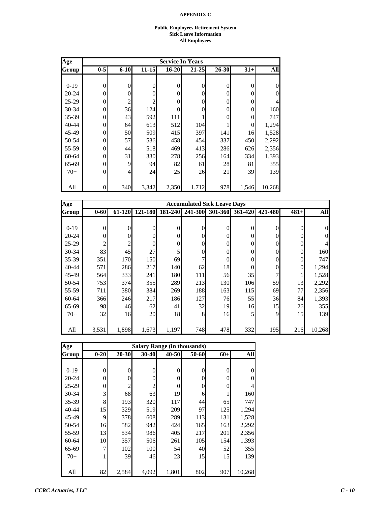#### **Public Employees Retirement System Sick Leave Information All Employees**

| Age       | <b>Service In Years</b> |          |           |                  |                |                |          |                |
|-----------|-------------------------|----------|-----------|------------------|----------------|----------------|----------|----------------|
| Group     | $0 - 5$                 | $6 - 10$ | $11 - 15$ | $16 - 20$        | $21 - 25$      | $26 - 30$      | $31+$    | All            |
|           |                         |          |           |                  |                |                |          |                |
| $0-19$    | $\overline{0}$          | $\theta$ | 0         | $\boldsymbol{0}$ | $\overline{0}$ | $\overline{0}$ | 0        | $\theta$       |
| $20 - 24$ | 0                       | $\Omega$ | 0         | $\boldsymbol{0}$ | $\theta$       | $\theta$       | 0        | $\overline{0}$ |
| $25 - 29$ | 0                       | 2        | 2         | $\boldsymbol{0}$ | $\theta$       | $\theta$       | 0        | 4              |
| 30-34     | 0                       | 36       | 124       | $\overline{0}$   | $\theta$       | $\theta$       | $\Omega$ | 160            |
| 35-39     | 0                       | 43       | 592       | 111              |                | $\theta$       | 0        | 747            |
| 40-44     | 0                       | 64       | 613       | 512              | 104            |                | 0        | 1,294          |
| 45-49     | 0                       | 50       | 509       | 415              | 397            | 141            | 16       | 1,528          |
| 50-54     | 0                       | 57       | 536       | 458              | 454            | 337            | 450      | 2,292          |
| 55-59     | 0                       | 44       | 518       | 469              | 413            | 286            | 626      | 2,356          |
| 60-64     | 0                       | 31       | 330       | 278              | 256            | 164            | 334      | 1,393          |
| 65-69     | 0                       | 9        | 94        | 82               | 61             | 28             | 81       | 355            |
| $70+$     | 0                       | 4        | 24        | 25               | 26             | 21             | 39       | 139            |
|           |                         |          |           |                  |                |                |          |                |
| All       | 0                       | 340      | 3,342     | 2,350            | 1,712          | 978            | 1,546    | 10,268         |

| <b>Age</b> |                |                |                |          | <b>Accumulated Sick Leave Days</b> |                |          |                  |                |            |
|------------|----------------|----------------|----------------|----------|------------------------------------|----------------|----------|------------------|----------------|------------|
| Group      | $0 - 60$       | 61-120         | 121-180        | 181-240  | 241-300                            | 301-360        | 361-420  | 421-480          | $481+$         | <b>All</b> |
|            |                |                |                |          |                                    |                |          |                  |                |            |
| $0-19$     | $\overline{0}$ | $\theta$       | $\overline{0}$ | $\Omega$ | $\Omega$                           | $\overline{0}$ | $\theta$ | $\overline{0}$   | $\Omega$       | $\Omega$   |
| $20 - 24$  | $\overline{0}$ | $\theta$       | $\overline{0}$ | 0        | $\Omega$                           | $\overline{0}$ | $\theta$ | $\overline{0}$   | 0              | 0          |
| $25-29$    | $\overline{2}$ | $\overline{c}$ | $\overline{0}$ | 0        | $\theta$                           | $\overline{0}$ | $\theta$ | $\boldsymbol{0}$ | $\Omega$       |            |
| 30-34      | 83             | 45             | 27             | 5        | $\theta$                           | $\mathbf{0}$   | $\theta$ | $\boldsymbol{0}$ | $\Omega$       | 160        |
| 35-39      | 351            | <b>170</b>     | 150            | 69       |                                    | $\overline{0}$ | $\theta$ | $\boldsymbol{0}$ | $\overline{0}$ | 747        |
| $40 - 44$  | 571            | 286            | 217            | 140      | 62                                 | 18             | 0        | $\boldsymbol{0}$ | $\Omega$       | 1,294      |
| 45-49      | 564            | 333            | 241            | 180      | 111                                | 56             | 35       | 7                |                | 1,528      |
| 50-54      | 753            | 374            | 355            | 289      | 213                                | 130            | 106      | 59               | 13             | 2,292      |
| 55-59      | 711            | 380            | 384            | 269      | 188                                | 163            | 115      | 69               | 77             | 2,356      |
| 60-64      | 366            | 246            | 217            | 186      | 127                                | 76             | 55       | 36               | 84             | 1,393      |
| 65-69      | 98             | 46             | 62             | 41       | 32                                 | 19             | 16       | 15               | 26             | 355        |
| $70+$      | 32             | 16             | 20             | 18       | 8                                  | 16             | 5        | 9                | 15             | 139        |
|            |                |                |                |          |                                    |                |          |                  |                |            |
| All        | 3,531          | 1,898          | 1,673          | 1,197    | 748                                | 478            | 332      | 195              | 216            | 10,268     |

| Age       |          |                | <b>Salary Range (in thousands)</b> |           |          |       |        |
|-----------|----------|----------------|------------------------------------|-----------|----------|-------|--------|
| Group     | $0 - 20$ | $20 - 30$      | $30 - 40$                          | $40 - 50$ | 50-60    | $60+$ | All    |
|           |          |                |                                    |           |          |       |        |
| $0-19$    | $\theta$ | $\overline{0}$ | $\boldsymbol{0}$                   | 0         | $\theta$ | 0     | 0      |
| $20 - 24$ | $\theta$ | 0              | 0                                  | 0         | $\theta$ | 0     | 0      |
| $25-29$   | $\Omega$ | $\overline{c}$ | 2                                  | $\Omega$  | $\theta$ | 0     | 4      |
| $30 - 34$ | 3        | 68             | 63                                 | 19        | 6        |       | 160    |
| 35-39     | 8        | 193            | 320                                | 117       | 44       | 65    | 747    |
| 40-44     | 15       | 329            | 519                                | 209       | 97       | 125   | 1,294  |
| 45-49     | 9        | 378            | 608                                | 289       | 113      | 131   | 1,528  |
| 50-54     | 16       | 582            | 942                                | 424       | 165      | 163   | 2,292  |
| 55-59     | 13       | 534            | 986                                | 405       | 217      | 201   | 2,356  |
| 60-64     | 10       | 357            | 506                                | 261       | 105      | 154   | 1,393  |
| 65-69     | 7        | 102            | 100                                | 54        | 40       | 52    | 355    |
| $70+$     |          | 39             | 46                                 | 23        | 15       | 15    | 139    |
|           |          |                |                                    |           |          |       |        |
| All       | 82       | 2,584          | 4,092                              | 1,801     | 802      | 907   | 10,268 |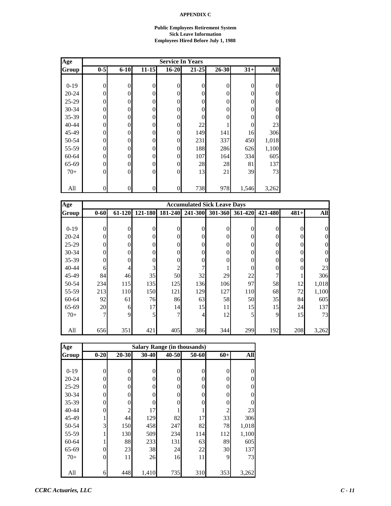#### **Public Employees Retirement System Sick Leave Information Employees Hired Before July 1, 1988**

| Age       |                | <b>Service In Years</b> |                  |                |           |          |       |                  |  |  |  |  |  |
|-----------|----------------|-------------------------|------------------|----------------|-----------|----------|-------|------------------|--|--|--|--|--|
| Group     | $0-5$          | $6 - 10$                | $11 - 15$        | $16 - 20$      | $21 - 25$ | 26-30    | $31+$ | All              |  |  |  |  |  |
|           |                |                         |                  |                |           |          |       |                  |  |  |  |  |  |
| $0-19$    | $\overline{0}$ | $\theta$                | 0                | 0              | $\theta$  | $\theta$ | 0     | $\boldsymbol{0}$ |  |  |  |  |  |
| $20 - 24$ | 0              | $\Omega$                | 0                | 0              | 0         | 0        | 0     | $\boldsymbol{0}$ |  |  |  |  |  |
| $25-29$   | 0              | $\Omega$                | 0                | 0              | $\theta$  | 0        | 0     | $\theta$         |  |  |  |  |  |
| 30-34     | $\Omega$       | $\Omega$                | $\Omega$         | 0              | $\Omega$  | $\Omega$ | 0     | $\theta$         |  |  |  |  |  |
| 35-39     | $\overline{0}$ | $\theta$                | $\overline{0}$   | 0              | $\theta$  | 0        | 0     | $\overline{0}$   |  |  |  |  |  |
| 40-44     | 0              | $\theta$                | $\boldsymbol{0}$ | 0              | $22\,$    |          | 0     | 23               |  |  |  |  |  |
| 45-49     | 0              | $\Omega$                | $\overline{0}$   | 0              | 149       | 141      | 16    | 306              |  |  |  |  |  |
| 50-54     | 0              | $\Omega$                | $\overline{0}$   | 0              | 231       | 337      | 450   | 1,018            |  |  |  |  |  |
| 55-59     | 0              | $\Omega$                | $\overline{0}$   | $\overline{0}$ | 188       | 286      | 626   | 1,100            |  |  |  |  |  |
| 60-64     | 0              | $\Omega$                | $\overline{0}$   | $\overline{0}$ | 107       | 164      | 334   | 605              |  |  |  |  |  |
| 65-69     | 0              | $\Omega$                | $\Omega$         | 0              | 28        | 28       | 81    | 137              |  |  |  |  |  |
| $70+$     | $\theta$       | $\Omega$                | $\mathbf{0}$     | $\mathbf{0}$   | 13        | 21       | 39    | 73               |  |  |  |  |  |
|           |                |                         |                  |                |           |          |       |                  |  |  |  |  |  |
| All       | $\overline{0}$ | $\overline{0}$          | $\overline{0}$   | 0              | 738       | 978      | 1,546 | 3,262            |  |  |  |  |  |

| Age       |                |          |                               |          | <b>Accumulated Sick Leave Days</b> |                |                 |                  |          |       |
|-----------|----------------|----------|-------------------------------|----------|------------------------------------|----------------|-----------------|------------------|----------|-------|
| Group     | $0 - 60$       | 61-120   | 121-180                       | 181-240  | 241-300                            |                | 301-360 361-420 | 421-480          | $481+$   | All   |
|           |                |          |                               |          |                                    |                |                 |                  |          |       |
| $0-19$    | $\overline{0}$ | $\theta$ | $\overline{0}$                | $\Omega$ | $\theta$                           | $\theta$       | $\theta$        | $\overline{0}$   | $\Omega$ | 0     |
| $20 - 24$ | $\overline{0}$ | $\Omega$ | $\overline{0}$                | 0        | $\Omega$                           | $\theta$       | $\Omega$        | $\overline{0}$   | 0        | 0     |
| $25-29$   | $\overline{0}$ | $\Omega$ | $\overline{0}$                | 0        | 0                                  | $\theta$       | $\Omega$        | $\overline{0}$   | 0        | 0     |
| $30 - 34$ | $\mathbf{0}$   | $\Omega$ | $\overline{0}$                | 0        | $\theta$                           | $\theta$       | $\Omega$        | $\boldsymbol{0}$ | 0        | 0     |
| $35 - 39$ | $\overline{0}$ | 0        | $\boldsymbol{0}$              | 0        | 0                                  | $\overline{0}$ | 0               | $\boldsymbol{0}$ |          | 0     |
| $40 - 44$ | 6              | 4        | $\mathfrak{Z}_{\mathfrak{l}}$ | 2        |                                    |                | 0               | $\boldsymbol{0}$ | 0        | 23    |
| 45-49     | 84             | 46       | 35                            | 50       | 32                                 | 29             | 22              | 7                |          | 306   |
| 50-54     | 234            | 115      | 135                           | 125      | 136                                | 106            | 97              | 58               | 12       | 1,018 |
| 55-59     | 213            | 110      | 150                           | 121      | 129                                | 127            | 110             | 68               | 72       | 1,100 |
| 60-64     | 92             | 61       | 76                            | 86       | 63                                 | 58             | 50              | 35               | 84       | 605   |
| 65-69     | 20             | 6        | 17                            | 14       | 15                                 | 11             | 15              | 15               | 24       | 137   |
| $70+$     | 7              | 9        | 5                             | 7        | 4                                  | 12             | 5               | 9                | 15       | 73    |
|           |                |          |                               |          |                                    |                |                 |                  |          |       |
| All       | 656            | 351      | 421                           | 405      | 386                                | 344            | 299             | 192              | 208      | 3,262 |

| Age       |          |                | <b>Salary Range (in thousands)</b> |       |       |       |                  |
|-----------|----------|----------------|------------------------------------|-------|-------|-------|------------------|
| Group     | $0 - 20$ | $20 - 30$      | $30 - 40$                          | 40-50 | 50-60 | $60+$ | All              |
|           |          |                |                                    |       |       |       |                  |
| $0-19$    | $\theta$ | 0              | 0                                  | 0     | 0     | 0     | $\overline{0}$   |
| $20 - 24$ | 0        | 0              | 0                                  | 0     | 0     | 0     | $\boldsymbol{0}$ |
| $25-29$   | 0        | 0              | 0                                  | 0     | 0     | 0     | $\overline{0}$   |
| 30-34     | 0        | 0              | 0                                  | 0     | 0     | 0     | $\overline{0}$   |
| 35-39     | 0        | 0              | 0                                  | 0     |       | 0     | $\theta$         |
| 40-44     | 0        | $\overline{c}$ | 17                                 |       |       | 2     | 23               |
| 45-49     |          | 44             | 129                                | 82    | 17    | 33    | 306              |
| 50-54     | 3        | 150            | 458                                | 247   | 82    | 78    | 1,018            |
| 55-59     |          | 130            | 509                                | 234   | 114   | 112   | 1,100            |
| 60-64     |          | 88             | 233                                | 131   | 63    | 89    | 605              |
| 65-69     | 0        | 23             | 38                                 | 24    | 22    | 30    | 137              |
| $70+$     | 0        | 11             | 26                                 | 16    | 11    | 9     | 73               |
|           |          |                |                                    |       |       |       |                  |
| All       | 6        | 448            | 1,410                              | 735   | 310   | 353   | 3,262            |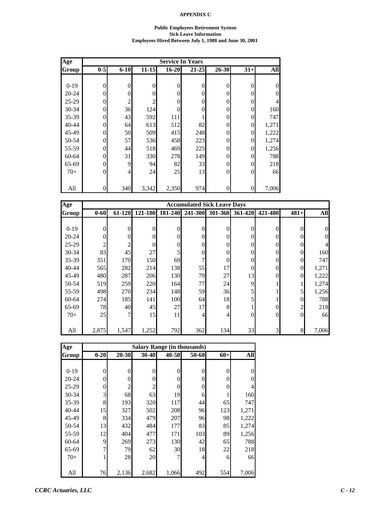#### **Public Employees Retirement System Sick Leave Information Employees Hired Between July 1, 1988 and June 30, 2001**

| Age     |                |          |                |                  | <b>Service In Years</b> |                |                |                |
|---------|----------------|----------|----------------|------------------|-------------------------|----------------|----------------|----------------|
| Group   | $0-5$          | $6 - 10$ | $11 - 15$      | $16 - 20$        | $21 - 25$               | 26-30          | $31+$          | <b>All</b>     |
|         |                |          |                |                  |                         |                |                |                |
| $0-19$  | $\overline{0}$ | $\theta$ | $\overline{0}$ | $\boldsymbol{0}$ | 0                       | $\mathbf{0}$   | $\Omega$       | $\theta$       |
| 20-24   | $\overline{0}$ | 0        | $\overline{0}$ | $\boldsymbol{0}$ | 0                       | $\overline{0}$ | $\Omega$       | $\overline{0}$ |
| $25-29$ | $\theta$       | 2        | $\overline{c}$ | $\overline{0}$   | 0                       | $\Omega$       | $\Omega$       | 4              |
| 30-34   | $\theta$       | 36       | 124            | $\overline{0}$   | 0                       | $\Omega$       | $\Omega$       | 160            |
| 35-39   | $\theta$       | 43       | 592            | 111              |                         | $\Omega$       | $\Omega$       | 747            |
| 40-44   | $\overline{0}$ | 64       | 613            | 512              | 82                      | $\overline{0}$ | $\Omega$       | 1,271          |
| 45-49   | $\theta$       | 50       | 509            | 415              | 248                     | $\Omega$       | $\Omega$       | 1,222          |
| 50-54   | $\overline{0}$ | 57       | 536            | 458              | 223                     | $\Omega$       | $\Omega$       | 1,274          |
| 55-59   | $\overline{0}$ | 44       | 518            | 469              | 225                     | $\Omega$       | $\Omega$       | 1,256          |
| 60-64   | $\overline{0}$ | 31       | 330            | 278              | 149                     | $\overline{0}$ | $\Omega$       | 788            |
| 65-69   | $\theta$       | 9        | 94             | 82               | 33                      | $\Omega$       | $\Omega$       | 218            |
| $70+$   | $\theta$       | 4        | 24             | 25               | 13                      | $\Omega$       | $\Omega$       | 66             |
|         |                |          |                |                  |                         |                |                |                |
| All     | $\overline{0}$ | 340      | 3,342          | 2,350            | 974                     | $\overline{0}$ | $\overline{0}$ | 7,006          |

| Age       |                |          |                |                | <b>Accumulated Sick Leave Days</b> |                  |          |                  |                |          |
|-----------|----------------|----------|----------------|----------------|------------------------------------|------------------|----------|------------------|----------------|----------|
| Group     | $0 - 60$       | 61-120   | 121-180        | 181-240        | 241-300                            | 301-360          | 361-420  | 421-480          | $481+$         | All      |
|           |                |          |                |                |                                    |                  |          |                  |                |          |
| $0-19$    | $\overline{0}$ | $\theta$ | $\overline{0}$ | $\overline{0}$ | $\theta$                           | $\overline{0}$   | $\theta$ | $\boldsymbol{0}$ | $\Omega$       | $\theta$ |
| $20 - 24$ | $\overline{0}$ | $\Omega$ | $\Omega$       | $\Omega$       | $\Omega$                           | $\mathbf{0}$     | $\Omega$ | $\overline{0}$   | 0              | 0        |
| $25-29$   | $\overline{c}$ | 2        | $\Omega$       | 0              | $\Omega$                           | $\overline{0}$   | $\Omega$ | $\boldsymbol{0}$ | 0              |          |
| $30 - 34$ | 83             | 45       | 27             | 5              | $\theta$                           | $\mathbf{0}$     | $\Omega$ | $\boldsymbol{0}$ | $\Omega$       | 160      |
| 35-39     | 351            | 170      | 150            | 69             |                                    | $\boldsymbol{0}$ | $\Omega$ | $\boldsymbol{0}$ | $\Omega$       | 747      |
| $40 - 44$ | 565            | 282      | 214            | 138            | 55                                 | 17               | 0        | $\boldsymbol{0}$ | $\theta$       | 1,271    |
| 45-49     | 480            | 287      | 206            | 130            | 79                                 | 27               | 13       | $\boldsymbol{0}$ | $\overline{0}$ | 1,222    |
| 50-54     | 519            | 259      | 220            | 164            | 77                                 | 24               | 9        |                  |                | 1,274    |
| 55-59     | 498            | 270      | 234            | 148            | 59                                 | 36               | 5        |                  |                | 1,256    |
| 60-64     | 274            | 185      | 141            | 100            | 64                                 | 18               | 5        |                  | $\Omega$       | 788      |
| 65-69     | 78             | 40       | 45             | 27             | 17                                 | 8                |          | $\boldsymbol{0}$ | $\mathfrak{D}$ | 218      |
| $70+$     | 25             | 7        | 15             | 11             | 4                                  | 4                | $\theta$ | $\mathbf{0}$     | $\Omega$       | 66       |
|           |                |          |                |                |                                    |                  |          |                  |                |          |
| All       | 2,875          | 1,547    | 1,252          | 792            | 362                                | 134              | 33       | $\overline{3}$   | 8              | 7,006    |

| Age       |          |                |                |              | <b>Salary Range (in thousands)</b> |                |          |
|-----------|----------|----------------|----------------|--------------|------------------------------------|----------------|----------|
| Group     | $0 - 20$ | 20-30          | 30-40          | $40 - 50$    | 50-60                              | $60+$          | All      |
|           |          |                |                |              |                                    |                |          |
| $0 - 19$  | 0        | $\mathbf{0}$   | $\overline{0}$ | $\mathbf{0}$ | $\theta$                           | $\overline{0}$ | $\theta$ |
| $20 - 24$ | 0        | $\theta$       | $\theta$       | $\theta$     | $\theta$                           | $\overline{0}$ | $\theta$ |
| $25 - 29$ | 0        | $\overline{2}$ | 2              | $\theta$     | $\theta$                           | $\overline{0}$ | 4        |
| 30-34     | 3        | 68             | 63             | 19           | 6                                  |                | 160      |
| 35-39     | 8        | 193            | 320            | 117          | 44                                 | 65             | 747      |
| 40-44     | 15       | 327            | 502            | 208          | 96                                 | 123            | 1,271    |
| 45-49     | 8        | 334            | 479            | 207          | 96                                 | 98             | 1,222    |
| 50-54     | 13       | 432            | 484            | 177          | 83                                 | 85             | 1,274    |
| 55-59     | 12       | 404            | 477            | 171          | 103                                | 89             | 1,256    |
| 60-64     | 9        | 269            | 273            | 130          | 42                                 | 65             | 788      |
| 65-69     | 7        | 79             | 62             | 30           | 18                                 | 22             | 218      |
| $70+$     |          | 28             | 20             | 7            | 4                                  | 6              | 66       |
|           |          |                |                |              |                                    |                |          |
| All       | 76       | 2,136          | 2,682          | 1,066        | 492                                | 554            | 7,006    |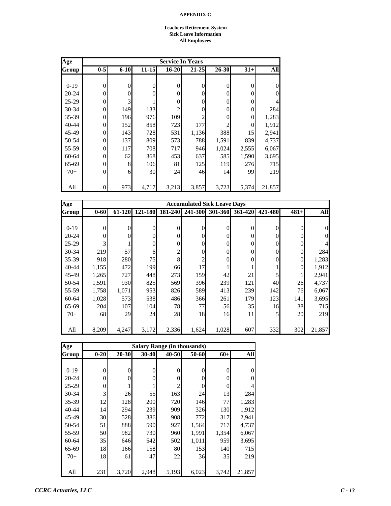#### **Teachers Retirement System Sick Leave Information All Employees**

| Age       |          |          |           |                | <b>Service In Years</b> |                |          |                |
|-----------|----------|----------|-----------|----------------|-------------------------|----------------|----------|----------------|
| Group     | $0-5$    | $6 - 10$ | $11 - 15$ | $16 - 20$      | $21 - 25$               | 26-30          | $31+$    | All            |
|           |          |          |           |                |                         |                |          |                |
| $0-19$    | 0        | $\theta$ | $\theta$  | 0              | $\overline{0}$          | $\theta$       | $\theta$ | $\overline{0}$ |
| $20 - 24$ | 0        | $\Omega$ | 0         | $\theta$       | $\theta$                | $\Omega$       | 0        | $\theta$       |
| $25-29$   | 0        | 3        |           | 0              | 0                       | $\Omega$       | 0        | $\overline{4}$ |
| 30-34     | 0        | 149      | 133       | $\overline{c}$ | 0                       | 0              | 0        | 284            |
| 35-39     | 0        | 196      | 976       | 109            | 2                       | 0              | 0        | 1,283          |
| $40 - 44$ | 0        | 152      | 858       | 723            | 177                     | $\overline{c}$ | 0        | 1,912          |
| 45-49     | 0        | 143      | 728       | 531            | 1,136                   | 388            | 15       | 2,941          |
| 50-54     | 0        | 137      | 809       | 573            | 788                     | 1,591          | 839      | 4,737          |
| 55-59     | 0        | 117      | 708       | 717            | 946                     | 1,024          | 2,555    | 6,067          |
| $60 - 64$ | 0        | 62       | 368       | 453            | 637                     | 585            | 1,590    | 3,695          |
| 65-69     | $\theta$ | 8        | 106       | 81             | 125                     | 119            | 276      | 715            |
| $70+$     | $\theta$ | 6        | 30        | 24             | 46                      | 14             | 99       | 219            |
|           |          |          |           |                |                         |                |          |                |
| All       | 0        | 973      | 4,717     | 3,213          | 3,857                   | 3,723          | 5,374    | 21,857         |

| Age       |                |          |                |          | <b>Accumulated Sick Leave Days</b> |                |          |                  |          |          |
|-----------|----------------|----------|----------------|----------|------------------------------------|----------------|----------|------------------|----------|----------|
| Group     | $0 - 60$       | 61-120   | 121-180        | 181-240  | 241-300                            | 301-360        | 361-420  | 421-480          | $481+$   | All      |
|           |                |          |                |          |                                    |                |          |                  |          |          |
| $0-19$    | $\overline{0}$ | $\theta$ | $\overline{0}$ | $\theta$ | $\theta$                           | $\overline{0}$ | $\theta$ | $\overline{0}$   | $\Omega$ | $\Omega$ |
| $20 - 24$ | $\overline{0}$ | $\theta$ | $\overline{0}$ | 0        | $\Omega$                           | $\mathbf{0}$   | $\theta$ | $\overline{0}$   | 0        | 0        |
| $25-29$   | 3              |          | $\overline{0}$ | $\theta$ | $\theta$                           | $\mathbf{0}$   | $\theta$ | $\boldsymbol{0}$ | $\Omega$ |          |
| $30 - 34$ | 219            | 57       | 6              | 2        | $\Omega$                           | $\mathbf{0}$   | $\theta$ | $\boldsymbol{0}$ | $\Omega$ | 284      |
| $35 - 39$ | 918            | 280      | 75             | 8        | 2                                  | $\mathbf{0}$   | $\Omega$ | $\boldsymbol{0}$ | $\theta$ | 1,283    |
| 40-44     | 1,155          | 472      | 199            | 66       | 17                                 |                |          |                  | $\theta$ | 1,912    |
| 45-49     | 1,265          | 727      | 448            | 273      | 159                                | 42             | 21       | 5                |          | 2,941    |
| 50-54     | 1,591          | 930      | 825            | 569      | 396                                | 239            | 121      | 40               | 26       | 4,737    |
| 55-59     | 1,758          | 1,071    | 953            | 826      | 589                                | 413            | 239      | 142              | 76       | 6,067    |
| 60-64     | 1,028          | 573      | 538            | 486      | 366                                | 261            | 179      | 123              | 141      | 3,695    |
| 65-69     | 204            | 107      | 104            | 78       | 77                                 | 56             | 35       | 16               | 38       | 715      |
| $70+$     | 68             | 29       | 24             | 28       | 18                                 | 16             | 11       | 5                | 20       | 219      |
|           |                |          |                |          |                                    |                |          |                  |          |          |
| All       | 8,209          | 4,247    | 3,172          | 2,336    | 1,624                              | 1,028          | 607      | 332              | 302      | 21,857   |

| Age       |          |           | <b>Salary Range (in thousands)</b> |                |       |       |                |
|-----------|----------|-----------|------------------------------------|----------------|-------|-------|----------------|
| Group     | $0 - 20$ | $20 - 30$ | 30-40                              | 40-50          | 50-60 | $60+$ | All            |
|           |          |           |                                    |                |       |       |                |
| $0-19$    | 0        | 0         | 0                                  | $\theta$       | 0     | 0     | 0              |
| $20 - 24$ | 0        | 0         | 0                                  | 0              | 0     | 0     | $\overline{0}$ |
| $25 - 29$ | 0        |           |                                    | $\mathfrak{D}$ | 0     | 0     | 4              |
| $30 - 34$ | 3        | 26        | 55                                 | 163            | 24    | 13    | 284            |
| 35-39     | 12       | 128       | 200                                | 720            | 146   | 77    | 1,283          |
| 40-44     | 14       | 294       | 239                                | 909            | 326   | 130   | 1,912          |
| 45-49     | 30       | 528       | 386                                | 908            | 772   | 317   | 2,941          |
| 50-54     | 51       | 888       | 590                                | 927            | 1,564 | 717   | 4,737          |
| 55-59     | 50       | 982       | 730                                | 960            | 1,991 | 1,354 | 6,067          |
| 60-64     | 35       | 646       | 542                                | 502            | 1,011 | 959   | 3,695          |
| 65-69     | 18       | 166       | 158                                | 80             | 153   | 140   | 715            |
| $70+$     | 18       | 61        | 47                                 | 22             | 36    | 35    | 219            |
|           |          |           |                                    |                |       |       |                |
| All       | 231      | 3,720     | 2,948                              | 5,193          | 6,023 | 3,742 | 21,857         |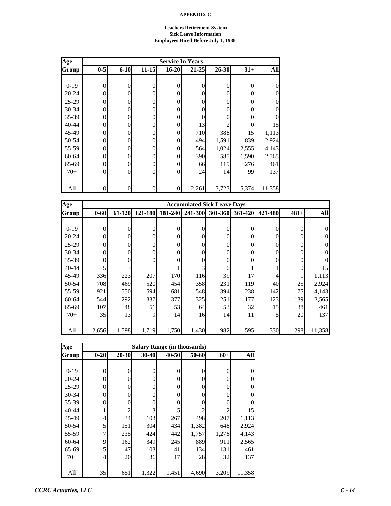#### **Teachers Retirement System Sick Leave Information Employees Hired Before July 1, 1988**

| Age       |              |                |                |                  | <b>Service In Years</b> |           |       |                  |
|-----------|--------------|----------------|----------------|------------------|-------------------------|-----------|-------|------------------|
| Group     | $0-5$        | $6 - 10$       | $11 - 15$      | $16 - 20$        | $21 - 25$               | $26 - 30$ | $31+$ | All              |
|           |              |                |                |                  |                         |           |       |                  |
| $0-19$    | $\mathbf{0}$ | $\theta$       | 0              | 0                | $\theta$                | $\theta$  | 0     | $\boldsymbol{0}$ |
| $20 - 24$ | 0            | $\Omega$       | 0              | 0                | $\theta$                | 0         | 0     | $\overline{0}$   |
| 25-29     | 0            | $\Omega$       | $\overline{0}$ | 0                | $\theta$                | 0         | 0     | $\overline{0}$   |
| 30-34     | 0            | $\theta$       | $\overline{0}$ | 0                | $\Omega$                | 0         | 0     | $\overline{0}$   |
| 35-39     | 0            | $\theta$       | $\overline{0}$ | 0                | $\theta$                | $\theta$  | 0     | $\overline{0}$   |
| 40-44     | 0            | $\theta$       | $\overline{0}$ | 0                | 13                      | 2         | 0     | 15               |
| 45-49     | 0            | $\Omega$       | $\overline{0}$ | $\overline{0}$   | 710                     | 388       | 15    | 1,113            |
| 50-54     | 0            | $\mathbf{0}$   | $\overline{0}$ | 0                | 494                     | 1,591     | 839   | 2,924            |
| 55-59     | 0            | $\Omega$       | $\overline{0}$ | $\overline{0}$   | 564                     | 1,024     | 2,555 | 4,143            |
| 60-64     | 0            | $\Omega$       | $\overline{0}$ | 0                | 390                     | 585       | 1,590 | 2,565            |
| 65-69     | 0            | $\Omega$       | $\Omega$       | 0                | 66                      | 119       | 276   | 461              |
| $70+$     | $\theta$     | $\theta$       | $\overline{0}$ | 0                | 24                      | 14        | 99    | 137              |
|           |              |                |                |                  |                         |           |       |                  |
| All       | $\Omega$     | $\overline{0}$ | $\overline{0}$ | $\boldsymbol{0}$ | 2,261                   | 3,723     | 5,374 | 11,358           |

| Age       |              |                |          |         | <b>Accumulated Sick Leave Days</b> |                |          |         |          |        |
|-----------|--------------|----------------|----------|---------|------------------------------------|----------------|----------|---------|----------|--------|
| Group     | $0 - 60$     | 61-120         | 121-180  | 181-240 | 241-300                            | 301-360        | 361-420  | 421-480 | $481+$   | All    |
|           |              |                |          |         |                                    |                |          |         |          |        |
| $0-19$    | $\theta$     | $\theta$       | $\Omega$ |         | $\Omega$                           | $\Omega$       | $\theta$ | 0       | 0        |        |
| $20 - 24$ | $\mathbf{0}$ | $\theta$       | $\Omega$ |         | $\Omega$                           | $\theta$       | $\theta$ | 0       |          |        |
| $25-29$   | $\mathbf{0}$ | 0              | 0        |         | $\Omega$                           | $\mathbf{0}$   | 0        | 0       |          |        |
| $30 - 34$ | $\mathbf{0}$ |                | 0        | 0       | $\Omega$                           | $\mathbf{0}$   |          | 0       |          |        |
| 35-39     | $\mathbf{0}$ |                | 0        |         | 0                                  | $\mathbf{0}$   |          | 0       |          |        |
| 40-44     | 5            | $\overline{3}$ |          |         |                                    | $\overline{0}$ |          |         | $\Omega$ | 15     |
| 45-49     | 336          | 223            | 207      | 170     | 116                                | 39             | 17       | 4       |          | 1,113  |
| 50-54     | 708          | 469            | 520      | 454     | 358                                | 231            | 119      | 40      | 25       | 2,924  |
| 55-59     | 921          | 550            | 594      | 681     | 548                                | 394            | 238      | 142     | 75       | 4,143  |
| 60-64     | 544          | 292            | 337      | 377     | 325                                | 251            | 177      | 123     | 139      | 2,565  |
| 65-69     | 107          | 48             | 51       | 53      | 64                                 | 53             | 32       | 15      | 38       | 461    |
| $70+$     | 35           | 13             | 9        | 14      | 16                                 | 14             | 11       | 5       | 20       | 137    |
|           |              |                |          |         |                                    |                |          |         |          |        |
| All       | 2,656        | 1,598          | 1,719    | 1,750   | 1,430                              | 982            | 595      | 330     | 298      | 11,358 |

| Age       |          |                |                |           | <b>Salary Range (in thousands)</b> |       |                |
|-----------|----------|----------------|----------------|-----------|------------------------------------|-------|----------------|
| Group     | $0 - 20$ | 20-30          | $30 - 40$      | $40 - 50$ | 50-60                              | $60+$ | All            |
|           |          |                |                |           |                                    |       |                |
| $0-19$    | $\theta$ | $\overline{0}$ | $\overline{0}$ | 0         | $\theta$                           | 0     | 0              |
| $20 - 24$ | $\theta$ | 0              | 0              | 0         | $\theta$                           | 0     | $\overline{0}$ |
| $25-29$   | $\Omega$ | $\theta$       | $\overline{0}$ | $\theta$  | $\theta$                           | 0     | 0              |
| 30-34     | $\Omega$ | $\theta$       | $\overline{0}$ | $\Omega$  | 0                                  | 0     | $\overline{0}$ |
| 35-39     | 0        | 0              | 0              | 0         | 0                                  | 0     | 0              |
| $40 - 44$ |          | $\overline{c}$ | 3              | 5         |                                    | 2     | 15             |
| 45-49     | 4        | 34             | 103            | 267       | 498                                | 207   | 1,113          |
| 50-54     | 5        | 151            | 304            | 434       | 1,382                              | 648   | 2,924          |
| 55-59     | 7        | 235            | 424            | 442       | 1,757                              | 1,278 | 4,143          |
| 60-64     | 9        | 162            | 349            | 245       | 889                                | 911   | 2,565          |
| 65-69     | 5        | 47             | 103            | 41        | 134                                | 131   | 461            |
| $70+$     | 4        | 20             | 36             | 17        | 28                                 | 32    | 137            |
|           |          |                |                |           |                                    |       |                |
| All       | 35       | 651            | 1,322          | 1,451     | 4,690                              | 3,209 | 11,358         |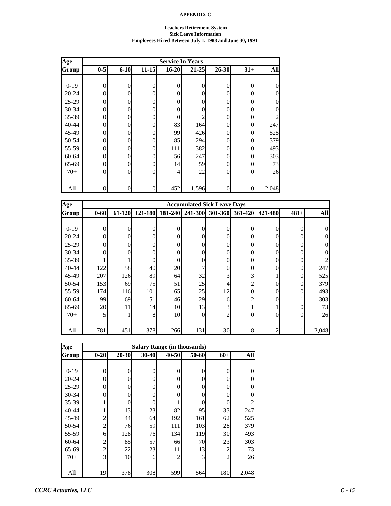#### **Teachers Retirement System Sick Leave Information Employees Hired Between July 1, 1988 and June 30, 1991**

| Age       | <b>Service In Years</b> |          |                  |                  |                |                |          |                  |  |  |  |
|-----------|-------------------------|----------|------------------|------------------|----------------|----------------|----------|------------------|--|--|--|
| Group     | $0-5$                   | $6 - 10$ | $11 - 15$        | $16 - 20$        | $21 - 25$      | $26 - 30$      | $31+$    | All              |  |  |  |
|           |                         |          |                  |                  |                |                |          |                  |  |  |  |
| $0-19$    | $\overline{0}$          | $\theta$ | $\boldsymbol{0}$ | $\boldsymbol{0}$ | $\overline{0}$ | $\overline{0}$ | $\theta$ | $\boldsymbol{0}$ |  |  |  |
| $20 - 24$ | $\overline{0}$          | 0        | $\overline{0}$   | $\overline{0}$   | 0              | $\Omega$       | $\Omega$ | $\boldsymbol{0}$ |  |  |  |
| $25-29$   | $\theta$                | $\Omega$ | $\theta$         | $\overline{0}$   | 0              | 0              | 0        | $\overline{0}$   |  |  |  |
| 30-34     | $\theta$                | $\Omega$ | $\theta$         | $\overline{0}$   | 0              | $\theta$       | $\Omega$ | $\overline{0}$   |  |  |  |
| 35-39     | $\theta$                | 0        | $\overline{0}$   | $\overline{0}$   | $\overline{2}$ | $\theta$       | $\Omega$ | 2                |  |  |  |
| $40 - 44$ | $\overline{0}$          | 0        | $\boldsymbol{0}$ | 83               | 164            | $\theta$       | $\theta$ | 247              |  |  |  |
| 45-49     | $\theta$                | 0        | $\overline{0}$   | 99               | 426            | $\theta$       | $\Omega$ | 525              |  |  |  |
| 50-54     | $\overline{0}$          | $\Omega$ | $\overline{0}$   | 85               | 294            | $\theta$       | $\Omega$ | 379              |  |  |  |
| 55-59     | $\overline{0}$          | 0        | $\theta$         | 111              | 382            | $\theta$       | $\Omega$ | 493              |  |  |  |
| 60-64     | $\theta$                | 0        | $\overline{0}$   | 56               | 247            | $\theta$       | $\theta$ | 303              |  |  |  |
| 65-69     | $\theta$                | $\Omega$ | $\overline{0}$   | 14               | 59             | $\theta$       | $\Omega$ | 73               |  |  |  |
| $70+$     | $\theta$                | $\Omega$ | $\overline{0}$   | $\overline{4}$   | 22             | $\theta$       | $\theta$ | 26               |  |  |  |
|           |                         |          |                  |                  |                |                |          |                  |  |  |  |
| All       | $\overline{0}$          | 0        | $\boldsymbol{0}$ | 452              | 1,596          | $\overline{0}$ | 0        | 2,048            |  |  |  |

| Age       |          |        |              |         | <b>Accumulated Sick Leave Days</b> |                |                |                |        |            |
|-----------|----------|--------|--------------|---------|------------------------------------|----------------|----------------|----------------|--------|------------|
| Group     | $0 - 60$ | 61-120 | 121-180      | 181-240 | 241-300                            | 301-360        | 361-420        | 421-480        | $481+$ | <b>All</b> |
|           |          |        |              |         |                                    |                |                |                |        |            |
| $0-19$    | $\theta$ | 0      | $\Omega$     | 0       | $\Omega$                           | 0              | 0              | 0              | 0      |            |
| $20 - 24$ | $\theta$ | 0      | $\Omega$     |         | $\Omega$                           | $\theta$       | 0              | 0              |        |            |
| $25-29$   | $\theta$ | 0      | $\theta$     |         | $\theta$                           | $\theta$       |                | $\theta$       |        |            |
| $30 - 34$ | $\theta$ |        | $\theta$     |         | 0                                  | $\theta$       |                | 0              |        |            |
| 35-39     |          |        | $\mathbf{0}$ |         | 0                                  | $\overline{0}$ |                | 0              | 0      |            |
| $40 - 44$ | 122      | 58     | 40           | 20      |                                    | $\overline{0}$ | 0              | $\theta$       | 0      | 247        |
| 45-49     | 207      | 126    | 89           | 64      | 32                                 | 3              | $\overline{3}$ |                | 0      | 525        |
| 50-54     | 153      | 69     | 75           | 51      | 25                                 | 4              | $\overline{c}$ | $\Omega$       | 0      | 379        |
| 55-59     | 174      | 116    | 101          | 65      | 25                                 | 12             | 0              | $\theta$       | 0      | 493        |
| 60-64     | 99       | 69     | 51           | 46      | 29                                 | 6              | 2              | 0              |        | 303        |
| 65-69     | 20       | 11     | 14           | 10      | 13                                 | 3              |                |                | 0      | 73         |
| $70+$     | 5        |        | 8            | 10      | $\theta$                           | $\overline{c}$ | 0              | $\theta$       | 0      | 26         |
|           |          |        |              |         |                                    |                |                |                |        |            |
| All       | 781      | 451    | 378          | 266     | 131                                | 30             | 8              | $\overline{2}$ |        | 2,048      |

| Age       | <b>Salary Range (in thousands)</b> |           |                |                |       |                |                |  |  |  |  |  |
|-----------|------------------------------------|-----------|----------------|----------------|-------|----------------|----------------|--|--|--|--|--|
| Group     | $0 - 20$                           | $20 - 30$ | $30 - 40$      | 40-50          | 50-60 | $60+$          | All            |  |  |  |  |  |
|           |                                    |           |                |                |       |                |                |  |  |  |  |  |
| $0-19$    | 0                                  | $\theta$  | 0              | $\theta$       | 0     | 0              | $\theta$       |  |  |  |  |  |
| $20 - 24$ | 0                                  | 0         | 0              | $\Omega$       | 0     | 0              | $\theta$       |  |  |  |  |  |
| $25-29$   | 0                                  | 0         | $\overline{0}$ | $\Omega$       | 0     | $\overline{0}$ | $\theta$       |  |  |  |  |  |
| 30-34     | 0                                  | 0         | $\theta$       | $\Omega$       | 0     | 0              | $\Omega$       |  |  |  |  |  |
| 35-39     |                                    | 0         | 0              |                | 0     | 0              | $\overline{2}$ |  |  |  |  |  |
| 40-44     |                                    | 13        | 23             | 82             | 95    | 33             | 247            |  |  |  |  |  |
| 45-49     | $\overline{c}$                     | 44        | 64             | 192            | 161   | 62             | 525            |  |  |  |  |  |
| 50-54     | $\overline{c}$                     | 76        | 59             | 111            | 103   | 28             | 379            |  |  |  |  |  |
| 55-59     | 6                                  | 128       | 76             | 134            | 119   | 30             | 493            |  |  |  |  |  |
| 60-64     | $\overline{c}$                     | 85        | 57             | 66             | 70    | 23             | 303            |  |  |  |  |  |
| 65-69     | $\overline{c}$                     | 22        | 23             | 11             | 13    | $\overline{c}$ | 73             |  |  |  |  |  |
| $70+$     | 3                                  | 10        | 6              | $\overline{2}$ | 3     | $\mathfrak{2}$ | 26             |  |  |  |  |  |
|           |                                    |           |                |                |       |                |                |  |  |  |  |  |
| All       | 19                                 | 378       | 308            | 599            | 564   | 180            | 2,048          |  |  |  |  |  |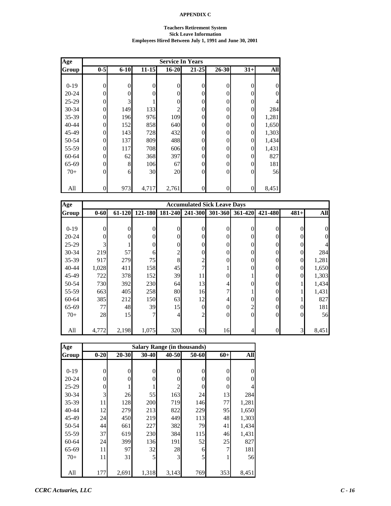### **Teachers Retirement System Sick Leave Information Employees Hired Between July 1, 1991 and June 30, 2001**

| Age       | <b>Service In Years</b> |          |              |           |                  |                |                  |                |  |  |  |
|-----------|-------------------------|----------|--------------|-----------|------------------|----------------|------------------|----------------|--|--|--|
| Group     | $0-5$                   | $6 - 10$ | $11 - 15$    | $16 - 20$ | $21 - 25$        | 26-30          | $31+$            | All            |  |  |  |
|           |                         |          |              |           |                  |                |                  |                |  |  |  |
| $0-19$    | $\mathbf{0}$            | 0        | $\mathbf{0}$ | 0         | $\overline{0}$   | 0              | $\boldsymbol{0}$ | $\overline{0}$ |  |  |  |
| $20 - 24$ | $\Omega$                | 0        | $\Omega$     | 0         | $\theta$         | $\Omega$       | $\overline{0}$   | $\overline{0}$ |  |  |  |
| $25-29$   | $\Omega$                | 3        |              | 0         | $\theta$         | 0              | $\overline{0}$   | $\overline{4}$ |  |  |  |
| 30-34     | $\Omega$                | 149      | 133          | 2         | $\overline{0}$   | $\Omega$       | $\overline{0}$   | 284            |  |  |  |
| 35-39     | 0                       | 196      | 976          | 109       | $\overline{0}$   | 0              | $\overline{0}$   | 1,281          |  |  |  |
| 40-44     | $\overline{0}$          | 152      | 858          | 640       | $\boldsymbol{0}$ | $\overline{0}$ | $\overline{0}$   | 1,650          |  |  |  |
| 45-49     | $\Omega$                | 143      | 728          | 432       | $\boldsymbol{0}$ | 0              | $\overline{0}$   | 1,303          |  |  |  |
| 50-54     | $\overline{0}$          | 137      | 809          | 488       | $\theta$         | 0              | $\overline{0}$   | 1,434          |  |  |  |
| 55-59     | $\overline{0}$          | 117      | 708          | 606       | $\theta$         | 0              | $\overline{0}$   | 1,431          |  |  |  |
| 60-64     | $\theta$                | 62       | 368          | 397       | $\theta$         | $\Omega$       | $\overline{0}$   | 827            |  |  |  |
| 65-69     | $\Omega$                | 8        | 106          | 67        | $\theta$         | 0              | $\overline{0}$   | 181            |  |  |  |
| $70+$     | $\theta$                | 6        | 30           | 20        | $\overline{0}$   | $\theta$       | $\overline{0}$   | 56             |  |  |  |
|           |                         |          |              |           |                  |                |                  |                |  |  |  |
| All       | $\overline{0}$          | 973      | 4,717        | 2,761     | $\boldsymbol{0}$ | 0              | $\boldsymbol{0}$ | 8,451          |  |  |  |

| Age          |                |        |         |                | <b>Accumulated Sick Leave Days</b> |                |                 |                  |                |       |
|--------------|----------------|--------|---------|----------------|------------------------------------|----------------|-----------------|------------------|----------------|-------|
| <b>Group</b> | $0 - 60$       | 61-120 | 121-180 | 181-240        | 241-300                            |                | 301-360 361-420 | 421-480          | $481+$         | All   |
|              |                |        |         |                |                                    |                |                 |                  |                |       |
| $0-19$       | $\overline{0}$ | 0      | 0       | $\Omega$       | 0                                  | $\Omega$       | $\Omega$        | $\overline{0}$   | $\Omega$       |       |
| $20 - 24$    | $\overline{0}$ | 0      | 0       | $\Omega$       | 0                                  | $\theta$       | $\theta$        | $\theta$         |                |       |
| $25-29$      | $\overline{3}$ |        | 0       | $\theta$       | 0                                  | $\theta$       | 0               | $\theta$         |                |       |
| $30 - 34$    | 219            | 57     | 6       | $\mathfrak{D}$ |                                    | $\theta$       | 0               | $\overline{0}$   | $\Omega$       | 284   |
| $35 - 39$    | 917            | 279    | 75      | 8              |                                    | $\overline{0}$ | 0               | $\theta$         | $\overline{0}$ | 1,281 |
| $40 - 44$    | 1,028          | 411    | 158     | 45             |                                    |                | 0               | $\theta$         | $\Omega$       | 1,650 |
| 45-49        | 722            | 378    | 152     | 39             | 11                                 | $\theta$       |                 | $\theta$         | $\Omega$       | 1,303 |
| 50-54        | 730            | 392    | 230     | 64             | 13                                 | 4              | 0               | $\theta$         |                | 1,434 |
| 55-59        | 663            | 405    | 258     | 80             | 16                                 | 7              |                 | $\theta$         |                | 1,431 |
| 60-64        | 385            | 212    | 150     | 63             | 12                                 | 4              | 0               | $\theta$         |                | 827   |
| 65-69        | 77             | 48     | 39      | 15             | $\Omega$                           | $\mathbf{0}$   | 2               | $\theta$         | $\Omega$       | 181   |
| $70+$        | 28             | 15     |         | 4              | 2                                  | $\theta$       | $\Omega$        | $\overline{0}$   | $\Omega$       | 56    |
|              |                |        |         |                |                                    |                |                 |                  |                |       |
| All          | 4,772          | 2,198  | 1,075   | 320            | 63                                 | 16             | 4               | $\boldsymbol{0}$ | 3              | 8,451 |

| Age       |          |           | <b>Salary Range (in thousands)</b> |                |       |       |                |
|-----------|----------|-----------|------------------------------------|----------------|-------|-------|----------------|
| Group     | $0 - 20$ | $20 - 30$ | 30-40                              | 40-50          | 50-60 | $60+$ | All            |
|           |          |           |                                    |                |       |       |                |
| $0-19$    | 0        | 0         | 0                                  | $\theta$       | 0     | 0     | 0              |
| $20 - 24$ | 0        | 0         | 0                                  | 0              | 0     | 0     | $\overline{0}$ |
| $25-29$   | 0        |           |                                    | $\mathfrak{D}$ | 0     | 0     | 4              |
| 30-34     | 3        | 26        | 55                                 | 163            | 24    | 13    | 284            |
| 35-39     | 11       | 128       | 200                                | 719            | 146   | 77    | 1,281          |
| 40-44     | 12       | 279       | 213                                | 822            | 229   | 95    | 1,650          |
| 45-49     | 24       | 450       | 219                                | 449            | 113   | 48    | 1,303          |
| 50-54     | 44       | 661       | 227                                | 382            | 79    | 41    | 1,434          |
| 55-59     | 37       | 619       | 230                                | 384            | 115   | 46    | 1,431          |
| 60-64     | 24       | 399       | 136                                | 191            | 52    | 25    | 827            |
| 65-69     | 11       | 97        | 32                                 | 28             | 6     | 7     | 181            |
| $70+$     | 11       | 31        | 5                                  | 3              | 5     |       | 56             |
|           |          |           |                                    |                |       |       |                |
| All       | 177      | 2,691     | 1,318                              | 3,143          | 769   | 353   | 8,451          |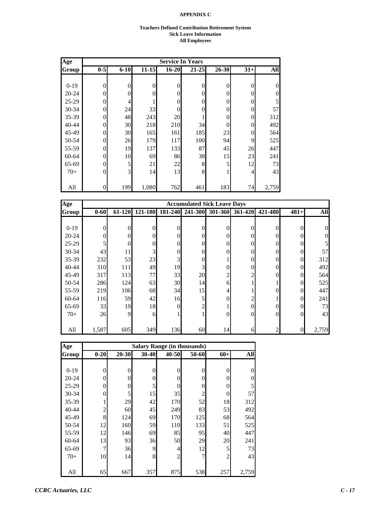#### **Teachers Defined Contribution Retirement System Sick Leave Information All Employees**

| Age       |                |          |                |                  | <b>Service In Years</b> |                |       |          |
|-----------|----------------|----------|----------------|------------------|-------------------------|----------------|-------|----------|
| Group     | $0-5$          | $6 - 10$ | $11 - 15$      | $16 - 20$        | $21 - 25$               | $26 - 30$      | $31+$ | All      |
|           |                |          |                |                  |                         |                |       |          |
| $0-19$    | $\overline{0}$ | 0        | $\overline{0}$ | $\boldsymbol{0}$ | $\overline{0}$          | $\overline{0}$ | 0     | $\theta$ |
| $20 - 24$ | $\theta$       | 0        | $\Omega$       | $\overline{0}$   | $\Omega$                | $\theta$       | 0     | $\theta$ |
| $25 - 29$ | $\theta$       | 4        |                | $\overline{0}$   | $\overline{0}$          | $\theta$       | 0     | 5        |
| 30-34     | $\mathbf{0}$   | 24       | 33             | $\mathbf{0}$     | $\theta$                | $\theta$       | 0     | 57       |
| 35-39     | $\mathbf{0}$   | 48       | 243            | 20               |                         | 0              | 0     | 312      |
| 40-44     | $\theta$       | 30       | 218            | 210              | 34                      | $\theta$       | 0     | 492      |
| 45-49     | $\theta$       | 30       | 165            | 161              | 185                     | 23             | 0     | 564      |
| 50-54     | $\overline{0}$ | 26       | 179            | 117              | 100                     | 94             | 9     | 525      |
| 55-59     | $\theta$       | 19       | 137            | 133              | 87                      | 45             | 26    | 447      |
| 60-64     | $\theta$       | 10       | 69             | 86               | 38                      | 15             | 23    | 241      |
| 65-69     | $\theta$       | 5        | 21             | 22               | 8                       | 5              | 12    | 73       |
| $70+$     | $\theta$       | 3        | 14             | 13               | 8                       | 1              | 4     | 43       |
|           |                |          |                |                  |                         |                |       |          |
| All       | $\overline{0}$ | 199      | 1,080          | 762              | 461                     | 183            | 74    | 2,759    |

| Age       |          |          |                |          | <b>Accumulated Sick Leave Days</b> |                |         |          |          |            |
|-----------|----------|----------|----------------|----------|------------------------------------|----------------|---------|----------|----------|------------|
| Group     | $0 - 60$ | 61-120   | 121-180        | 181-240  | 241-300                            | 301-360        | 361-420 | 421-480  | $481+$   | <b>All</b> |
|           |          |          |                |          |                                    |                |         |          |          |            |
| $0-19$    | 0        | $\theta$ | $\overline{0}$ | $\theta$ | 0                                  | $\theta$       |         | 0        | 0        |            |
| $20 - 24$ | $\theta$ | $\Omega$ | $\overline{0}$ | $\theta$ | 0                                  | $\Omega$       |         | 0        | 0        |            |
| $25-29$   | 5        | 0        | $\overline{0}$ | $\theta$ | 0                                  | $\theta$       |         | 0        | 0        |            |
| $30 - 34$ | 43       | 11       | 3              | $\theta$ | 0                                  | $\Omega$       |         | 0        | 0        | 57         |
| $35 - 39$ | 232      | 53       | 23             | 3        |                                    |                |         | 0        | 0        | 312        |
| $40 - 44$ | 310      | 111      | 49             | 19       | 3                                  | $\mathbf{0}$   |         | 0        | $\Omega$ | 492        |
| 45-49     | 317      | 113      | 77             | 33       | 20                                 | $\overline{2}$ |         | $\theta$ | $\Omega$ | 564        |
| 50-54     | 286      | 124      | 63             | 30       | 14                                 | 6              |         |          | $\Omega$ | 525        |
| 55-59     | 219      | 106      | 68             | 34       | 15                                 | 4              |         | 0        | 0        | 447        |
| 60-64     | 116      | 59       | 42             | 16       | 5                                  | $\mathbf{0}$   |         |          | 0        | 241        |
| 65-69     | 33       | 19       | 18             | $\Omega$ |                                    |                |         | 0        | 0        | 73         |
| $70+$     | 26       | 9        | 6              |          |                                    | $\mathbf{0}$   |         | $\theta$ | 0        | 43         |
|           |          |          |                |          |                                    |                |         |          |          |            |
| All       | 1,587    | 605      | 349            | 136      | 60                                 | 14             | 61      |          | $\theta$ | 2,759      |

| Age       |                |           |           |                | <b>Salary Range (in thousands)</b> |       |                |
|-----------|----------------|-----------|-----------|----------------|------------------------------------|-------|----------------|
| Group     | $0 - 20$       | $20 - 30$ | $30 - 40$ | 40-50          | 50-60                              | $60+$ | All            |
|           |                |           |           |                |                                    |       |                |
| $0-19$    | 0              | 0         | 0         | $\Omega$       | 0                                  | 0     | 0              |
| $20 - 24$ | 0              | 0         | 0         | 0              | 0                                  | 0     | $\overline{0}$ |
| $25-29$   | 0              | 0         | 5         | 0              | 0                                  | 0     | 5              |
| $30 - 34$ | 0              | 5         | 15        | 35             | $\overline{c}$                     | 0     | 57             |
| 35-39     |                | 29        | 42        | 170            | 52                                 | 18    | 312            |
| 40-44     | $\overline{c}$ | 60        | 45        | 249            | 83                                 | 53    | 492            |
| 45-49     | 8              | 124       | 69        | 170            | 125                                | 68    | 564            |
| 50-54     | 12             | 160       | 59        | 110            | 133                                | 51    | 525            |
| 55-59     | 12             | 146       | 69        | 85             | 95                                 | 40    | 447            |
| 60-64     | 13             | 93        | 36        | 50             | 29                                 | 20    | 241            |
| 65-69     | 7              | 36        | 9         | 4              | 12                                 | 5     | 73             |
| $70+$     | 10             | 14        | 8         | $\overline{c}$ |                                    | 2     | 43             |
|           |                |           |           |                |                                    |       |                |
| All       | 65             | 667       | 357       | 875            | 538                                | 257   | 2,759          |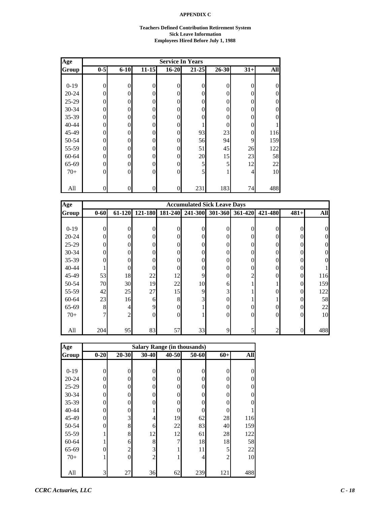#### **Teachers Defined Contribution Retirement System Sick Leave Information Employees Hired Before July 1, 1988**

| Age       |                | <b>Service In Years</b> |                  |                  |           |              |          |                |  |  |  |  |
|-----------|----------------|-------------------------|------------------|------------------|-----------|--------------|----------|----------------|--|--|--|--|
| Group     | $0-5$          | $6 - 10$                | $11 - 15$        | $16 - 20$        | $21 - 25$ | 26-30        | $31+$    | All            |  |  |  |  |
|           |                |                         |                  |                  |           |              |          |                |  |  |  |  |
| $0-19$    | $\overline{0}$ | $\theta$                | $\overline{0}$   | $\boldsymbol{0}$ | 0         | $\mathbf{0}$ | $\theta$ | $\theta$       |  |  |  |  |
| $20 - 24$ | $\overline{0}$ | 0                       | $\theta$         | $\boldsymbol{0}$ | 0         | $\theta$     | 0        | $\theta$       |  |  |  |  |
| $25-29$   | $\theta$       | 0                       | $\theta$         | $\overline{0}$   | 0         | $\theta$     | $\Omega$ | $\theta$       |  |  |  |  |
| 30-34     | $\theta$       | 0                       | $\overline{0}$   | $\boldsymbol{0}$ | 0         | $\Omega$     | 0        | $\overline{0}$ |  |  |  |  |
| 35-39     | $\theta$       | 0                       | $\mathbf{0}$     | $\boldsymbol{0}$ | 0         | $\Omega$     | 0        | $\overline{0}$ |  |  |  |  |
| 40-44     | $\overline{0}$ | 0                       | 0                | $\boldsymbol{0}$ |           | $\theta$     | 0        |                |  |  |  |  |
| 45-49     | $\theta$       | 0                       | $\overline{0}$   | $\boldsymbol{0}$ | 93        | 23           | $\Omega$ | 116            |  |  |  |  |
| 50-54     | $\overline{0}$ | $\Omega$                | $\overline{0}$   | $\boldsymbol{0}$ | 56        | 94           | 9        | 159            |  |  |  |  |
| 55-59     | $\overline{0}$ | 0                       | $\boldsymbol{0}$ | $\boldsymbol{0}$ | 51        | 45           | 26       | 122            |  |  |  |  |
| 60-64     | $\theta$       | $\Omega$                | $\overline{0}$   | $\boldsymbol{0}$ | 20        | 15           | 23       | 58             |  |  |  |  |
| 65-69     | $\theta$       | $\Omega$                | $\mathbf{0}$     | $\boldsymbol{0}$ | 5         | 5            | 12       | 22             |  |  |  |  |
| $70+$     | $\theta$       | $\Omega$                | $\overline{0}$   | $\overline{0}$   | 5         |              | 4        | 10             |  |  |  |  |
|           |                |                         |                  |                  |           |              |          |                |  |  |  |  |
| All       | $\overline{0}$ | 0                       | 0                | $\vert 0 \vert$  | 231       | 183          | 74       | 488            |  |  |  |  |

| Age          |                |                |          |          | <b>Accumulated Sick Leave Days</b> |          |         |          |          |            |
|--------------|----------------|----------------|----------|----------|------------------------------------|----------|---------|----------|----------|------------|
| <b>Group</b> | $0 - 60$       | 61-120         | 121-180  | 181-240  | 241-300                            | 301-360  | 361-420 | 421-480  | $481+$   | <b>All</b> |
|              |                |                |          |          |                                    |          |         |          |          |            |
| $0-19$       | $\theta$       | 0              | 0        | $\Omega$ | 0                                  | 0        | 0       | $\theta$ | $\Omega$ |            |
| $20 - 24$    | $\theta$       | 0              | $\Omega$ | $\Omega$ | 0                                  | $\Omega$ | 0       | $\theta$ |          |            |
| $25-29$      | $\overline{0}$ | 0              | 0        | $\Omega$ | 0                                  | 0        | 0       | $\theta$ |          |            |
| $30 - 34$    | $\mathbf{0}$   | 0              | $\Omega$ | $\Omega$ | 0                                  | $\Omega$ | 0       | $\theta$ |          |            |
| 35-39        | $\mathbf{0}$   |                | 0        | $\Omega$ | 0                                  | $\Omega$ | 0       | $\theta$ |          |            |
| $40 - 44$    | 1              | 0              | 0        | $\Omega$ | 0                                  | $\Omega$ | 0       | $\theta$ | 0        |            |
| 45-49        | 53             | 18             | 22       | 12       | 9                                  | $\Omega$ | 2       | $\theta$ | $\Omega$ | 116        |
| 50-54        | 70             | 30             | 19       | 22       | 10                                 | 6        |         |          | $\Omega$ | 159        |
| 55-59        | 42             | 25             | 27       | 15       | 9                                  | 3        |         | 0        | $\Omega$ | 122        |
| 60-64        | 23             | 16             | 6        | 8        | $\overline{3}$                     | $\Omega$ |         |          | $\Omega$ | 58         |
| 65-69        | 8              | 4              | 9        | $\theta$ |                                    | $\Omega$ | 0       | $\theta$ | $\Omega$ | 22         |
| $70+$        | 7              | $\overline{c}$ | $\Omega$ | $\theta$ |                                    | $\Omega$ | 0       | $\theta$ | $\Omega$ | 10         |
|              |                |                |          |          |                                    |          |         |          |          |            |
| All          | 204            | 95             | 83       | 57       | 33                                 | 9        | 5       | 2        |          | 488        |

| Age       | <b>Salary Range (in thousands)</b> |                |                |       |          |                |     |  |  |  |  |  |
|-----------|------------------------------------|----------------|----------------|-------|----------|----------------|-----|--|--|--|--|--|
| Group     | $0 - 20$                           | $20 - 30$      | 30-40          | 40-50 | 50-60    | $60+$          | All |  |  |  |  |  |
|           |                                    |                |                |       |          |                |     |  |  |  |  |  |
| $0 - 19$  | 0                                  | $\theta$       | $\theta$       | 0     | $\theta$ | $\mathbf{0}$   | 0   |  |  |  |  |  |
| $20 - 24$ | 0                                  | $\theta$       | 0              | 0     | 0        | $\overline{0}$ | 0   |  |  |  |  |  |
| $25-29$   | 0                                  | 0              | 0              | 0     | 0        | $\overline{0}$ | 0   |  |  |  |  |  |
| 30-34     | 0                                  | 0              | 0              | 0     | 0        | $\overline{0}$ | 0   |  |  |  |  |  |
| 35-39     | 0                                  | 0              | 0              | 0     | 0        | 0              | O   |  |  |  |  |  |
| $40 - 44$ | 0                                  | 0              |                | 0     | 0        | $\Omega$       |     |  |  |  |  |  |
| 45-49     | 0                                  | 3              | $\overline{4}$ | 19    | 62       | 28             | 116 |  |  |  |  |  |
| 50-54     | 0                                  | 8              | 6              | 22    | 83       | 40             | 159 |  |  |  |  |  |
| 55-59     |                                    | 8              | 12             | 12    | 61       | 28             | 122 |  |  |  |  |  |
| 60-64     |                                    | 6              | 8              | 7     | 18       | 18             | 58  |  |  |  |  |  |
| 65-69     | 0                                  | $\mathbf{2}$   | 3              |       | 11       | 5              | 22  |  |  |  |  |  |
| $70+$     |                                    | $\overline{0}$ | $\overline{c}$ |       | 4        | $\overline{2}$ | 10  |  |  |  |  |  |
|           |                                    |                |                |       |          |                |     |  |  |  |  |  |
| All       | 3                                  | 27             | 36             | 62    | 239      | 121            | 488 |  |  |  |  |  |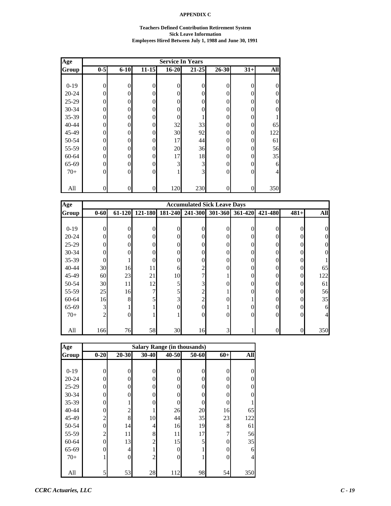#### **Teachers Defined Contribution Retirement System Sick Leave Information Employees Hired Between July 1, 1988 and June 30, 1991**

| Age       |                | <b>Service In Years</b> |                  |                  |                |                |                |                |  |  |  |  |  |
|-----------|----------------|-------------------------|------------------|------------------|----------------|----------------|----------------|----------------|--|--|--|--|--|
| Group     | $0-5$          | $6 - 10$                | $11 - 15$        | $16 - 20$        | $21 - 25$      | 26-30          | $31+$          | All            |  |  |  |  |  |
|           |                |                         |                  |                  |                |                |                |                |  |  |  |  |  |
| $0-19$    | $\overline{0}$ | $\theta$                | $\overline{0}$   | $\boldsymbol{0}$ | 0              | $\overline{0}$ | $\Omega$       | $\theta$       |  |  |  |  |  |
| $20 - 24$ | $\overline{0}$ | 0                       | $\overline{0}$   | $\boldsymbol{0}$ | $\overline{0}$ | $\Omega$       | 0              | $\theta$       |  |  |  |  |  |
| $25-29$   | $\theta$       | 0                       | $\overline{0}$   | $\overline{0}$   | 0              | $\Omega$       | $\Omega$       | $\overline{0}$ |  |  |  |  |  |
| $30 - 34$ | $\theta$       | 0                       | $\overline{0}$   | $\overline{0}$   | 0              | $\Omega$       | 0              | $\overline{0}$ |  |  |  |  |  |
| 35-39     | $\theta$       | 0                       | $\overline{0}$   | $\boldsymbol{0}$ |                | $\Omega$       | 0              |                |  |  |  |  |  |
| 40-44     | $\overline{0}$ | 0                       | $\boldsymbol{0}$ | 32               | 33             | $\overline{0}$ | $\Omega$       | 65             |  |  |  |  |  |
| 45-49     | $\theta$       | 0                       | $\mathbf{0}$     | 30               | 92             | $\Omega$       | $\Omega$       | 122            |  |  |  |  |  |
| 50-54     | $\overline{0}$ | $\Omega$                | $\overline{0}$   | 17               | 44             | $\Omega$       | $\Omega$       | 61             |  |  |  |  |  |
| 55-59     | $\overline{0}$ | 0                       | $\boldsymbol{0}$ | 20               | 36             | $\overline{0}$ | $\Omega$       | 56             |  |  |  |  |  |
| 60-64     | $\theta$       | $\Omega$                | $\theta$         | 17               | 18             | $\theta$       | $\Omega$       | 35             |  |  |  |  |  |
| 65-69     | $\theta$       | $\Omega$                | $\overline{0}$   | 3                | 3              | $\theta$       | $\Omega$       | 6              |  |  |  |  |  |
| $70+$     | $\theta$       | $\Omega$                | $\overline{0}$   | 1                | 3              | $\theta$       | $\Omega$       | $\overline{4}$ |  |  |  |  |  |
|           |                |                         |                  |                  |                |                |                |                |  |  |  |  |  |
| All       | $\overline{0}$ | 0                       | 0                | 120              | 230            | $\overline{0}$ | $\overline{0}$ | 350            |  |  |  |  |  |

| Age          |                |        |          |         | <b>Accumulated Sick Leave Days</b> |                |         |          |          |            |
|--------------|----------------|--------|----------|---------|------------------------------------|----------------|---------|----------|----------|------------|
| <b>Group</b> | $0 - 60$       | 61-120 | 121-180  | 181-240 | 241-300                            | 301-360        | 361-420 | 421-480  | $481+$   | <b>All</b> |
|              |                |        |          |         |                                    |                |         |          |          |            |
| $0-19$       | $\theta$       | 0      | $\theta$ |         | $\theta$                           | 0              | 0       | 0        | 0        |            |
| $20 - 24$    | $\theta$       | 0      | $\Omega$ |         | $\Omega$                           | $\theta$       | 0       | 0        |          |            |
| $25-29$      | $\theta$       | 0      | $\Omega$ |         | $\theta$                           | $\theta$       | 0       | 0        |          |            |
| $30 - 34$    | $\overline{0}$ |        | $\theta$ |         | $\theta$                           | 0              |         | 0        |          |            |
| $35 - 39$    | $\overline{0}$ |        | $\theta$ |         | 0                                  | $\overline{0}$ |         | 0        |          |            |
| $40 - 44$    | 30             | 16     | 11       | 6       | 2                                  | 0              |         | $\theta$ | 0        | 65         |
| 45-49        | 60             | 23     | 21       | 10      |                                    |                | 0       | $\theta$ | $\Omega$ | 122        |
| 50-54        | 30             | 11     | 12       | 5       | 3                                  | $\Omega$       | 0       | 0        | 0        | 61         |
| 55-59        | 25             | 16     | 7        |         | 2                                  |                |         | $\Omega$ |          | 56         |
| 60-64        | 16             | 8      | 5        | 3       | 2                                  |                |         | $\theta$ | 0        | 35         |
| 65-69        | 3              |        |          |         | $\theta$                           |                |         | 0        |          | 6          |
| $70+$        | $\overline{2}$ | 0      |          |         | $\theta$                           | $\theta$       | 0       | $\theta$ | 0        |            |
|              |                |        |          |         |                                    |                |         |          |          |            |
| All          | 166            | 76     | 58       | 30      | 16                                 | $\overline{3}$ |         | 0        |          | 350        |

| Age       | <b>Salary Range (in thousands)</b> |                  |                |           |          |                  |          |  |  |  |  |
|-----------|------------------------------------|------------------|----------------|-----------|----------|------------------|----------|--|--|--|--|
| Group     | $0 - 20$                           | 20-30            | 30-40          | $40 - 50$ | 50-60    | $60+$            | All      |  |  |  |  |
|           |                                    |                  |                |           |          |                  |          |  |  |  |  |
| $0-19$    | 0                                  | $\overline{0}$   | 0              | $\theta$  | $\theta$ | $\theta$         | $\theta$ |  |  |  |  |
| $20 - 24$ | 0                                  | $\theta$         | $\theta$       | $\theta$  | 0        | $\theta$         | $\theta$ |  |  |  |  |
| $25 - 29$ | 0                                  | $\theta$         | $\theta$       | $\Omega$  | 0        | $\theta$         | $\theta$ |  |  |  |  |
| 30-34     | 0                                  | $\theta$         | $\theta$       | $\Omega$  | 0        | $\theta$         | 0        |  |  |  |  |
| 35-39     | 0                                  | 1                | $\theta$       | $\theta$  | 0        | $\theta$         |          |  |  |  |  |
| 40-44     | 0                                  | $\overline{2}$   |                | 26        | 20       | 16               | 65       |  |  |  |  |
| 45-49     | $\overline{c}$                     | 8                | 10             | 44        | 35       | 23               | 122      |  |  |  |  |
| 50-54     | $\theta$                           | 14               | 4              | 16        | 19       | 8                | 61       |  |  |  |  |
| 55-59     | $\overline{c}$                     | 11               | 8              | 11        | 17       | 7                | 56       |  |  |  |  |
| 60-64     | $\theta$                           | 13               | $\overline{c}$ | 15        | 5        | $\boldsymbol{0}$ | 35       |  |  |  |  |
| 65-69     | 0                                  | 4                | 1              | $\theta$  |          | $\boldsymbol{0}$ | 6        |  |  |  |  |
| $70+$     |                                    | $\boldsymbol{0}$ | $\mathfrak{2}$ | $\Omega$  |          | $\boldsymbol{0}$ | 4        |  |  |  |  |
|           |                                    |                  |                |           |          |                  |          |  |  |  |  |
| All       | 5                                  | 53               | 28             | 112       | 98       | 54               | 350      |  |  |  |  |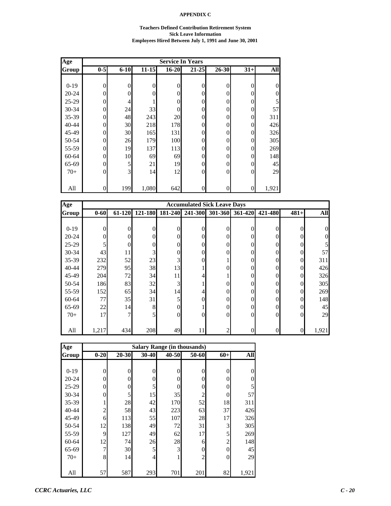#### **Teachers Defined Contribution Retirement System Sick Leave Information Employees Hired Between July 1, 1991 and June 30, 2001**

| Age       | <b>Service In Years</b> |          |              |           |                  |          |                  |                |  |  |  |
|-----------|-------------------------|----------|--------------|-----------|------------------|----------|------------------|----------------|--|--|--|
| Group     | $0-5$                   | $6 - 10$ | $11 - 15$    | $16 - 20$ | $21 - 25$        | 26-30    | $31+$            | All            |  |  |  |
|           |                         |          |              |           |                  |          |                  |                |  |  |  |
| $0-19$    | $\mathbf{0}$            | 0        | $\mathbf{0}$ | 0         | $\overline{0}$   | $\Omega$ | $\overline{0}$   | $\overline{0}$ |  |  |  |
| $20 - 24$ | $\Omega$                | 0        | $\Omega$     | 0         | $\theta$         | $\Omega$ | $\overline{0}$   | $\overline{0}$ |  |  |  |
| $25-29$   | $\Omega$                | 4        |              | 0         | $\theta$         | 0        | $\overline{0}$   | 5              |  |  |  |
| 30-34     | $\Omega$                | 24       | 33           | 0         | $\overline{0}$   | 0        | $\overline{0}$   | 57             |  |  |  |
| 35-39     | 0                       | 48       | 243          | 20        | $\overline{0}$   | 0        | $\overline{0}$   | 311            |  |  |  |
| 40-44     | $\overline{0}$          | 30       | 218          | 178       | $\overline{0}$   | $\Omega$ | $\overline{0}$   | 426            |  |  |  |
| 45-49     | $\Omega$                | 30       | 165          | 131       | $\theta$         | 0        | $\overline{0}$   | 326            |  |  |  |
| 50-54     | $\Omega$                | 26       | 179          | 100       | $\overline{0}$   | 0        | $\overline{0}$   | 305            |  |  |  |
| 55-59     | $\theta$                | 19       | 137          | 113       | $\theta$         | 0        | $\overline{0}$   | 269            |  |  |  |
| 60-64     | $\theta$                | 10       | 69           | 69        | $\theta$         | 0        | $\overline{0}$   | 148            |  |  |  |
| 65-69     | $\Omega$                | 5        | 21           | 19        | $\overline{0}$   | 0        | $\overline{0}$   | 45             |  |  |  |
| $70+$     | $\Omega$                | 3        | 14           | 12        | $\overline{0}$   | 0        | $\overline{0}$   | 29             |  |  |  |
|           |                         |          |              |           |                  |          |                  |                |  |  |  |
| All       | $\theta$                | 199      | 1,080        | 642       | $\boldsymbol{0}$ | 0        | $\boldsymbol{0}$ | 1,921          |  |  |  |

| Age       |          | <b>Accumulated Sick Leave Days</b> |              |          |          |                |         |                  |                |            |  |
|-----------|----------|------------------------------------|--------------|----------|----------|----------------|---------|------------------|----------------|------------|--|
| Group     | $0 - 60$ | 61-120                             | 121-180      | 181-240  | 241-300  | 301-360        | 361-420 | 421-480          | $481+$         | <b>All</b> |  |
|           |          |                                    |              |          |          |                |         |                  |                |            |  |
| $0-19$    | $\theta$ | 0                                  | $\theta$     | $\theta$ | $\theta$ | $\theta$       | 0       | $\theta$         | $\Omega$       | 0          |  |
| $20 - 24$ | $\Omega$ | 0                                  | $\mathbf{0}$ | 0        | $\theta$ | $\theta$       | 0       | $\theta$         | 0              |            |  |
| $25-29$   | 5        | 0                                  | $\mathbf{0}$ | 0        | 0        | $\overline{0}$ | 0       | $\theta$         |                |            |  |
| $30 - 34$ | 43       | 11                                 | 3            | 0        | $\theta$ | $\overline{0}$ | 0       | $\theta$         | $\Omega$       | 57         |  |
| $35 - 39$ | 232      | 52                                 | 23           | 3        | 0        |                | 0       | $\theta$         | $\overline{0}$ | 311        |  |
| $40 - 44$ | 279      | 95                                 | 38           | 13       |          | $\overline{0}$ | 0       | $\overline{0}$   | $\overline{0}$ | 426        |  |
| 45-49     | 204      | 72                                 | 34           | 11       | 4        |                | 0       | $\theta$         | $\Omega$       | 326        |  |
| 50-54     | 186      | 83                                 | 32           | 3        |          | $\theta$       | 0       | $\theta$         | $\Omega$       | 305        |  |
| 55-59     | 152      | 65                                 | 34           | 14       | 4        | $\theta$       | 0       | $\theta$         | $\Omega$       | 269        |  |
| 60-64     | 77       | 35                                 | 31           | 5        | 0        | $\overline{0}$ | 0       | $\theta$         | $\Omega$       | 148        |  |
| 65-69     | 22       | 14                                 | 8            | 0        |          | $\overline{0}$ | 0       | $\theta$         | $\Omega$       | 45         |  |
| $70+$     | 17       | 7                                  | 5            | $\theta$ | 0        | $\overline{0}$ | 0       | $\overline{0}$   | $\Omega$       | 29         |  |
|           |          |                                    |              |          |          |                |         |                  |                |            |  |
| All       | 1,217    | 434                                | 208          | 49       | 11       | 2              | 0       | $\boldsymbol{0}$ | $\Omega$       | 1,921      |  |

| Age       |                | <b>Salary Range (in thousands)</b> |           |          |                |                  |          |  |  |  |  |  |  |
|-----------|----------------|------------------------------------|-----------|----------|----------------|------------------|----------|--|--|--|--|--|--|
| Group     | $0 - 20$       | $20 - 30$                          | $30 - 40$ | 40-50    | 50-60          | $60+$            | All      |  |  |  |  |  |  |
|           |                |                                    |           |          |                |                  |          |  |  |  |  |  |  |
| $0-19$    | 0              | $\theta$                           | 0         | $\Omega$ | 0              | 0                | $\theta$ |  |  |  |  |  |  |
| $20 - 24$ | 0              | 0                                  | 0         | 0        | 0              | 0                | $\theta$ |  |  |  |  |  |  |
| $25-29$   | 0              | 0                                  | 5         | $\Omega$ | 0              | $\theta$         | 5        |  |  |  |  |  |  |
| 30-34     | 0              | 5                                  | 15        | 35       | $\overline{2}$ | $\boldsymbol{0}$ | 57       |  |  |  |  |  |  |
| 35-39     |                | 28                                 | 42        | 170      | 52             | 18               | 311      |  |  |  |  |  |  |
| 40-44     | $\overline{c}$ | 58                                 | 43        | 223      | 63             | 37               | 426      |  |  |  |  |  |  |
| 45-49     | 6              | 113                                | 55        | 107      | 28             | 17               | 326      |  |  |  |  |  |  |
| 50-54     | 12             | 138                                | 49        | 72       | 31             | 3                | 305      |  |  |  |  |  |  |
| 55-59     | 9              | 127                                | 49        | 62       | 17             | 5                | 269      |  |  |  |  |  |  |
| 60-64     | 12             | 74                                 | 26        | 28       | 6              | $\mathfrak{2}$   | 148      |  |  |  |  |  |  |
| 65-69     | 7              | 30                                 | 5         | 3        | 0              | $\boldsymbol{0}$ | 45       |  |  |  |  |  |  |
| $70+$     | 8              | 14                                 | 4         |          | $\overline{2}$ | $\boldsymbol{0}$ | 29       |  |  |  |  |  |  |
|           |                |                                    |           |          |                |                  |          |  |  |  |  |  |  |
| All       | 57             | 587                                | 293       | 701      | 201            | 82               | 1,921    |  |  |  |  |  |  |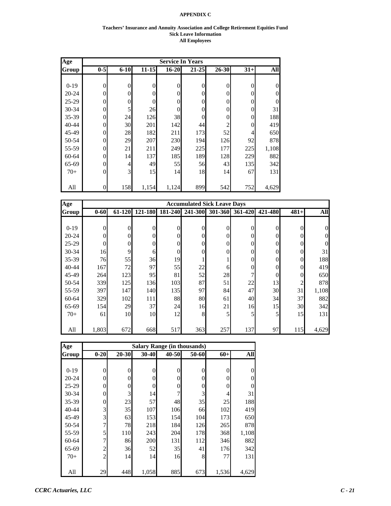#### **Teachers' Insurance and Annuity Association and College Retirement Equities Fund Sick Leave Information All Employees**

| Age       |                |                |                |                | <b>Service In Years</b> |          |          |                |
|-----------|----------------|----------------|----------------|----------------|-------------------------|----------|----------|----------------|
| Group     | $0-5$          | $6 - 10$       | $11 - 15$      | $16 - 20$      | $21 - 25$               | 26-30    | $31+$    | All            |
|           |                |                |                |                |                         |          |          |                |
| $0-19$    | 0              | $\theta$       | $\overline{0}$ | 0              | $\overline{0}$          | 0        | 0        | $\theta$       |
| $20 - 24$ | 0              | $\Omega$       | $\Omega$       | $\overline{0}$ | $\theta$                | $\theta$ | 0        | $\theta$       |
| 25-29     | 0              | $\theta$       | $\theta$       | $\overline{0}$ | $\theta$                | 0        | 0        | $\overline{0}$ |
| 30-34     | $\theta$       | 5              | 26             | $\overline{0}$ | 0                       | $\theta$ | $\Omega$ | 31             |
| 35-39     | 0              | 24             | 126            | 38             | 0                       | 0        | $\Omega$ | 188            |
| $40 - 44$ | 0              | 30             | 201            | 142            | 44                      |          | 0        | 419            |
| 45-49     | 0              | 28             | 182            | 211            | 173                     | 52       | 4        | 650            |
| 50-54     | 0              | 29             | 207            | 230            | 194                     | 126      | 92       | 878            |
| 55-59     | $\overline{0}$ | 21             | 211            | 249            | 225                     | 177      | 225      | 1,108          |
| 60-64     | $\theta$       | 14             | 137            | 185            | 189                     | 128      | 229      | 882            |
| 65-69     | $\theta$       | $\overline{4}$ | 49             | 55             | 56                      | 43       | 135      | 342            |
| $70+$     | 0              | 3              | 15             | 14             | 18                      | 14       | 67       | 131            |
|           |                |                |                |                |                         |          |          |                |
| All       | 0              | 158            | 1,154          | 1,124          | 899                     | 542      | 752      | 4,629          |

| Age       |                |          |          |          | <b>Accumulated Sick Leave Days</b> |          |                |                |          |            |
|-----------|----------------|----------|----------|----------|------------------------------------|----------|----------------|----------------|----------|------------|
| Group     | $0 - 60$       | 61-120   | 121-180  | 181-240  | 241-300                            | 301-360  | 361-420        | 421-480        | $481+$   | <b>All</b> |
|           |                |          |          |          |                                    |          |                |                |          |            |
| $0-19$    | $\overline{0}$ | $\theta$ | $\theta$ | 0        | $\Omega$                           | $\Omega$ | 0              | $\theta$       | 0        |            |
| $20 - 24$ | $\theta$       | 0        | $\Omega$ | 0        | $\Omega$                           | $\Omega$ | 0              | $\theta$       | 0        |            |
| $25-29$   | $\Omega$       | 0        | $\theta$ |          | $\theta$                           | $\Omega$ | 0              | $\theta$       |          |            |
| $30 - 34$ | 16             | 9        | 6        | $\Omega$ | $\Omega$                           | $\Omega$ | 0              | $\theta$       | 0        | 31         |
| 35-39     | 76             | 55       | 36       | 19       |                                    |          |                | $\overline{0}$ | 0        | 188        |
| $40 - 44$ | 167            | 72       | 97       | 55       | 22                                 | 6        |                | $\overline{0}$ | 0        | 419        |
| 45-49     | 264            | 123      | 95       | 81       | 52                                 | 28       |                | $\theta$       | $\theta$ | 650        |
| 50-54     | 339            | 125      | 136      | 103      | 87                                 | 51       | 22             | 13             | 2        | 878        |
| 55-59     | 397            | 147      | 140      | 135      | 97                                 | 84       | 47             | 30             | 31       | 1,108      |
| 60-64     | 329            | 102      | 111      | 88       | 80                                 | 61       | 40             | 34             | 37       | 882        |
| 65-69     | 154            | 29       | 37       | 24       | 16                                 | 21       | 16             | 15             | 30       | 342        |
| $70+$     | 61             | 10       | 10       | 12       | 8                                  | 5        | 5 <sub>l</sub> | 5              | 15       | 131        |
|           |                |          |          |          |                                    |          |                |                |          |            |
| All       | 1,803          | 672      | 668      | 517      | 363                                | 257      | 137            | 97             | 115      | 4,629      |

| Age       |                |           |       |          | <b>Salary Range (in thousands)</b> |       |                  |
|-----------|----------------|-----------|-------|----------|------------------------------------|-------|------------------|
| Group     | $0 - 20$       | $20 - 30$ | 30-40 | 40-50    | 50-60                              | $60+$ | All              |
|           |                |           |       |          |                                    |       |                  |
| $0-19$    | 0              | 0         | 0     | $\theta$ | 0                                  | 0     | $\boldsymbol{0}$ |
| $20 - 24$ | 0              | 0         | 0     | 0        | 0                                  | 0     | $\overline{0}$   |
| $25-29$   | 0              | 0         | 0     | 0        | 0                                  | 0     | $\overline{0}$   |
| $30 - 34$ | $\Omega$       | 3         | 14    | 7        | 3                                  | 4     | 31               |
| 35-39     | 0              | 23        | 57    | 48       | 35                                 | 25    | 188              |
| 40-44     | 3              | 35        | 107   | 106      | 66                                 | 102   | 419              |
| 45-49     | 3              | 63        | 153   | 154      | 104                                | 173   | 650              |
| 50-54     | 7              | 78        | 218   | 184      | 126                                | 265   | 878              |
| 55-59     | 5              | 110       | 243   | 204      | 178                                | 368   | 1,108            |
| 60-64     | 7              | 86        | 200   | 131      | 112                                | 346   | 882              |
| 65-69     | $\overline{c}$ | 36        | 52    | 35       | 41                                 | 176   | 342              |
| $70+$     | $\overline{c}$ | 14        | 14    | 16       | 8                                  | 77    | 131              |
|           |                |           |       |          |                                    |       |                  |
| All       | 29             | 448       | 1,058 | 885      | 673                                | 1,536 | 4,629            |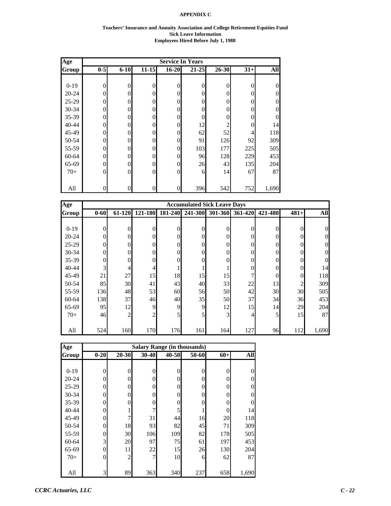#### **Teachers' Insurance and Annuity Association and College Retirement Equities Fund Sick Leave Information Employees Hired Before July 1, 1988**

| Age       |                |          |                |                  | <b>Service In Years</b> |           |          |                |
|-----------|----------------|----------|----------------|------------------|-------------------------|-----------|----------|----------------|
| Group     | $0 - 5$        | $6 - 10$ | $11 - 15$      | $16 - 20$        | $21 - 25$               | $26 - 30$ | $31+$    | All            |
|           |                |          |                |                  |                         |           |          |                |
| $0-19$    | $\overline{0}$ | $\theta$ | 0              | $\mathbf{0}$     | $\overline{0}$          | $\theta$  | 0        | $\theta$       |
| $20 - 24$ | 0              | 0        | 0              | $\overline{0}$   | $\theta$                | $\theta$  | 0        | $\theta$       |
| $25-29$   | 0              | $\Omega$ | 0              | $\boldsymbol{0}$ | $\theta$                | $\Omega$  | 0        | $\overline{0}$ |
| 30-34     | 0              | $\Omega$ | 0              | $\boldsymbol{0}$ | $\theta$                | $\theta$  | $\Omega$ | $\overline{0}$ |
| 35-39     | 0              | $\Omega$ | 0              | $\boldsymbol{0}$ | 0                       | $\theta$  | 0        | $\overline{0}$ |
| 40-44     | 0              | $\Omega$ | 0              | $\boldsymbol{0}$ | 12                      | 2         | 0        | 14             |
| 45-49     | 0              | $\Omega$ | 0              | $\boldsymbol{0}$ | 62                      | 52        | 4        | 118            |
| 50-54     | 0              | $\Omega$ | 0              | $\overline{0}$   | 91                      | 126       | 92       | 309            |
| 55-59     | 0              | 0        | 0              | $\overline{0}$   | 103                     | 177       | 225      | 505            |
| 60-64     | 0              | $\Omega$ | 0              | $\overline{0}$   | 96                      | 128       | 229      | 453            |
| 65-69     | 0              | $\Omega$ | 0              | $\overline{0}$   | 26                      | 43        | 135      | 204            |
| $70+$     | 0              | $\Omega$ | $\overline{0}$ | $\overline{0}$   | 6                       | 14        | 67       | 87             |
|           |                |          |                |                  |                         |           |          |                |
| All       | 0              | 0        | 0              | $\overline{0}$   | 396                     | 542       | 752      | 1,690          |

| Age       | <b>Accumulated Sick Leave Days</b> |                |                  |          |          |                |          |                  |                |            |
|-----------|------------------------------------|----------------|------------------|----------|----------|----------------|----------|------------------|----------------|------------|
| Group     | $0 - 60$                           | 61-120         | 121-180          | 181-240  | 241-300  | 301-360        | 361-420  | 421-480          | $481+$         | <b>All</b> |
|           |                                    |                |                  |          |          |                |          |                  |                |            |
| $0-19$    | $\mathbf{0}$                       | $\theta$       | $\overline{0}$   | $\Omega$ | $\theta$ | $\overline{0}$ | $\theta$ | $\overline{0}$   | $\Omega$       | $\theta$   |
| $20 - 24$ | $\overline{0}$                     | $\theta$       | $\overline{0}$   | 0        | $\theta$ | $\overline{0}$ | $\theta$ | $\overline{0}$   | 0              | 0          |
| $25-29$   | $\overline{0}$                     | $\Omega$       | $\overline{0}$   | 0        | $\Omega$ | $\theta$       | $\Omega$ | $\boldsymbol{0}$ |                | 0          |
| $30 - 34$ | $\mathbf{0}$                       | $\Omega$       | $\overline{0}$   | $\Omega$ | $\theta$ | $\mathbf{0}$   | $\Omega$ | $\boldsymbol{0}$ | $\Omega$       | 0          |
| $35 - 39$ | $\boldsymbol{0}$                   | 0              | $\boldsymbol{0}$ | 0        | 0        | $\overline{0}$ | 0        | $\boldsymbol{0}$ | 0              | 0          |
| $40 - 44$ | 3                                  | 4              | $\overline{4}$   |          |          | 1              | $\theta$ | $\boldsymbol{0}$ | $\Omega$       | 14         |
| 45-49     | 21                                 | 27             | 15               | 18       | 15       | 15             | 7        | $\overline{0}$   | $\overline{0}$ | 118        |
| 50-54     | 85                                 | 30             | 41               | 43       | 40       | 33             | 22       | 13               | $\overline{c}$ | 309        |
| 55-59     | 136                                | 48             | 53               | 60       | 56       | 50             | 42       | 30               | 30             | 505        |
| 60-64     | 138                                | 37             | 46               | 40       | 35       | 50             | 37       | 34               | 36             | 453        |
| 65-69     | 95                                 | 12             | 9                | 9        | 9        | 12             | 15       | 14               | 29             | 204        |
| $70+$     | 46                                 | $\overline{c}$ | $\overline{c}$   | 5        | 5        | 3              | 4        | 5                | 15             | 87         |
|           |                                    |                |                  |          |          |                |          |                  |                |            |
| All       | 524                                | 160            | 170              | 176      | 161      | 164            | 127      | 96               | 112            | 1,690      |

| Age       |          | <b>Salary Range (in thousands)</b> |          |          |       |          |                |  |  |  |  |  |
|-----------|----------|------------------------------------|----------|----------|-------|----------|----------------|--|--|--|--|--|
| Group     | $0 - 20$ | 20-30                              | 30-40    | 40-50    | 50-60 | $60+$    | All            |  |  |  |  |  |
|           |          |                                    |          |          |       |          |                |  |  |  |  |  |
| $0-19$    | $\theta$ | 0                                  | 0        | $\theta$ | 0     | $\theta$ | $\overline{0}$ |  |  |  |  |  |
| $20 - 24$ | 0        | 0                                  | 0        | 0        | 0     | 0        | $\theta$       |  |  |  |  |  |
| $25-29$   | 0        | 0                                  | 0        | $\Omega$ | 0     | 0        | $\theta$       |  |  |  |  |  |
| 30-34     | 0        | 0                                  | $\theta$ | $\Omega$ | 0     | $\theta$ | $\theta$       |  |  |  |  |  |
| 35-39     | 0        | 0                                  | 0        | $\Omega$ | 0     | 0        | $\Omega$       |  |  |  |  |  |
| 40-44     | 0        |                                    | 7        | 5        |       | $\theta$ | 14             |  |  |  |  |  |
| 45-49     | 0        | 7                                  | 31       | 44       | 16    | 20       | 118            |  |  |  |  |  |
| 50-54     | 0        | 18                                 | 93       | 82       | 45    | 71       | 309            |  |  |  |  |  |
| 55-59     | 0        | 30                                 | 106      | 109      | 82    | 178      | 505            |  |  |  |  |  |
| 60-64     | 3        | 20                                 | 97       | 75       | 61    | 197      | 453            |  |  |  |  |  |
| 65-69     | 0        | 11                                 | 22       | 15       | 26    | 130      | 204            |  |  |  |  |  |
| $70+$     | 0        | $\overline{c}$                     | 7        | 10       | 6     | 62       | 87             |  |  |  |  |  |
|           |          |                                    |          |          |       |          |                |  |  |  |  |  |
| All       | 3        | 89                                 | 363      | 340      | 237   | 658      | 1,690          |  |  |  |  |  |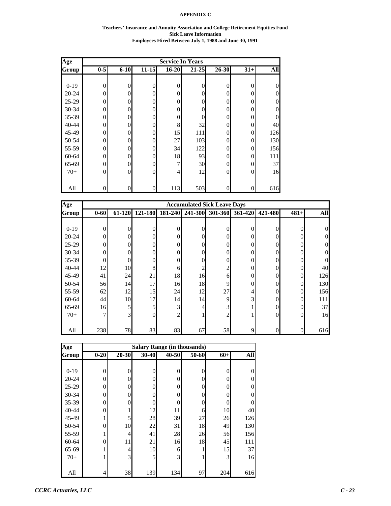#### **Teachers' Insurance and Annuity Association and College Retirement Equities Fund Sick Leave Information Employees Hired Between July 1, 1988 and June 30, 1991**

| Age       |                |          |           |                  | <b>Service In Years</b> |                |                |                |
|-----------|----------------|----------|-----------|------------------|-------------------------|----------------|----------------|----------------|
| Group     | $0 - 5$        | $6 - 10$ | $11 - 15$ | $16 - 20$        | $21 - 25$               | $26 - 30$      | $31+$          | <b>All</b>     |
|           |                |          |           |                  |                         |                |                |                |
| $0-19$    | $\overline{0}$ | $\theta$ | 0         | $\boldsymbol{0}$ | $\overline{0}$          | $\overline{0}$ | $\Omega$       | $\theta$       |
| $20 - 24$ | 0              | 0        | 0         | $\boldsymbol{0}$ | $\theta$                | $\theta$       | 0              | $\theta$       |
| 25-29     | 0              | $\Omega$ | 0         | $\boldsymbol{0}$ | $\theta$                | $\theta$       | $\Omega$       | $\theta$       |
| $30 - 34$ | 0              | $\Omega$ | 0         | $\boldsymbol{0}$ | $\theta$                | $\Omega$       | 0              | $\overline{0}$ |
| 35-39     | 0              | $\Omega$ | 0         | $\boldsymbol{0}$ | $\overline{0}$          | $\theta$       | 0              | $\overline{0}$ |
| 40-44     | 0              | $\Omega$ | 0         | 8                | 32                      | $\theta$       | 0              | 40             |
| 45-49     | 0              | $\Omega$ | 0         | 15               | 111                     | $\Omega$       | $\Omega$       | 126            |
| 50-54     | 0              | $\Omega$ | 0         | 27               | 103                     | $\theta$       | $\Omega$       | 130            |
| 55-59     | 0              | 0        | 0         | 34               | 122                     | $\theta$       | $\Omega$       | 156            |
| $60 - 64$ | $\theta$       | $\Omega$ | 0         | 18               | 93                      | $\theta$       | $\theta$       | 111            |
| 65-69     | 0              | $\Omega$ | 0         | 7                | 30                      | $\theta$       | $\Omega$       | 37             |
| $70+$     | $\theta$       | $\Omega$ | 0         | $\overline{4}$   | 12                      | $\theta$       | $\theta$       | 16             |
|           |                |          |           |                  |                         |                |                |                |
| All       | 0              | $\theta$ | 0         | 113              | 503                     | $\overline{0}$ | $\overline{0}$ | 616            |

| Age       |                |                |          |                | <b>Accumulated Sick Leave Days</b> |                |                |                  |          |            |
|-----------|----------------|----------------|----------|----------------|------------------------------------|----------------|----------------|------------------|----------|------------|
| Group     | $0 - 60$       | 61-120         | 121-180  | 181-240        | 241-300                            | 301-360        | 361-420        | 421-480          | $481+$   | <b>All</b> |
|           |                |                |          |                |                                    |                |                |                  |          |            |
| $0-19$    | $\theta$       | 0              | 0        | $\Omega$       | 0                                  | $\Omega$       | $\theta$       | $\theta$         | $\Omega$ |            |
| $20 - 24$ | $\theta$       | 0              | $\theta$ | $\theta$       | 0                                  | $\theta$       | 0              | $\theta$         |          |            |
| $25-29$   | $\overline{0}$ | 0              | 0        | $\theta$       | 0                                  | $\theta$       | 0              | $\theta$         |          |            |
| $30 - 34$ | $\mathbf{0}$   | 0              | $\Omega$ | $\theta$       | 0                                  | $\theta$       | 0              | $\theta$         |          |            |
| 35-39     | $\mathbf{0}$   | 0              | 0        | $\theta$       | 0                                  | $\theta$       | 0              | $\theta$         |          |            |
| $40 - 44$ | 12             | 10             | 8        | 6              |                                    | $\overline{2}$ | 0              | $\theta$         | $\Omega$ | 40         |
| 45-49     | 41             | 24             | 21       | 18             | 16                                 | 6              | 0              | $\theta$         | $\Omega$ | 126        |
| 50-54     | 56             | 14             | 17       | 16             | 18                                 | 9              | 0              | $\theta$         | $\Omega$ | 130        |
| 55-59     | 62             | 12             | 15       | 24             | 12                                 | 27             | 4              | $\theta$         | $\Omega$ | 156        |
| 60-64     | 44             | 10             | 17       | 14             | 14                                 | 9              | $\overline{3}$ | $\theta$         | $\Omega$ | 111        |
| 65-69     | 16             | 5              | 5        | 3              |                                    | 3              |                | $\theta$         | $\Omega$ | 37         |
| $70+$     | 7              | 3 <sup>l</sup> | $\Omega$ | $\overline{2}$ |                                    | $\overline{2}$ |                | $\theta$         | $\Omega$ | 16         |
|           |                |                |          |                |                                    |                |                |                  |          |            |
| All       | 238            | 78             | 83       | 83             | 67                                 | 58             | 9              | $\boldsymbol{0}$ | $\Omega$ | 616        |

| Age       |          | <b>Salary Range (in thousands)</b> |       |       |       |          |            |  |  |  |  |  |
|-----------|----------|------------------------------------|-------|-------|-------|----------|------------|--|--|--|--|--|
| Group     | $0 - 20$ | $20 - 30$                          | 30-40 | 40-50 | 50-60 | $60+$    | <b>All</b> |  |  |  |  |  |
|           |          |                                    |       |       |       |          |            |  |  |  |  |  |
| $0-19$    | 0        | 0                                  | 0     | 0     | 0     | $\theta$ | 0          |  |  |  |  |  |
| $20 - 24$ | 0        | 0                                  | 0     | 0     | 0     | $\theta$ | 0          |  |  |  |  |  |
| $25-29$   | 0        | 0                                  | 0     | 0     | 0     | $\theta$ | 0          |  |  |  |  |  |
| 30-34     | 0        | 0                                  | 0     | 0     | 0     | $\Omega$ | $\Omega$   |  |  |  |  |  |
| 35-39     | 0        | 0                                  | 0     | 0     | 0     | 0        | 0          |  |  |  |  |  |
| 40-44     | 0        |                                    | 12    | 11    | 6     | 10       | 40         |  |  |  |  |  |
| 45-49     |          | 5                                  | 28    | 39    | 27    | 26       | 126        |  |  |  |  |  |
| 50-54     | 0        | 10                                 | 22    | 31    | 18    | 49       | 130        |  |  |  |  |  |
| 55-59     |          | 4                                  | 41    | 28    | 26    | 56       | 156        |  |  |  |  |  |
| 60-64     | 0        | 11                                 | 21    | 16    | 18    | 45       | 111        |  |  |  |  |  |
| 65-69     |          | 4                                  | 10    | 6     |       | 15       | 37         |  |  |  |  |  |
| $70+$     |          | 3                                  | 5     | 3     |       | 3        | 16         |  |  |  |  |  |
|           |          |                                    |       |       |       |          |            |  |  |  |  |  |
| All       | 4        | 38                                 | 139   | 134   | 97    | 204      | 616        |  |  |  |  |  |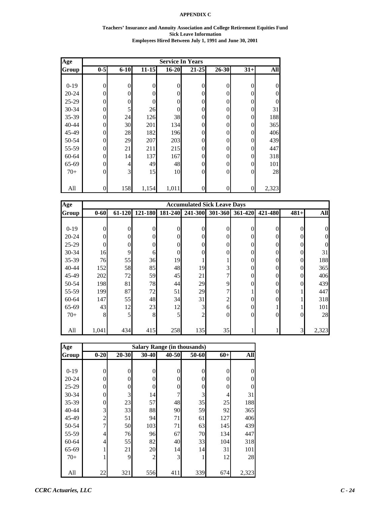#### **Teachers' Insurance and Annuity Association and College Retirement Equities Fund Sick Leave Information Employees Hired Between July 1, 1991 and June 30, 2001**

| Age       |                  |          |                |           | <b>Service In Years</b> |          |                |          |
|-----------|------------------|----------|----------------|-----------|-------------------------|----------|----------------|----------|
| Group     | $0 - 5$          | $6 - 10$ | $11 - 15$      | $16 - 20$ | $21 - 25$               | 26-30    | $31+$          | All      |
|           |                  |          |                |           |                         |          |                |          |
| $0-19$    | $\mathbf{0}$     | $\theta$ | $\overline{0}$ | 0         | $\overline{0}$          | $\theta$ | 0              | $\theta$ |
| $20 - 24$ | 0                | 0        | $\overline{0}$ | 0         | $\overline{0}$          | 0        | 0              | $\theta$ |
| 25-29     | $\Omega$         | $\Omega$ | $\Omega$       | 0         | $\overline{0}$          | $\theta$ | $\Omega$       | $\Omega$ |
| 30-34     | $\Omega$         | 5        | 26             | 0         | $\overline{0}$          | 0        | 0              | 31       |
| 35-39     | 0                | 24       | 126            | 38        | $\overline{0}$          | 0        | 0              | 188      |
| 40-44     | 0                | 30       | 201            | 134       | $\overline{0}$          | 0        | 0              | 365      |
| 45-49     | $\overline{0}$   | 28       | 182            | 196       | $\overline{0}$          | 0        | 0              | 406      |
| 50-54     | $\overline{0}$   | 29       | 207            | 203       | $\overline{0}$          | 0        | 0              | 439      |
| 55-59     | $\overline{0}$   | 21       | 211            | 215       | $\overline{0}$          | 0        | 0              | 447      |
| 60-64     | $\Omega$         | 14       | 137            | 167       | $\overline{0}$          | 0        | $\Omega$       | 318      |
| 65-69     | $\Omega$         | 4        | 49             | 48        | $\overline{0}$          | 0        | $\Omega$       | 101      |
| $70+$     | $\mathbf{0}$     | 3        | 15             | 10        | $\mathbf{0}$            | $\theta$ | $\overline{0}$ | 28       |
|           |                  |          |                |           |                         |          |                |          |
| All       | $\boldsymbol{0}$ | 158      | 1,154          | 1,011     | $\boldsymbol{0}$        | 0        | 0              | 2,323    |

| Age       |                |          |                |          | <b>Accumulated Sick Leave Days</b> |                |          |                  |                |            |
|-----------|----------------|----------|----------------|----------|------------------------------------|----------------|----------|------------------|----------------|------------|
| Group     | $0 - 60$       | 61-120   | 121-180        | 181-240  | 241-300                            | 301-360        | 361-420  | 421-480          | $481+$         | <b>All</b> |
|           |                |          |                |          |                                    |                |          |                  |                |            |
| $0-19$    | $\theta$       | $\theta$ | $\overline{0}$ | $\Omega$ | $\theta$                           | $\theta$       | $\theta$ | $\overline{0}$   | $\Omega$       | $\Omega$   |
| $20 - 24$ | $\overline{0}$ | $\Omega$ | $\overline{0}$ | 0        | $\Omega$                           | $\theta$       | $\Omega$ | $\overline{0}$   | 0              | 0          |
| $25-29$   | $\overline{0}$ | $\theta$ | $\overline{0}$ | 0        | $\theta$                           | $\overline{0}$ | $\theta$ | $\boldsymbol{0}$ | 0              | 0          |
| 30-34     | 16             | 9        | 6              | $\theta$ | 0                                  | $\overline{0}$ | $\Omega$ | $\boldsymbol{0}$ | $\Omega$       | 31         |
| 35-39     | 76             | 55       | 36             | 19       |                                    |                | $\theta$ | $\boldsymbol{0}$ | $\overline{0}$ | 188        |
| $40 - 44$ | 152            | 58       | 85             | 48       | 19                                 | 3              | $\theta$ | $\boldsymbol{0}$ | $\Omega$       | 365        |
| 45-49     | 202            | 72       | 59             | 45       | 21                                 | 7              | $\theta$ | $\overline{0}$   | $\Omega$       | 406        |
| 50-54     | 198            | 81       | 78             | 44       | 29                                 | 9              | $\Omega$ | $\overline{0}$   | $\Omega$       | 439        |
| 55-59     | 199            | 87       | 72             | 51       | 29                                 | 7              |          | $\overline{0}$   |                | 447        |
| 60-64     | 147            | 55       | 48             | 34       | 31                                 | $\overline{c}$ | 0        | $\boldsymbol{0}$ |                | 318        |
| 65-69     | 43             | 12       | 23             | 12       | 3                                  | 6              | $\theta$ |                  |                | 101        |
| $70+$     | 8              | 5        | 8              | 5        | 2                                  | $\overline{0}$ | $\Omega$ | $\overline{0}$   | $\Omega$       | 28         |
|           |                |          |                |          |                                    |                |          |                  |                |            |
| All       | 1,041          | 434      | 415            | 258      | 135                                | 35             |          |                  | 3              | 2,323      |

| Age       | <b>Salary Range (in thousands)</b> |           |          |       |          |                |          |  |  |  |  |
|-----------|------------------------------------|-----------|----------|-------|----------|----------------|----------|--|--|--|--|
| Group     | $0 - 20$                           | $20 - 30$ | 30-40    | 40-50 | 50-60    | $60+$          | All      |  |  |  |  |
|           |                                    |           |          |       |          |                |          |  |  |  |  |
| $0 - 19$  | 0                                  | 0         | 0        | 0     | $\theta$ | $\mathbf{0}$   | $\theta$ |  |  |  |  |
| $20 - 24$ | 0                                  | $\theta$  | 0        | 0     | 0        | $\overline{0}$ | 0        |  |  |  |  |
| $25 - 29$ | 0                                  | 0         | $\Omega$ | 0     | 0        | $\overline{0}$ | $\theta$ |  |  |  |  |
| 30-34     | 0                                  | 3         | 14       | 7     | 3        | 4              | 31       |  |  |  |  |
| 35-39     | 0                                  | 23        | 57       | 48    | 35       | 25             | 188      |  |  |  |  |
| 40-44     | 3                                  | 33        | 88       | 90    | 59       | 92             | 365      |  |  |  |  |
| 45-49     | $\boldsymbol{2}$                   | 51        | 94       | 71    | 61       | 127            | 406      |  |  |  |  |
| 50-54     | 7                                  | 50        | 103      | 71    | 63       | 145            | 439      |  |  |  |  |
| 55-59     | 4                                  | 76        | 96       | 67    | 70       | 134            | 447      |  |  |  |  |
| 60-64     | 4                                  | 55        | 82       | 40    | 33       | 104            | 318      |  |  |  |  |
| 65-69     |                                    | 21        | 20       | 14    | 14       | 31             | 101      |  |  |  |  |
| $70+$     |                                    | 9         | 2        | 3     | 1        | 12             | 28       |  |  |  |  |
|           |                                    |           |          |       |          |                |          |  |  |  |  |
| All       | 22                                 | 321       | 556      | 411   | 339      | 674            | 2,323    |  |  |  |  |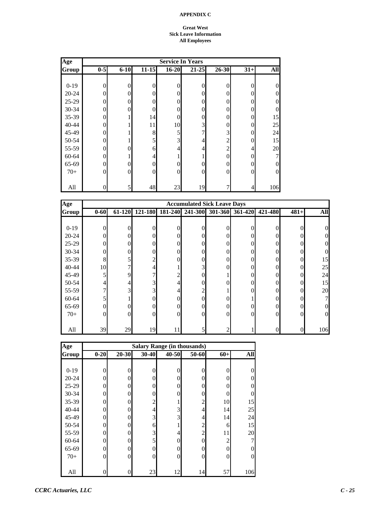#### **Great West Sick Leave Information All Employees**

| Age       |                |          |           |                | <b>Service In Years</b> |                |          |                |
|-----------|----------------|----------|-----------|----------------|-------------------------|----------------|----------|----------------|
| Group     | $0-5$          | $6 - 10$ | $11 - 15$ | $16 - 20$      | $21 - 25$               | $26 - 30$      | $31+$    | <b>All</b>     |
|           |                |          |           |                |                         |                |          |                |
| $0-19$    | $\mathbf{0}$   | $\theta$ | $\theta$  | 0              | $\theta$                | $\theta$       | $\theta$ | $\overline{0}$ |
| $20 - 24$ | $\Omega$       | $\Omega$ | 0         | 0              | $\theta$                | $\Omega$       | $\theta$ | $\overline{0}$ |
| 25-29     | $\Omega$       | $\Omega$ | 0         | 0              | $\theta$                | $\Omega$       | $\theta$ | $\overline{0}$ |
| 30-34     | $\overline{0}$ | 0        | 0         | 0              | $\theta$                | $\Omega$       | 0        | $\overline{0}$ |
| 35-39     | $\theta$       |          | 14        | 0              | $\theta$                | 0              | 0        | 15             |
| 40-44     | $\theta$       |          | 11        | 10             | 3                       | 0              | $\theta$ | 25             |
| 45-49     | $\overline{0}$ |          | 8         | 5              | 7                       | 3              | $\theta$ | 24             |
| 50-54     | $\theta$       |          | 5         | 3              | 4                       | 2              | $\theta$ | 15             |
| 55-59     | $\theta$       | $\Omega$ | 6         | $\overline{4}$ | 4                       | $\overline{2}$ | 4        | 20             |
| 60-64     | $\theta$       |          | 4         |                |                         | $\Omega$       | $\theta$ | 7              |
| 65-69     | $\theta$       | $\Omega$ | 0         | 0              | $\theta$                | 0              | $\theta$ | $\overline{0}$ |
| $70+$     | $\Omega$       | $\Omega$ | $\theta$  | $\overline{0}$ | $\mathbf{0}$            | $\Omega$       | $\Omega$ | $\overline{0}$ |
|           |                |          |           |                |                         |                |          |                |
| All       | $\overline{0}$ | 5        | 48        | 23             | 19                      |                | 4        | 106            |

| Age          |                |        |                  |          | <b>Accumulated Sick Leave Days</b> |              |                 |          |          |            |
|--------------|----------------|--------|------------------|----------|------------------------------------|--------------|-----------------|----------|----------|------------|
| <b>Group</b> | $0 - 60$       | 61-120 | 121-180          | 181-240  | 241-300                            |              | 301-360 361-420 | 421-480  | $481+$   | <b>All</b> |
|              |                |        |                  |          |                                    |              |                 |          |          |            |
| $0-19$       | 0              | 0      | $\Omega$         | 0        | 0                                  | $\theta$     | 0               | 0        | $\Omega$ |            |
| $20 - 24$    | 0              | 0      | $\mathbf{0}$     | 0        | 0                                  | $\theta$     | 0               | 0        |          |            |
| $25-29$      | $\theta$       | 0      | $\boldsymbol{0}$ | 0        | $\Omega$                           | $\theta$     | 0               | 0        |          |            |
| $30 - 34$    | $\Omega$       | 0      | $\theta$         |          | 0                                  | $\mathbf{0}$ | 0               | 0        |          |            |
| $35-39$      | 8              | 5      | $\overline{c}$   |          | 0                                  | $\Omega$     | 0               | 0        | $\Omega$ | 15         |
| 40-44        | 10             | 7      | 4                |          | $\overline{3}$                     | $\mathbf{0}$ | 0               | $\theta$ | $\Omega$ | 25         |
| 45-49        | 5              | 9      | 7                |          | 0                                  |              | 0               | 0        | $\Omega$ | 24         |
| 50-54        | 4              | 4      | 3                |          | 0                                  | $\Omega$     | 0               | 0        | 0        | 15         |
| 55-59        | 7              | 3      | 3 <sub>l</sub>   |          | $\overline{2}$                     |              |                 | 0        |          | 20         |
| $60 - 64$    | 5              |        | $\mathbf{0}$     | 0        | 0                                  | $\Omega$     |                 | 0        |          |            |
| 65-69        | $\overline{0}$ |        | $\boldsymbol{0}$ | 0        | 0                                  | $\mathbf{0}$ | 0               | $\theta$ |          |            |
| $70+$        | $\Omega$       | 0      | $\mathbf{0}$     | $\Omega$ | 0                                  | $\mathbf{0}$ | 0               | $\Omega$ | $\Omega$ | 0          |
|              |                |        |                  |          |                                    |              |                 |          |          |            |
| All          | 39             | 29     | 19               |          | 5                                  | 2            |                 | 0        |          | 106        |

| Age       | <b>Salary Range (in thousands)</b> |          |                |          |                |                |                |  |  |  |  |
|-----------|------------------------------------|----------|----------------|----------|----------------|----------------|----------------|--|--|--|--|
| Group     | $0 - 20$                           | 20-30    | 30-40          | 40-50    | 50-60          | $60+$          | All            |  |  |  |  |
|           |                                    |          |                |          |                |                |                |  |  |  |  |
| $0-19$    | 0                                  | $\theta$ | $\theta$       | 0        | 0              | 0              | 0              |  |  |  |  |
| $20 - 24$ | 0                                  | $\Omega$ | $\Omega$       | 0        | 0              | 0              | $\overline{0}$ |  |  |  |  |
| 25-29     | 0                                  | 0        | $\overline{0}$ | 0        | 0              | 0              | $\mathbf{0}$   |  |  |  |  |
| 30-34     | 0                                  | 0        | $\theta$       | $\Omega$ | 0              | 0              | $\theta$       |  |  |  |  |
| 35-39     | 0                                  | $\theta$ | 2              |          | $\overline{2}$ | 10             | 15             |  |  |  |  |
| 40-44     | 0                                  | $\theta$ | 4              | 3        | 4              | 14             | 25             |  |  |  |  |
| 45-49     | 0                                  | 0        | 3              | 3        | 4              | 14             | 24             |  |  |  |  |
| 50-54     | 0                                  | $\Omega$ | 6              |          | $\overline{2}$ | 6              | 15             |  |  |  |  |
| 55-59     | 0                                  | $\Omega$ | 3              | 4        | $\overline{c}$ | 11             | 20             |  |  |  |  |
| 60-64     | 0                                  | 0        | 5              | $\Omega$ | 0              | $\mathfrak{2}$ | 7              |  |  |  |  |
| 65-69     | 0                                  | $\theta$ | $\overline{0}$ | 0        | 0              | $\overline{0}$ | $\theta$       |  |  |  |  |
| $70+$     | 0                                  | $\theta$ | $\overline{0}$ | $\Omega$ | 0              | $\overline{0}$ | $\overline{0}$ |  |  |  |  |
|           |                                    |          |                |          |                |                |                |  |  |  |  |
| All       |                                    | $\theta$ | 23             | 12       | 14             | 57             | 106            |  |  |  |  |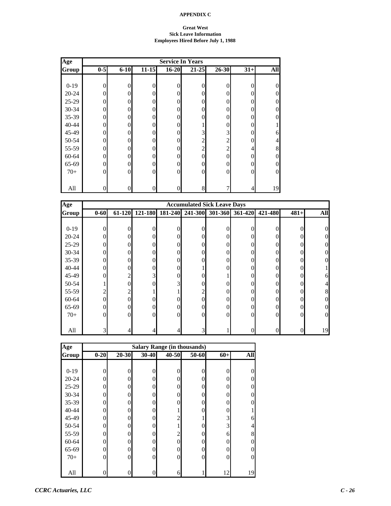#### **Great West Sick Leave Information Employees Hired Before July 1, 1988**

| Age          | <b>Service In Years</b> |          |                |                  |                |                |                |                |  |
|--------------|-------------------------|----------|----------------|------------------|----------------|----------------|----------------|----------------|--|
| <b>Group</b> | $0-5$                   | $6 - 10$ | $11 - 15$      | $16 - 20$        | $21 - 25$      | $26 - 30$      | $31+$          | All            |  |
|              |                         |          |                |                  |                |                |                |                |  |
| $0-19$       | $\overline{0}$          | $\theta$ | $\theta$       | $\boldsymbol{0}$ | $\theta$       | 0              | 0              | $\overline{0}$ |  |
| $20 - 24$    | $\Omega$                | 0        | $\Omega$       | 0                | $\Omega$       | 0              | $\Omega$       | $\theta$       |  |
| 25-29        | 0                       | $\theta$ | $\Omega$       | $\overline{0}$   | $\Omega$       |                | $\Omega$       | $\overline{0}$ |  |
| 30-34        | 0                       | $\theta$ | $\theta$       | $\overline{0}$   | $\theta$       | 0              | $\theta$       | $\overline{0}$ |  |
| 35-39        | 0                       | $\theta$ | $\theta$       | $\overline{0}$   | $\theta$       | 0              | $\theta$       | $\overline{0}$ |  |
| 40-44        | 0                       | $\theta$ | $\mathbf{0}$   | $\overline{0}$   |                | 0              | 0              |                |  |
| 45-49        | 0                       | $\theta$ | $\overline{0}$ | 0                | 3              | 3              | 0              | 6              |  |
| 50-54        | 0                       | $\theta$ | $\overline{0}$ | 0                | $\overline{c}$ | $\overline{c}$ | 0              | 4              |  |
| 55-59        | 0                       | $\theta$ | $\overline{0}$ | 0                | $\overline{c}$ | $\overline{c}$ | 4              | $8\,$          |  |
| 60-64        | 0                       | $\theta$ | $\theta$       | $\mathbf{0}$     | $\theta$       | 0              | $\Omega$       | $\overline{0}$ |  |
| 65-69        | 0                       | $\theta$ | $\theta$       | $\mathbf{0}$     | $\theta$       |                | $\Omega$       | $\overline{0}$ |  |
| $70+$        | 0                       | $\Omega$ | $\theta$       | $\boldsymbol{0}$ | $\mathbf{0}$   |                | $\overline{0}$ | $\overline{0}$ |  |
|              |                         |          |                |                  |                |                |                |                |  |
| All          | $\theta$                | $\theta$ | $\Omega$       | 0                | 8              |                | 4              | 19             |  |

| Age       |                |        |                |         | <b>Accumulated Sick Leave Days</b> |          |         |          |        |            |
|-----------|----------------|--------|----------------|---------|------------------------------------|----------|---------|----------|--------|------------|
| Group     | $0 - 60$       | 61-120 | 121-180        | 181-240 | 241-300                            | 301-360  | 361-420 | 421-480  | $481+$ | <b>All</b> |
|           |                |        |                |         |                                    |          |         |          |        |            |
| $0-19$    | $\Omega$       | 0      | 0              |         | $\Omega$                           |          |         | 0        |        |            |
| $20 - 24$ | $\theta$       | 0      | $\Omega$       |         | $\Omega$                           | $\Omega$ | 0       | 0        |        |            |
| $25-29$   | $\theta$       | 0      | $\Omega$       |         | $\Omega$                           | 0        |         | 0        |        |            |
| 30-34     | $\overline{0}$ | 0      | $\Omega$       |         | 0                                  | 0        |         | 0        |        |            |
| $35 - 39$ | $\mathbf{0}$   | 0      | $\overline{0}$ |         | $\Omega$                           | $\Omega$ |         | 0        |        |            |
| $40 - 44$ | $\mathbf{0}$   | 0      | $\overline{0}$ |         |                                    | 0        |         | 0        |        |            |
| 45-49     | $\Omega$       | 2      | 3              | 0       | 0                                  |          | 0       | 0        |        |            |
| 50-54     |                | 0      | $\Omega$       | 3       | 0                                  | $\Omega$ |         | 0        |        |            |
| 55-59     | $\overline{2}$ | 2      |                |         |                                    | 0        |         | 0        |        |            |
| 60-64     | $\mathbf{0}$   | 0      | $\Omega$       |         | 0                                  | $\Omega$ |         | 0        |        |            |
| 65-69     | $\mathbf{0}$   | 0      | $\theta$       |         | $\Omega$                           | $\Omega$ |         | 0        |        |            |
| $70+$     | $\Omega$       | 0      | $\Omega$       | 0       | $\Omega$                           | $\Omega$ | 0       | $\theta$ | 0      |            |
|           |                |        |                |         |                                    |          |         |          |        |            |
| All       | 3              |        |                |         | 3                                  |          |         | 0        |        | 19         |

| Age       |          |                |       | <b>Salary Range (in thousands)</b> |          |                |     |
|-----------|----------|----------------|-------|------------------------------------|----------|----------------|-----|
| Group     | $0 - 20$ | $20 - 30$      | 30-40 | 40-50                              | 50-60    | $60+$          | All |
|           |          |                |       |                                    |          |                |     |
| $0-19$    | $\theta$ | $\Omega$       | 0     | 0                                  | 0        | $\mathbf{0}$   |     |
| $20 - 24$ | 0        | $\Omega$       | 0     | 0                                  | 0        | $\overline{0}$ |     |
| 25-29     | 0        | $\theta$       | 0     |                                    | 0        | $\overline{0}$ |     |
| $30 - 34$ | 0        | $\Omega$       | 0     |                                    | $\Omega$ | $\overline{0}$ |     |
| 35-39     | 0        | $\overline{0}$ | 0     |                                    | $\theta$ | $\overline{0}$ |     |
| 40-44     | 0        | $\theta$       | 0     |                                    | 0        | $\overline{0}$ |     |
| 45-49     | 0        | $\Omega$       | 0     | 2                                  |          | 3              | 6   |
| 50-54     | 0        | $\Omega$       | 0     |                                    | 0        | 3              |     |
| 55-59     | 0        | $\Omega$       | 0     | 2                                  | 0        | 6              | 8   |
| 60-64     | 0        | $\theta$       | 0     | 0                                  | $\theta$ | $\Omega$       |     |
| 65-69     | 0        | $\overline{0}$ | 0     | 0                                  | $\theta$ | $\overline{0}$ |     |
| $70+$     | 0        | $\theta$       | 0     | 0                                  | $\Omega$ | $\overline{0}$ | 0   |
|           |          |                |       |                                    |          |                |     |
| All       |          | 0              |       | 6                                  |          | 12             | 19  |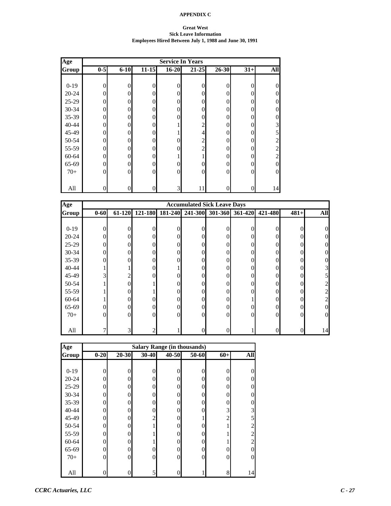#### **Great West Sick Leave Information Employees Hired Between July 1, 1988 and June 30, 1991**

| Age       | <b>Service In Years</b> |          |                |                |                |          |                |                |  |
|-----------|-------------------------|----------|----------------|----------------|----------------|----------|----------------|----------------|--|
| Group     | $0-5$                   | $6 - 10$ | $11 - 15$      | $16 - 20$      | $21 - 25$      | 26-30    | $31+$          | All            |  |
|           |                         |          |                |                |                |          |                |                |  |
| $0 - 19$  | $\mathbf{0}$            | 0        | $\overline{0}$ | 0              | $\overline{0}$ | 0        | $\mathbf{0}$   | $\overline{0}$ |  |
| $20 - 24$ | $\Omega$                | 0        | $\Omega$       | 0              | $\theta$       | 0        | $\overline{0}$ | $\overline{0}$ |  |
| 25-29     | 0                       |          | $\Omega$       | 0              | $\overline{0}$ | 0        | $\overline{0}$ | $\overline{0}$ |  |
| 30-34     | $\Omega$                | 0        | $\theta$       | 0              | $\overline{0}$ | 0        | $\overline{0}$ | $\overline{0}$ |  |
| 35-39     | 0                       | 0        | $\overline{0}$ | 0              | $\overline{0}$ | 0        | $\overline{0}$ | $\overline{0}$ |  |
| 40-44     | $\Omega$                |          | $\overline{0}$ |                | $\overline{c}$ | 0        | $\overline{0}$ | 3              |  |
| 45-49     | $\Omega$                | 0        | $\Omega$       |                | $\overline{4}$ | 0        | $\overline{0}$ | 5              |  |
| 50-54     | 0                       | 0        | $\overline{0}$ | 0              | $\overline{c}$ | 0        | $\overline{0}$ | $\overline{c}$ |  |
| 55-59     | $\Omega$                | 0        | $\Omega$       | 0              | $\overline{c}$ | 0        | $\overline{0}$ | $\overline{2}$ |  |
| 60-64     | 0                       | 0        | $\Omega$       | 1              | 1              | 0        | $\Omega$       | $\overline{2}$ |  |
| 65-69     | $\Omega$                | $\Omega$ | $\Omega$       | $\overline{0}$ | $\overline{0}$ | 0        | $\Omega$       | $\overline{0}$ |  |
| $70+$     | $\Omega$                |          | $\overline{0}$ | 0              | $\mathbf{0}$   | $\Omega$ | $\overline{0}$ | $\overline{0}$ |  |
|           |                         |          |                |                |                |          |                |                |  |
| All       | 0                       |          | $\Omega$       | 3              | 11             |          | $\overline{0}$ | 14             |  |

| Age       |          |                |          |   | <b>Accumulated Sick Leave Days</b> |          |                 |          |          |            |
|-----------|----------|----------------|----------|---|------------------------------------|----------|-----------------|----------|----------|------------|
| Group     | $0 - 60$ | 61-120         | 121-180  |   | 181-240 241-300                    |          | 301-360 361-420 | 421-480  | $481+$   | <b>All</b> |
|           |          |                |          |   |                                    |          |                 |          |          |            |
| $0-19$    | $\theta$ | 0              | 0        |   | 0                                  | 0        | 0               |          |          |            |
| $20 - 24$ | $\Omega$ | 0              | 0        |   | 0                                  | $\theta$ |                 | 0        |          |            |
| $25-29$   | $\theta$ | 0              | 0        |   | 0                                  | $\theta$ |                 | 0        |          |            |
| $30 - 34$ | $\theta$ |                | 0        |   | 0                                  | $\theta$ |                 | 0        |          |            |
| 35-39     | $\Omega$ |                | 0        |   | 0                                  | $\Omega$ |                 | 0        |          |            |
| $40 - 44$ |          |                | 0        |   | 0                                  | $\Omega$ | 0               | 0        |          |            |
| 45-49     | 3        | $\overline{c}$ | 0        |   | $\Omega$                           | $\Omega$ | 0               | 0        |          |            |
| 50-54     |          | 0              |          |   | 0                                  | $\Omega$ |                 | 0        |          |            |
| 55-59     |          |                |          |   | 0                                  | $\theta$ |                 | 0        |          |            |
| 60-64     |          |                | 0        |   | 0                                  | $\theta$ |                 | 0        |          |            |
| 65-69     | $\theta$ |                | 0        |   | $\theta$                           | $\theta$ |                 | 0        |          |            |
| $70+$     | $\Omega$ | $\Omega$       | $\Omega$ | 0 | $\Omega$                           | $\Omega$ | 0               | $\Omega$ | $\Omega$ | $\Omega$   |
|           |          |                |          |   |                                    |          |                 |          |          |            |
| All       |          | $\overline{3}$ |          |   | 0                                  | 0        |                 |          |          | 14         |

| Age       |          |                | <b>Salary Range (in thousands)</b> |       |          |                |                |
|-----------|----------|----------------|------------------------------------|-------|----------|----------------|----------------|
| Group     | $0 - 20$ | $20 - 30$      | 30-40                              | 40-50 | 50-60    | $60+$          | All            |
|           |          |                |                                    |       |          |                |                |
| $0-19$    | 0        | $\Omega$       | 0                                  |       | $\Omega$ | $\overline{0}$ |                |
| $20 - 24$ | 0        | $\Omega$       | 0                                  | 0     | $\Omega$ | $\Omega$       |                |
| 25-29     | 0        | $\theta$       | 0                                  | 0     | $\Omega$ | $\overline{0}$ |                |
| 30-34     | 0        | $\theta$       | 0                                  |       | 0        | $\overline{0}$ |                |
| 35-39     | 0        | $\theta$       | 0                                  | 0     | $\theta$ | $\overline{0}$ |                |
| 40-44     | 0        | $\overline{0}$ | 0                                  | 0     | $\theta$ | 3              | 3              |
| 45-49     | 0        | $\Omega$       | $\overline{2}$                     | 0     |          | $\overline{c}$ | 5              |
| 50-54     | 0        | $\Omega$       |                                    | 0     | 0        |                | 2              |
| 55-59     | 0        | $\Omega$       |                                    |       | 0        |                | $\overline{c}$ |
| 60-64     | 0        | $\theta$       |                                    | 0     | $\theta$ | 1              | $\overline{c}$ |
| 65-69     | 0        | $\overline{0}$ | $\theta$                           | 0     | $\theta$ | 0              | 0              |
| $70+$     | 0        | $\theta$       | $\Omega$                           | 0     | $\theta$ | $\overline{0}$ | 0              |
|           |          |                |                                    |       |          |                |                |
| All       |          | 0              | 5                                  |       |          | 8              | 14             |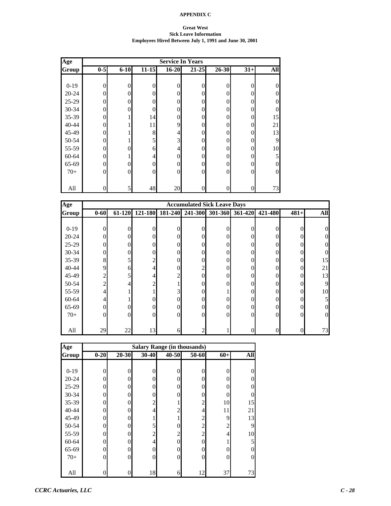#### **Great West Sick Leave Information Employees Hired Between July 1, 1991 and June 30, 2001**

| Age       |                |          |                |                | <b>Service In Years</b> |          |                |                  |
|-----------|----------------|----------|----------------|----------------|-------------------------|----------|----------------|------------------|
| Group     | $0-5$          | $6 - 10$ | $11 - 15$      | $16 - 20$      | $21 - 25$               | 26-30    | $31+$          | All              |
|           |                |          |                |                |                         |          |                |                  |
| $0-19$    | $\overline{0}$ | 0        | $\overline{0}$ | $\overline{0}$ | $\overline{0}$          | 0        | $\overline{0}$ | $\overline{0}$   |
| $20 - 24$ | 0              | 0        | $\theta$       | 0              | $\theta$                | 0        | $\Omega$       | $\theta$         |
| 25-29     | $\Omega$       | 0        | $\theta$       | 0              | $\overline{0}$          | 0        | $\overline{0}$ | $\overline{0}$   |
| 30-34     | 0              |          | $\Omega$       | 0              | $\overline{0}$          | 0        | $\Omega$       | $\overline{0}$   |
| 35-39     | 0              |          | 14             | 0              | $\overline{0}$          | 0        | $\Omega$       | 15               |
| 40-44     | $\Omega$       |          | 11             | 9              | $\overline{0}$          | 0        | $\overline{0}$ | 21               |
| 45-49     | $\Omega$       |          | 8              | 4              | $\overline{0}$          | 0        | $\overline{0}$ | 13               |
| 50-54     | 0              |          | 5              | 3              | $\overline{0}$          | 0        | $\overline{0}$ | 9                |
| 55-59     | $\Omega$       | 0        | 6              | 4              | $\overline{0}$          | $\Omega$ | $\overline{0}$ | 10               |
| 60-64     | $\Omega$       |          | 4              | 0              | $\overline{0}$          | 0        | $\overline{0}$ | 5                |
| 65-69     | $\Omega$       | $\Omega$ | $\Omega$       | $\overline{0}$ | $\mathbf{0}$            | $\Omega$ | $\overline{0}$ | $\overline{0}$   |
| $70+$     | $\Omega$       |          | $\overline{0}$ | 0              | $\mathbf{0}$            | $\Omega$ | $\overline{0}$ | $\boldsymbol{0}$ |
|           |                |          |                |                |                         |          |                |                  |
| All       | 0              | 5        | 48             | 20             | $\overline{0}$          |          | $\overline{0}$ | 73               |

| Age          | <b>Accumulated Sick Leave Days</b> |          |                |          |   |          |                                 |                  |          |            |
|--------------|------------------------------------|----------|----------------|----------|---|----------|---------------------------------|------------------|----------|------------|
| <b>Group</b> | $0 - 60$                           | 61-120   | 121-180        |          |   |          | 181-240 241-300 301-360 361-420 | 421-480          | $481+$   | <b>All</b> |
|              |                                    |          |                |          |   |          |                                 |                  |          |            |
| $0-19$       | $\theta$                           | $\theta$ | $\Omega$       | 0        | 0 | $\theta$ | $\theta$                        | 0                | 0        |            |
| $20 - 24$    | $\theta$                           | $\Omega$ | $\overline{0}$ |          | 0 | $\theta$ | $\Omega$                        | 0                |          |            |
| $25-29$      | $\overline{0}$                     | 0        | $\overline{0}$ | 0        | 0 | $\theta$ | 0                               | 0                |          |            |
| $30 - 34$    | $\overline{0}$                     | 0        | $\Omega$       |          | 0 | $\theta$ | 0                               | $\theta$         |          |            |
| $35 - 39$    | 8                                  | 5        | $\overline{c}$ |          | 0 | $\theta$ | 0                               | $\overline{0}$   | 0        | 15         |
| $40 - 44$    | 9                                  | 6        | $\overline{4}$ | 0        | 2 | $\theta$ | 0                               | $\boldsymbol{0}$ | $\Omega$ | 21         |
| 45-49        | $\overline{c}$                     | 5        | $\overline{4}$ |          | 0 | $\theta$ | 0                               | $\Omega$         | $\Omega$ | 13         |
| 50-54        | $\overline{2}$                     | 4        | 2              |          | 0 | $\Omega$ | 0                               | 0                |          | 9          |
| 55-59        | $\overline{4}$                     |          |                |          | 0 |          | 0                               | $\overline{0}$   | 0        | 10         |
| $60 - 64$    | 4                                  |          | $\Omega$       |          | 0 | $\theta$ | 0                               | $\overline{0}$   |          |            |
| 65-69        | $\overline{0}$                     | 0        | $\overline{0}$ | 0        | 0 | $\theta$ | 0                               | $\boldsymbol{0}$ |          |            |
| $70+$        | $\boldsymbol{0}$                   | $\Omega$ | $\overline{0}$ | $\Omega$ | 0 | $\theta$ | $\theta$                        | $\overline{0}$   | $\Omega$ | 0          |
|              |                                    |          |                |          |   |          |                                 |                  |          |            |
| All          | 29                                 | 22       | 13             | 6        |   |          | 0                               | $\boldsymbol{0}$ |          | 73         |

| Age       | <b>Salary Range (in thousands)</b> |                  |                |                |                |                |     |  |  |  |
|-----------|------------------------------------|------------------|----------------|----------------|----------------|----------------|-----|--|--|--|
| Group     | $0 - 20$                           | $20 - 30$        | $30 - 40$      | 40-50          | 50-60          | $60+$          | All |  |  |  |
|           |                                    |                  |                |                |                |                |     |  |  |  |
| $0-19$    | $\theta$                           | $\theta$         | 0              | O              | 0              | $\theta$       |     |  |  |  |
| $20 - 24$ | $\Omega$                           | $\theta$         | $\theta$       | 0              | 0              | 0              |     |  |  |  |
| 25-29     | 0                                  | $\theta$         | $\theta$       | 0              | 0              | 0              |     |  |  |  |
| 30-34     | 0                                  | $\theta$         | 0              |                | 0              | 0              |     |  |  |  |
| 35-39     | 0                                  | $\theta$         | $\overline{c}$ |                | $\overline{c}$ | 10             | 15  |  |  |  |
| 40-44     | 0                                  | $\overline{0}$   | 4              | $\overline{c}$ | 4              | 11             | 21  |  |  |  |
| 45-49     | 0                                  | $\overline{0}$   |                |                | $\sqrt{2}$     | 9              | 13  |  |  |  |
| 50-54     | 0                                  | $\Omega$         | 5              | 0              | $\overline{c}$ | 2              | 9   |  |  |  |
| 55-59     | 0                                  | $\theta$         | 2              | $\overline{c}$ | $\overline{2}$ | $\overline{4}$ | 10  |  |  |  |
| 60-64     | 0                                  | $\theta$         | $\overline{4}$ | 0              | 0              |                | 5   |  |  |  |
| 65-69     | 0                                  | $\overline{0}$   | $\Omega$       | 0              | 0              | $\theta$       | 0   |  |  |  |
| $70+$     | $\theta$                           | $\overline{0}$   | $\overline{0}$ | 0              | $\theta$       | $\theta$       | 0   |  |  |  |
|           |                                    |                  |                |                |                |                |     |  |  |  |
| All       | 0                                  | $\boldsymbol{0}$ | 18             | 6              | 12             | 37             | 73  |  |  |  |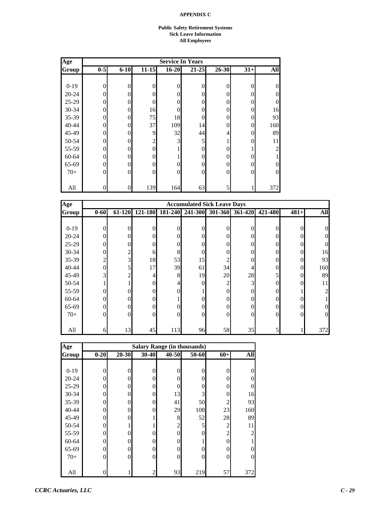#### **Public Safety Retirement Systems Sick Leave Information All Employees**

| Age       |                |          |                |              | <b>Service In Years</b> |          |          |                |
|-----------|----------------|----------|----------------|--------------|-------------------------|----------|----------|----------------|
| Group     | $0-5$          | $6 - 10$ | $11 - 15$      | $16 - 20$    | $21 - 25$               | 26-30    | $31+$    | <b>All</b>     |
|           |                |          |                |              |                         |          |          |                |
| $0 - 19$  | $\mathbf{0}$   | 0        | 0              | 0            | $\overline{0}$          | $\theta$ | $\theta$ | $\overline{0}$ |
| $20 - 24$ | $\theta$       | $\Omega$ | 0              | 0            | $\theta$                | $\Omega$ | $\theta$ | $\overline{0}$ |
| 25-29     | $\theta$       | $\Omega$ | $\Omega$       | $\theta$     | $\theta$                | $\Omega$ | $\theta$ | $\overline{0}$ |
| 30-34     | $\overline{0}$ | $\Omega$ | 16             | 0            | $\theta$                | 0        | $\theta$ | 16             |
| 35-39     | $\overline{0}$ | $\Omega$ | 75             | 18           | $\theta$                | 0        | $\theta$ | 93             |
| 40-44     | $\Omega$       | $\Omega$ | 37             | 109          | 14                      | 0        | $\Omega$ | 160            |
| 45-49     | $\overline{0}$ | $\Omega$ | 9              | 32           | 44                      | 4        | 0        | 89             |
| 50-54     | $\overline{0}$ | $\Omega$ | $\overline{c}$ | 3            | 5                       |          | $\theta$ | 11             |
| 55-59     | $\Omega$       | 0        | 0              |              | $\Omega$                | 0        |          | 2              |
| 60-64     | $\Omega$       | $\Omega$ | $\Omega$       |              | $\theta$                | 0        | 0        |                |
| 65-69     | $\mathbf{0}$   | $\Omega$ | 0              | 0            | $\theta$                | 0        | $\theta$ | $\overline{0}$ |
| $70+$     | $\Omega$       | $\Omega$ | $\theta$       | $\mathbf{0}$ | $\mathbf{0}$            | $\Omega$ | $\Omega$ | $\overline{0}$ |
|           |                |          |                |              |                         |          |          |                |
| All       | $\theta$       | $\Omega$ | 139            | 164          | 63                      | 5        |          | 372            |

| Age       |                  |        |         |          | <b>Accumulated Sick Leave Days</b> |                |                |                |          |            |
|-----------|------------------|--------|---------|----------|------------------------------------|----------------|----------------|----------------|----------|------------|
| Group     | $0 - 60$         | 61-120 | 121-180 | 181-240  | 241-300                            | 301-360        | 361-420        | 421-480        | $481+$   | <b>All</b> |
|           |                  |        |         |          |                                    |                |                |                |          |            |
| $0-19$    | $\overline{0}$   | 0      | 0       | $\Omega$ | 0                                  | 0              | 0              | $\theta$       | 0        |            |
| $20 - 24$ | $\overline{0}$   | 0      | 0       | $\Omega$ | 0                                  | $\Omega$       | 0              | 0              |          |            |
| $25-29$   | $\overline{0}$   | 0      | 0       | 0        | 0                                  | 0              | 0              | $\theta$       |          |            |
| $30 - 34$ | $\mathbf{0}$     | 2      | 6       | 8        |                                    | $\theta$       |                | $\theta$       | 0        | 16         |
| $35 - 39$ | $\overline{2}$   | 3      | 18      | 53       | 15                                 | $\overline{c}$ |                | $\theta$       | $\Omega$ | 93         |
| $40 - 44$ | $\overline{0}$   | 5      | 17      | 39       | 61                                 | 34             | 4              | $\overline{0}$ | $\Omega$ | 160        |
| 45-49     | $\overline{3}$   | 2      | 4.      | 8        | 19                                 | 20             | 28             | 5              | 0        | 89         |
| 50-54     | 1                |        | 0       | 4        | O                                  | $\overline{c}$ | $\overline{3}$ | $\theta$       | $\Omega$ | 11         |
| 55-59     | $\theta$         | 0      | 0       | 0        |                                    | $\Omega$       | 0              | $\theta$       |          |            |
| 60-64     | $\boldsymbol{0}$ |        | 0       |          |                                    | $\theta$       | 0              | $\theta$       |          |            |
| 65-69     | $\mathbf{0}$     | 0      | 0       | 0        |                                    | $\Omega$       | 0              | $\theta$       |          |            |
| $70+$     | $\boldsymbol{0}$ | 0      | 0       | $\Omega$ | 0                                  | $\theta$       | $\theta$       | $\theta$       | 0        | 0          |
|           |                  |        |         |          |                                    |                |                |                |          |            |
| All       | 6                | 13     | 45      | 113      | 96                                 | 58             | 35             | 5              |          | 372        |

| Age       | <b>Salary Range (in thousands)</b> |          |                |                |       |                |                |  |  |  |  |  |
|-----------|------------------------------------|----------|----------------|----------------|-------|----------------|----------------|--|--|--|--|--|
| Group     | $0 - 20$                           | 20-30    | 30-40          | $40 - 50$      | 50-60 | $60+$          | All            |  |  |  |  |  |
|           |                                    |          |                |                |       |                |                |  |  |  |  |  |
| $0-19$    | 0                                  | $\theta$ | $\overline{0}$ | $\theta$       | 0     | 0              | 0              |  |  |  |  |  |
| $20 - 24$ | 0                                  | $\theta$ | $\overline{0}$ | 0              | 0     | 0              | $\overline{0}$ |  |  |  |  |  |
| 25-29     | 0                                  | 0        | $\overline{0}$ | $\Omega$       |       | 0              | $\overline{0}$ |  |  |  |  |  |
| 30-34     | 0                                  | 0        | $\theta$       | 13             | 3     | 0              | 16             |  |  |  |  |  |
| 35-39     | 0                                  | 0        | $\overline{0}$ | 41             | 50    | 2              | 93             |  |  |  |  |  |
| 40-44     | 0                                  | $\theta$ | $\theta$       | 29             | 108   | 23             | 160            |  |  |  |  |  |
| 45-49     | 0                                  | 0        | 1              | 8              | 52    | 28             | 89             |  |  |  |  |  |
| 50-54     | 0                                  |          |                | $\overline{2}$ | 5     | $\overline{c}$ | 11             |  |  |  |  |  |
| 55-59     | 0                                  | 0        | $\theta$       | $\Omega$       | 0     | $\overline{c}$ | $\overline{2}$ |  |  |  |  |  |
| 60-64     | 0                                  | 0        | $\theta$       | $\Omega$       |       | 0              |                |  |  |  |  |  |
| 65-69     | 0                                  | $\Omega$ | $\overline{0}$ | 0              |       | 0              | $\theta$       |  |  |  |  |  |
| $70+$     | 0                                  | $\theta$ | $\overline{0}$ | 0              |       | $\overline{0}$ | $\overline{0}$ |  |  |  |  |  |
|           |                                    |          |                |                |       |                |                |  |  |  |  |  |
| All       |                                    |          | 2              | 93             | 219   | 57             | 372            |  |  |  |  |  |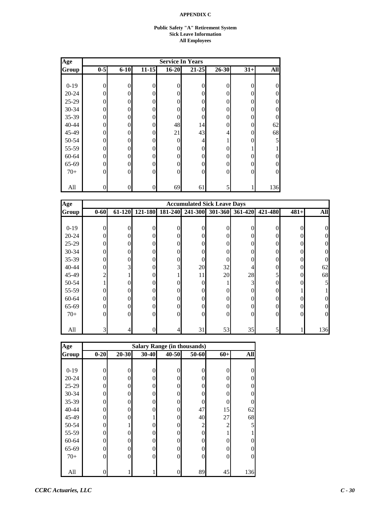#### **Public Safety "A" Retirement System Sick Leave Information All Employees**

| Age       |          |          |                |                | <b>Service In Years</b> |           |                |                |
|-----------|----------|----------|----------------|----------------|-------------------------|-----------|----------------|----------------|
| Group     | $0-5$    | $6 - 10$ | $11 - 15$      | $16 - 20$      | $21 - 25$               | $26 - 30$ | $31+$          | All            |
|           |          |          |                |                |                         |           |                |                |
| $0-19$    | $\theta$ | 0        | $\theta$       | $\overline{0}$ | $\overline{0}$          | $\theta$  | $\overline{0}$ | $\theta$       |
| $20 - 24$ | $\theta$ | 0        | $\theta$       | 0              | $\theta$                | 0         | $\overline{0}$ | $\theta$       |
| $25-29$   | $\Omega$ | 0        | $\Omega$       | 0              | $\theta$                | 0         | $\overline{0}$ | $\overline{0}$ |
| 30-34     | $\Omega$ | 0        | $\Omega$       | 0              | $\overline{0}$          | 0         | $\overline{0}$ | $\overline{0}$ |
| 35-39     | 0        |          | $\Omega$       | 0              | $\theta$                | 0         | $\overline{0}$ | $\overline{0}$ |
| 40-44     | $\Omega$ | 0        | $\overline{0}$ | 48             | 14                      | 0         | $\overline{0}$ | 62             |
| 45-49     | 0        |          | $\overline{0}$ | 21             | 43                      | 4         | $\overline{0}$ | 68             |
| 50-54     | $\Omega$ | 0        | $\overline{0}$ | 0              | 4                       |           | $\overline{0}$ | 5              |
| 55-59     | 0        | 0        | $\overline{0}$ | 0              | $\mathbf{0}$            | 0         |                |                |
| 60-64     | $\Omega$ | 0        | $\Omega$       | 0              | $\theta$                | 0         | $\Omega$       | $\overline{0}$ |
| 65-69     | 0        | 0        | $\Omega$       | 0              | $\mathbf{0}$            | 0         | $\overline{0}$ | $\overline{0}$ |
| $70+$     | $\Omega$ | $\Omega$ | $\overline{0}$ | 0              | $\mathbf{0}$            | 0         | $\overline{0}$ | $\overline{0}$ |
|           |          |          |                |                |                         |           |                |                |
| All       | 0        |          | $\overline{0}$ | 69             | 61                      |           |                | 136            |

| Age       |                |        |                  |          | <b>Accumulated Sick Leave Days</b> |                |         |          |          |            |
|-----------|----------------|--------|------------------|----------|------------------------------------|----------------|---------|----------|----------|------------|
| Group     | $0 - 60$       | 61-120 | 121-180          | 181-240  | 241-300                            | 301-360        | 361-420 | 421-480  | $481+$   | <b>All</b> |
|           |                |        |                  |          |                                    |                |         |          |          |            |
| $0-19$    | 0              | 0      | $\overline{0}$   | 0        | 0                                  | $\Omega$       | 0       | 0        | $\Omega$ | 0          |
| $20 - 24$ | $\Omega$       | 0      | $\theta$         | 0        | $\Omega$                           | $\theta$       | 0       | 0        |          |            |
| $25-29$   | $\Omega$       | 0      | $\mathbf{0}$     | 0        | 0                                  | $\theta$       | 0       | 0        |          |            |
| $30 - 34$ | $\Omega$       | 0      | $\mathbf{0}$     | 0        | 0                                  | $\mathbf{0}$   | 0       | 0        |          |            |
| 35-39     | $\theta$       | 0      | $\boldsymbol{0}$ | 0        | 0                                  | $\mathbf{0}$   |         | 0        | 0        |            |
| 40-44     | $\Omega$       | 3      | $\mathbf{0}$     | 3        | 20                                 | 32             | 4       | 0        | $\Omega$ | 62         |
| 45-49     | $\overline{c}$ |        | $\mathbf{0}$     |          | 11                                 | 20             | 28      | 5        | $\Omega$ | 68         |
| 50-54     |                | 0      | $\mathbf{0}$     |          | $\Omega$                           |                | 3       | $\theta$ |          |            |
| 55-59     | 0              | 0      | $\mathbf{0}$     |          | $\Omega$                           | $\theta$       | 0       | 0        |          |            |
| 60-64     | $\theta$       | 0      | $\overline{0}$   | 0        | 0                                  | $\theta$       | 0       | 0        |          |            |
| 65-69     | $\theta$       |        | $\boldsymbol{0}$ | 0        | 0                                  | $\overline{0}$ |         | $\theta$ |          |            |
| $70+$     | $\Omega$       | 0      | $\mathbf{0}$     | $\Omega$ | 0                                  | $\theta$       | 0       | $\Omega$ | $\Omega$ | 0          |
|           |                |        |                  |          |                                    |                |         |          |          |            |
| All       | 3              |        | $\boldsymbol{0}$ |          | 31                                 | 53             | 35      | 5        |          | 136        |

| Age       | <b>Salary Range (in thousands)</b> |           |                  |          |                |                |                |  |  |  |  |
|-----------|------------------------------------|-----------|------------------|----------|----------------|----------------|----------------|--|--|--|--|
| Group     | $0 - 20$                           | $20 - 30$ | 30-40            | 40-50    | 50-60          | $60+$          | All            |  |  |  |  |
|           |                                    |           |                  |          |                |                |                |  |  |  |  |
| $0-19$    | 0                                  | $\theta$  | $\theta$         | 0        | 0              | 0              | 0              |  |  |  |  |
| $20 - 24$ | 0                                  | $\theta$  | $\theta$         | 0        | 0              | 0              | $\theta$       |  |  |  |  |
| 25-29     | 0                                  | 0         | $\theta$         | 0        | 0              | 0              | $\overline{0}$ |  |  |  |  |
| 30-34     | 0                                  | 0         | $\theta$         | $\Omega$ |                | 0              | $\theta$       |  |  |  |  |
| 35-39     | 0                                  | 0         | $\overline{0}$   | 0        |                | 0              | $\overline{0}$ |  |  |  |  |
| 40-44     | 0                                  | $\theta$  | $\overline{0}$   | $\theta$ | 47             | 15             | 62             |  |  |  |  |
| 45-49     | 0                                  | 0         | 1                | 0        | 40             | 27             | 68             |  |  |  |  |
| 50-54     | 0                                  |           | $\theta$         | 0        | $\mathfrak{2}$ | $\overline{2}$ | 5              |  |  |  |  |
| 55-59     | 0                                  | 0         | $\overline{0}$   | $\Omega$ | 0              |                |                |  |  |  |  |
| 60-64     | 0                                  | 0         | $\boldsymbol{0}$ | 0        | 0              | 0              | 0              |  |  |  |  |
| 65-69     | 0                                  | $\Omega$  | $\overline{0}$   | 0        | 0              | 0              | $\theta$       |  |  |  |  |
| $70+$     | 0                                  | $\theta$  | $\overline{0}$   | $\theta$ | 0              | $\theta$       | $\overline{0}$ |  |  |  |  |
|           |                                    |           |                  |          |                |                |                |  |  |  |  |
| All       |                                    |           |                  | 0        | 89             | 45             | 136            |  |  |  |  |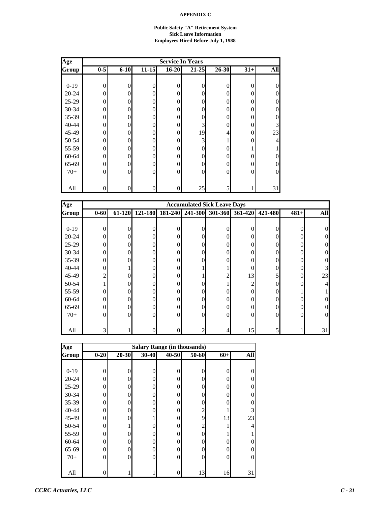#### **Public Safety "A" Retirement System Sick Leave Information Employees Hired Before July 1, 1988**

| Age       | <b>Service In Years</b> |          |                |                  |                |           |          |                |  |  |
|-----------|-------------------------|----------|----------------|------------------|----------------|-----------|----------|----------------|--|--|
| Group     | $0-5$                   | $6 - 10$ | $11 - 15$      | $16 - 20$        | $21 - 25$      | $26 - 30$ | $31+$    | <b>All</b>     |  |  |
|           |                         |          |                |                  |                |           |          |                |  |  |
| $0-19$    | $\overline{0}$          | 0        | 0              | 0                | $\overline{0}$ | $\Omega$  | 0        | $\overline{0}$ |  |  |
| $20 - 24$ | 0                       | 0        | $\theta$       | 0                | $\overline{0}$ | 0         | $\theta$ | $\overline{0}$ |  |  |
| 25-29     | $\Omega$                | 0        | $\Omega$       | 0                | $\theta$       | 0         | 0        | $\overline{0}$ |  |  |
| 30-34     | 0                       | 0        | $\Omega$       | $\theta$         | $\theta$       | 0         | $\Omega$ | $\overline{0}$ |  |  |
| 35-39     | $\Omega$                | $\Omega$ | 0              | 0                | $\overline{0}$ | 0         | $\theta$ | $\overline{0}$ |  |  |
| $40 - 44$ | $\Omega$                | 0        | $\theta$       | 0                | 3              | 0         | $\theta$ | 3              |  |  |
| 45-49     | $\Omega$                | 0        | 0              | 0                | 19             | 4.        | $\theta$ | 23             |  |  |
| 50-54     | $\overline{0}$          | $\theta$ | 0              | 0                | 3              |           | $\theta$ | 4              |  |  |
| 55-59     | $\Omega$                | 0        | $\Omega$       | 0                | $\overline{0}$ | 0         |          |                |  |  |
| 60-64     | $\Omega$                | 0        | $\Omega$       | 0                | $\theta$       | 0         | $\theta$ | $\overline{0}$ |  |  |
| 65-69     | 0                       | $\Omega$ | $\Omega$       | 0                | $\theta$       | 0         | $\theta$ | $\overline{0}$ |  |  |
| $70+$     | $\theta$                | $\Omega$ | $\overline{0}$ | $\boldsymbol{0}$ | $\overline{0}$ | 0         | $\theta$ | $\overline{0}$ |  |  |
|           |                         |          |                |                  |                |           |          |                |  |  |
| All       | $\theta$                | 0        | 0              | 0                | 25             |           |          | 31             |  |  |

| Age       |                | <b>Accumulated Sick Leave Days</b> |          |          |                 |          |                 |          |          |            |  |
|-----------|----------------|------------------------------------|----------|----------|-----------------|----------|-----------------|----------|----------|------------|--|
| Group     | $0 - 60$       | 61-120                             | 121-180  |          | 181-240 241-300 |          | 301-360 361-420 | 421-480  | $481+$   | <b>All</b> |  |
|           |                |                                    |          |          |                 |          |                 |          |          |            |  |
| $0-19$    | $\theta$       | 0                                  |          | 0        |                 |          | 0               | 0        |          |            |  |
| $20 - 24$ | $\theta$       | 0                                  | 0        | 0        | 0               | 0        | 0               | 0        |          |            |  |
| $25-29$   | $\overline{0}$ |                                    | 0        | 0        |                 |          |                 | 0        |          |            |  |
| $30 - 34$ | $\mathbf{0}$   |                                    | 0        | 0        |                 | 0        |                 | 0        |          |            |  |
| $35 - 39$ | $\overline{0}$ |                                    | 0        | 0        |                 | 0        |                 | $\theta$ |          |            |  |
| $40 - 44$ | $\overline{0}$ |                                    | 0        | $\Omega$ |                 |          | 0               | $\theta$ | 0        |            |  |
| 45-49     | $\overline{2}$ | ∩                                  | 0        | 0        |                 | っ        | 13              | 5        | $\Omega$ | 23         |  |
| 50-54     |                | 0                                  | 0        | 0        |                 |          | 2               | $\theta$ |          |            |  |
| 55-59     | $\theta$       |                                    | 0        | 0        |                 |          | 0               | 0        |          |            |  |
| 60-64     | $\overline{0}$ |                                    | 0        | 0        |                 | 0        |                 | 0        |          |            |  |
| 65-69     | $\overline{0}$ |                                    | 0        | 0        | 0               | 0        | 0               | $\theta$ |          |            |  |
| $70+$     | $\theta$       | 0                                  | $\Omega$ | $\Omega$ | 0               | $\Omega$ | 0               | $\theta$ | $\Omega$ |            |  |
|           |                |                                    |          |          |                 |          |                 |          |          |            |  |
| All       | 3              |                                    |          |          |                 |          | 15              | 5        |          | 31         |  |

| Age       | <b>Salary Range (in thousands)</b> |                |                |       |                |                |          |  |  |  |
|-----------|------------------------------------|----------------|----------------|-------|----------------|----------------|----------|--|--|--|
| Group     | $0 - 20$                           | $20 - 30$      | 30-40          | 40-50 | 50-60          | $60+$          | All      |  |  |  |
|           |                                    |                |                |       |                |                |          |  |  |  |
| $0-19$    | 0                                  | $\theta$       | $\theta$       |       | 0              | 0              | 0        |  |  |  |
| $20 - 24$ | 0                                  | $\Omega$       | 0              | 0     | 0              | 0              | $\Omega$ |  |  |  |
| 25-29     | 0                                  | $\Omega$       | 0              | 0     | 0              | 0              | $\theta$ |  |  |  |
| 30-34     | 0                                  | 0              | 0              | 0     | 0              | 0              | $\Omega$ |  |  |  |
| $35 - 39$ | 0                                  | $\theta$       | 0              |       | 0              | 0              | $\Omega$ |  |  |  |
| 40-44     | 0                                  | $\overline{0}$ | 0              | 0     | $\overline{c}$ |                | 3        |  |  |  |
| 45-49     | 0                                  | 0              |                | 0     | 9              | 13             | 23       |  |  |  |
| 50-54     | 0                                  |                | 0              | 0     | $\overline{2}$ |                | 4        |  |  |  |
| 55-59     | 0                                  | 0              | $\theta$       | O     | 0              |                |          |  |  |  |
| 60-64     | 0                                  | $\theta$       | $\overline{0}$ | 0     | 0              | 0              | 0        |  |  |  |
| 65-69     | 0                                  | $\theta$       | 0              | 0     | 0              | $\overline{0}$ | $\theta$ |  |  |  |
| $70+$     | 0                                  | $\theta$       | 0              | 0     | $\Omega$       | $\overline{0}$ | $\theta$ |  |  |  |
|           |                                    |                |                |       |                |                |          |  |  |  |
| All       |                                    |                |                |       | 13             | 16             | 31       |  |  |  |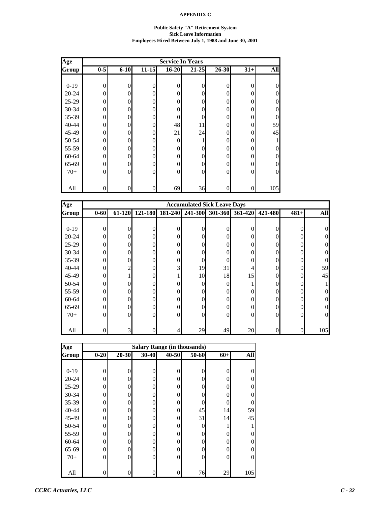#### **Public Safety "A" Retirement System Sick Leave Information Employees Hired Between July 1, 1988 and June 30, 2001**

| Age       | <b>Service In Years</b> |          |           |              |                |           |                |                |  |  |
|-----------|-------------------------|----------|-----------|--------------|----------------|-----------|----------------|----------------|--|--|
| Group     | $0-5$                   | $6 - 10$ | $11 - 15$ | $16 - 20$    | $21 - 25$      | $26 - 30$ | $31+$          | <b>All</b>     |  |  |
|           |                         |          |           |              |                |           |                |                |  |  |
| $0-19$    | $\mathbf{0}$            | $\theta$ | 0         | 0            | $\overline{0}$ | $\theta$  | $\overline{0}$ | $\overline{0}$ |  |  |
| $20 - 24$ | $\overline{0}$          | 0        | $\theta$  | 0            | $\theta$       | $\theta$  | $\theta$       | $\overline{0}$ |  |  |
| $25-29$   | $\theta$                | 0        | $\theta$  | 0            | $\theta$       | 0         | $\theta$       | $\overline{0}$ |  |  |
| 30-34     | $\theta$                | $\Omega$ | $\Omega$  | $\theta$     | $\theta$       | $\Omega$  | $\theta$       | $\overline{0}$ |  |  |
| 35-39     | $\overline{0}$          | $\Omega$ | 0         | 0            | $\theta$       | 0         | $\theta$       | $\overline{0}$ |  |  |
| 40-44     | $\theta$                | $\Omega$ | 0         | 48           | 11             | $\theta$  | $\theta$       | 59             |  |  |
| 45-49     | $\theta$                | 0        | $\theta$  | 21           | 24             | 0         | $\theta$       | 45             |  |  |
| 50-54     | $\theta$                | 0        | $\theta$  | 0            | 1<br>1         | $\Omega$  | $\theta$       |                |  |  |
| 55-59     | $\theta$                | $\Omega$ | $\theta$  | 0            | $\theta$       | 0         | $\theta$       | $\overline{0}$ |  |  |
| 60-64     | $\theta$                | 0        | $\theta$  | 0            | $\Omega$       | $\Omega$  | $\Omega$       | $\overline{0}$ |  |  |
| 65-69     | $\Omega$                | $\Omega$ | $\Omega$  | $\mathbf{0}$ | $\theta$       | 0         | $\theta$       | $\overline{0}$ |  |  |
| $70+$     | $\theta$                | $\Omega$ | $\theta$  | $\mathbf{0}$ | $\mathbf{0}$   | $\Omega$  | $\theta$       | $\overline{0}$ |  |  |
|           |                         |          |           |              |                |           |                |                |  |  |
| All       | $\overline{0}$          | $\Omega$ | 0         | 69           | 36             | $\theta$  | $\overline{0}$ | 105            |  |  |

| Age       |                | <b>Accumulated Sick Leave Days</b> |                  |          |          |                |                 |                  |          |            |  |
|-----------|----------------|------------------------------------|------------------|----------|----------|----------------|-----------------|------------------|----------|------------|--|
| Group     | $0 - 60$       | 61-120                             | 121-180          | 181-240  | 241-300  |                | 301-360 361-420 | 421-480          | $481+$   | <b>All</b> |  |
|           |                |                                    |                  |          |          |                |                 |                  |          |            |  |
| $0-19$    | $\theta$       | $\theta$                           | 0                | 0        | 0        | $\theta$       | $\theta$        | 0                | 0        |            |  |
| $20 - 24$ | $\theta$       | $\Omega$                           | $\Omega$         | 0        | 0        | $\theta$       | $\Omega$        | 0                |          |            |  |
| $25-29$   | $\overline{0}$ | 0                                  | $\overline{0}$   | 0        | 0        | $\theta$       | 0               | $\boldsymbol{0}$ |          |            |  |
| $30 - 34$ | $\overline{0}$ | 0                                  | $\overline{0}$   | 0        | 0        | $\overline{0}$ | 0               | $\overline{0}$   |          |            |  |
| $35 - 39$ | $\overline{0}$ | 0                                  | $\overline{0}$   | 0        | 0        | $\theta$       | 0               | $\overline{0}$   |          |            |  |
| $40 - 44$ | $\overline{0}$ | 2                                  | $\overline{0}$   | 3        | 19       | 31             | 4               | $\overline{0}$   | $\Omega$ | 59         |  |
| 45-49     | $\theta$       |                                    | $\Omega$         |          | 10       | 18             | 15              | $\Omega$         | 0        | 45         |  |
| 50-54     | $\theta$       | 0                                  | $\Omega$         |          | $\Omega$ | $\theta$       |                 | $\overline{0}$   |          |            |  |
| 55-59     | $\theta$       | 0                                  | $\overline{0}$   | 0        | 0        | $\theta$       | 0               | $\overline{0}$   |          |            |  |
| 60-64     | $\overline{0}$ | 0                                  | $\Omega$         | 0        | 0        | $\theta$       | 0               | $\Omega$         |          | 0          |  |
| 65-69     | $\overline{0}$ | 0                                  | $\overline{0}$   | 0        | 0        | $\theta$       | 0               | $\boldsymbol{0}$ |          | 0          |  |
| $70+$     | $\theta$       | $\Omega$                           | $\overline{0}$   | $\Omega$ | $\Omega$ | $\theta$       | $\Omega$        | $\overline{0}$   | $\Omega$ | 0          |  |
|           |                |                                    |                  |          |          |                |                 |                  |          |            |  |
| All       | 0              | $\overline{3}$                     | $\boldsymbol{0}$ |          | 29       | 49             | 20              | $\boldsymbol{0}$ |          | 105        |  |

| Age       | <b>Salary Range (in thousands)</b> |          |                  |           |       |                |                |  |  |  |  |
|-----------|------------------------------------|----------|------------------|-----------|-------|----------------|----------------|--|--|--|--|
| Group     | $0 - 20$                           | 20-30    | 30-40            | $40 - 50$ | 50-60 | $60+$          | All            |  |  |  |  |
|           |                                    |          |                  |           |       |                |                |  |  |  |  |
| $0-19$    | 0                                  | $\theta$ | $\theta$         | 0         | 0     | 0              | 0              |  |  |  |  |
| $20 - 24$ | 0                                  | $\Omega$ | $\theta$         | 0         | 0     | $\theta$       | $\theta$       |  |  |  |  |
| 25-29     | 0                                  | 0        | $\theta$         | 0         | 0     | 0              | $\overline{0}$ |  |  |  |  |
| 30-34     | 0                                  | 0        | $\theta$         | $\Omega$  |       | 0              | $\theta$       |  |  |  |  |
| $35 - 39$ | 0                                  | $\theta$ | $\overline{0}$   | 0         | 0     | 0              | 0              |  |  |  |  |
| 40-44     | 0                                  | $\theta$ | $\theta$         | $\theta$  | 45    | 14             | 59             |  |  |  |  |
| 45-49     | 0                                  | 0        | $\theta$         | 0         | 31    | 14             | 45             |  |  |  |  |
| 50-54     | 0                                  | $\Omega$ | $\theta$         | $\Omega$  |       |                |                |  |  |  |  |
| 55-59     | 0                                  | 0        | $\theta$         | $\Omega$  | 0     | 0              | $\theta$       |  |  |  |  |
| 60-64     | 0                                  | 0        | $\boldsymbol{0}$ | 0         | 0     | 0              | $\theta$       |  |  |  |  |
| 65-69     | 0                                  | $\Omega$ | $\overline{0}$   | 0         | 0     | 0              | $\theta$       |  |  |  |  |
| $70+$     | 0                                  | $\theta$ | $\overline{0}$   | $\theta$  | 0     | $\overline{0}$ | $\overline{0}$ |  |  |  |  |
|           |                                    |          |                  |           |       |                |                |  |  |  |  |
| All       |                                    | 0        | 0                | 0         | 76    | 29             | 105            |  |  |  |  |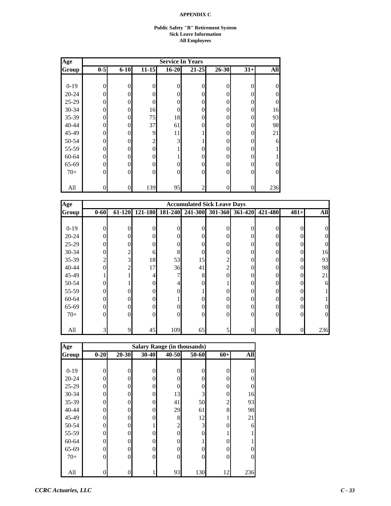#### **Public Safety "B" Retirement System Sick Leave Information All Employees**

| Age       | <b>Service In Years</b> |          |                |                |                |           |                |                |  |  |  |
|-----------|-------------------------|----------|----------------|----------------|----------------|-----------|----------------|----------------|--|--|--|
| Group     | $0-5$                   | $6 - 10$ | $11 - 15$      | $16 - 20$      | $21 - 25$      | $26 - 30$ | $31+$          | All            |  |  |  |
|           |                         |          |                |                |                |           |                |                |  |  |  |
| $0-19$    | $\overline{0}$          | 0        | $\overline{0}$ | 0              | $\overline{0}$ | 0         | $\overline{0}$ | $\overline{0}$ |  |  |  |
| $20 - 24$ | $\theta$                | 0        | $\theta$       | 0              | $\theta$       | 0         | $\overline{0}$ | $\overline{0}$ |  |  |  |
| 25-29     | $\Omega$                | 0        | $\theta$       | 0              | $\overline{0}$ | 0         | $\overline{0}$ | $\overline{0}$ |  |  |  |
| 30-34     | 0                       | 0        | 16             | 0              | $\overline{0}$ | 0         | $\overline{0}$ | 16             |  |  |  |
| 35-39     | 0                       | 0        | 75             | 18             | $\overline{0}$ | 0         | $\overline{0}$ | 93             |  |  |  |
| 40-44     | 0                       |          | 37             | 61             | $\overline{0}$ | 0         | $\overline{0}$ | 98             |  |  |  |
| 45-49     | $\Omega$                | 0        | 9              | 11             | 1              | 0         | $\overline{0}$ | 21             |  |  |  |
| 50-54     | 0                       | 0        | $\overline{c}$ | 3              | ı              | 0         | $\overline{0}$ | 6              |  |  |  |
| 55-59     | $\Omega$                | 0        | $\Omega$       |                | $\theta$       | 0         | $\Omega$       |                |  |  |  |
| 60-64     | 0                       |          | $\Omega$       | 1              | $\theta$       | 0         | $\Omega$       |                |  |  |  |
| 65-69     | $\Omega$                | $\Omega$ | $\theta$       | $\overline{0}$ | $\overline{0}$ | 0         | $\Omega$       | $\overline{0}$ |  |  |  |
| $70+$     | $\Omega$                | 0        | $\overline{0}$ | 0              | $\mathbf{0}$   | 0         | $\overline{0}$ | $\overline{0}$ |  |  |  |
|           |                         |          |                |                |                |           |                |                |  |  |  |
| All       | 0                       | 0        | 139            | 95             | $\mathbf{2}$   |           | $\overline{0}$ | 236            |  |  |  |

| Age       |                |                |                |         | <b>Accumulated Sick Leave Days</b> |                |         |          |        |            |
|-----------|----------------|----------------|----------------|---------|------------------------------------|----------------|---------|----------|--------|------------|
| Group     | $0 - 60$       | 61-120         | 121-180        | 181-240 | 241-300                            | 301-360        | 361-420 | 421-480  | $481+$ | <b>All</b> |
|           |                |                |                |         |                                    |                |         |          |        |            |
| $0-19$    | $\Omega$       | 0              | 0              |         | $\Omega$                           | 0              |         | 0        |        |            |
| $20 - 24$ | $\theta$       | 0              | $\Omega$       |         | 0                                  | $\Omega$       | 0       | 0        |        |            |
| $25-29$   | $\theta$       | 0              | $\Omega$       |         | 0                                  | $\Omega$       |         | 0        |        |            |
| $30 - 34$ | $\overline{0}$ | 2              | 6              | 8       | 0                                  | $\Omega$       |         | $\theta$ | 0      | 16         |
| $35 - 39$ | $\overline{c}$ | 3              | 18             | 53      | 15                                 | 2              |         | 0        | 0      | 93         |
| $40 - 44$ | $\theta$       | $\overline{c}$ | 17             | 36      | 41                                 | $\overline{2}$ |         | 0        | 0      | 98         |
| 45-49     |                |                | 4              |         | 8                                  | $\Omega$       | 0       | $\theta$ | 0      | 21         |
| 50-54     | $\theta$       |                | $\Omega$       |         | 0                                  |                | 0       | 0        |        |            |
| 55-59     | $\theta$       | 0              | $\Omega$       |         |                                    | 0              |         | 0        |        |            |
| 60-64     | $\overline{0}$ | 0              | $\overline{0}$ |         | 0                                  | 0              |         | 0        |        |            |
| 65-69     | $\mathbf{0}$   | 0              | $\Omega$       |         | $\Omega$                           | $\Omega$       |         | 0        |        |            |
| $70+$     | $\Omega$       | 0              | $\Omega$       | 0       | $\Omega$                           | $\Omega$       | 0       | $\Omega$ | 0      |            |
|           |                |                |                |         |                                    |                |         |          |        |            |
| All       | 3              | 9              | 45             | 109     | 65                                 |                |         | 0        |        | 236        |

| Age       | <b>Salary Range (in thousands)</b> |          |                |                |       |                |                |  |  |  |  |  |
|-----------|------------------------------------|----------|----------------|----------------|-------|----------------|----------------|--|--|--|--|--|
| Group     | $0 - 20$                           | 20-30    | 30-40          | $40 - 50$      | 50-60 | $60+$          | All            |  |  |  |  |  |
|           |                                    |          |                |                |       |                |                |  |  |  |  |  |
| $0-19$    | 0                                  | $\theta$ | $\mathbf{0}$   | $\theta$       | 0     | 0              | 0              |  |  |  |  |  |
| $20 - 24$ | 0                                  | $\theta$ | $\overline{0}$ | 0              | 0     | 0              | $\overline{0}$ |  |  |  |  |  |
| 25-29     | 0                                  | 0        | $\overline{0}$ | $\Omega$       | 0     | 0              | $\overline{0}$ |  |  |  |  |  |
| 30-34     | 0                                  | 0        | $\overline{0}$ | 13             | 3     | 0              | 16             |  |  |  |  |  |
| $35 - 39$ | 0                                  | 0        | $\overline{0}$ | 41             | 50    | $\overline{c}$ | 93             |  |  |  |  |  |
| 40-44     | 0                                  | $\theta$ | $\overline{0}$ | 29             | 61    | 8              | 98             |  |  |  |  |  |
| 45-49     | 0                                  | 0        | $\overline{0}$ | 8              | 12    | 1              | 21             |  |  |  |  |  |
| 50-54     | 0                                  | 0        | 1              | $\overline{c}$ | 3     | $\theta$       | 6              |  |  |  |  |  |
| 55-59     | 0                                  | 0        | $\theta$       | $\Omega$       | 0     |                |                |  |  |  |  |  |
| 60-64     | 0                                  | 0        | $\overline{0}$ | $\Omega$       |       | 0              |                |  |  |  |  |  |
| 65-69     | 0                                  | $\Omega$ | $\overline{0}$ | 0              |       | 0              | $\theta$       |  |  |  |  |  |
| $70+$     | 0                                  | $\theta$ | $\overline{0}$ | 0              |       | $\overline{0}$ | $\overline{0}$ |  |  |  |  |  |
|           |                                    |          |                |                |       |                |                |  |  |  |  |  |
| All       |                                    | 0        |                | 93             | 130   | 12             | 236            |  |  |  |  |  |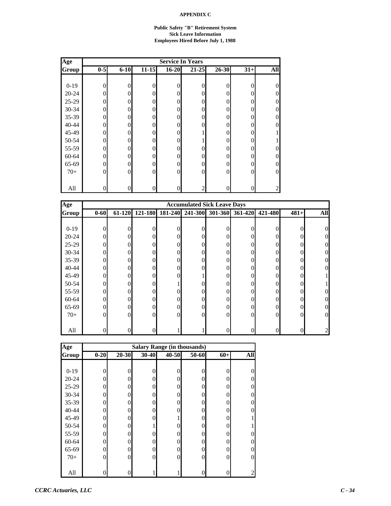#### **Public Safety "B" Retirement System Sick Leave Information Employees Hired Before July 1, 1988**

| Age          |                | <b>Service In Years</b> |                |                |                |           |                |                |  |  |  |  |  |
|--------------|----------------|-------------------------|----------------|----------------|----------------|-----------|----------------|----------------|--|--|--|--|--|
| <b>Group</b> | $0-5$          | $6 - 10$                | $11 - 15$      | $16 - 20$      | $21 - 25$      | $26 - 30$ | $31+$          | All            |  |  |  |  |  |
|              |                |                         |                |                |                |           |                |                |  |  |  |  |  |
| $0-19$       | $\overline{0}$ | 0                       | $\theta$       | 0              | $\overline{0}$ | $\theta$  | $\overline{0}$ | $\overline{0}$ |  |  |  |  |  |
| $20 - 24$    | $\Omega$       | 0                       | $\Omega$       | 0              | $\theta$       | 0         | $\overline{0}$ | $\theta$       |  |  |  |  |  |
| 25-29        | 0              | 0                       | $\Omega$       | 0              | $\theta$       | 0         | $\overline{0}$ | $\overline{0}$ |  |  |  |  |  |
| 30-34        | $\Omega$       | 0                       | $\Omega$       | 0              | $\mathbf{0}$   | 0         | $\Omega$       | $\overline{0}$ |  |  |  |  |  |
| 35-39        | 0              |                         | $\overline{0}$ | 0              | $\overline{0}$ | 0         | $\overline{0}$ | $\overline{0}$ |  |  |  |  |  |
| $40 - 44$    | $\theta$       | 0                       | $\overline{0}$ | 0              | $\mathbf{0}$   | 0         | $\Omega$       | $\overline{0}$ |  |  |  |  |  |
| 45-49        | 0              |                         | $\overline{0}$ | 0              | 1              | 0         | $\overline{0}$ |                |  |  |  |  |  |
| 50-54        | 0              | 0                       | $\overline{0}$ | $\overline{0}$ | ı              | 0         | $\overline{0}$ |                |  |  |  |  |  |
| 55-59        | $\Omega$       | 0                       | $\Omega$       | 0              | $\overline{0}$ | 0         | $\overline{0}$ | $\overline{0}$ |  |  |  |  |  |
| 60-64        | $\Omega$       |                         | $\Omega$       | 0              | $\theta$       | 0         | $\overline{0}$ | $\overline{0}$ |  |  |  |  |  |
| 65-69        | 0              | $\Omega$                | $\Omega$       | 0              | $\mathbf{0}$   | 0         | $\Omega$       | $\overline{0}$ |  |  |  |  |  |
| $70+$        | 0              |                         | $\overline{0}$ | 0              | $\mathbf{0}$   | 0         | $\overline{0}$ | $\overline{0}$ |  |  |  |  |  |
|              |                |                         |                |                |                |           |                |                |  |  |  |  |  |
| All          | 0              |                         | $\overline{0}$ | 0              | $\overline{c}$ |           | $\overline{0}$ | 2              |  |  |  |  |  |

| Age       |                | <b>Accumulated Sick Leave Days</b> |                |          |                 |          |                 |                |          |            |  |
|-----------|----------------|------------------------------------|----------------|----------|-----------------|----------|-----------------|----------------|----------|------------|--|
| Group     | $0 - 60$       | 61-120                             | 121-180        |          | 181-240 241-300 |          | 301-360 361-420 | 421-480        | $481+$   | <b>All</b> |  |
|           |                |                                    |                |          |                 |          |                 |                |          |            |  |
| $0-19$    | $\theta$       | 0                                  | 0              | 0        | 0               | 0        | $\theta$        | 0              | 0        |            |  |
| $20 - 24$ | $\theta$       | $\Omega$                           | $\Omega$       |          | 0               | $\theta$ | $\Omega$        | $\overline{0}$ |          |            |  |
| $25-29$   | $\overline{0}$ | 0                                  | $\overline{0}$ | 0        | 0               | $\theta$ | 0               | 0              |          |            |  |
| $30 - 34$ | $\overline{0}$ | 0                                  | $\overline{0}$ | 0        | 0               | $\theta$ | 0               | $\overline{0}$ |          |            |  |
| $35 - 39$ | $\overline{0}$ | 0                                  | $\overline{0}$ |          | 0               | $\theta$ | 0               | $\overline{0}$ |          |            |  |
| $40 - 44$ | $\overline{0}$ | 0                                  | $\overline{0}$ | 0        | 0               | $\theta$ | 0               | $\overline{0}$ | 0        | 0          |  |
| 45-49     | $\theta$       | 0                                  | $\Omega$       | 0        |                 | $\theta$ | 0               | $\Omega$       |          |            |  |
| 50-54     | $\theta$       | 0                                  | $\Omega$       |          | 0               | $\theta$ | 0               | 0              |          |            |  |
| 55-59     | $\theta$       | 0                                  | $\overline{0}$ |          | 0               | $\theta$ | 0               | $\overline{0}$ |          |            |  |
| 60-64     | $\theta$       | 0                                  | $\Omega$       |          | 0               | $\theta$ | 0               | $\Omega$       |          |            |  |
| 65-69     | $\overline{0}$ | 0                                  | $\overline{0}$ | 0        | 0               | $\theta$ | 0               | $\overline{0}$ |          |            |  |
| $70+$     | $\theta$       | $\Omega$                           | $\overline{0}$ | $\Omega$ | $\Omega$        | $\theta$ | $\Omega$        | $\overline{0}$ | $\Omega$ | 0          |  |
|           |                |                                    |                |          |                 |          |                 |                |          |            |  |
| All       | 0              | 0                                  | 0              |          |                 | 0        | 0               | 0              |          |            |  |

| Age       | <b>Salary Range (in thousands)</b> |           |       |       |       |                |            |  |  |  |
|-----------|------------------------------------|-----------|-------|-------|-------|----------------|------------|--|--|--|
| Group     | $0 - 20$                           | $20 - 30$ | 30-40 | 40-50 | 50-60 | $60+$          | <b>All</b> |  |  |  |
|           |                                    |           |       |       |       |                |            |  |  |  |
| $0-19$    | 0                                  | $\Omega$  | 0     |       | 0     | 0              | 0          |  |  |  |
| $20 - 24$ | 0                                  | $\Omega$  | 0     | 0     | 0     | $\theta$       | 0          |  |  |  |
| 25-29     | 0                                  | $\Omega$  | 0     | 0     | 0     | $\Omega$       | 0          |  |  |  |
| 30-34     | 0                                  | $\Omega$  | 0     | 0     | 0     | 0              | 0          |  |  |  |
| $35 - 39$ | 0                                  | $\theta$  | 0     | 0     | 0     | 0              | 0          |  |  |  |
| 40-44     | 0                                  | $\theta$  | 0     | 0     | 0     | $\overline{0}$ | 0          |  |  |  |
| 45-49     | 0                                  | $\Omega$  | 0     |       | 0     | $\overline{0}$ |            |  |  |  |
| 50-54     | 0                                  | $\Omega$  |       | 0     | 0     | $\Omega$       |            |  |  |  |
| 55-59     | 0                                  | $\Omega$  | 0     |       | 0     | $\Omega$       | O          |  |  |  |
| 60-64     | 0                                  | $\theta$  | 0     | 0     | 0     | $\Omega$       | O          |  |  |  |
| 65-69     | 0                                  | $\theta$  | 0     | 0     | 0     | $\overline{0}$ | 0          |  |  |  |
| $70+$     | 0                                  | $\theta$  | 0     | 0     | 0     | $\theta$       | $\Omega$   |  |  |  |
|           |                                    |           |       |       |       |                |            |  |  |  |
| All       |                                    | 0         |       |       |       | 0              | 2          |  |  |  |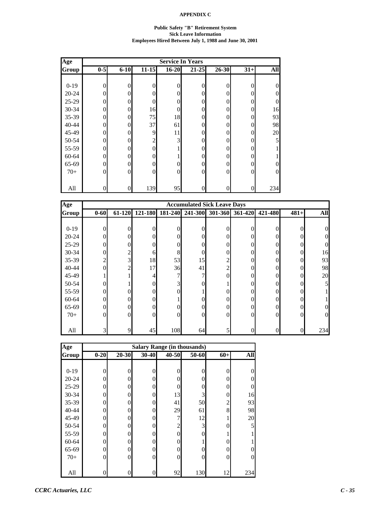#### **Public Safety "B" Retirement System Sick Leave Information Employees Hired Between July 1, 1988 and June 30, 2001**

| Age          |                |          |                |                  | <b>Service In Years</b> |       |          |                |
|--------------|----------------|----------|----------------|------------------|-------------------------|-------|----------|----------------|
| <b>Group</b> | $0-5$          | $6 - 10$ | $11 - 15$      | $16 - 20$        | $21 - 25$               | 26-30 | $31+$    | <b>All</b>     |
|              |                |          |                |                  |                         |       |          |                |
| $0-19$       | $\overline{0}$ | $\theta$ | $\theta$       | 0                | $\overline{0}$          | 0     | 0        | $\overline{0}$ |
| $20 - 24$    | $\theta$       | $\Omega$ | $\Omega$       | 0                | $\theta$                | 0     | $\theta$ | $\overline{0}$ |
| 25-29        | 0              | $\Omega$ | $\Omega$       | 0                | $\theta$                | 0     | $\theta$ | $\overline{0}$ |
| 30-34        | $\theta$       | $\theta$ | 16             | 0                | $\theta$                | 0     | $\theta$ | 16             |
| 35-39        | $\theta$       | $\Omega$ | 75             | 18               | $\overline{0}$          | 0     | $\theta$ | 93             |
| 40-44        | $\theta$       | 0        | 37             | 61               | $\overline{0}$          | 0     | 0        | 98             |
| 45-49        | 0              | 0        | 9              | 11               | $\overline{0}$          | 0     | $\theta$ | 20             |
| 50-54        | 0              | 0        | $\overline{2}$ | 3                | $\overline{0}$          | 0     | $\theta$ | 5              |
| 55-59        | $\Omega$       | 0        | $\Omega$       |                  | $\theta$                | 0     | 0        |                |
| 60-64        | 0              | $\Omega$ | $\Omega$       | 1                | $\theta$                | 0     | $\theta$ |                |
| 65-69        | $\Omega$       | $\Omega$ | 0              | 0                | $\theta$                | 0     | $\theta$ | $\overline{0}$ |
| $70+$        | $\Omega$       | $\Omega$ | 0              | $\boldsymbol{0}$ | $\overline{0}$          | 0     | $\theta$ | $\overline{0}$ |
|              |                |          |                |                  |                         |       |          |                |
| All          | $\theta$       | $\theta$ | 139            | 95               | $\boldsymbol{0}$        | 0     | 0        | 234            |

| Age          |                |                |          |         | <b>Accumulated Sick Leave Days</b> |                |         |                  |        |            |
|--------------|----------------|----------------|----------|---------|------------------------------------|----------------|---------|------------------|--------|------------|
| <b>Group</b> | $0 - 60$       | 61-120         | 121-180  | 181-240 | 241-300                            | 301-360        | 361-420 | 421-480          | $481+$ | <b>All</b> |
|              |                |                |          |         |                                    |                |         |                  |        |            |
| $0-19$       | $\Omega$       | 0              | 0        |         | $\Omega$                           | 0              | O       | 0                |        |            |
| $20 - 24$    | $\Omega$       | 0              | $\Omega$ |         | $\Omega$                           | $\Omega$       | 0       | 0                |        |            |
| 25-29        | $\mathbf{0}$   | 0              | $\theta$ |         | 0                                  | 0              |         | 0                |        |            |
| $30 - 34$    | $\overline{0}$ | 2              | 6        | 8       | 0                                  | $\Omega$       |         | 0                |        | 16         |
| $35 - 39$    | $\overline{c}$ | 3              | 18       | 53      | 15                                 | $\overline{2}$ |         | 0                | 0      | 93         |
| $40 - 44$    | $\theta$       | $\overline{c}$ | 17       | 36      | 41                                 | $\mathfrak{2}$ | 0       | 0                | 0      | 98         |
| 45-49        |                |                | 4        |         | 7                                  | $\Omega$       | 0       | 0                | 0      | 20         |
| 50-54        | $\theta$       |                | $\Omega$ | 3       | 0                                  |                |         | 0                |        |            |
| 55-59        | $\theta$       |                | $\Omega$ |         |                                    | 0              |         | 0                |        |            |
| 60-64        | $\overline{0}$ | 0              | $\Omega$ |         |                                    | 0              |         | 0                |        |            |
| 65-69        | $\theta$       | 0              | $\theta$ |         | $\Omega$                           | $\Omega$       |         | $\theta$         |        |            |
| $70+$        | $\Omega$       | 0              | $\Omega$ | 0       | $\Omega$                           | $\Omega$       | 0       | $\theta$         | 0      |            |
|              |                |                |          |         |                                    |                |         |                  |        |            |
| All          | 3              | 9              | 45       | 108     | 64                                 |                |         | $\boldsymbol{0}$ |        | 234        |

| Age       | <b>Salary Range (in thousands)</b> |                |                |                |          |                |          |  |  |  |  |
|-----------|------------------------------------|----------------|----------------|----------------|----------|----------------|----------|--|--|--|--|
| Group     | $0 - 20$                           | $20 - 30$      | 30-40          | 40-50          | 50-60    | $60+$          | All      |  |  |  |  |
|           |                                    |                |                |                |          |                |          |  |  |  |  |
| $0-19$    | 0                                  | $\theta$       | $\theta$       | 0              | 0        | 0              | $\theta$ |  |  |  |  |
| $20 - 24$ | 0                                  | 0              | 0              | 0              | 0        | 0              | $\theta$ |  |  |  |  |
| $25-29$   | 0                                  | $\Omega$       | 0              | 0              | 0        | $\theta$       | $\theta$ |  |  |  |  |
| 30-34     | 0                                  | 0              | 0              | 13             | 3        | 0              | 16       |  |  |  |  |
| 35-39     | 0                                  | 0              | $\overline{0}$ | 41             | 50       | $\overline{c}$ | 93       |  |  |  |  |
| 40-44     | 0                                  | $\theta$       | 0              | 29             | 61       | 8              | 98       |  |  |  |  |
| 45-49     | 0                                  | $\theta$       | 0              | 7              | 12       | 1              | 20       |  |  |  |  |
| 50-54     | 0                                  | $\Omega$       | 0              | $\overline{c}$ | 3        | 0              | 5        |  |  |  |  |
| 55-59     | 0                                  | 0              | 0              | $\Omega$       | 0        |                |          |  |  |  |  |
| 60-64     | 0                                  | 0              | $\theta$       | 0              |          | 0              |          |  |  |  |  |
| 65-69     | 0                                  | $\theta$       | 0              | 0              | 0        | 0              | 0        |  |  |  |  |
| $70+$     | 0                                  | $\overline{0}$ | $\overline{0}$ | 0              | $\Omega$ | $\overline{0}$ | $\theta$ |  |  |  |  |
|           |                                    |                |                |                |          |                |          |  |  |  |  |
| All       |                                    | 0              | 0              | 92             | 130      | 12             | 234      |  |  |  |  |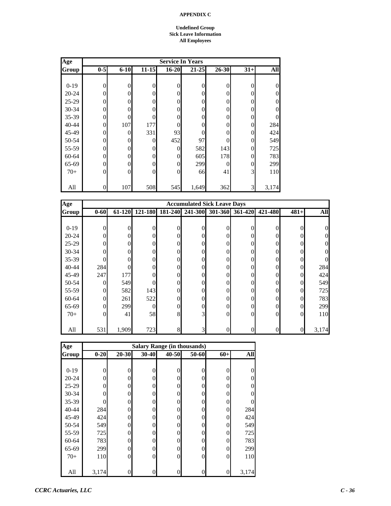#### **Undefined Group Sick Leave Information All Employees**

| Age       | <b>Service In Years</b> |          |                |                  |                |              |          |                |  |  |
|-----------|-------------------------|----------|----------------|------------------|----------------|--------------|----------|----------------|--|--|
| Group     | $0-5$                   | $6 - 10$ | $11 - 15$      | $16 - 20$        | $21 - 25$      | 26-30        | $31+$    | All            |  |  |
|           |                         |          |                |                  |                |              |          |                |  |  |
| $0-19$    | $\overline{0}$          | 0        | $\overline{0}$ | $\boldsymbol{0}$ | $\overline{0}$ | $\mathbf{0}$ | 0        | $\theta$       |  |  |
| $20 - 24$ | $\theta$                | 0        | $\Omega$       | $\overline{0}$   | 0              | $\Omega$     | 0        | $\theta$       |  |  |
| $25 - 29$ | $\theta$                | $\Omega$ | $\overline{0}$ | $\boldsymbol{0}$ | 0              | $\Omega$     | $\Omega$ | $\overline{0}$ |  |  |
| 30-34     | $\theta$                | 0        | $\theta$       | $\boldsymbol{0}$ | 0              | $\theta$     | $\Omega$ | $\overline{0}$ |  |  |
| 35-39     | $\overline{0}$          | $\theta$ | 0              | $\theta$         | 0              | $\theta$     | 0        | $\overline{0}$ |  |  |
| 40-44     | $\theta$                | 107      | 177            | $\theta$         | 0              | $\theta$     | $\Omega$ | 284            |  |  |
| 45-49     | $\overline{0}$          | 0        | 331            | 93               | 0              | $\theta$     | $\Omega$ | 424            |  |  |
| 50-54     | $\overline{0}$          | 0        | 0              | 452              | 97             | $\Omega$     | $\Omega$ | 549            |  |  |
| 55-59     | $\theta$                | 0        | $\theta$       | $\overline{0}$   | 582            | 143          | $\Omega$ | 725            |  |  |
| 60-64     | $\theta$                | $\Omega$ | $\overline{0}$ | $\overline{0}$   | 605            | 178          | 0        | 783            |  |  |
| 65-69     | $\theta$                | $\Omega$ | $\theta$       | $\overline{0}$   | 299            | $\theta$     | $\theta$ | 299            |  |  |
| $70+$     | $\theta$                | 0        | $\overline{0}$ | $\overline{0}$   | 66             | 41           | 3        | 110            |  |  |
|           |                         |          |                |                  |                |              |          |                |  |  |
| All       | $\theta$                | 107      | 508            | 545              | 1,649          | 362          | 3        | 3,174          |  |  |

| Age          |          |          |                |          | <b>Accumulated Sick Leave Days</b> |                  |         |                |          |            |
|--------------|----------|----------|----------------|----------|------------------------------------|------------------|---------|----------------|----------|------------|
| <b>Group</b> | $0 - 60$ | 61-120   | 121-180        | 181-240  | 241-300                            | 301-360          | 361-420 | 421-480        | $481+$   | <b>All</b> |
|              |          |          |                |          |                                    |                  |         |                |          |            |
| $0-19$       | 0        | $\theta$ | $\Omega$       | $\Omega$ | 0                                  | $\Omega$         |         | 0              | 0        |            |
| $20 - 24$    | 0        | $\theta$ | $\Omega$       | $\theta$ | 0                                  | $\Omega$         |         | 0              |          |            |
| $25-29$      | 0        | 0        | $\overline{0}$ | $\theta$ | 0                                  | $\theta$         |         | 0              |          |            |
| $30 - 34$    | 0        | 0        | $\overline{0}$ | $\theta$ | 0                                  | $\mathbf{0}$     |         | 0              |          |            |
| $35-39$      | 0        | 0        | $\overline{0}$ | $\theta$ | 0                                  | $\mathbf{0}$     |         | 0              | 0        |            |
| 40-44        | 284      | 0        | $\Omega$       | $\theta$ | 0                                  | $\Omega$         |         | 0              | $\Omega$ | 284        |
| 45-49        | 247      | 177      | $\Omega$       | $\Omega$ | 0                                  | $\theta$         |         | 0              | 0        | 424        |
| 50-54        | $\Omega$ | 549      | 0              | $\theta$ | 0                                  | $\theta$         |         | 0              | 0        | 549        |
| 55-59        | $\theta$ | 582      | 143            | $\theta$ | 0                                  | $\mathbf{0}$     |         | 0              | 0        | 725        |
| 60-64        | $\Omega$ | 261      | 522            | $\theta$ | 0                                  | $\theta$         |         | 0              | 0        | 783        |
| 65-69        | $\theta$ | 299      | $\overline{0}$ | $\theta$ | 0                                  | $\overline{0}$   |         | 0              | 0        | 299        |
| $70+$        | $\Omega$ | 41       | 58             | 8        | $\overline{3}$                     | $\Omega$         | 0       | $\theta$       | $\Omega$ | 110        |
|              |          |          |                |          |                                    |                  |         |                |          |            |
| All          | 531      | 1,909    | 723            | 8        | 3                                  | $\boldsymbol{0}$ |         | $\overline{0}$ | 0        | 3,174      |

| Age       |          |                |                |          | <b>Salary Range (in thousands)</b> |                |          |
|-----------|----------|----------------|----------------|----------|------------------------------------|----------------|----------|
| Group     | $0 - 20$ | $20 - 30$      | 30-40          | 40-50    | 50-60                              | $60+$          | All      |
|           |          |                |                |          |                                    |                |          |
| $0 - 19$  | 0        | $\theta$       | $\overline{0}$ | $\theta$ | 0                                  | 0              | 0        |
| $20 - 24$ | 0        | $\theta$       | $\theta$       | 0        | 0                                  | 0              | $\theta$ |
| 25-29     | 0        | 0              | $\theta$       | 0        | 0                                  | 0              | $\theta$ |
| 30-34     |          | 0              | $\theta$       | 0        |                                    | 0              | 0        |
| 35-39     |          | 0              | $\overline{0}$ | 0        | 0                                  | 0              | 0        |
| $40 - 44$ | 284      | $\theta$       | $\theta$       | 0        |                                    | 0              | 284      |
| 45-49     | 424      | 0              | $\overline{0}$ | $\theta$ |                                    | 0              | 424      |
| 50-54     | 549      | $\Omega$       | $\overline{0}$ | 0        | 0                                  | 0              | 549      |
| 55-59     | 725      | $\Omega$       | $\overline{0}$ | $\Omega$ | 0                                  | 0              | 725      |
| 60-64     | 783      | 0              | $\overline{0}$ | $\Omega$ | 0                                  | 0              | 783      |
| 65-69     | 299      | 0              | $\overline{0}$ | 0        | 0                                  | 0              | 299      |
| $70+$     | 110      | $\overline{0}$ | $\overline{0}$ | 0        | 0                                  | $\overline{0}$ | 110      |
|           |          |                |                |          |                                    |                |          |
| All       | 3,174    | 0              | 0              | 0        |                                    | 0              | 3,174    |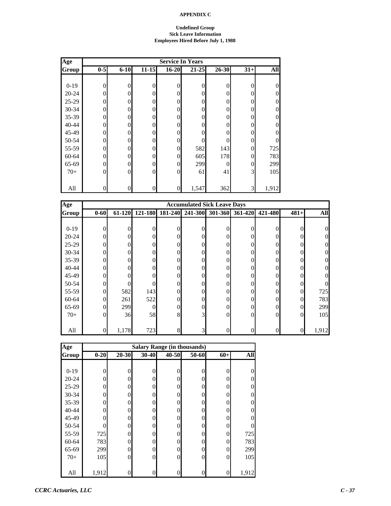#### **Undefined Group Sick Leave Information Employees Hired Before July 1, 1988**

| Age       |                |          |                |                  | <b>Service In Years</b> |           |                |                  |
|-----------|----------------|----------|----------------|------------------|-------------------------|-----------|----------------|------------------|
| Group     | $0 - 5$        | $6 - 10$ | $11 - 15$      | $16 - 20$        | 21-25                   | $26 - 30$ | $31+$          | All              |
|           |                |          |                |                  |                         |           |                |                  |
| $0-19$    | $\overline{0}$ | $\theta$ | 0              | $\mathbf{0}$     | $\overline{0}$          | $\theta$  | $\theta$       | $\overline{0}$   |
| $20 - 24$ | 0              | $\theta$ | 0              | $\boldsymbol{0}$ | $\overline{0}$          | 0         | $\Omega$       | $\boldsymbol{0}$ |
| $25-29$   | 0              | $\theta$ | $\Omega$       | $\overline{0}$   | $\overline{0}$          | 0         | $\Omega$       | $\theta$         |
| $30 - 34$ | 0              | $\Omega$ | 0              | $\boldsymbol{0}$ | $\theta$                | $\Omega$  | $\Omega$       | $\overline{0}$   |
| 35-39     | $\theta$       | $\theta$ | 0              | $\overline{0}$   | 0                       | 0         | $\Omega$       | $\overline{0}$   |
| 40-44     | 0              | $\Omega$ | 0              | $\boldsymbol{0}$ | $\theta$                | $\theta$  | $\Omega$       | $\boldsymbol{0}$ |
| 45-49     | 0              | $\Omega$ | $\Omega$       | $\boldsymbol{0}$ | 0                       | 0         | 0              | $\overline{0}$   |
| 50-54     | 0              | $\theta$ | 0              | $\overline{0}$   | 0                       | 0         | $\theta$       | $\theta$         |
| 55-59     | 0              | $\theta$ | 0              | $\overline{0}$   | 582                     | 143       | $\theta$       | 725              |
| 60-64     | $\theta$       | $\theta$ | $\overline{0}$ | $\overline{0}$   | 605                     | 178       | $\Omega$       | 783              |
| 65-69     | 0              | $\Omega$ | $\Omega$       | $\overline{0}$   | 299                     | $\Omega$  | $\Omega$       | 299              |
| $70+$     | $\Omega$       | $\Omega$ | $\Omega$       | $\overline{0}$   | 61                      | 41        | 3 <sup>l</sup> | 105              |
|           |                |          |                |                  |                         |           |                |                  |
| All       | $\overline{0}$ | $\theta$ | $\overline{0}$ | $\overline{0}$   | 1,547                   | 362       | 3              | 1,912            |

| Age       |                 |        |          |         | <b>Accumulated Sick Leave Days</b> |                |         |          |          |            |
|-----------|-----------------|--------|----------|---------|------------------------------------|----------------|---------|----------|----------|------------|
| Group     | $0 - 60$        | 61-120 | 121-180  | 181-240 | 241-300                            | 301-360        | 361-420 | 421-480  | $481+$   | <b>All</b> |
|           |                 |        |          |         |                                    |                |         |          |          |            |
| $0-19$    | $\theta$        | 0      | $\theta$ |         | $\theta$                           | 0              | 0       | 0        |          |            |
| $20 - 24$ | $\theta$        | 0      | $\Omega$ |         | $\Omega$                           | $\theta$       | 0       | 0        |          |            |
| $25-29$   | $\theta$        | 0      | $\Omega$ |         | $\Omega$                           | 0              |         | 0        |          |            |
| $30 - 34$ | $\overline{0}$  | 0      | $\theta$ |         | 0                                  | $\theta$       |         | 0        |          |            |
| $35 - 39$ | $\overline{0}$  | 0      | $\theta$ |         | $\overline{0}$                     | $\overline{0}$ |         | $\theta$ |          |            |
| $40 - 44$ | $\overline{0}$  | 0      | $\Omega$ | 0       | $\Omega$                           | $\theta$       | 0       | 0        |          |            |
| 45-49     | $\theta$        | 0      | $\Omega$ | 0       | $\Omega$                           | $\Omega$       | 0       | $\Omega$ |          |            |
| 50-54     | $\overline{0}$  | 0      | $\Omega$ |         | $\theta$                           | $\theta$       | 0       | $\theta$ |          |            |
| 55-59     | $\overline{0}$  | 582    | 143      |         | 0                                  | 0              |         | 0        | 0        | 725        |
| 60-64     | $\overline{0}$  | 261    | 522      | 0       | $\Omega$                           | $\theta$       |         | 0        | 0        | 783        |
| 65-69     | $\overline{0}$  | 299    | $\theta$ | 0       | $\overline{0}$                     | $\Omega$       | 0       | $\theta$ | 0        | 299        |
| $70+$     | $\Omega$        | 36     | 58       | 8       | 3                                  | $\Omega$       | 0       | $\Omega$ | $\Omega$ | 105        |
|           |                 |        |          |         |                                    |                |         |          |          |            |
| All       | $\vert 0 \vert$ | 1,178  | 723      | 8       | $\overline{3}$                     | 0              |         | 0        | 0        | 1,912      |

| Age       |          |           |          |       | <b>Salary Range (in thousands)</b> |                |            |
|-----------|----------|-----------|----------|-------|------------------------------------|----------------|------------|
| Group     | $0 - 20$ | $20 - 30$ | 30-40    | 40-50 | 50-60                              | $60+$          | <b>All</b> |
|           |          |           |          |       |                                    |                |            |
| $0 - 19$  | 0        | $\theta$  | $\theta$ |       | 0                                  | 0              | 0          |
| $20 - 24$ | 0        | $\Omega$  | 0        | 0     | 0                                  | 0              | 0          |
| $25-29$   | 0        | $\Omega$  | 0        | 0     | 0                                  | $\theta$       | 0          |
| 30-34     | 0        | $\Omega$  | 0        | 0     | 0                                  | $\theta$       | 0          |
| 35-39     | 0        | $\theta$  | 0        | 0     | 0                                  | 0              | O          |
| 40-44     | 0        | $\theta$  | 0        | 0     | 0                                  | $\theta$       | O          |
| 45-49     | 0        | $\theta$  | 0        | 0     | 0                                  | $\overline{0}$ | 0          |
| 50-54     | 0        | $\Omega$  | $\theta$ | 0     | 0                                  | $\overline{0}$ | 0          |
| 55-59     | 725      | $\Omega$  | 0        | 0     | 0                                  | $\theta$       | 725        |
| 60-64     | 783      | $\Omega$  | 0        | 0     | 0                                  | $\overline{0}$ | 783        |
| 65-69     | 299      | $\theta$  | 0        | 0     | 0                                  | $\overline{0}$ | 299        |
| $70+$     | 105      | $\theta$  | $\theta$ | 0     | $\Omega$                           | $\overline{0}$ | 105        |
|           |          |           |          |       |                                    |                |            |
| All       | 1,912    | $\theta$  | 0        |       |                                    | 0              | 1,912      |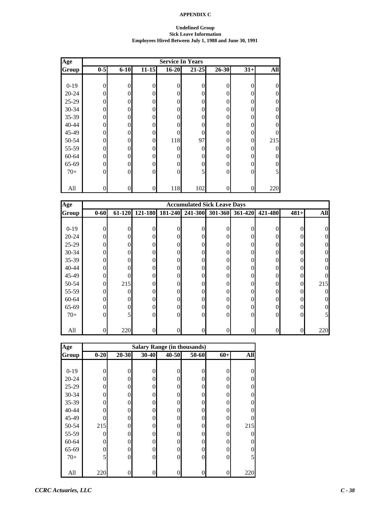#### **Undefined Group Sick Leave Information Employees Hired Between July 1, 1988 and June 30, 1991**

| Age       |                |          |                  |                  | <b>Service In Years</b> |                |          |                |
|-----------|----------------|----------|------------------|------------------|-------------------------|----------------|----------|----------------|
| Group     | $0-5$          | $6 - 10$ | $11 - 15$        | $16 - 20$        | $21 - 25$               | 26-30          | $31+$    | All            |
|           |                |          |                  |                  |                         |                |          |                |
| $0-19$    | $\overline{0}$ | 0        | $\overline{0}$   | $\boldsymbol{0}$ | $\overline{0}$          | $\overline{0}$ | $\Omega$ | $\theta$       |
| $20 - 24$ | $\theta$       | 0        | $\theta$         | $\overline{0}$   | $\Omega$                | $\Omega$       | $\Omega$ | $\theta$       |
| 25-29     | $\theta$       | $\Omega$ | $\theta$         | $\overline{0}$   | 0                       | $\Omega$       | 0        | $\overline{0}$ |
| 30-34     | $\theta$       | 0        | $\overline{0}$   | $\overline{0}$   | 0                       | $\theta$       | $\Omega$ | $\overline{0}$ |
| 35-39     | $\theta$       | 0        | $\overline{0}$   | $\overline{0}$   | 0                       | $\theta$       | $\Omega$ | $\overline{0}$ |
| 40-44     | $\theta$       | 0        | $\overline{0}$   | $\overline{0}$   | 0                       | $\theta$       | 0        | $\overline{0}$ |
| 45-49     | $\theta$       | 0        | $\overline{0}$   | $\overline{0}$   | 0                       | $\theta$       | 0        | 0              |
| 50-54     | $\overline{0}$ | 0        | $\overline{0}$   | 118              | 97                      | $\overline{0}$ | $\Omega$ | 215            |
| 55-59     | $\theta$       | 0        | $\overline{0}$   | $\overline{0}$   | 0                       | $\theta$       | 0        | $\theta$       |
| 60-64     | $\theta$       | $\Omega$ | $\overline{0}$   | $\overline{0}$   | 0                       | $\Omega$       | $\Omega$ | $\overline{0}$ |
| 65-69     | $\theta$       | $\Omega$ | $\overline{0}$   | $\overline{0}$   | $\theta$                | $\theta$       | $\Omega$ | $\overline{0}$ |
| $70+$     | $\theta$       | 0        | $\boldsymbol{0}$ | $\overline{0}$   | 5                       | $\overline{0}$ | $\Omega$ | 5              |
|           |                |          |                  |                  |                         |                |          |                |
| All       | $\theta$       | 0        | $\boldsymbol{0}$ | 118              | 102                     | $\theta$       | $\Omega$ | 220            |

| Age       |                  |          |                  |                | <b>Accumulated Sick Leave Days</b> |                |          |                  |          |            |
|-----------|------------------|----------|------------------|----------------|------------------------------------|----------------|----------|------------------|----------|------------|
| Group     | $0 - 60$         | 61-120   | 121-180          | 181-240        | 241-300                            | 301-360        | 361-420  | 421-480          | $481+$   | <b>All</b> |
|           |                  |          |                  |                |                                    |                |          |                  |          |            |
| $0-19$    | $\theta$         | $\theta$ | 0                | 0              | 0                                  | $\theta$       | $\theta$ | 0                | $\Omega$ | 0          |
| $20 - 24$ | $\theta$         | $\Omega$ | $\overline{0}$   | 0              | 0                                  | $\theta$       | $\Omega$ | $\Omega$         |          |            |
| $25-29$   | $\overline{0}$   | 0        | $\overline{0}$   | 0              | 0                                  | $\theta$       | 0        | $\overline{0}$   |          |            |
| 30-34     | $\overline{0}$   | 0        | $\overline{0}$   | $\Omega$       | 0                                  | $\theta$       | 0        | $\overline{0}$   |          |            |
| $35 - 39$ | $\overline{0}$   | 0        | $\overline{0}$   | 0              | 0                                  | $\overline{0}$ | 0        | $\boldsymbol{0}$ |          |            |
| $40 - 44$ | $\overline{0}$   | 0        | $\overline{0}$   | $\overline{0}$ | 0                                  | $\overline{0}$ | 0        | $\overline{0}$   | 0        |            |
| 45-49     | $\theta$         | 0        | $\Omega$         | 0              | 0                                  | $\Omega$       | $\Omega$ | $\Omega$         | $\Omega$ |            |
| 50-54     | $\theta$         | 215      | $\overline{0}$   |                | $\Omega$                           | $\Omega$       | $\Omega$ | $\theta$         | 0        | 215        |
| 55-59     | $\overline{0}$   | 0        | $\overline{0}$   | 0              | 0                                  | $\theta$       | 0        | $\boldsymbol{0}$ |          | 0          |
| 60-64     | $\overline{0}$   | 0        | $\overline{0}$   | 0              | 0                                  | $\theta$       | 0        | $\overline{0}$   |          |            |
| 65-69     | $\overline{0}$   | $\theta$ | $\boldsymbol{0}$ | 0              | 0                                  | $\theta$       | $\theta$ | $\boldsymbol{0}$ |          |            |
| $70+$     | $\theta$         | 5        | $\overline{0}$   | $\Omega$       | $\Omega$                           | $\theta$       | $\Omega$ | $\overline{0}$   | $\Omega$ |            |
|           |                  |          |                  |                |                                    |                |          |                  |          |            |
| All       | $\boldsymbol{0}$ | 220      | $\boldsymbol{0}$ |                | $\theta$                           | 0              | 0        | $\boldsymbol{0}$ |          | 220        |

| Age       |          |           |          |       | <b>Salary Range (in thousands)</b> |                |            |
|-----------|----------|-----------|----------|-------|------------------------------------|----------------|------------|
| Group     | $0 - 20$ | $20 - 30$ | 30-40    | 40-50 | 50-60                              | $60+$          | <b>All</b> |
|           |          |           |          |       |                                    |                |            |
| $0 - 19$  | 0        | 0         | 0        | 0     | 0                                  | 0              | 0          |
| $20 - 24$ | 0        | 0         | 0        | 0     | 0                                  | 0              | 0          |
| 25-29     | 0        | $\Omega$  | 0        | 0     | 0                                  | 0              | 0          |
| 30-34     | O        | $\Omega$  | 0        | 0     | 0                                  | 0              | O          |
| 35-39     | 0        | $\Omega$  | 0        |       | 0                                  | 0              | O          |
| 40-44     | 0        | $\theta$  | 0        | 0     | 0                                  | 0              | O          |
| 45-49     | O        | $\Omega$  | 0        | 0     | 0                                  | $\overline{0}$ | O          |
| 50-54     | 215      | $\Omega$  | 0        | 0     | 0                                  | $\Omega$       | 215        |
| 55-59     | 0        | $\Omega$  | 0        |       | 0                                  | 0              | 0          |
| 60-64     | 0        | $\Omega$  | 0        | 0     | 0                                  | 0              | O          |
| 65-69     | 0        | $\theta$  | 0        | 0     | 0                                  | 0              | 0          |
| $70+$     | 5        | $\theta$  | $\theta$ | 0     | 0                                  | $\overline{0}$ | 5          |
|           |          |           |          |       |                                    |                |            |
| All       | 220      |           | 0        |       |                                    | 0              | 220        |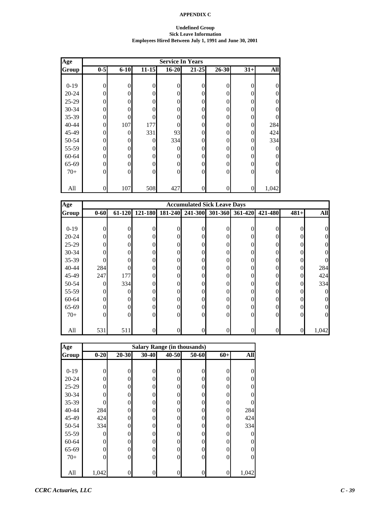#### **Undefined Group Sick Leave Information Employees Hired Between July 1, 1991 and June 30, 2001**

| Age          | <b>Service In Years</b> |          |                |           |                  |                |                |                |
|--------------|-------------------------|----------|----------------|-----------|------------------|----------------|----------------|----------------|
| <b>Group</b> | $0-5$                   | $6 - 10$ | $11 - 15$      | $16 - 20$ | $21 - 25$        | 26-30          | $31+$          | All            |
|              |                         |          |                |           |                  |                |                |                |
| $0 - 19$     | $\overline{0}$          | 0        | $\overline{0}$ | 0         | $\overline{0}$   | $\overline{0}$ | $\theta$       | $\theta$       |
| $20 - 24$    | $\theta$                | 0        | $\theta$       | 0         | $\theta$         | 0              | $\Omega$       | $\overline{0}$ |
| 25-29        | $\Omega$                |          | $\Omega$       | 0         | $\theta$         | 0              | $\Omega$       | $\overline{0}$ |
| 30-34        | $\theta$                |          | 0              | 0         | $\theta$         | 0              | $\Omega$       | $\overline{0}$ |
| 35-39        | $\theta$                | 0        | $\theta$       | 0         | $\theta$         | 0              | $\Omega$       | $\theta$       |
| 40-44        | $\theta$                | 107      | 177            | 0         | $\overline{0}$   | 0              | $\Omega$       | 284            |
| 45-49        | $\theta$                | 0        | 331            | 93        | $\overline{0}$   | 0              | 0              | 424            |
| 50-54        | $\theta$                | 0        | $\theta$       | 334       | $\overline{0}$   | 0              | $\Omega$       | 334            |
| 55-59        | 0                       | 0        | 0              | 0         | $\theta$         | 0              | 0              | $\theta$       |
| 60-64        | $\Omega$                | 0        | $\theta$       | 0         | $\theta$         | 0              | $\Omega$       | $\theta$       |
| 65-69        | $\theta$                | 0        | $\theta$       | 0         | $\theta$         | 0              | $\Omega$       | $\overline{0}$ |
| $70+$        | $\theta$                |          | $\theta$       | 0         | $\overline{0}$   | 0              | $\Omega$       | $\overline{0}$ |
|              |                         |          |                |           |                  |                |                |                |
| All          | $\boldsymbol{0}$        | 107      | 508            | 427       | $\boldsymbol{0}$ | 0              | $\overline{0}$ | 1,042          |

| Age       |                | <b>Accumulated Sick Leave Days</b> |          |          |                 |          |                 |                  |          |            |
|-----------|----------------|------------------------------------|----------|----------|-----------------|----------|-----------------|------------------|----------|------------|
| Group     | $0 - 60$       | 61-120                             | 121-180  |          | 181-240 241-300 |          | 301-360 361-420 | 421-480          | $481+$   | <b>All</b> |
|           |                |                                    |          |          |                 |          |                 |                  |          |            |
| $0-19$    | $\theta$       | 0                                  |          | $\Omega$ |                 |          | 0               | 0                |          |            |
| $20 - 24$ | $\theta$       | 0                                  | 0        | 0        | 0               | 0        | 0               | 0                |          |            |
| $25-29$   | $\overline{0}$ |                                    | 0        | 0        |                 | 0        |                 | $\theta$         |          |            |
| $30 - 34$ | $\overline{0}$ |                                    | 0        | 0        |                 | 0        |                 | 0                |          |            |
| $35 - 39$ | $\theta$       |                                    | 0        | 0        |                 | 0        |                 | $\theta$         |          |            |
| $40 - 44$ | 284            |                                    | 0        | $\theta$ | 0               | $\theta$ | 0               | $\theta$         | $\Omega$ | 284        |
| 45-49     | 247            | 177                                | 0        | 0        | 0               | 0        | 0               | 0                | $\Omega$ | 424        |
| 50-54     | $\theta$       | 334                                | 0        | 0        | 0               | 0        | 0               | 0                |          | 334        |
| 55-59     | $\mathbf{0}$   | 0                                  | 0        | 0        |                 | 0        |                 | 0                |          |            |
| 60-64     | $\overline{0}$ |                                    | 0        | 0        |                 | 0        |                 | 0                |          |            |
| 65-69     | $\overline{0}$ | 0                                  | 0        | 0        | 0               | 0        | 0               | $\theta$         |          |            |
| $70+$     | $\mathbf{0}$   | 0                                  | $\Omega$ | $\Omega$ | 0               | $\Omega$ | 0               | $\theta$         | $\Omega$ |            |
|           |                |                                    |          |          |                 |          |                 |                  |          |            |
| All       | 531            | 511                                | 0        |          | 0               |          |                 | $\boldsymbol{0}$ |          | 1,042      |

| Age       | <b>Salary Range (in thousands)</b> |          |           |       |          |                |            |
|-----------|------------------------------------|----------|-----------|-------|----------|----------------|------------|
| Group     | $0 - 20$                           | 20-30    | $30 - 40$ | 40-50 | 50-60    | $60+$          | <b>All</b> |
|           |                                    |          |           |       |          |                |            |
| $0-19$    | 0                                  | 0        | 0         |       | 0        | 0              | 0          |
| $20 - 24$ | 0                                  | $\Omega$ | 0         | 0     | 0        | $\Omega$       | 0          |
| 25-29     | 0                                  | $\Omega$ | 0         | 0     | 0        | 0              | 0          |
| 30-34     |                                    | 0        | 0         | 0     | 0        | 0              | 0          |
| $35 - 39$ |                                    | $\theta$ | 0         | 0     | 0        | 0              |            |
| 40-44     | 284                                | $\theta$ | 0         | 0     | 0        | $\overline{0}$ | 284        |
| 45-49     | 424                                | $\Omega$ | 0         | 0     | 0        | 0              | 424        |
| 50-54     | 334                                | $\Omega$ | 0         | 0     | 0        | $\theta$       | 334        |
| 55-59     | 0                                  | $\Omega$ | 0         | 0     | 0        | $\Omega$       | $\Omega$   |
| 60-64     | 0                                  | $\Omega$ | 0         | 0     | 0        | 0              | O          |
| 65-69     | 0                                  | $\theta$ | 0         | 0     | 0        | $\theta$       | 0          |
| $70+$     | 0                                  | $\theta$ | $\theta$  | 0     | $\Omega$ | $\overline{0}$ | $\Omega$   |
|           |                                    |          |           |       |          |                |            |
| All       | 1,042                              | 0        | 0         |       |          | 0              | 1,042      |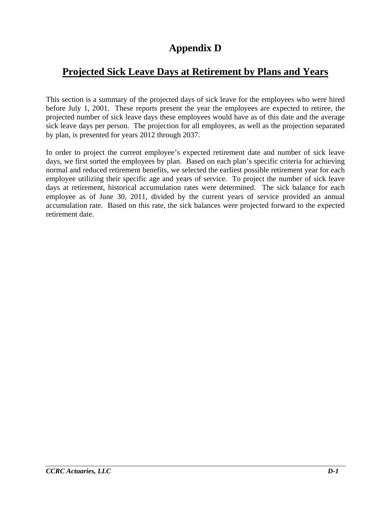# **Appendix D**

# **Projected Sick Leave Days at Retirement by Plans and Years**

This section is a summary of the projected days of sick leave for the employees who were hired before July 1, 2001. These reports present the year the employees are expected to retiree, the projected number of sick leave days these employees would have as of this date and the average sick leave days per person. The projection for all employees, as well as the projection separated by plan, is presented for years 2012 through 2037.

In order to project the current employee's expected retirement date and number of sick leave days, we first sorted the employees by plan. Based on each plan's specific criteria for achieving normal and reduced retirement benefits, we selected the earliest possible retirement year for each employee utilizing their specific age and years of service. To project the number of sick leave days at retirement, historical accumulation rates were determined. The sick balance for each employee as of June 30, 2011, divided by the current years of service provided an annual accumulation rate. Based on this rate, the sick balances were projected forward to the expected retirement date.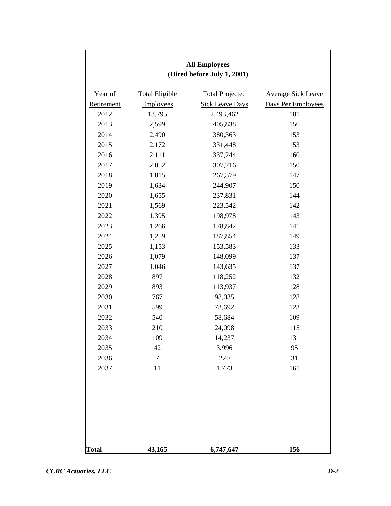| <b>All Employees</b><br>(Hired before July 1, 2001) |                       |                        |                    |  |  |
|-----------------------------------------------------|-----------------------|------------------------|--------------------|--|--|
|                                                     |                       |                        |                    |  |  |
| Year of                                             | <b>Total Eligible</b> | <b>Total Projected</b> | Average Sick Leave |  |  |
| Retirement                                          | Employees             | <b>Sick Leave Days</b> | Days Per Employees |  |  |
| 2012                                                | 13,795                | 2,493,462              | 181                |  |  |
| 2013                                                | 2,599                 | 405,838                | 156                |  |  |
| 2014                                                | 2,490                 | 380,363                | 153                |  |  |
| 2015                                                | 2,172                 | 331,448                | 153                |  |  |
| 2016                                                | 2,111                 | 337,244                | 160                |  |  |
| 2017                                                | 2,052                 | 307,716                | 150                |  |  |
| 2018                                                | 1,815                 | 267,379                | 147                |  |  |
| 2019                                                | 1,634                 | 244,907                | 150                |  |  |
| 2020                                                | 1,655                 | 237,831                | 144                |  |  |
| 2021                                                | 1,569                 | 223,542                | 142                |  |  |
| 2022                                                | 1,395                 | 198,978                | 143                |  |  |
| 2023                                                | 1,266                 | 178,842                | 141                |  |  |
| 2024                                                | 1,259                 | 187,854                | 149                |  |  |
| 2025                                                | 1,153                 | 153,583                | 133                |  |  |
| 2026                                                | 1,079                 | 148,099                | 137                |  |  |
| 2027                                                | 1,046                 | 143,635                | 137                |  |  |
| 2028                                                | 897                   | 118,252                | 132                |  |  |
| 2029                                                | 893                   | 113,937                | 128                |  |  |
| 2030                                                | 767                   | 98,035                 | 128                |  |  |
| 2031                                                | 599                   | 73,692                 | 123                |  |  |
| 2032                                                | 540                   | 58,684                 | 109                |  |  |
| 2033                                                | 210                   | 24,098                 | 115                |  |  |
| 2034                                                | 109                   | 14,237                 | 131                |  |  |
| 2035                                                | 42                    | 3,996                  | 95                 |  |  |
| 2036                                                | $\overline{7}$        | 220                    | 31                 |  |  |
| 2037                                                | 11                    | 1,773                  | 161                |  |  |
|                                                     |                       |                        |                    |  |  |
|                                                     |                       |                        |                    |  |  |
|                                                     |                       |                        |                    |  |  |
| <b>Total</b>                                        | 43,165                | 6,747,647              | 156                |  |  |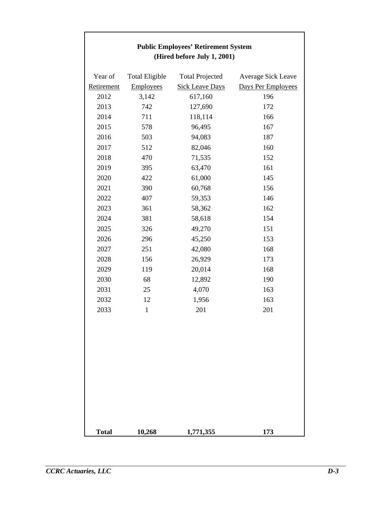| <b>Public Employees' Retirement System</b><br>(Hired before July 1, 2001) |                       |                        |                    |  |  |
|---------------------------------------------------------------------------|-----------------------|------------------------|--------------------|--|--|
| Year of                                                                   | <b>Total Eligible</b> | <b>Total Projected</b> | Average Sick Leave |  |  |
| Retirement                                                                | <b>Employees</b>      | <b>Sick Leave Days</b> | Days Per Employees |  |  |
| 2012                                                                      | 3,142                 | 617,160                | 196                |  |  |
| 2013                                                                      | 742                   | 127,690                | 172                |  |  |
| 2014                                                                      | 711                   | 118,114                | 166                |  |  |
| 2015                                                                      | 578                   | 96,495                 | 167                |  |  |
| 2016                                                                      | 503                   | 94,083                 | 187                |  |  |
| 2017                                                                      | 512                   | 82,046                 | 160                |  |  |
| 2018                                                                      | 470                   | 71,535                 | 152                |  |  |
| 2019                                                                      | 395                   | 63,470                 | 161                |  |  |
| 2020                                                                      | 422                   | 61,000                 | 145                |  |  |
| 2021                                                                      | 390                   | 60,768                 | 156                |  |  |
| 2022                                                                      | 407                   | 59,353                 | 146                |  |  |
| 2023                                                                      | 361                   | 58,362                 | 162                |  |  |
| 2024                                                                      | 381                   | 58,618                 | 154                |  |  |
| 2025                                                                      | 326                   | 49,270                 | 151                |  |  |
| 2026                                                                      | 296                   | 45,250                 | 153                |  |  |
| 2027                                                                      | 251                   | 42,080                 | 168                |  |  |
| 2028                                                                      | 156                   | 26,929                 | 173                |  |  |
| 2029                                                                      | 119                   | 20,014                 | 168                |  |  |
| 2030                                                                      | 68                    | 12,892                 | 190                |  |  |
| 2031                                                                      | 25                    | 4,070                  | 163                |  |  |
| 2032                                                                      | 12                    | 1,956                  | 163                |  |  |
| 2033                                                                      | $\mathbf{1}$          | 201                    | 201                |  |  |
|                                                                           |                       |                        |                    |  |  |
| <b>Total</b>                                                              | 10,268                | 1,771,355              | 173                |  |  |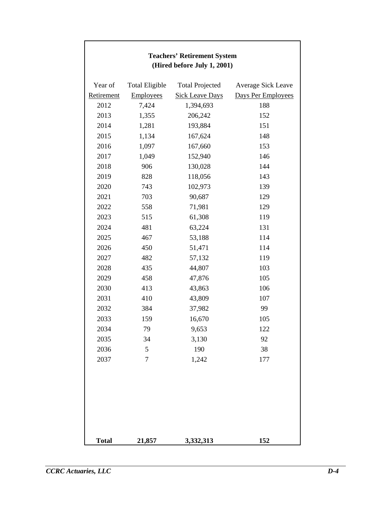| <b>Teachers' Retirement System</b><br>(Hired before July 1, 2001) |                       |                        |                    |  |  |
|-------------------------------------------------------------------|-----------------------|------------------------|--------------------|--|--|
| Year of                                                           | <b>Total Eligible</b> | <b>Total Projected</b> | Average Sick Leave |  |  |
| Retirement                                                        | <b>Employees</b>      | <b>Sick Leave Days</b> | Days Per Employees |  |  |
| 2012                                                              | 7,424                 | 1,394,693              | 188                |  |  |
| 2013                                                              | 1,355                 | 206,242                | 152                |  |  |
| 2014                                                              | 1,281                 | 193,884                | 151                |  |  |
| 2015                                                              | 1,134                 | 167,624                | 148                |  |  |
| 2016                                                              | 1,097                 | 167,660                | 153                |  |  |
| 2017                                                              | 1,049                 | 152,940                | 146                |  |  |
| 2018                                                              | 906                   | 130,028                | 144                |  |  |
| 2019                                                              | 828                   | 118,056                | 143                |  |  |
| 2020                                                              | 743                   | 102,973                | 139                |  |  |
| 2021                                                              | 703                   | 90,687                 | 129                |  |  |
| 2022                                                              | 558                   | 71,981                 | 129                |  |  |
| 2023                                                              | 515                   | 61,308                 | 119                |  |  |
| 2024                                                              | 481                   | 63,224                 | 131                |  |  |
| 2025                                                              | 467                   | 53,188                 | 114                |  |  |
| 2026                                                              | 450                   | 51,471                 | 114                |  |  |
| 2027                                                              | 482                   | 57,132                 | 119                |  |  |
| 2028                                                              | 435                   | 44,807                 | 103                |  |  |
| 2029                                                              | 458                   | 47,876                 | 105                |  |  |
| 2030                                                              | 413                   | 43,863                 | 106                |  |  |
| 2031                                                              | 410                   | 43,809                 | 107                |  |  |
| 2032                                                              | 384                   | 37,982                 | 99                 |  |  |
| 2033                                                              | 159                   | 16,670                 | 105                |  |  |
| 2034                                                              | 79                    | 9,653                  | 122                |  |  |
| 2035                                                              | 34                    | 3,130                  | 92                 |  |  |
| 2036                                                              | 5                     | 190                    | 38                 |  |  |
| 2037                                                              | $\overline{7}$        | 1,242                  | 177                |  |  |
|                                                                   |                       |                        |                    |  |  |
| <b>Total</b>                                                      | 21,857                | 3,332,313              | 152                |  |  |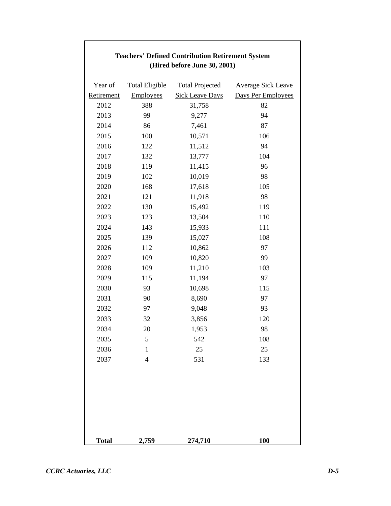| (Hired before June 30, 2001) |                       |                        |                    |  |  |
|------------------------------|-----------------------|------------------------|--------------------|--|--|
| Year of                      | <b>Total Eligible</b> | <b>Total Projected</b> | Average Sick Leave |  |  |
| Retirement                   | <b>Employees</b>      | <b>Sick Leave Days</b> | Days Per Employees |  |  |
| 2012                         | 388                   | 31,758                 | 82                 |  |  |
| 2013                         | 99                    | 9,277                  | 94                 |  |  |
| 2014                         | 86                    | 7,461                  | 87                 |  |  |
| 2015                         | 100                   | 10,571                 | 106                |  |  |
| 2016                         | 122                   | 11,512                 | 94                 |  |  |
| 2017                         | 132                   | 13,777                 | 104                |  |  |
| 2018                         | 119                   | 11,415                 | 96                 |  |  |
| 2019                         | 102                   | 10,019                 | 98                 |  |  |
| 2020                         | 168                   | 17,618                 | 105                |  |  |
| 2021                         | 121                   | 11,918                 | 98                 |  |  |
| 2022                         | 130                   | 15,492                 | 119                |  |  |
| 2023                         | 123                   | 13,504                 | 110                |  |  |
| 2024                         | 143                   | 15,933                 | 111                |  |  |
| 2025                         | 139                   | 15,027                 | 108                |  |  |
| 2026                         | 112                   | 10,862                 | 97                 |  |  |
| 2027                         | 109                   | 10,820                 | 99                 |  |  |
| 2028                         | 109                   | 11,210                 | 103                |  |  |
| 2029                         | 115                   | 11,194                 | 97                 |  |  |
| 2030                         | 93                    | 10,698                 | 115                |  |  |
| 2031                         | 90                    | 8,690                  | 97                 |  |  |
| 2032                         | 97                    | 9,048                  | 93                 |  |  |
| 2033                         | 32                    | 3,856                  | 120                |  |  |
| 2034                         | 20                    | 1,953                  | 98                 |  |  |
| 2035                         | 5                     | 542                    | 108                |  |  |
| 2036                         | $\mathbf{1}$          | 25                     | 25                 |  |  |
| 2037                         | $\overline{4}$        | 531                    | 133                |  |  |
|                              |                       |                        |                    |  |  |
|                              |                       |                        |                    |  |  |
|                              |                       |                        |                    |  |  |
| <b>Total</b>                 | 2,759                 | 274,710                | 100                |  |  |

# **Teachers' Defined Contribution Retirement System (Hired before June 30, 2001)**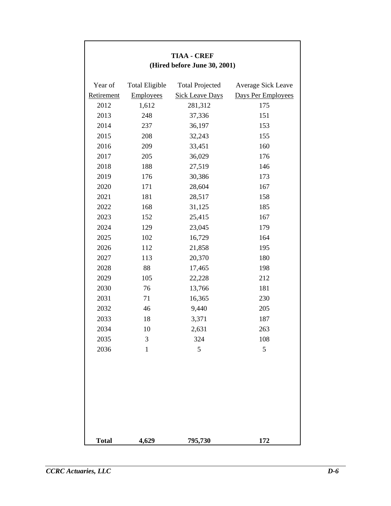| <b>TIAA - CREF</b><br>(Hired before June 30, 2001) |                       |                        |                    |  |  |
|----------------------------------------------------|-----------------------|------------------------|--------------------|--|--|
| Year of                                            | <b>Total Eligible</b> | <b>Total Projected</b> | Average Sick Leave |  |  |
| Retirement                                         | Employees             | <b>Sick Leave Days</b> | Days Per Employees |  |  |
| 2012                                               | 1,612                 | 281,312                | 175                |  |  |
| 2013                                               | 248                   | 37,336                 | 151                |  |  |
| 2014                                               | 237                   | 36,197                 | 153                |  |  |
| 2015                                               | 208                   | 32,243                 | 155                |  |  |
| 2016                                               | 209                   | 33,451                 | 160                |  |  |
| 2017                                               | 205                   | 36,029                 | 176                |  |  |
| 2018                                               | 188                   | 27,519                 | 146                |  |  |
| 2019                                               | 176                   | 30,386                 | 173                |  |  |
| 2020                                               | 171                   | 28,604                 | 167                |  |  |
| 2021                                               | 181                   | 28,517                 | 158                |  |  |
| 2022                                               | 168                   | 31,125                 | 185                |  |  |
| 2023                                               | 152                   | 25,415                 | 167                |  |  |
| 2024                                               | 129                   | 23,045                 | 179                |  |  |
| 2025                                               | 102                   | 16,729                 | 164                |  |  |
| 2026                                               | 112                   | 21,858                 | 195                |  |  |
| 2027                                               | 113                   | 20,370                 | 180                |  |  |
| 2028                                               | 88                    | 17,465                 | 198                |  |  |
| 2029                                               | 105                   | 22,228                 | 212                |  |  |
| 2030                                               | 76                    | 13,766                 | 181                |  |  |
| 2031                                               | 71                    | 16,365                 | 230                |  |  |
| 2032                                               | 46                    | 9,440                  | 205                |  |  |
| 2033                                               | 18                    | 3,371                  | 187                |  |  |
| 2034                                               | 10                    | 2,631                  | 263                |  |  |
| 2035                                               | 3                     | 324                    | 108                |  |  |
| 2036                                               | $\mathbf{1}$          | 5                      | 5                  |  |  |
|                                                    |                       |                        |                    |  |  |
| <b>Total</b>                                       | 4,629                 | 795,730                | 172                |  |  |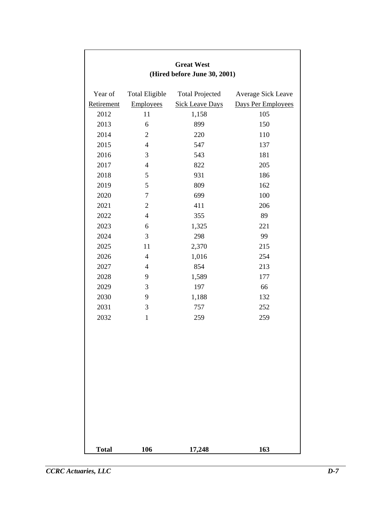| <b>Great West</b><br>(Hired before June 30, 2001) |                       |                        |                    |  |  |
|---------------------------------------------------|-----------------------|------------------------|--------------------|--|--|
| Year of                                           | <b>Total Eligible</b> | <b>Total Projected</b> | Average Sick Leave |  |  |
| Retirement                                        | Employees             | <b>Sick Leave Days</b> | Days Per Employees |  |  |
| 2012                                              | 11                    | 1,158                  | 105                |  |  |
| 2013                                              | 6                     | 899                    | 150                |  |  |
| 2014                                              | $\overline{2}$        | 220                    | 110                |  |  |
| 2015                                              | $\overline{4}$        | 547                    | 137                |  |  |
| 2016                                              | 3                     | 543                    | 181                |  |  |
| 2017                                              | $\overline{4}$        | 822                    | 205                |  |  |
| 2018                                              | 5                     | 931                    | 186                |  |  |
| 2019                                              | 5                     | 809                    | 162                |  |  |
| 2020                                              | $\boldsymbol{7}$      | 699                    | 100                |  |  |
| 2021                                              | $\overline{2}$        | 411                    | 206                |  |  |
| 2022                                              | $\overline{4}$        | 355                    | 89                 |  |  |
| 2023                                              | 6                     | 1,325                  | 221                |  |  |
| 2024                                              | 3                     | 298                    | 99                 |  |  |
| 2025                                              | 11                    | 2,370                  | 215                |  |  |
| 2026                                              | $\overline{4}$        | 1,016                  | 254                |  |  |
| 2027                                              | $\overline{4}$        | 854                    | 213                |  |  |
| 2028                                              | 9                     | 1,589                  | 177                |  |  |
| 2029                                              | 3                     | 197                    | 66                 |  |  |
| 2030                                              | 9                     | 1,188                  | 132                |  |  |
| 2031                                              | 3                     | 757                    | 252                |  |  |
| 2032                                              | $\mathbf{1}$          | 259                    | 259                |  |  |
| <b>Total</b>                                      | 106                   | 17,248                 | 163                |  |  |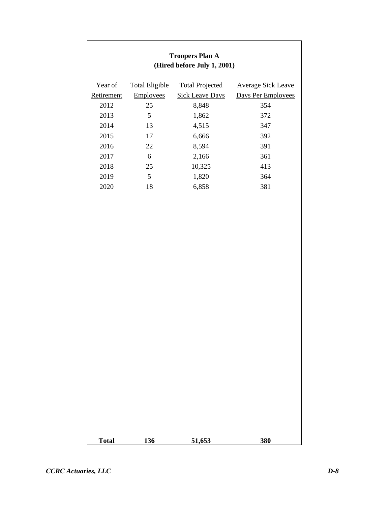| <b>Troopers Plan A</b><br>(Hired before July 1, 2001) |                       |                        |                    |  |  |  |
|-------------------------------------------------------|-----------------------|------------------------|--------------------|--|--|--|
| Year of                                               | <b>Total Eligible</b> | <b>Total Projected</b> | Average Sick Leave |  |  |  |
| Retirement                                            | Employees             | <b>Sick Leave Days</b> | Days Per Employees |  |  |  |
| 2012                                                  | 25                    | 8,848                  | 354                |  |  |  |
| 2013                                                  | $\mathfrak{S}$        | 1,862                  | 372                |  |  |  |
| 2014                                                  | 13                    | 4,515                  | 347                |  |  |  |
| 2015                                                  | 17                    | 6,666                  | 392                |  |  |  |
| 2016                                                  | 22                    | 8,594                  | 391                |  |  |  |
| 2017                                                  | 6                     | 2,166                  | 361                |  |  |  |
| 2018                                                  | 25                    | 10,325                 | 413                |  |  |  |
| 2019                                                  | $\mathfrak{S}$        | 1,820                  | 364                |  |  |  |
| 2020                                                  | 18                    | 6,858                  | 381                |  |  |  |
|                                                       |                       |                        |                    |  |  |  |
| <b>Total</b>                                          | 136                   | 51,653                 | 380                |  |  |  |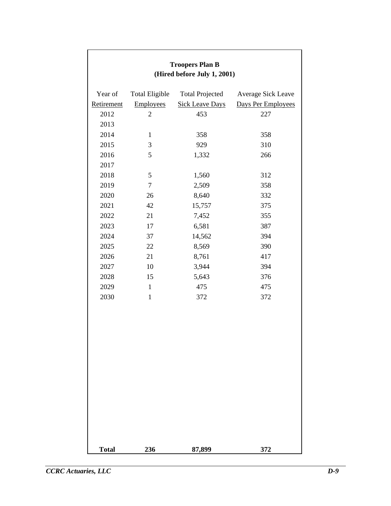| <b>Troopers Plan B</b><br>(Hired before July 1, 2001) |                       |                        |                    |  |  |
|-------------------------------------------------------|-----------------------|------------------------|--------------------|--|--|
| Year of                                               | <b>Total Eligible</b> | <b>Total Projected</b> | Average Sick Leave |  |  |
| Retirement                                            | <b>Employees</b>      | <b>Sick Leave Days</b> | Days Per Employees |  |  |
| 2012                                                  | $\mathbf{2}$          | 453                    | 227                |  |  |
| 2013                                                  |                       |                        |                    |  |  |
| 2014                                                  | $\mathbf{1}$          | 358                    | 358                |  |  |
| 2015                                                  | 3                     | 929                    | 310                |  |  |
| 2016                                                  | 5                     | 1,332                  | 266                |  |  |
| 2017                                                  |                       |                        |                    |  |  |
| 2018                                                  | 5                     | 1,560                  | 312                |  |  |
| 2019                                                  | $\tau$                | 2,509                  | 358                |  |  |
| 2020                                                  | 26                    | 8,640                  | 332                |  |  |
| 2021                                                  | 42                    | 15,757                 | 375                |  |  |
| 2022                                                  | 21                    | 7,452                  | 355                |  |  |
| 2023                                                  | 17                    | 6,581                  | 387                |  |  |
| 2024                                                  | 37                    | 14,562                 | 394                |  |  |
| 2025                                                  | 22                    | 8,569                  | 390                |  |  |
| 2026                                                  | 21                    | 8,761                  | 417                |  |  |
| 2027                                                  | 10                    | 3,944                  | 394                |  |  |
| 2028                                                  | 15                    | 5,643                  | 376                |  |  |
| 2029                                                  | $\mathbf{1}$          | 475                    | 475                |  |  |
| 2030                                                  | $\mathbf{1}$          | 372                    | 372                |  |  |
|                                                       |                       |                        |                    |  |  |
| <b>Total</b>                                          | 236                   | 87,899                 | 372                |  |  |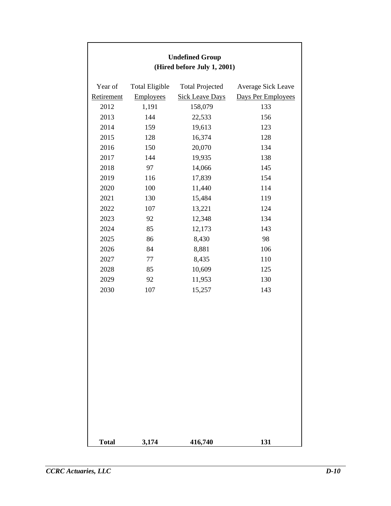| <b>Undefined Group</b><br>(Hired before July 1, 2001) |                       |                        |                    |  |  |
|-------------------------------------------------------|-----------------------|------------------------|--------------------|--|--|
| Year of                                               | <b>Total Eligible</b> | <b>Total Projected</b> | Average Sick Leave |  |  |
| Retirement                                            | <b>Employees</b>      | <b>Sick Leave Days</b> | Days Per Employees |  |  |
| 2012                                                  | 1,191                 | 158,079                | 133                |  |  |
| 2013                                                  | 144                   | 22,533                 | 156                |  |  |
| 2014                                                  | 159                   | 19,613                 | 123                |  |  |
| 2015                                                  | 128                   | 16,374                 | 128                |  |  |
| 2016                                                  | 150                   | 20,070                 | 134                |  |  |
| 2017                                                  | 144                   | 19,935                 | 138                |  |  |
| 2018                                                  | 97                    | 14,066                 | 145                |  |  |
| 2019                                                  | 116                   | 17,839                 | 154                |  |  |
| 2020                                                  | 100                   | 11,440                 | 114                |  |  |
| 2021                                                  | 130                   | 15,484                 | 119                |  |  |
| 2022                                                  | 107                   | 13,221                 | 124                |  |  |
| 2023                                                  | 92                    | 12,348                 | 134                |  |  |
| 2024                                                  | 85                    | 12,173                 | 143                |  |  |
| 2025                                                  | 86                    | 8,430                  | 98                 |  |  |
| 2026                                                  | 84                    | 8,881                  | 106                |  |  |
| 2027                                                  | $77\,$                | 8,435                  | 110                |  |  |
| 2028                                                  | 85                    | 10,609                 | 125                |  |  |
| 2029                                                  | 92                    | 11,953                 | 130                |  |  |
| 2030                                                  | 107                   | 15,257                 | 143                |  |  |
|                                                       |                       |                        |                    |  |  |
| <b>Total</b>                                          | 3,174                 | 416,740                | 131                |  |  |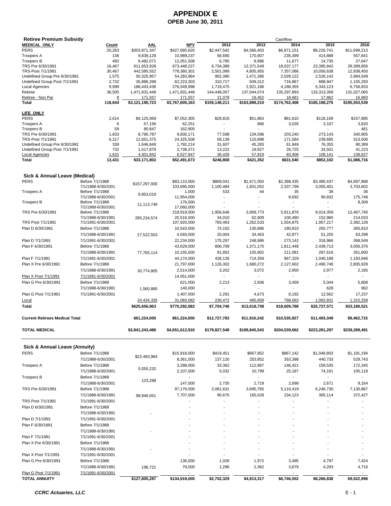# **APPENDIX E OPEB June 30, 2011**

| <b>Retiree Premium Subsidy</b>           |                                       |                            |                            |                        |                         | Cashflow                |                          |                          |
|------------------------------------------|---------------------------------------|----------------------------|----------------------------|------------------------|-------------------------|-------------------------|--------------------------|--------------------------|
| <b>MEDICAL ONLY</b>                      | <u>Count</u>                          | <u>AAL</u>                 | <b>NPV</b>                 | 2012                   | 2013                    | 2014                    | 2015                     | 2016                     |
| <b>PERS</b>                              | 20,263                                | \$303,971,347              | \$427,695,620              | \$2,447,542            | \$4,566,403             | \$6,871,151             | \$9,226,741              | \$11,699,213             |
| <b>Troopers A</b>                        | 136                                   | 9,839,129                  | 10,989,237                 | 56,690                 | 170,907                 | 235,399                 | 414,888                  | 557,641                  |
| <b>Troopers B</b>                        | 492                                   | 6,482,071                  | 12,051,508                 | 6,785                  | 8,986                   | 11,677                  | 14,735                   | 27,647                   |
| TRS Pre 6/30/1991<br>TRS-Post 7/1/1991   | 16,467<br>30,467                      | 611,653,928<br>442,585,552 | 673,448,227<br>778,360,301 | 6,734,388<br>2,501,089 | 12,371,549<br>4,805,955 | 18,037,177<br>7,357,086 | 23,395,842<br>10,056,638 | 28,389,856<br>12,938,450 |
| Undefined Group Pre 6/30/1991            | 1,575                                 | 50,325,957                 | 54,283,964                 | 902,390                | 1,471,386               | 2,028,122               | 2,526,142                | 2,984,549                |
| Undefined Group Post 7/1/1991            | 2,732                                 | 35,886,298                 | 62,223,303                 | 310,717                | 509,312                 | 716,867                 | 888,947                  | 1,155,293                |
| Local Agencies                           | 9,999                                 | 188,443,436                | 276,549,998                | 1,719,475              | 2,921,186               | 4,188,355               | 5,343,123                | 6,756,833                |
| Retiree                                  | 36,505                                | 1,471,831,448              | 1,471,831,448              | 144,448,057            | 137,044,074             | 135,297,893             | 133,313,358              | 131,027,065              |
| Retiree - Non Par                        | 8                                     | 171,557                    | 171,557                    | 21,078                 | 19,452                  | 18,681                  | 17,862                   | 16,993                   |
| Total                                    | 118,644                               | \$3,121,190,723            | \$3,767,605,163            | \$159,148,211          | \$163,889,210           | \$174,762,408           | \$185,198,275            | \$195,553,539            |
| LIFE ONLY                                |                                       |                            |                            |                        |                         |                         |                          |                          |
| <b>PERS</b>                              | 2,614                                 | \$4,125,069                | \$7,052,305                | \$28,816               | \$51,863                | \$81,610                | \$118,169                | \$157,985                |
| <b>Troopers A</b>                        | 6                                     | 57,156                     | 62,251                     |                        | 866                     | 3,026                   | 3,107                    | 3,620                    |
| <b>Troopers B</b>                        | 59                                    | 80,847                     | 162,905                    |                        |                         |                         |                          | 461                      |
| TRS Pre 6/30/1991                        | 1,833                                 | 8,790,787                  | 9,830,171                  | 77,598                 | 134,596                 | 203,240                 | 273,143                  | 340,905                  |
| TRS-Post 7/1/1991                        | 6,217                                 | 12,651,375                 | 24,325,508                 | 59,139                 | 110,998                 | 171,584                 | 239,685                  | 313,506                  |
| Undefined Group Pre 6/30/1991            | 339                                   | 1,646,849                  | 1,792,214                  | 31,607                 | 45,283                  | 61,949                  | 76,355                   | 90,389                   |
| Undefined Group Post 7/1/1991            | 732                                   | 1,517,878                  | 2,738,371                  | 13,222                 | 19,927                  | 26,725                  | 33,501                   | 41,223                   |
| Local Agencies<br><b>Total</b>           | 1,631                                 | 4,301,842<br>\$33,171,802  | 6,527,947                  | 36,426                 | 57,819                  | 83,406                  | 108,141                  | 138,627<br>\$1,086,716   |
|                                          | 13,431                                |                            | \$52,491,673               | \$246,808              | \$421,352               | \$631,540               | \$852,102                |                          |
|                                          |                                       |                            |                            |                        |                         |                         |                          |                          |
| Sick & Annual Leave (Medical)            |                                       |                            |                            |                        |                         |                         |                          |                          |
| <b>PERS</b>                              | Before 7/1/1988                       | \$157,297,930              | \$83,110,000               | \$869,041              | \$1,671,050             | \$2.398.435             | \$3,490,437              | \$4,697,968              |
|                                          | 7/1/1988-6/30/2001                    |                            | 103,695,000                | 1,100,484              | 1,831,052               | 2,337,799               | 3,055,401                | 3,703,602                |
| <b>Troopers A</b>                        | Before 7/1/1988                       | 9,953,019                  | 1,000                      | 533                    | 44                      | 35                      | 38                       | 36                       |
|                                          | 7/1/1988-6/30/2001                    |                            | 11,954,000                 | ٠                      |                         | 8,692                   | 90,832                   | 175,748                  |
| <b>Troopers B</b>                        | Before 7/1/1988<br>7/1/1988-6/30/2001 | 11,113,749                 | 176,000<br>17,060,000      |                        |                         |                         |                          | 8,308                    |
| TRS Pre 6/30/1991                        | Before 7/1/1988                       |                            | 218,919,000                | 1,956,646              | 3,958,773               | 5,911,876               | 9,014,359                | 12,467,740               |
|                                          | 7/1/1988-6/30/1991                    | 285,234,574                | 20,516,000                 | 34,010                 | 62,909                  | 100,490                 | 152,980                  | 214,033                  |
| TRS Post 7/1/1991                        | 7/1/1991-6/30/2001                    |                            | 107,920,000                | 783,463                | 1,262,533               | 1,554,875               | 1,957,217                | 2,382,128                |
| Plan D 6/30/1991                         | Before 7/1/1988                       |                            | 10,543,000                 | 74,102                 | 130,886                 | 180,810                 | 265,777                  | 365,810                  |
|                                          | 7/1/1988-6/30/1991                    |                            | 4,593,000                  | 20,004                 | 34,463                  | 42,877                  |                          | 63,298                   |
|                                          |                                       | 27,522,553                 |                            |                        |                         |                         | 51,255                   |                          |
| Plan D 7/1/1991                          | 7/1/1991-6/30/2001                    |                            | 22,234,000                 | 175,297                | 248,986                 | 273,142                 | 316,966                  | 368,549                  |
| Plan F 6/30/1991                         | Before 7/1/1988                       |                            | 43,629,000                 | 806,709                | 1,371,170               | 1,811,448               | 2,439,713                | 3,056,376                |
|                                          | 7/1/1988-6/30/1991                    | 77,765,114                 | 10,155,000                 | 91,852                 | 155,902                 | 211,081                 | 287,616                  | 351,600                  |
| Plan F 7/1/1991                          | 7/1/1991-6/30/2001                    |                            | 44,174,000                 | 428,126                | 714,359                 | 867,329                 | 1,040,189                | 1,183,946                |
| Plan X Pre 6/30/1991                     | Before 7/1/1988                       |                            | 21,797,000                 | 1,126,302              | 1,680,272               | 2,127,602               | 2,490,748                | 2,805,928                |
|                                          | 7/1/1988-6/30/1991                    | 30,774,805                 | 2,514,000                  | 3,202                  | 3,072                   | 2,950                   | 2,977                    | 2,185                    |
| Plan X Post 7/1/1991                     | 7/1/1991-6/30/2001                    |                            | 14,051,000                 | ÷,                     | $\sim$                  |                         |                          | $\mathbf{r}$             |
| Plan G Pre 6/30/1991                     | Before 7/1/1988                       |                            | 621,000                    | 2,213                  | 2,936                   | 3,459                   | 5,044                    | 5,808                    |
|                                          | 7/1/1988-6/30/1991                    | 1,560,885                  | 140,000                    |                        |                         |                         | 628                      | 962                      |
| Plan G Post 7/1/1991                     | 7/1/1991-6/30/2001                    |                            | 1,407,000                  | 2,291                  | 4,673                   | 8,192                   | 12,562                   | 17,237                   |
| Local                                    |                                       | 24,434,335                 | 31,083,082                 | 230,472                | 485,658                 | 768,693                 | 1,062,831                | 1,315,258                |
| Total                                    |                                       | \$625,656,963              | \$770,292,082              | \$7,704,746            | \$13,618,738            | \$18,609,788            | \$25,737,571             | \$33,186,521             |
|                                          |                                       |                            |                            |                        |                         |                         |                          |                          |
| <b>Current Retirees Medical Total</b>    |                                       | \$61,224,000               | \$61,224,000               | \$12,727,783           | \$11,916,242            | \$10,535,927            | \$11,493,349             | \$9,462,715              |
| <b>TOTAL MEDICAL</b>                     |                                       | \$3,841,243,488            | \$4,651,612,918            | \$179,827,548          | \$189,845,543           | \$204,539,662           | \$223,281,297            | \$239,289,491            |
|                                          |                                       |                            |                            |                        |                         |                         |                          |                          |
| <b>Sick &amp; Annual Leave (Annuity)</b> |                                       |                            |                            |                        |                         |                         |                          |                          |
| PERS                                     | Before 7/1/1988                       | \$22,483,984               | \$15,918,000               | \$419,451              | \$667,952               | \$867,142               | \$1,048,803              | \$1,191,194              |
|                                          | 7/1/1988-6/30/2001                    |                            | 8,361,000                  | 137,120                | 253,852                 | 353,388                 | 440,733                  | 529,743                  |
| <b>Troopers A</b>                        | Before 7/1/1988                       |                            | 3,288,000                  | 33,362                 | 112,867                 | 146,421                 | 159,535                  | 172,345                  |
|                                          | 7/1/1988-6/30/2001                    | 5,055,232                  | 2,107,000                  | 5,032                  | 10,799                  | 25,187                  | 74,161                   | 105,118                  |
| <b>Troopers B</b>                        | Before 7/1/1988                       |                            |                            |                        |                         |                         |                          |                          |
|                                          | 7/1/1988-6/30/2001                    | 123,298                    | 147,000                    | 2,735                  | 2,719                   | 2,698                   | 2,671                    | 9,164                    |
| TRS Pre 6/30/1991                        | Before 7/1/1988                       |                            | 97,176,000                 | 2,061,631              | 3,695,765               | 5,110,419               | 6,246,730                | 7,130,867                |
|                                          | 7/1/1988-6/30/1991                    | 99,946,051                 | 7,707,000                  | 90,675                 | 165,028                 | 234,123                 | 305,114                  | 372,427                  |
| TRS Post 7/1/1991                        | 7/1/1991-6/30/2001                    |                            |                            |                        |                         |                         |                          |                          |
| Plan D 6/30/1991                         | Before 7/1/1988                       |                            |                            |                        |                         |                         |                          |                          |
|                                          | 7/1/1988-6/30/1991                    |                            |                            |                        |                         |                         |                          |                          |
|                                          |                                       |                            |                            |                        |                         |                         |                          |                          |
| Plan D 7/1/1991                          | 7/1/1991-6/30/2001                    |                            |                            |                        |                         |                         |                          |                          |
| Plan F 6/30/1991                         | Before 7/1/1988                       |                            |                            |                        |                         |                         |                          |                          |
|                                          | 7/1/1988-6/30/1991                    |                            |                            |                        |                         |                         |                          |                          |
| Plan F 7/1/1991                          | 7/1/1991-6/30/2001                    |                            |                            |                        |                         |                         |                          |                          |
| Plan X Pre 6/30/1991                     | Before 7/1/1988                       |                            |                            |                        |                         |                         |                          |                          |
|                                          | 7/1/1988-6/30/1991                    |                            |                            |                        |                         |                         |                          |                          |
| Plan X Post 7/1/1991                     | 7/1/1991-6/30/2001                    |                            |                            |                        |                         |                         |                          |                          |
| Plan G Pre 6/30/1991                     | Before 7/1/1988                       |                            | 136,000                    | 1,026                  | 1,972                   | 3,495                   | 4,797                    | 7,424                    |
|                                          | 7/1/1988-6/30/1991                    | 196,721                    | 79,000                     | 1,296                  | 2,362                   | 3,679                   | 4,293                    | 4,716                    |
| Plan G Post 7/1/1991                     | 7/1/1991-6/30/2001                    |                            |                            |                        |                         |                         |                          | $\sim$                   |
| TOTAL ANNUITY                            |                                       | \$127,805,287              | \$134,919,000              | \$2,752,329            | \$4,913,317             | \$6,746,552             | \$8,286,838              | \$9,522,998              |
|                                          |                                       |                            |                            |                        |                         |                         |                          |                          |